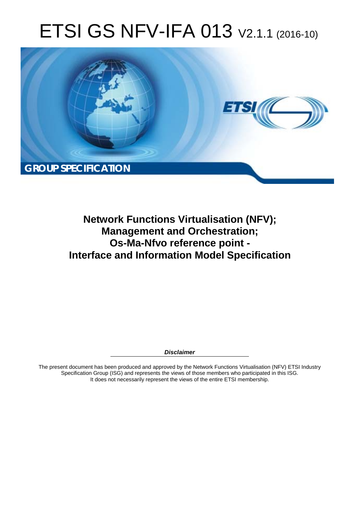# ETSI GS NFV-IFA 013 V2.1.1 (2016-10)



**Network Functions Virtualisation (NFV); Management and Orchestration; Os-Ma-Nfvo reference point - Interface and Information Model Specification** 

*Disclaimer* 

The present document has been produced and approved by the Network Functions Virtualisation (NFV) ETSI Industry Specification Group (ISG) and represents the views of those members who participated in this ISG. It does not necessarily represent the views of the entire ETSI membership.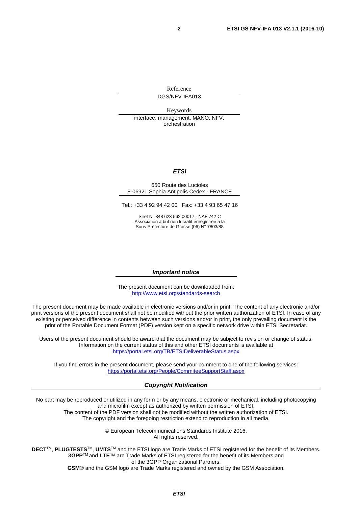Reference DGS/NFV-IFA013

Keywords interface, management, MANO, NFV, orchestration

#### *ETSI*

#### 650 Route des Lucioles F-06921 Sophia Antipolis Cedex - FRANCE

Tel.: +33 4 92 94 42 00 Fax: +33 4 93 65 47 16

Siret N° 348 623 562 00017 - NAF 742 C Association à but non lucratif enregistrée à la Sous-Préfecture de Grasse (06) N° 7803/88

#### *Important notice*

The present document can be downloaded from: <http://www.etsi.org/standards-search>

The present document may be made available in electronic versions and/or in print. The content of any electronic and/or print versions of the present document shall not be modified without the prior written authorization of ETSI. In case of any existing or perceived difference in contents between such versions and/or in print, the only prevailing document is the print of the Portable Document Format (PDF) version kept on a specific network drive within ETSI Secretariat.

Users of the present document should be aware that the document may be subject to revision or change of status. Information on the current status of this and other ETSI documents is available at <https://portal.etsi.org/TB/ETSIDeliverableStatus.aspx>

If you find errors in the present document, please send your comment to one of the following services: <https://portal.etsi.org/People/CommiteeSupportStaff.aspx>

#### *Copyright Notification*

No part may be reproduced or utilized in any form or by any means, electronic or mechanical, including photocopying and microfilm except as authorized by written permission of ETSI.

The content of the PDF version shall not be modified without the written authorization of ETSI. The copyright and the foregoing restriction extend to reproduction in all media.

> © European Telecommunications Standards Institute 2016. All rights reserved.

**DECT**TM, **PLUGTESTS**TM, **UMTS**TM and the ETSI logo are Trade Marks of ETSI registered for the benefit of its Members. **3GPP**TM and **LTE**™ are Trade Marks of ETSI registered for the benefit of its Members and of the 3GPP Organizational Partners.

**GSM**® and the GSM logo are Trade Marks registered and owned by the GSM Association.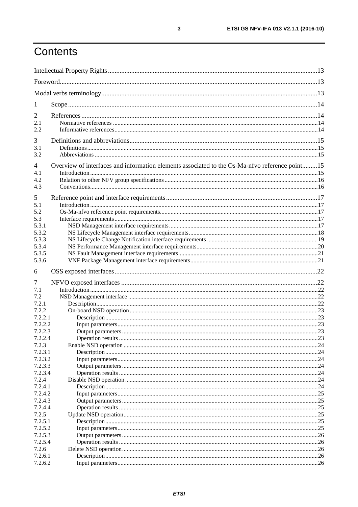# Contents

| 1              |                                                                                                |    |
|----------------|------------------------------------------------------------------------------------------------|----|
| 2              |                                                                                                |    |
| 2.1            |                                                                                                |    |
| 2.2            |                                                                                                |    |
| 3              |                                                                                                |    |
| 3.1            |                                                                                                |    |
| 3.2            |                                                                                                |    |
|                |                                                                                                |    |
| $\overline{4}$ | Overview of interfaces and information elements associated to the Os-Ma-nfvo reference point15 |    |
| 4.1            |                                                                                                |    |
| 4.2            |                                                                                                |    |
| 4.3            |                                                                                                |    |
| 5              |                                                                                                |    |
| 5.1            |                                                                                                |    |
| 5.2            |                                                                                                |    |
| 5.3            |                                                                                                |    |
| 5.3.1          |                                                                                                |    |
| 5.3.2          |                                                                                                |    |
| 5.3.3          |                                                                                                |    |
| 5.3.4          |                                                                                                |    |
| 5.3.5          |                                                                                                |    |
| 5.3.6          |                                                                                                |    |
| 6              |                                                                                                |    |
| 7              |                                                                                                |    |
| 7.1            |                                                                                                |    |
| 7.2            |                                                                                                |    |
| 7.2.1          |                                                                                                |    |
| 7.2.2          |                                                                                                |    |
| 7.2.2.1        |                                                                                                |    |
| 7.2.2.2        |                                                                                                |    |
| 7.2.2.3        |                                                                                                |    |
| 7.2.2.4        |                                                                                                |    |
| 7.2.3          |                                                                                                |    |
| 7.2.3.1        |                                                                                                | 24 |
| 7.2.3.2        |                                                                                                |    |
| 7.2.3.3        |                                                                                                |    |
| 7.2.3.4        |                                                                                                |    |
| 7.2.4          |                                                                                                |    |
| 7.2.4.1        |                                                                                                |    |
| 7.2.4.2        |                                                                                                | 25 |
| 7.2.4.3        |                                                                                                |    |
| 7.2.4.4        |                                                                                                |    |
| 7.2.5          |                                                                                                |    |
| 7.2.5.1        |                                                                                                | 25 |
| 7.2.5.2        |                                                                                                | 25 |
| 7.2.5.3        |                                                                                                | 26 |
| 7.2.5.4        |                                                                                                |    |
| 7.2.6          |                                                                                                |    |
| 7.2.6.1        |                                                                                                |    |
| 7.2.6.2        |                                                                                                |    |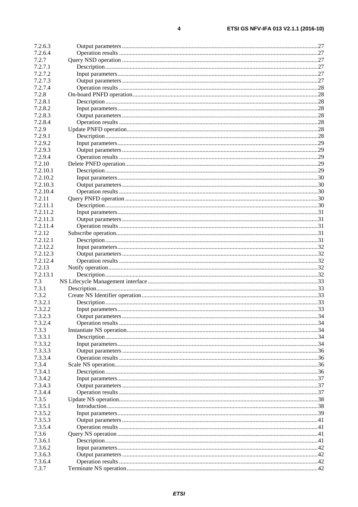$\overline{\mathbf{4}}$ 

| 7.2.6.3  |  |
|----------|--|
| 7.2.6.4  |  |
| 7.2.7    |  |
| 7.2.7.1  |  |
| 7.2.7.2  |  |
| 7.2.7.3  |  |
| 7.2.7.4  |  |
|          |  |
| 7.2.8    |  |
| 7.2.8.1  |  |
| 7.2.8.2  |  |
| 7.2.8.3  |  |
| 7.2.8.4  |  |
| 7.2.9    |  |
| 7.2.9.1  |  |
| 7.2.9.2  |  |
| 7.2.9.3  |  |
| 7.2.9.4  |  |
| 7.2.10   |  |
| 7.2.10.1 |  |
| 7.2.10.2 |  |
| 7.2.10.3 |  |
|          |  |
| 7.2.10.4 |  |
| 7.2.11   |  |
| 7.2.11.1 |  |
| 7.2.11.2 |  |
| 7.2.11.3 |  |
| 7.2.11.4 |  |
| 7.2.12   |  |
| 7.2.12.1 |  |
| 7.2.12.2 |  |
| 7.2.12.3 |  |
| 7.2.12.4 |  |
| 7.2.13   |  |
| 7.2.13.1 |  |
| 7.3      |  |
| 7.3.1    |  |
|          |  |
| 7.3.2    |  |
| 7.3.2.1  |  |
| 7.3.2.2  |  |
| 7.3.2.3  |  |
| 7.3.2.4  |  |
| 7.3.3    |  |
| 7.3.3.1  |  |
| 7.3.3.2  |  |
| 7.3.3.3  |  |
| 7.3.3.4  |  |
| 7.3.4    |  |
| 7.3.4.1  |  |
| 7.3.4.2  |  |
| 7.3.4.3  |  |
|          |  |
| 7.3.4.4  |  |
| 7.3.5    |  |
| 7.3.5.1  |  |
| 7.3.5.2  |  |
| 7.3.5.3  |  |
| 7.3.5.4  |  |
| 7.3.6    |  |
| 7.3.6.1  |  |
| 7.3.6.2  |  |
| 7.3.6.3  |  |
| 7.3.6.4  |  |
| 7.3.7    |  |
|          |  |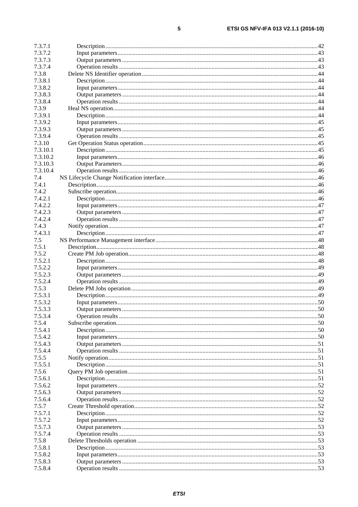| 7.3.7.1  |  |
|----------|--|
| 7372     |  |
| 7.3.7.3  |  |
| 7.3.7.4  |  |
| 7.3.8    |  |
| 7.3.8.1  |  |
| 7.3.8.2  |  |
| 7.3.8.3  |  |
| 7.3.8.4  |  |
| 7.3.9    |  |
| 7.3.9.1  |  |
| 7.3.9.2  |  |
| 7.3.9.3  |  |
| 7.3.9.4  |  |
| 7.3.10   |  |
| 7.3.10.1 |  |
| 7.3.10.2 |  |
| 7.3.10.3 |  |
| 7.3.10.4 |  |
| 7.4      |  |
| 7.4.1    |  |
| 7.4.2    |  |
| 7.4.2.1  |  |
| 7.4.2.2  |  |
| 7.4.2.3  |  |
| 7.4.2.4  |  |
| 7.4.3    |  |
| 7.4.3.1  |  |
| 7.5      |  |
| 7.5.1    |  |
| 7.5.2    |  |
| 7.5.2.1  |  |
| 7.5.2.2  |  |
| 7.5.2.3  |  |
| 7.5.2.4  |  |
| 7.5.3    |  |
| 7.5.3.1  |  |
| 7.5.3.2  |  |
| 7.5.3.3  |  |
| 7.5.3.4  |  |
| 7.5.4    |  |
| 7.5.4.1  |  |
| 7.5.4.2  |  |
| 7.5.4.3  |  |
| 7.5.4.4  |  |
| 7.5.5    |  |
| 7.5.5.1  |  |
| 7.5.6    |  |
| 7.5.6.1  |  |
| 7.5.6.2  |  |
| 7.5.6.3  |  |
| 7.5.6.4  |  |
| 7.5.7    |  |
| 7.5.7.1  |  |
| 7.5.7.2  |  |
| 7.5.7.3  |  |
| 7.5.7.4  |  |
| 7.5.8    |  |
| 7.5.8.1  |  |
| 7.5.8.2  |  |
| 7.5.8.3  |  |
| 7.5.8.4  |  |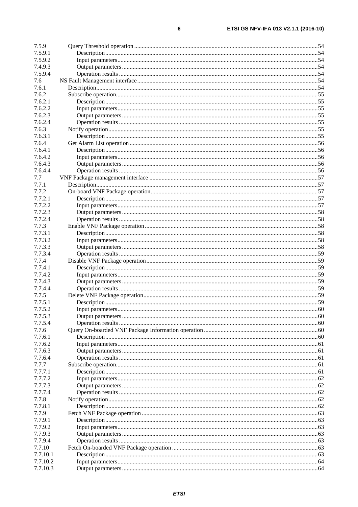| 7.5.9            |  |
|------------------|--|
| 7.5.9.1          |  |
| 7.5.9.2          |  |
| 7.4.9.3          |  |
| 7.5.9.4          |  |
| 7.6              |  |
| 7.6.1            |  |
| 7.6.2            |  |
| 7.6.2.1          |  |
| 7.6.2.2          |  |
| 7.6.2.3          |  |
| 7.6.2.4          |  |
| 7.6.3            |  |
| 7.6.3.1          |  |
| 7.6.4            |  |
| 7.6.4.1          |  |
| 7.6.4.2          |  |
| 7.6.4.3          |  |
| 7.6.4.4          |  |
| 7.7              |  |
| 7.7.1            |  |
| 7.7.2            |  |
| 7.7.2.1          |  |
| 7.7.2.2          |  |
| 7.7.2.3          |  |
| 7.7.2.4          |  |
| 7.7.3            |  |
| 7.7.3.1          |  |
| 7.7.3.2          |  |
| 7.7.3.3          |  |
| 7.7.3.4          |  |
| 7.7.4            |  |
| 7.7.4.1          |  |
| 7.7.4.2          |  |
| 7.7.4.3          |  |
| 7.7.4.4          |  |
| 7.7.5            |  |
| 7.7.5.1          |  |
| 7.7.5.2          |  |
| 7.7.5.3          |  |
| 7.7.5.4          |  |
| 7.7.6            |  |
| 7.7.6.1          |  |
| 7.7.6.2          |  |
| 7.7.6.3          |  |
|                  |  |
| 7.7.6.4          |  |
| 7.7.7<br>7.7.7.1 |  |
| 7.7.7.2          |  |
|                  |  |
| 7.7.7.3          |  |
| 7.7.7.4          |  |
| 7.7.8            |  |
| 7.7.8.1          |  |
| 7.7.9            |  |
| 7.7.9.1          |  |
| 7.7.9.2          |  |
| 7.7.9.3          |  |
| 7.7.9.4          |  |
| 7.7.10           |  |
| 7.7.10.1         |  |
| 7.7.10.2         |  |
| 7.7.10.3         |  |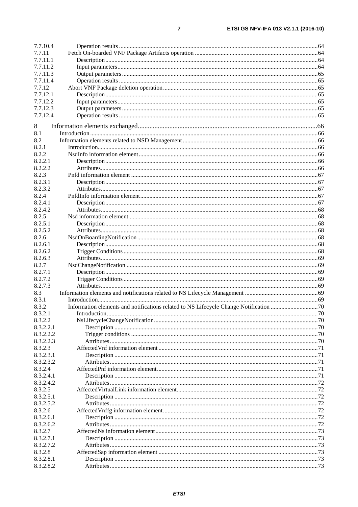| 7.7.10.4  |              |    |
|-----------|--------------|----|
| 7.7.11    |              |    |
| 7.7.11.1  |              |    |
| 7.7.11.2  |              |    |
| 7.7.11.3  |              |    |
| 7.7.11.4  |              |    |
| 7.7.12    |              |    |
| 7.7.12.1  |              |    |
| 7.7.12.2  |              |    |
| 7.7.12.3  |              |    |
| 7.7.12.4  |              |    |
|           |              |    |
| 8         |              |    |
| 8.1       |              |    |
| 8.2       |              |    |
| 8.2.1     |              |    |
| 8.2.2     |              |    |
| 8.2.2.1   |              |    |
| 8.2.2.2   |              |    |
| 8.2.3     |              |    |
| 8.2.3.1   |              |    |
| 8.2.3.2   |              |    |
| 8.2.4     |              |    |
| 8.2.4.1   |              |    |
| 8.2.4.2   |              |    |
|           |              |    |
| 8.2.5     |              |    |
| 8.2.5.1   |              |    |
| 8.2.5.2   |              |    |
| 8.2.6     |              |    |
| 8.2.6.1   |              |    |
| 8.2.6.2   |              |    |
| 8.2.6.3   |              |    |
| 8.2.7     |              |    |
| 8.2.7.1   |              |    |
| 8.2.7.2   |              |    |
| 8.2.7.3   |              |    |
| 8.3       |              |    |
| 8.3.1     |              |    |
| 8.3.2     |              |    |
| 8.3.2.1   | Introduction | 70 |
| 8.3.2.2   |              |    |
| 8.3.2.2.1 |              |    |
| 8.3.2.2.2 |              |    |
| 8.3.2.2.3 |              |    |
| 8.3.2.3   |              |    |
| 8.3.2.3.1 |              |    |
| 8.3.2.3.2 |              |    |
| 8.3.2.4   |              |    |
| 8.3.2.4.1 |              |    |
| 8.3.2.4.2 |              |    |
| 8.3.2.5   |              |    |
|           |              |    |
| 8.3.2.5.1 |              |    |
| 8.3.2.5.2 |              |    |
| 8.3.2.6   |              |    |
| 8.3.2.6.1 |              |    |
| 8.3.2.6.2 |              |    |
| 8.3.2.7   |              |    |
| 8.3.2.7.1 |              |    |
| 8.3.2.7.2 |              |    |
| 8.3.2.8   |              |    |
| 8.3.2.8.1 |              |    |
| 8.3.2.8.2 |              |    |
|           |              |    |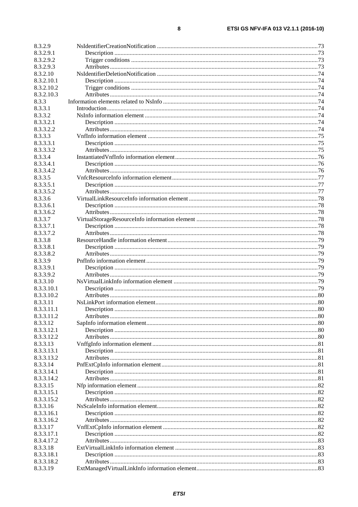| 8.3.2.9    |  |
|------------|--|
| 8.3.2.9.1  |  |
| 8.3.2.9.2  |  |
| 8.3.2.9.3  |  |
| 8.3.2.10   |  |
| 8.3.2.10.1 |  |
| 8.3.2.10.2 |  |
| 8.3.2.10.3 |  |
| 8.3.3      |  |
| 8.3.3.1    |  |
| 8.3.3.2    |  |
| 8.3.3.2.1  |  |
| 8.3.3.2.2  |  |
| 8.3.3.3    |  |
| 8.3.3.3.1  |  |
| 8.3.3.3.2  |  |
| 8.3.3.4    |  |
| 8.3.3.4.1  |  |
| 8.3.3.4.2  |  |
| 8.3.3.5    |  |
| 8.3.3.5.1  |  |
| 8.3.3.5.2  |  |
| 8.3.3.6    |  |
| 8.3.3.6.1  |  |
| 8.3.3.6.2  |  |
| 8.3.3.7    |  |
| 8.3.3.7.1  |  |
| 8.3.3.7.2  |  |
| 8.3.3.8    |  |
| 8.3.3.8.1  |  |
| 8.3.3.8.2  |  |
| 8.3.3.9    |  |
| 8.3.3.9.1  |  |
| 8.3.3.9.2  |  |
| 8.3.3.10   |  |
| 8.3.3.10.1 |  |
| 8.3.3.10.2 |  |
| 8.3.3.11   |  |
| 8.3.3.11.1 |  |
| 8.3.3.11.2 |  |
| 8.3.3.12   |  |
| 8.3.3.12.1 |  |
| 8.3.3.12.2 |  |
| 8.3.3.13   |  |
| 8.3.3.13.1 |  |
| 8.3.3.13.2 |  |
| 8.3.3.14   |  |
| 8.3.3.14.1 |  |
| 8.3.3.14.2 |  |
| 8.3.3.15   |  |
| 8.3.3.15.1 |  |
| 8.3.3.15.2 |  |
| 8.3.3.16   |  |
| 8.3.3.16.1 |  |
| 8.3.3.16.2 |  |
| 8.3.3.17   |  |
| 8.3.3.17.1 |  |
| 8.3.4.17.2 |  |
| 8.3.3.18   |  |
| 8.3.3.18.1 |  |
| 8.3.3.18.2 |  |
| 8.3.3.19   |  |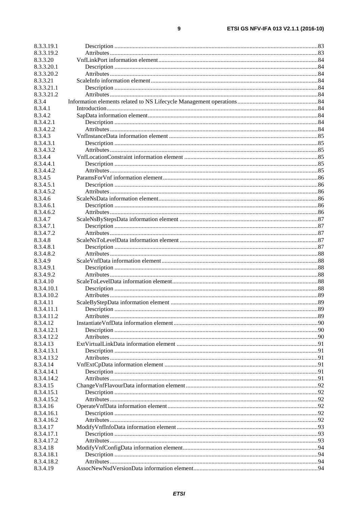| 8.3.3.19.1 |  |
|------------|--|
| 8.3.3.19.2 |  |
| 8.3.3.20   |  |
| 8.3.3.20.1 |  |
| 8.3.3.20.2 |  |
| 8.3.3.21   |  |
| 8.3.3.21.1 |  |
| 8.3.3.21.2 |  |
| 8.3.4      |  |
| 8.3.4.1    |  |
| 8.3.4.2    |  |
| 8.3.4.2.1  |  |
| 8.3.4.2.2  |  |
| 8.3.4.3    |  |
| 8.3.4.3.1  |  |
| 8.3.4.3.2  |  |
| 8.3.4.4    |  |
| 8.3.4.4.1  |  |
| 8.3.4.4.2  |  |
| 8.3.4.5    |  |
| 8.3.4.5.1  |  |
| 8.3.4.5.2  |  |
| 8.3.4.6    |  |
| 8.3.4.6.1  |  |
| 8.3.4.6.2  |  |
| 8.3.4.7    |  |
| 8.3.4.7.1  |  |
| 8.3.4.7.2  |  |
| 8.3.4.8    |  |
| 8.3.4.8.1  |  |
| 8.3.4.8.2  |  |
| 8.3.4.9    |  |
| 8.3.4.9.1  |  |
| 8.3.4.9.2  |  |
| 8.3.4.10   |  |
| 8.3.4.10.1 |  |
| 8.3.4.10.2 |  |
| 8.3.4.11   |  |
| 8.3.4.11.1 |  |
| 8.3.4.11.2 |  |
| 8.3.4.12   |  |
| 8.3.4.12.1 |  |
| 8.3.4.12.2 |  |
| 8.3.4.13   |  |
| 8.3.4.13.1 |  |
| 8.3.4.13.2 |  |
| 8.3.4.14   |  |
| 8.3.4.14.1 |  |
| 8.3.4.14.2 |  |
| 8.3.4.15   |  |
| 8.3.4.15.1 |  |
| 8.3.4.15.2 |  |
| 8.3.4.16   |  |
| 8.3.4.16.1 |  |
| 8.3.4.16.2 |  |
| 8.3.4.17   |  |
| 8.3.4.17.1 |  |
| 8.3.4.17.2 |  |
| 8.3.4.18   |  |
| 8.3.4.18.1 |  |
| 8.3.4.18.2 |  |
| 8.3.4.19   |  |
|            |  |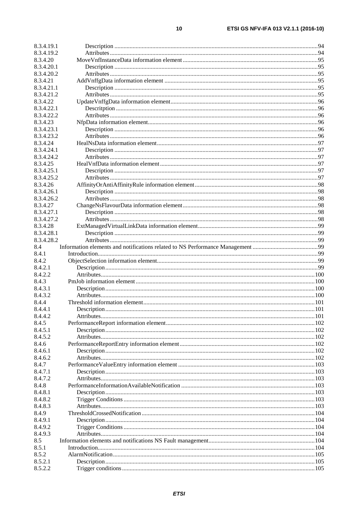| 8.3.4.19.2         |  |
|--------------------|--|
| 8.3.4.20           |  |
| 8.3.4.20.1         |  |
| 8.3.4.20.2         |  |
| 8.3.4.21           |  |
| 8.3.4.21.1         |  |
| 8.3.4.21.2         |  |
| 8.3.4.22           |  |
| 8.3.4.22.1         |  |
| 8.3.4.22.2         |  |
| 8.3.4.23           |  |
| 8.3.4.23.1         |  |
| 8.3.4.23.2         |  |
|                    |  |
| 8.3.4.24           |  |
| 8.3.4.24.1         |  |
| 8.3.4.24.2         |  |
| 8.3.4.25           |  |
| 8.3.4.25.1         |  |
| 8.3.4.25.2         |  |
| 8.3.4.26           |  |
| 8.3.4.26.1         |  |
| 8.3.4.26.2         |  |
| 8.3.4.27           |  |
| 8.3.4.27.1         |  |
| 8.3.4.27.2         |  |
| 8.3.4.28           |  |
| 8.3.4.28.1         |  |
| 8.3.4.28.2         |  |
| 8.4                |  |
| 8.4.1              |  |
| 8.4.2              |  |
|                    |  |
| 8.4.2.1            |  |
| 8.4.2.2            |  |
| 8.4.3              |  |
| 8.4.3.1            |  |
| 8.4.3.2            |  |
| 8.4.4              |  |
| 8.4.4.1            |  |
| 8.4.4.2            |  |
| 8.4.5              |  |
| 8.4.5.1            |  |
| 8.4.5.2            |  |
| 8.4.6              |  |
|                    |  |
|                    |  |
| 8.4.6.1<br>8.4.6.2 |  |
|                    |  |
| 8.4.7              |  |
| 8.4.7.1            |  |
| 8.4.7.2            |  |
| 8.4.8              |  |
| 8.4.8.1            |  |
| 8.4.8.2            |  |
| 8.4.8.3            |  |
| 8.4.9              |  |
| 8.4.9.1            |  |
| 8.4.9.2            |  |
| 8.4.9.3            |  |
| 8.5                |  |
| 8.5.1              |  |
| 8.5.2              |  |
| 8.5.2.1            |  |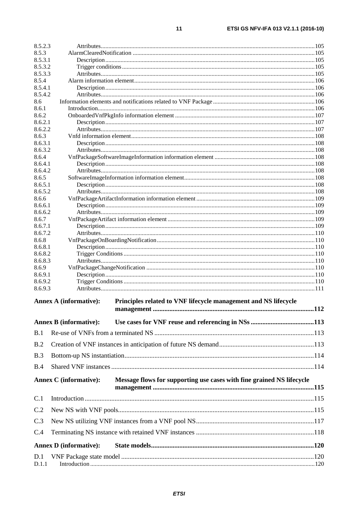| 8.5.2.3            |                               |                                                                       |     |
|--------------------|-------------------------------|-----------------------------------------------------------------------|-----|
| 8.5.3              |                               |                                                                       |     |
| 8.5.3.1            |                               |                                                                       |     |
| 8.5.3.2<br>8.5.3.3 |                               |                                                                       |     |
| 8.5.4              |                               |                                                                       |     |
| 8.5.4.1            |                               |                                                                       |     |
| 8.5.4.2            |                               |                                                                       |     |
| 8.6                |                               |                                                                       |     |
| 8.6.1              |                               |                                                                       |     |
| 8.6.2<br>8.6.2.1   |                               |                                                                       |     |
| 8.6.2.2            |                               |                                                                       |     |
| 8.6.3              |                               |                                                                       |     |
| 8.6.3.1            |                               |                                                                       |     |
| 8.6.3.2            |                               |                                                                       |     |
| 8.6.4              |                               |                                                                       |     |
| 8.6.4.1            |                               |                                                                       |     |
| 8.6.4.2<br>8.6.5   |                               |                                                                       |     |
| 8.6.5.1            |                               |                                                                       |     |
| 8.6.5.2            |                               |                                                                       |     |
| 8.6.6              |                               |                                                                       |     |
| 8.6.6.1            |                               |                                                                       |     |
| 8.6.6.2            |                               |                                                                       |     |
| 8.6.7<br>8.6.7.1   |                               |                                                                       |     |
| 8.6.7.2            |                               |                                                                       |     |
| 8.6.8              |                               |                                                                       |     |
| 8.6.8.1            |                               |                                                                       |     |
| 8.6.8.2            |                               |                                                                       |     |
| 8.6.8.3            |                               |                                                                       |     |
| 8.6.9              |                               |                                                                       |     |
| 8.6.9.1<br>8.6.9.2 |                               |                                                                       |     |
| 8.6.9.3            |                               |                                                                       |     |
|                    |                               |                                                                       |     |
|                    | <b>Annex A (informative):</b> | Principles related to VNF lifecycle management and NS lifecycle       |     |
|                    |                               |                                                                       | 112 |
|                    | <b>Annex B</b> (informative): |                                                                       |     |
| B.1                |                               |                                                                       |     |
| B.2                |                               |                                                                       |     |
| B.3                |                               |                                                                       |     |
| B.4                |                               |                                                                       |     |
|                    |                               |                                                                       |     |
|                    | <b>Annex C</b> (informative): | Message flows for supporting use cases with fine grained NS lifecycle |     |
| C.1                |                               |                                                                       |     |
|                    |                               |                                                                       |     |
| C.2                |                               |                                                                       |     |
| C.3                |                               |                                                                       |     |
| C.4                |                               |                                                                       |     |
|                    | <b>Annex D</b> (informative): |                                                                       |     |
| D.1                |                               |                                                                       |     |
| D.1.1              |                               |                                                                       |     |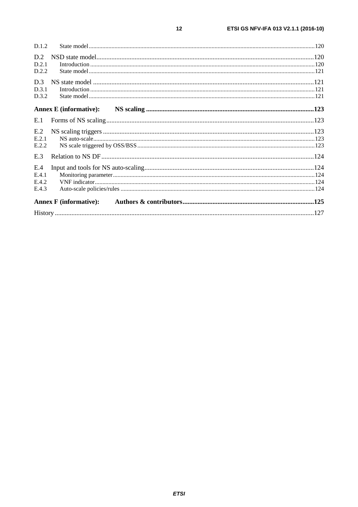| D.1.2                          |  |
|--------------------------------|--|
| D.2<br>D.2.1<br>D.2.2          |  |
| D.3<br>D.3.1<br>D.3.2          |  |
| <b>Annex E</b> (informative):  |  |
| E.1                            |  |
| E.2<br>E.2.1<br>E.2.2          |  |
| E.3                            |  |
| E.4<br>E.4.1<br>E.4.2<br>E.4.3 |  |
| <b>Annex F</b> (informative):  |  |
|                                |  |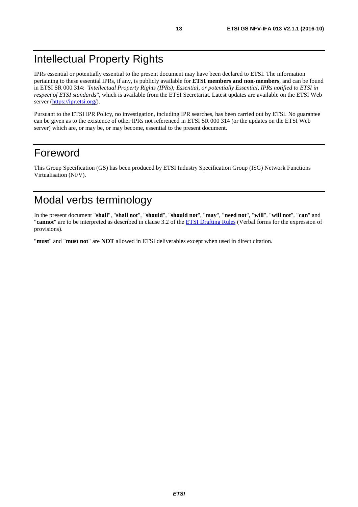# <span id="page-12-0"></span>Intellectual Property Rights

IPRs essential or potentially essential to the present document may have been declared to ETSI. The information pertaining to these essential IPRs, if any, is publicly available for **ETSI members and non-members**, and can be found in ETSI SR 000 314: *"Intellectual Property Rights (IPRs); Essential, or potentially Essential, IPRs notified to ETSI in respect of ETSI standards"*, which is available from the ETSI Secretariat. Latest updates are available on the ETSI Web server (<https://ipr.etsi.org/>).

Pursuant to the ETSI IPR Policy, no investigation, including IPR searches, has been carried out by ETSI. No guarantee can be given as to the existence of other IPRs not referenced in ETSI SR 000 314 (or the updates on the ETSI Web server) which are, or may be, or may become, essential to the present document.

# Foreword

This Group Specification (GS) has been produced by ETSI Industry Specification Group (ISG) Network Functions Virtualisation (NFV).

# Modal verbs terminology

In the present document "**shall**", "**shall not**", "**should**", "**should not**", "**may**", "**need not**", "**will**", "**will not**", "**can**" and "**cannot**" are to be interpreted as described in clause 3.2 of the [ETSI Drafting Rules](https://portal.etsi.org/Services/editHelp!/Howtostart/ETSIDraftingRules.aspx) (Verbal forms for the expression of provisions).

"**must**" and "**must not**" are **NOT** allowed in ETSI deliverables except when used in direct citation.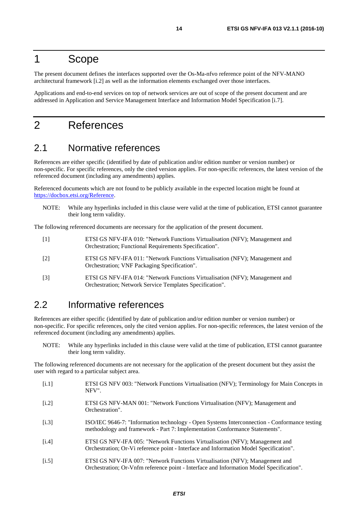# <span id="page-13-0"></span>1 Scope

The present document defines the interfaces supported over the Os-Ma-nfvo reference point of the NFV-MANO architectural framework [i.2] as well as the information elements exchanged over those interfaces.

Applications and end-to-end services on top of network services are out of scope of the present document and are addressed in Application and Service Management Interface and Information Model Specification [\[i.7](#page-14-0)].

# 2 References

# 2.1 Normative references

References are either specific (identified by date of publication and/or edition number or version number) or non-specific. For specific references, only the cited version applies. For non-specific references, the latest version of the referenced document (including any amendments) applies.

Referenced documents which are not found to be publicly available in the expected location might be found at [https://docbox.etsi.org/Reference](https://docbox.etsi.org/Reference/).

NOTE: While any hyperlinks included in this clause were valid at the time of publication, ETSI cannot guarantee their long term validity.

The following referenced documents are necessary for the application of the present document.

| $\lceil 1 \rceil$ | ETSI GS NFV-IFA 010: "Network Functions Virtualisation (NFV); Management and<br>Orchestration; Functional Requirements Specification".   |
|-------------------|------------------------------------------------------------------------------------------------------------------------------------------|
| $\lceil 2 \rceil$ | ETSI GS NFV-IFA 011: "Network Functions Virtualisation (NFV); Management and<br>Orchestration; VNF Packaging Specification".             |
| $\lceil 3 \rceil$ | ETSI GS NFV-IFA 014: "Network Functions Virtualisation (NFV); Management and<br>Orchestration; Network Service Templates Specification". |

# 2.2 Informative references

References are either specific (identified by date of publication and/or edition number or version number) or non-specific. For specific references, only the cited version applies. For non-specific references, the latest version of the referenced document (including any amendments) applies.

NOTE: While any hyperlinks included in this clause were valid at the time of publication, ETSI cannot guarantee their long term validity.

The following referenced documents are not necessary for the application of the present document but they assist the user with regard to a particular subject area.

- [i.1] ETSI GS NFV 003: "Network Functions Virtualisation (NFV); Terminology for Main Concepts in NFV".
- [i.2] ETSI GS NFV-MAN 001: "Network Functions Virtualisation (NFV); Management and Orchestration".
- [i.3] ISO/IEC 9646-7: "Information technology Open Systems Interconnection Conformance testing methodology and framework - Part 7: Implementation Conformance Statements".
- [i.4] ETSI GS NFV-IFA 005: "Network Functions Virtualisation (NFV); Management and Orchestration; Or-Vi reference point - Interface and Information Model Specification".
- [i.5] ETSI GS NFV-IFA 007: "Network Functions Virtualisation (NFV); Management and Orchestration; Or-Vnfm reference point - Interface and Information Model Specification".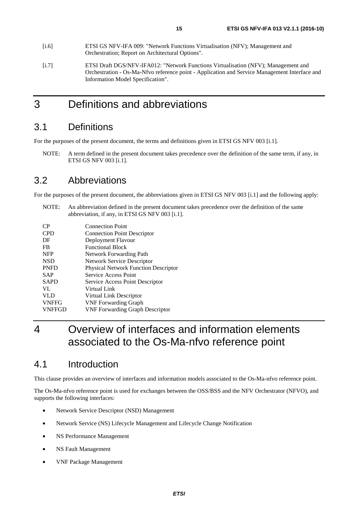- <span id="page-14-0"></span>[i.6] ETSI GS NFV-IFA 009: "Network Functions Virtualisation (NFV); Management and Orchestration; Report on Architectural Options".
- [i.7] ETSI Draft DGS/NFV-IFA012: "Network Functions Virtualisation (NFV); Management and Orchestration - Os-Ma-Nfvo reference point - Application and Service Management Interface and Information Model Specification".

# 3 Definitions and abbreviations

# 3.1 Definitions

For the purposes of the present document, the terms and definitions given in ETSI GS NFV 003 [\[i.1](#page-13-0)].

NOTE: A term defined in the present document takes precedence over the definition of the same term, if any, in ETSI GS NFV 003 [\[i.1\]](#page-13-0).

# 3.2 Abbreviations

For the purposes of the present document, the abbreviations given in ETSI GS NFV 003 [\[i.1\]](#page-13-0) and the following apply:

NOTE: An abbreviation defined in the present document takes precedence over the definition of the same abbreviation, if any, in ETSI GS NFV 003 [[i.1](#page-13-0)].

| CP            | <b>Connection Point</b>                     |
|---------------|---------------------------------------------|
| <b>CPD</b>    | <b>Connection Point Descriptor</b>          |
| DF            | Deployment Flavour                          |
| FB            | <b>Functional Block</b>                     |
| <b>NFP</b>    | Network Forwarding Path                     |
| <b>NSD</b>    | Network Service Descriptor                  |
| <b>PNFD</b>   | <b>Physical Network Function Descriptor</b> |
| SAP           | Service Access Point                        |
| <b>SAPD</b>   | Service Access Point Descriptor             |
| VL            | Virtual Link                                |
| <b>VLD</b>    | Virtual Link Descriptor                     |
| <b>VNFFG</b>  | <b>VNF</b> Forwarding Graph                 |
| <b>VNFFGD</b> | <b>VNF Forwarding Graph Descriptor</b>      |

4 Overview of interfaces and information elements associated to the Os-Ma-nfvo reference point

# 4.1 Introduction

This clause provides an overview of interfaces and information models associated to the Os-Ma-nfvo reference point.

The Os-Ma-nfvo reference point is used for exchanges between the OSS/BSS and the NFV Orchestrator (NFVO), and supports the following interfaces:

- Network Service Descriptor (NSD) Management
- Network Service (NS) Lifecycle Management and Lifecycle Change Notification
- NS Performance Management
- NS Fault Management
- VNF Package Management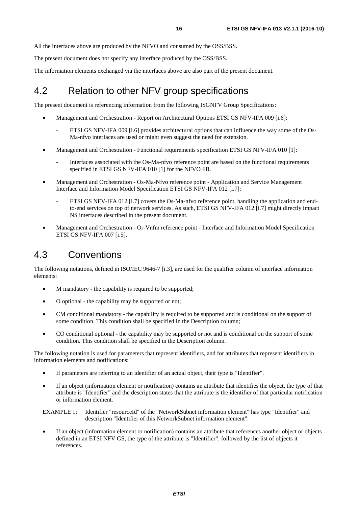<span id="page-15-0"></span>All the interfaces above are produced by the NFVO and consumed by the OSS/BSS.

The present document does not specify any interface produced by the OSS/BSS.

The information elements exchanged via the interfaces above are also part of the present document.

# 4.2 Relation to other NFV group specifications

The present document is referencing information from the following ISGNFV Group Specifications:

- Management and Orchestration Report on Architectural Options ETSI GS NFV-IFA 009 [\[i.6\]](#page-14-0):
	- ETSI GS NFV-IFA 009 [[i.6](#page-14-0)] provides architectural options that can influence the way some of the Os-Ma-nfvo interfaces are used or might even suggest the need for extension.
- Management and Orchestration Functional requirements specification ETSI GS NFV-IFA 010 [\[1](#page-13-0)]:
	- Interfaces associated with the Os-Ma-nfvo reference point are based on the functional requirements specified in ETSI GS NFV-IFA 010 [[1\]](#page-13-0) for the NFVO FB.
- Management and Orchestration Os-Ma-Nfvo reference point Application and Service Management Interface and Information Model Specification ETSI GS NFV-IFA 012 [\[i.7\]](#page-14-0):
	- ETSI GS NFV-IFA 012 [[i.7](#page-14-0)] covers the Os-Ma-nfvo reference point, handling the application and endto-end services on top of network services. As such, ETSI GS NFV-IFA 012 [\[i.7\]](#page-14-0) might directly impact NS interfaces described in the present document.
- Management and Orchestration Or-Vnfm reference point Interface and Information Model Specification ETSI GS NFV-IFA 007 [\[i.5\]](#page-13-0).

# 4.3 Conventions

The following notations, defined in ISO/IEC 9646-7 [\[i.3\]](#page-13-0), are used for the qualifier column of interface information elements:

- M mandatory the capability is required to be supported;
- O optional the capability may be supported or not;
- CM conditional mandatory the capability is required to be supported and is conditional on the support of some condition. This condition shall be specified in the Description column;
- CO conditional optional the capability may be supported or not and is conditional on the support of some condition. This condition shall be specified in the Description column.

The following notation is used for parameters that represent identifiers, and for attributes that represent identifiers in information elements and notifications:

- If parameters are referring to an identifier of an actual object, their type is "Identifier".
- If an object (information element or notification) contains an attribute that identifies the object, the type of that attribute is "Identifier" and the description states that the attribute is the identifier of that particular notification or information element.

EXAMPLE 1: Identifier "resourceId" of the "NetworkSubnet information element" has type "Identifier" and description "Identifier of this NetworkSubnet information element".

• If an object (information element or notification) contains an attribute that references another object or objects defined in an ETSI NFV GS, the type of the attribute is "Identifier", followed by the list of objects it references.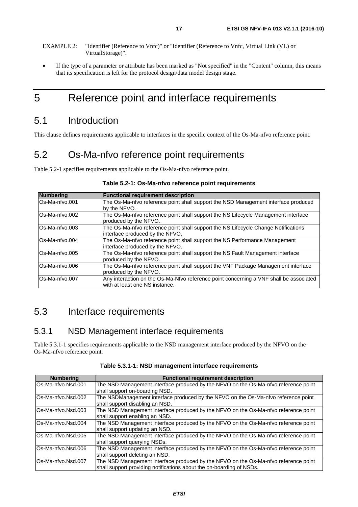<span id="page-16-0"></span>• If the type of a parameter or attribute has been marked as "Not specified" in the "Content" column, this means that its specification is left for the protocol design/data model design stage.

# 5 Reference point and interface requirements

# 5.1 Introduction

This clause defines requirements applicable to interfaces in the specific context of the Os-Ma-nfvo reference point.

# 5.2 Os-Ma-nfvo reference point requirements

Table 5.2-1 specifies requirements applicable to the Os-Ma-nfvo reference point.

| <b>Numbering</b> | <b>Functional requirement description</b>                                              |
|------------------|----------------------------------------------------------------------------------------|
| Os-Ma-nfvo.001   | The Os-Ma-nfvo reference point shall support the NSD Management interface produced     |
|                  | by the NFVO.                                                                           |
| Os-Ma-nfvo.002   | The Os-Ma-nfvo reference point shall support the NS Lifecycle Management interface     |
|                  | produced by the NFVO.                                                                  |
| Os-Ma-nfvo.003   | The Os-Ma-nfvo reference point shall support the NS Lifecycle Change Notifications     |
|                  | interface produced by the NFVO.                                                        |
| Os-Ma-nfvo.004   | The Os-Ma-nfvo reference point shall support the NS Performance Management             |
|                  | interface produced by the NFVO.                                                        |
| Os-Ma-nfvo.005   | The Os-Ma-nfvo reference point shall support the NS Fault Management interface         |
|                  | produced by the NFVO.                                                                  |
| Os-Ma-nfvo.006   | The Os-Ma-nfvo reference point shall support the VNF Package Management interface      |
|                  | produced by the NFVO.                                                                  |
| Os-Ma-nfvo.007   | Any interaction on the Os-Ma-Nfvo reference point concerning a VNF shall be associated |
|                  | with at least one NS instance.                                                         |

#### **Table 5.2-1: Os-Ma-nfvo reference point requirements**

# 5.3 Interface requirements

### 5.3.1 NSD Management interface requirements

Table 5.3.1-1 specifies requirements applicable to the NSD management interface produced by the NFVO on the Os-Ma-nfvo reference point.

| <b>Numbering</b>   | <b>Functional requirement description</b>                                           |
|--------------------|-------------------------------------------------------------------------------------|
| Os-Ma-nfvo.Nsd.001 | The NSD Management interface produced by the NFVO on the Os-Ma-nfvo reference point |
|                    | shall support on-boarding NSD.                                                      |
| Os-Ma-nfvo.Nsd.002 | The NSDManagement interface produced by the NFVO on the Os-Ma-nfvo reference point  |
|                    | shall support disabling an NSD.                                                     |
| Os-Ma-nfvo.Nsd.003 | The NSD Management interface produced by the NFVO on the Os-Ma-nfvo reference point |
|                    | shall support enabling an NSD.                                                      |
| Os-Ma-nfvo.Nsd.004 | The NSD Management interface produced by the NFVO on the Os-Ma-nfvo reference point |
|                    | shall support updating an NSD.                                                      |
| Os-Ma-nfvo.Nsd.005 | The NSD Management interface produced by the NFVO on the Os-Ma-nfvo reference point |
|                    | shall support querying NSDs.                                                        |
| Os-Ma-nfvo.Nsd.006 | The NSD Management interface produced by the NFVO on the Os-Ma-nfvo reference point |
|                    | shall support deleting an NSD.                                                      |
| Os-Ma-nfvo.Nsd.007 | The NSD Management interface produced by the NFVO on the Os-Ma-nfvo reference point |
|                    | shall support providing notifications about the on-boarding of NSDs.                |

**Table 5.3.1-1: NSD management interface requirements**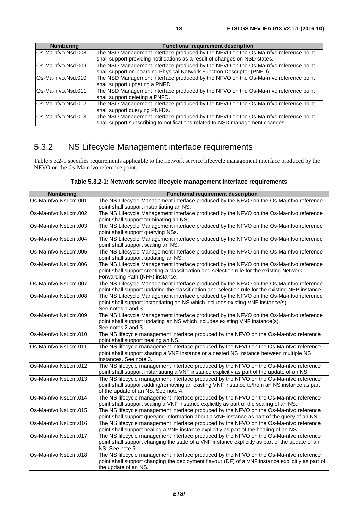<span id="page-17-0"></span>

| <b>Numbering</b>   | <b>Functional requirement description</b>                                           |
|--------------------|-------------------------------------------------------------------------------------|
| Os-Ma-nfvo.Nsd.008 | The NSD Management interface produced by the NFVO on the Os-Ma-nfvo reference point |
|                    | shall support providing notifications as a result of changes on NSD states.         |
| Os-Ma-nfvo.Nsd.009 | The NSD Management interface produced by the NFVO on the Os-Ma-nfvo reference point |
|                    | shall support on-boarding Physical Network Function Descriptor (PNFD).              |
| Os-Ma-nfvo.Nsd.010 | The NSD Management interface produced by the NFVO on the Os-Ma-nfvo reference point |
|                    | shall support updating a PNFD.                                                      |
| Os-Ma-nfvo.Nsd.011 | The NSD Management interface produced by the NFVO on the Os-Ma-nfvo reference point |
|                    | shall support deleting a PNFD.                                                      |
| Os-Ma-nfvo.Nsd.012 | The NSD Management interface produced by the NFVO on the Os-Ma-nfvo reference point |
|                    | shall support querying PNFDs.                                                       |
| Os-Ma-nfvo.Nsd.013 | The NSD Management interface produced by the NFVO on the Os-Ma-nfvo reference point |
|                    | shall support subscribing to notifications related to NSD management changes.       |

# 5.3.2 NS Lifecycle Management interface requirements

Table 5.3.2-1 specifies requirements applicable to the network service lifecycle management interface produced by the NFVO on the Os-Ma-nfvo reference point.

| <b>Numbering</b>     | <b>Functional requirement description</b>                                                                                                                             |
|----------------------|-----------------------------------------------------------------------------------------------------------------------------------------------------------------------|
| Os-Ma-nfvo.NsLcm.001 | The NS Lifecycle Management interface produced by the NFVO on the Os-Ma-nfvo reference                                                                                |
|                      | point shall support instantiating an NS.                                                                                                                              |
| Os-Ma-nfvo.NsLcm.002 | The NS Lifecycle Management interface produced by the NFVO on the Os-Ma-nfvo reference                                                                                |
|                      | point shall support terminating an NS.                                                                                                                                |
| Os-Ma-nfvo.NsLcm.003 | The NS Lifecycle Management interface produced by the NFVO on the Os-Ma-nfvo reference                                                                                |
|                      | point shall support querying NSs.                                                                                                                                     |
| Os-Ma-nfvo.NsLcm.004 | The NS Lifecycle Management interface produced by the NFVO on the Os-Ma-nfvo reference                                                                                |
|                      | point shall support scaling an NS.                                                                                                                                    |
| Os-Ma-nfvo.NsLcm.005 | The NS Lifecycle Management interface produced by the NFVO on the Os-Ma-nfvo reference                                                                                |
|                      | point shall support updating an NS.                                                                                                                                   |
| Os-Ma-nfvo.NsLcm.006 | The NS Lifecycle Management interface produced by the NFVO on the Os-Ma-nfvo reference                                                                                |
|                      | point shall support creating a classification and selection rule for the existing Network                                                                             |
|                      | Forwarding Path (NFP) instance.                                                                                                                                       |
| Os-Ma-nfvo.NsLcm.007 | The NS Lifecycle Management interface produced by the NFVO on the Os-Ma-nfvo reference                                                                                |
|                      | point shall support updating the classification and selection rule for the existing NFP instance.                                                                     |
| Os-Ma-nfvo.NsLcm.008 | The NS Lifecycle Management interface produced by the NFVO on the Os-Ma-nfvo reference                                                                                |
|                      | point shall support instantiating an NS which includes existing VNF instance(s).                                                                                      |
| Os-Ma-nfvo.NsLcm.009 | See notes 1 and 3.                                                                                                                                                    |
|                      | The NS Lifecycle Management interface produced by the NFVO on the Os-Ma-nfvo reference<br>point shall support updating an NS which includes existing VNF instance(s). |
|                      | See notes 2 and 3.                                                                                                                                                    |
| Os-Ma-nfvo.NsLcm.010 | The NS lifecycle management interface produced by the NFVO on the Os-Ma-nfvo reference                                                                                |
|                      | point shall support healing an NS.                                                                                                                                    |
| Os-Ma-nfvo.NsLcm.011 | The NS lifecycle management interface produced by the NFVO on the Os-Ma-nfvo reference                                                                                |
|                      | point shall support sharing a VNF instance or a nested NS instance between multiple NS                                                                                |
|                      | instances. See note 3.                                                                                                                                                |
| Os-Ma-nfvo.NsLcm.012 | The NS lifecycle management interface produced by the NFVO on the Os-Ma-nfvo reference                                                                                |
|                      | point shall support instantiating a VNF instance explicitly as part of the update of an NS.                                                                           |
| Os-Ma-nfvo.NsLcm.013 | The NS lifecycle management interface produced by the NFVO on the Os-Ma-nfvo reference                                                                                |
|                      | point shall support adding/removing an existing VNF instance to/from an NS instance as part                                                                           |
|                      | of the update of an NS. See note 4.                                                                                                                                   |
| Os-Ma-nfvo.NsLcm.014 | The NS lifecycle management interface produced by the NFVO on the Os-Ma-nfvo reference                                                                                |
|                      | point shall support scaling a VNF instance explicitly as part of the scaling of an NS.                                                                                |
| Os-Ma-nfvo.NsLcm.015 | The NS lifecycle management interface produced by the NFVO on the Os-Ma-nfvo reference                                                                                |
|                      | point shall support querying information about a VNF instance as part of the query of an NS.                                                                          |
| Os-Ma-nfvo.NsLcm.016 | The NS lifecycle management interface produced by the NFVO on the Os-Ma-nfvo reference                                                                                |
|                      | point shall support healing a VNF instance explicitly as part of the healing of an NS.                                                                                |
| Os-Ma-nfvo.NsLcm.017 | The NS lifecycle management interface produced by the NFVO on the Os-Ma-nfvo reference                                                                                |
|                      | point shall support changing the state of a VNF instance explicitly as part of the update of an                                                                       |
| Os-Ma-nfvo.NsLcm.018 | NS. See note 5.                                                                                                                                                       |
|                      | The NS lifecycle management interface produced by the NFVO on the Os-Ma-nfvo reference                                                                                |
|                      | point shall support changing the deployment flavour (DF) of a VNF instance explicitly as part of<br>the update of an NS.                                              |
|                      |                                                                                                                                                                       |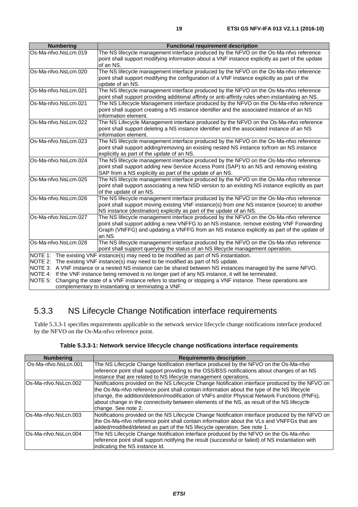<span id="page-18-0"></span>

| <b>Numbering</b>              | <b>Functional requirement description</b>                                                                                                                                                                                                                                                                                                                                                                                                                                                                                                                    |
|-------------------------------|--------------------------------------------------------------------------------------------------------------------------------------------------------------------------------------------------------------------------------------------------------------------------------------------------------------------------------------------------------------------------------------------------------------------------------------------------------------------------------------------------------------------------------------------------------------|
| Os-Ma-nfvo.NsLcm.019          | The NS lifecycle management interface produced by the NFVO on the Os-Ma-nfvo reference<br>point shall support modifying information about a VNF instance explicitly as part of the update<br>of an NS.                                                                                                                                                                                                                                                                                                                                                       |
| Os-Ma-nfvo.NsLcm.020          | The NS lifecycle management interface produced by the NFVO on the Os-Ma-nfvo reference<br>point shall support modifying the configuration of a VNF instance explicitly as part of the<br>update of an NS.                                                                                                                                                                                                                                                                                                                                                    |
| Os-Ma-nfvo.NsLcm.021          | The NS lifecycle management interface produced by the NFVO on the Os-Ma-nfvo reference<br>point shall support providing additional affinity or anti-affinity rules when instantiating an NS.                                                                                                                                                                                                                                                                                                                                                                 |
| Os-Ma-nfvo.NsLcm.021          | The NS Lifecycle Management interface produced by the NFVO on the Os-Ma-nfvo reference<br>point shall support creating a NS instance identifier and the associated instance of an NS<br>information element.                                                                                                                                                                                                                                                                                                                                                 |
| Os-Ma-nfvo.NsLcm.022          | The NS Lifecycle Management interface produced by the NFVO on the Os-Ma-nfvo reference<br>point shall support deleting a NS instance identifier and the associated instance of an NS<br>information element.                                                                                                                                                                                                                                                                                                                                                 |
| Os-Ma-nfvo.NsLcm.023          | The NS lifecycle management interface produced by the NFVO on the Os-Ma-nfvo reference<br>point shall support adding/removing an existing nested NS instance to/from an NS instance<br>explicitly as part of the update of an NS.                                                                                                                                                                                                                                                                                                                            |
| Os-Ma-nfvo.NsLcm.024          | The NS lifecycle management interface produced by the NFVO on the Os-Ma-nfvo reference<br>point shall support adding new Service Access Point (SAP) to an NS and removing existing<br>SAP from a NS explicitly as part of the update of an NS.                                                                                                                                                                                                                                                                                                               |
| Os-Ma-nfvo.NsLcm.025          | The NS lifecycle management interface produced by the NFVO on the Os-Ma-nfvo reference<br>point shall support associating a new NSD version to an existing NS instance explicitly as part<br>of the update of an NS.                                                                                                                                                                                                                                                                                                                                         |
| Os-Ma-nfvo.NsLcm.026          | The NS lifecycle management interface produced by the NFVO on the Os-Ma-nfvo reference<br>point shall support moving existing VNF instance(s) from one NS instance (source) to another<br>NS instance (destination) explicitly as part of the update of an NS.                                                                                                                                                                                                                                                                                               |
| Os-Ma-nfvo.NsLcm.027          | The NS lifecycle management interface produced by the NFVO on the Os-Ma-nfvo reference<br>point shall support adding a new VNFFG to an NS instance, remove existing VNF Forwarding<br>Graph (VNFFG) and updating a VNFFG from an NS instance explicitly as part of the update of<br>an NS.                                                                                                                                                                                                                                                                   |
| Os-Ma-nfvo.NsLcm.028          | The NS lifecycle management interface produced by the NFVO on the Os-Ma-nfvo reference<br>point shall support querying the status of an NS lifecycle management operation.                                                                                                                                                                                                                                                                                                                                                                                   |
| NOTE 3:<br>NOTE 4:<br>NOTE 5: | NOTE 1: The existing VNF instance(s) may need to be modified as part of NS instantiation.<br>NOTE 2: The existing VNF instance(s) may need to be modified as part of NS update.<br>A VNF instance or a nested NS instance can be shared between NS instances managed by the same NFVO.<br>If the VNF instance being removed is no longer part of any NS instance, it will be terminated.<br>Changing the state of a VNF instance refers to starting or stopping a VNF instance. These operations are<br>complementary to instantiating or terminating a VNF. |

# 5.3.3 NS Lifecycle Change Notification interface requirements

Table 5.3.3-1 specifies requirements applicable to the network service lifecycle change notifications interface produced by the NFVO on the Os-Ma-nfvo reference point.

|  | Table 5.3.3-1: Network service lifecycle change notifications interface requirements |  |  |
|--|--------------------------------------------------------------------------------------|--|--|
|--|--------------------------------------------------------------------------------------|--|--|

| <b>Numbering</b>     | <b>Requirements description</b>                                                                                                                                                                                                                                                                                                                                                                                      |
|----------------------|----------------------------------------------------------------------------------------------------------------------------------------------------------------------------------------------------------------------------------------------------------------------------------------------------------------------------------------------------------------------------------------------------------------------|
| Os-Ma-nfvo.NsLcn.001 | The NS Lifecycle Change Notification interface produced by the NFVO on the Os-Ma-nfvo<br>reference point shall support providing to the OSS/BSS notifications about changes of an NS<br>instance that are related to NS lifecycle management operations.                                                                                                                                                             |
| Os-Ma-nfvo.NsLcn.002 | Notifications provided on the NS Lifecycle Change Notification interface produced by the NFVO on<br>the Os-Ma-nfvo reference point shall contain information about the type of the NS lifecycle<br>change, the addition/deletion/modification of VNFs and/or Physical Network Functions (PNFs),<br>about change in the connectivity between elements of the NS, as result of the NS lifecycle<br>change. See note 2. |
| Os-Ma-nfvo.NsLcn.003 | Notifications provided on the NS Lifecycle Change Notification interface produced by the NFVO on<br>the Os-Ma-nfvo reference point shall contain information about the VLs and VNFFGs that are<br>added/modified/deleted as part of the NS lifecycle operation. See note 1.                                                                                                                                          |
| Os-Ma-nfvo.NsLcn.004 | The NS Lifecycle Change Notification interface produced by the NFVO on the Os-Ma-nfvo<br>reference point shall support notifying the result (successful or failed) of NS instantiation with<br>indicating the NS instance Id.                                                                                                                                                                                        |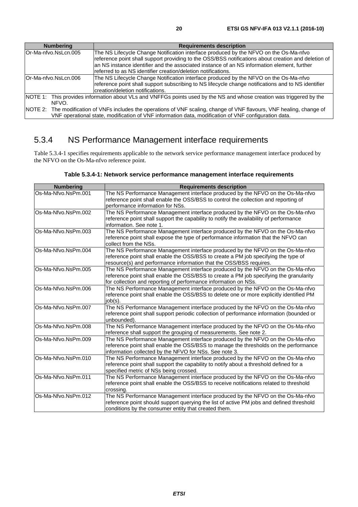<span id="page-19-0"></span>

| <b>Numbering</b>      | <b>Requirements description</b>                                                                                                                                                                                                                                                                                                                              |  |
|-----------------------|--------------------------------------------------------------------------------------------------------------------------------------------------------------------------------------------------------------------------------------------------------------------------------------------------------------------------------------------------------------|--|
| lOr-Ma-nfvo.NsLcn.005 | The NS Lifecycle Change Notification interface produced by the NFVO on the Os-Ma-nfvo<br>reference point shall support providing to the OSS/BSS notifications about creation and deletion of<br>an NS instance identifier and the associated instance of an NS information element, further<br>referred to as NS identifier creation/deletion notifications. |  |
| lOr-Ma-nfvo.NsLcn.006 | The NS Lifecycle Change Notification interface produced by the NFVO on the Os-Ma-nfvo<br>reference point shall support subscribing to NS lifecycle change notifications and to NS identifier<br>creation/deletion notifications.                                                                                                                             |  |
| NFVO.                 | NOTE 1: This provides information about VLs and VNFFGs points used by the NS and whose creation was triggered by the                                                                                                                                                                                                                                         |  |
|                       | NOTE 2: The modification of VNFs includes the operations of VNF scaling, change of VNF flavours, VNF healing, change of<br>VNF operational state, modification of VNF information data, modification of VNF configuration data.                                                                                                                              |  |

# 5.3.4 NS Performance Management interface requirements

Table 5.3.4-1 specifies requirements applicable to the network service performance management interface produced by the NFVO on the Os-Ma-nfvo reference point.

| <b>Numbering</b>    | <b>Requirements description</b>                                                          |
|---------------------|------------------------------------------------------------------------------------------|
| Os-Ma-Nfvo.NsPm.001 | The NS Performance Management interface produced by the NFVO on the Os-Ma-nfvo           |
|                     | reference point shall enable the OSS/BSS to control the collection and reporting of      |
|                     | performance information for NSs.                                                         |
| Os-Ma-Nfvo.NsPm.002 | The NS Performance Management interface produced by the NFVO on the Os-Ma-nfvo           |
|                     | reference point shall support the capability to notify the availability of performance   |
|                     | information. See note 1.                                                                 |
| Os-Ma-Nfvo.NsPm.003 | The NS Performance Management interface produced by the NFVO on the Os-Ma-nfvo           |
|                     | reference point shall expose the type of performance information that the NFVO can       |
|                     | collect from the NSs.                                                                    |
| Os-Ma-Nfvo.NsPm.004 | The NS Performance Management interface produced by the NFVO on the Os-Ma-nfvo           |
|                     | reference point shall enable the OSS/BSS to create a PM job specifying the type of       |
|                     | resource(s) and performance information that the OSS/BSS requires.                       |
| Os-Ma-Nfvo.NsPm.005 | The NS Performance Management interface produced by the NFVO on the Os-Ma-nfvo           |
|                     | reference point shall enable the OSS/BSS to create a PM job specifying the granularity   |
|                     | for collection and reporting of performance information on NSs.                          |
| Os-Ma-Nfvo.NsPm.006 | The NS Performance Management interface produced by the NFVO on the Os-Ma-nfvo           |
|                     | reference point shall enable the OSS/BSS to delete one or more explicitly identified PM  |
|                     | job(s).                                                                                  |
| Os-Ma-Nfvo.NsPm.007 | The NS Performance Management interface produced by the NFVO on the Os-Ma-nfvo           |
|                     | reference point shall support periodic collection of performance information (bounded or |
|                     | unbounded).                                                                              |
| Os-Ma-Nfvo.NsPm.008 | The NS Performance Management interface produced by the NFVO on the Os-Ma-nfvo           |
|                     | reference shall support the grouping of measurements. See note 2.                        |
| Os-Ma-Nfvo.NsPm.009 | The NS Performance Management interface produced by the NFVO on the Os-Ma-nfvo           |
|                     | reference point shall enable the OSS/BSS to manage the thresholds on the performance     |
|                     | information collected by the NFVO for NSs. See note 3.                                   |
| Os-Ma-Nfvo.NsPm.010 | The NS Performance Management interface produced by the NFVO on the Os-Ma-nfvo           |
|                     | reference point shall support the capability to notify about a threshold defined for a   |
|                     | specified metric of NSs being crossed.                                                   |
| Os-Ma-Nfvo.NsPm.011 | The NS Performance Management interface produced by the NFVO on the Os-Ma-nfvo           |
|                     | reference point shall enable the OSS/BSS to receive notifications related to threshold   |
|                     | crossing.                                                                                |
| Os-Ma-Nfvo.NsPm.012 | The NS Performance Management interface produced by the NFVO on the Os-Ma-nfvo           |
|                     | reference point should support querying the list of active PM jobs and defined threshold |
|                     | conditions by the consumer entity that created them.                                     |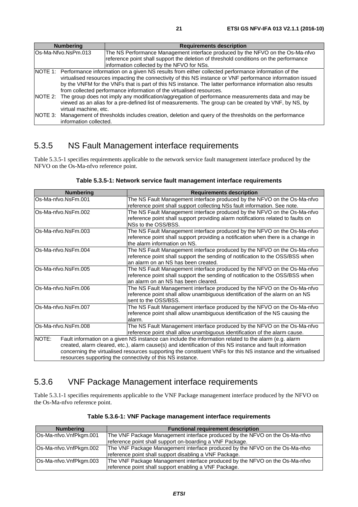<span id="page-20-0"></span>

| <b>Numbering</b>       | <b>Requirements description</b>                                                                                                                                                                                                                                                                                                                                                                                                                                                                                             |
|------------------------|-----------------------------------------------------------------------------------------------------------------------------------------------------------------------------------------------------------------------------------------------------------------------------------------------------------------------------------------------------------------------------------------------------------------------------------------------------------------------------------------------------------------------------|
| Os-Ma-Nfvo.NsPm.013    | The NS Performance Management interface produced by the NFVO on the Os-Ma-nfvo                                                                                                                                                                                                                                                                                                                                                                                                                                              |
|                        | reference point shall support the deletion of threshold conditions on the performance                                                                                                                                                                                                                                                                                                                                                                                                                                       |
|                        | information collected by the NFVO for NSs.                                                                                                                                                                                                                                                                                                                                                                                                                                                                                  |
|                        | NOTE 1: Performance information on a given NS results from either collected performance information of the<br>virtualised resources impacting the connectivity of this NS instance or VNF performance information issued<br>by the VNFM for the VNFs that is part of this NS instance. The latter performance information also results<br>from collected performance information of the virtualised resources.<br>NOTE 2: The group does not imply any modification/aggregation of performance measurements data and may be |
| virtual machine, etc.  | viewed as an alias for a pre-defined list of measurements. The group can be created by VNF, by NS, by<br>NOTE 3: Management of thresholds includes creation, deletion and query of the thresholds on the performance                                                                                                                                                                                                                                                                                                        |
| information collected. |                                                                                                                                                                                                                                                                                                                                                                                                                                                                                                                             |

# 5.3.5 NS Fault Management interface requirements

Table 5.3.5-1 specifies requirements applicable to the network service fault management interface produced by the NFVO on the Os-Ma-nfvo reference point.

| <b>Numbering</b>                                                                                               | <b>Requirements description</b>                                                                               |  |  |  |
|----------------------------------------------------------------------------------------------------------------|---------------------------------------------------------------------------------------------------------------|--|--|--|
| Os-Ma-nfvo.NsFm.001                                                                                            | The NS Fault Management interface produced by the NFVO on the Os-Ma-nfvo                                      |  |  |  |
|                                                                                                                | reference point shall support collecting NSs fault information. See note.                                     |  |  |  |
| Os-Ma-nfvo.NsFm.002                                                                                            | The NS Fault Management interface produced by the NFVO on the Os-Ma-nfvo                                      |  |  |  |
|                                                                                                                | reference point shall support providing alarm notifications related to faults on                              |  |  |  |
|                                                                                                                | NSs to the OSS/BSS.                                                                                           |  |  |  |
| Os-Ma-nfvo.NsFm.003                                                                                            | The NS Fault Management interface produced by the NFVO on the Os-Ma-nfvo                                      |  |  |  |
|                                                                                                                | reference point shall support providing a notification when there is a change in                              |  |  |  |
|                                                                                                                | the alarm information on NS.                                                                                  |  |  |  |
| Os-Ma-nfvo.NsFm.004                                                                                            | The NS Fault Management interface produced by the NFVO on the Os-Ma-nfvo                                      |  |  |  |
|                                                                                                                | reference point shall support the sending of notification to the OSS/BSS when                                 |  |  |  |
|                                                                                                                | an alarm on an NS has been created.                                                                           |  |  |  |
| Os-Ma-nfvo.NsFm.005                                                                                            | The NS Fault Management interface produced by the NFVO on the Os-Ma-nfvo                                      |  |  |  |
|                                                                                                                | reference point shall support the sending of notification to the OSS/BSS when                                 |  |  |  |
|                                                                                                                | an alarm on an NS has been cleared.                                                                           |  |  |  |
| Os-Ma-nfvo.NsFm.006                                                                                            | The NS Fault Management interface produced by the NFVO on the Os-Ma-nfvo                                      |  |  |  |
|                                                                                                                | reference point shall allow unambiguous identification of the alarm on an NS                                  |  |  |  |
|                                                                                                                | sent to the OSS/BSS.                                                                                          |  |  |  |
| Os-Ma-nfvo.NsFm.007                                                                                            | The NS Fault Management interface produced by the NFVO on the Os-Ma-nfvo                                      |  |  |  |
|                                                                                                                | reference point shall allow unambiguous identification of the NS causing the                                  |  |  |  |
|                                                                                                                | alarm.                                                                                                        |  |  |  |
| Os-Ma-nfvo.NsFm.008                                                                                            | The NS Fault Management interface produced by the NFVO on the Os-Ma-nfvo                                      |  |  |  |
|                                                                                                                | reference point shall allow unambiguous identification of the alarm cause.                                    |  |  |  |
| NOTE:<br>Fault information on a given NS instance can include the information related to the alarm (e.g. alarm |                                                                                                               |  |  |  |
| created, alarm cleared, etc.), alarm cause(s) and identification of this NS instance and fault information     |                                                                                                               |  |  |  |
|                                                                                                                | concerning the virtualised resources supporting the constituent VNFs for this NS instance and the virtualised |  |  |  |
| resources supporting the connectivity of this NS instance.                                                     |                                                                                                               |  |  |  |

**Table 5.3.5-1: Network service fault management interface requirements** 

# 5.3.6 VNF Package Management interface requirements

Table 5.3.1-1 specifies requirements applicable to the VNF Package management interface produced by the NFVO on the Os-Ma-nfvo reference point.

| <b>Numbering</b>       | <b>Functional requirement description</b>                                   |
|------------------------|-----------------------------------------------------------------------------|
| Os-Ma-nfvo.VnfPkgm.001 | The VNF Package Management interface produced by the NFVO on the Os-Ma-nfvo |
|                        | reference point shall support on-boarding a VNF Package.                    |
| Os-Ma-nfvo.VnfPkgm.002 | The VNF Package Management interface produced by the NFVO on the Os-Ma-nfvo |
|                        | reference point shall support disabling a VNF Package.                      |
| Os-Ma-nfvo.VnfPkgm.003 | The VNF Package Management interface produced by the NFVO on the Os-Ma-nfvo |
|                        | reference point shall support enabling a VNF Package.                       |

**Table 5.3.6-1: VNF Package management interface requirements**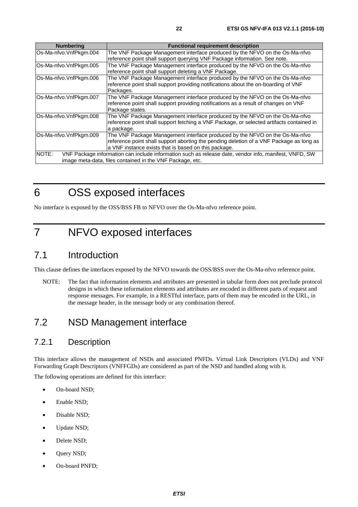<span id="page-21-0"></span>

| <b>Numbering</b>       | <b>Functional requirement description</b>                                                             |
|------------------------|-------------------------------------------------------------------------------------------------------|
| Os-Ma-nfvo.VnfPkgm.004 | The VNF Package Management interface produced by the NFVO on the Os-Ma-nfvo                           |
|                        | reference point shall support querying VNF Package information. See note.                             |
| Os-Ma-nfvo.VnfPkgm.005 | The VNF Package Management interface produced by the NFVO on the Os-Ma-nfvo                           |
|                        | reference point shall support deleting a VNF Package.                                                 |
| Os-Ma-nfvo.VnfPkgm.006 | The VNF Package Management interface produced by the NFVO on the Os-Ma-nfvo                           |
|                        | reference point shall support providing notifications about the on-boarding of VNF                    |
|                        | Packages.                                                                                             |
| Os-Ma-nfvo.VnfPkgm.007 | The VNF Package Management interface produced by the NFVO on the Os-Ma-nfvo                           |
|                        | reference point shall support providing notifications as a result of changes on VNF                   |
|                        | Package states.                                                                                       |
| Os-Ma-nfvo.VnfPkgm.008 | The VNF Package Management interface produced by the NFVO on the Os-Ma-nfvo                           |
|                        | reference point shall support fetching a VNF Package, or selected artifacts contained in              |
|                        | a package.                                                                                            |
| Os-Ma-nfvo.VnfPkgm.009 | The VNF Package Management interface produced by the NFVO on the Os-Ma-nfvo                           |
|                        | reference point shall support aborting the pending deletion of a VNF Package as long as               |
|                        | a VNF instance exists that is based on this package.                                                  |
| NOTE:                  | VNF Package information can include information such as release date, vendor info, manifest, VNFD, SW |
|                        | image meta-data, files contained in the VNF Package, etc.                                             |

6 OSS exposed interfaces

No interface is exposed by the OSS/BSS FB to NFVO over the Os-Ma-nfvo reference point.

# 7 NFVO exposed interfaces

# 7.1 Introduction

This clause defines the interfaces exposed by the NFVO towards the OSS/BSS over the Os-Ma-nfvo reference point.

NOTE: The fact that information elements and attributes are presented in tabular form does not preclude protocol designs in which these information elements and attributes are encoded in different parts of request and response messages. For example, in a RESTful interface, parts of them may be encoded in the URL, in the message header, in the message body or any combination thereof.

# 7.2 NSD Management interface

### 7.2.1 Description

This interface allows the management of NSDs and associated PNFDs. Virtual Link Descriptors (VLDs) and VNF Forwarding Graph Descriptors (VNFFGDs) are considered as part of the NSD and handled along with it.

The following operations are defined for this interface:

- On-board NSD;
- Enable NSD;
- Disable NSD;
- Update NSD;
- Delete NSD;
- Query NSD;
- On-board PNFD;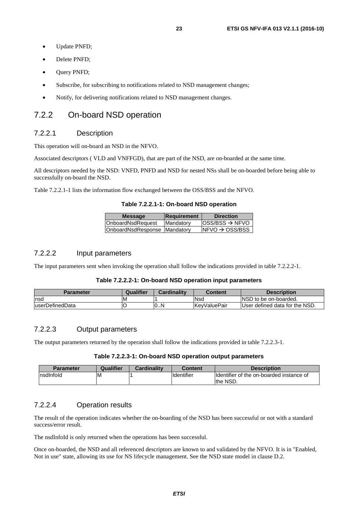- <span id="page-22-0"></span>• Update PNFD;
- Delete PNFD:
- Query PNFD;
- Subscribe, for subscribing to notifications related to NSD management changes;
- Notify, for delivering notifications related to NSD management changes.

### 7.2.2 On-board NSD operation

#### 7.2.2.1 Description

This operation will on-board an NSD in the NFVO.

Associated descriptors ( VLD and VNFFGD), that are part of the NSD, are on-boarded at the same time.

All descriptors needed by the NSD: VNFD, PNFD and NSD for nested NSs shall be on-boarded before being able to successfully on-board the NSD.

Table 7.2.2.1-1 lists the information flow exchanged between the OSS/BSS and the NFVO.

**Table 7.2.2.1-1: On-board NSD operation** 

| <b>Message</b>               | Requirement       | <b>Direction</b>            |
|------------------------------|-------------------|-----------------------------|
| OnboardNsdRequest            | <b>IMandatory</b> | $ OSS/BSS \rightarrow NFVO$ |
| OnboardNsdResponse Mandatory |                   | $NFVO \rightarrow OSS/BSS$  |
|                              |                   |                             |

#### 7.2.2.2 Input parameters

The input parameters sent when invoking the operation shall follow the indications provided in table 7.2.2.2-1.

#### **Table 7.2.2.2-1: On-board NSD operation input parameters**

| <b>Parameter</b> | Qualifier | <b>Cardinality</b> | Content       | <b>Description</b>             |
|------------------|-----------|--------------------|---------------|--------------------------------|
| Insd             | ΙM        |                    | <b>Nsd</b>    | INSD to be on-boarded.         |
| luserDefinedData |           | 0N                 | lKevValuePair | User defined data for the NSD. |

#### 7.2.2.3 Output parameters

The output parameters returned by the operation shall follow the indications provided in table 7.2.2.3-1.

#### **Table 7.2.2.3-1: On-board NSD operation output parameters**

| Parameter  | Qualifier | Cardinality | Content    | <b>Description</b>                                    |
|------------|-----------|-------------|------------|-------------------------------------------------------|
| Insdinfold | ΙM        |             | Identifier | Identifier of the on-boarded instance of<br>Ithe NSD. |

#### 7.2.2.4 Operation results

The result of the operation indicates whether the on-boarding of the NSD has been successful or not with a standard success/error result.

The nsdInfoId is only returned when the operations has been successful.

Once on-boarded, the NSD and all referenced descriptors are known to and validated by the NFVO. It is in "Enabled, Not in use" state, allowing its use for NS lifecycle management. See the NSD state model in clause D.2.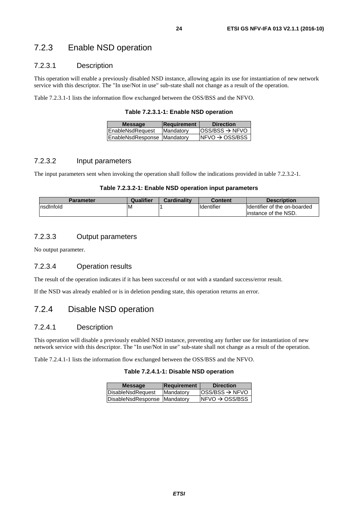### <span id="page-23-0"></span>7.2.3 Enable NSD operation

#### 7.2.3.1 Description

This operation will enable a previously disabled NSD instance, allowing again its use for instantiation of new network service with this descriptor. The "In use/Not in use" sub-state shall not change as a result of the operation.

Table 7.2.3.1-1 lists the information flow exchanged between the OSS/BSS and the NFVO.

**Table 7.2.3.1-1: Enable NSD operation** 

| <b>Message</b>              | <b>Requirement</b> | <b>Direction</b>            |
|-----------------------------|--------------------|-----------------------------|
| EnableNsdRequest            | Mandatory          | $ OSS/BSS \rightarrow NFVO$ |
| EnableNsdResponse Mandatory |                    | $NFVO \rightarrow OSS/BSS$  |
|                             |                    |                             |

#### 7.2.3.2 Input parameters

The input parameters sent when invoking the operation shall follow the indications provided in table 7.2.3.2-1.

#### **Table 7.2.3.2-1: Enable NSD operation input parameters**

| <b>Parameter</b> | Qualifier | <b>Cardinality</b> | Content    | <b>Description</b>           |
|------------------|-----------|--------------------|------------|------------------------------|
| nsdlnfold        | ΙM        |                    | Identifier | Identifier of the on-boarded |
|                  |           |                    |            | linstance of the NSD.        |

#### 7.2.3.3 Output parameters

No output parameter.

#### 7.2.3.4 Operation results

The result of the operation indicates if it has been successful or not with a standard success/error result.

If the NSD was already enabled or is in deletion pending state, this operation returns an error.

### 7.2.4 Disable NSD operation

#### 7.2.4.1 Description

This operation will disable a previously enabled NSD instance, preventing any further use for instantiation of new network service with this descriptor. The "In use/Not in use" sub-state shall not change as a result of the operation.

Table 7.2.4.1-1 lists the information flow exchanged between the OSS/BSS and the NFVO.

| Table 7.2.4.1-1: Disable NSD operation |  |
|----------------------------------------|--|
|----------------------------------------|--|

| <b>Message</b>                 | Requirement       | <b>Direction</b>           |
|--------------------------------|-------------------|----------------------------|
| DisableNsdRequest              | <b>IMandatory</b> | $OSS/BSS \rightarrow NFVO$ |
| DisableNsdResponse   Mandatory |                   | $NFO \rightarrow OSS/ BSS$ |
|                                |                   |                            |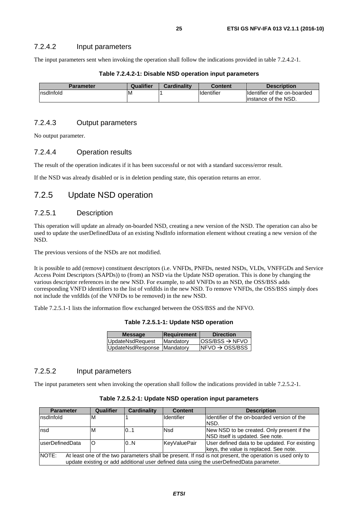#### <span id="page-24-0"></span>7.2.4.2 Input parameters

The input parameters sent when invoking the operation shall follow the indications provided in table 7.2.4.2-1.

| Parameter | Qualifier | <b>Cardinality</b> | <b>Content</b>     | <b>Description</b>            |
|-----------|-----------|--------------------|--------------------|-------------------------------|
| nsdInfold | ιM        |                    | <b>I</b> dentifier | Ildentifier of the on-boarded |
|           |           |                    |                    | linstance of the NSD.         |

#### **Table 7.2.4.2-1: Disable NSD operation input parameters**

#### 7.2.4.3 Output parameters

No output parameter.

#### 7.2.4.4 Operation results

The result of the operation indicates if it has been successful or not with a standard success/error result.

If the NSD was already disabled or is in deletion pending state, this operation returns an error.

### 7.2.5 Update NSD operation

#### 7.2.5.1 Description

This operation will update an already on-boarded NSD, creating a new version of the NSD. The operation can also be used to update the userDefinedData of an existing NsdInfo information element without creating a new version of the NSD.

The previous versions of the NSDs are not modified.

It is possible to add (remove) constituent descriptors (i.e. VNFDs, PNFDs, nested NSDs, VLDs, VNFFGDs and Service Access Point Descriptors (SAPDs)) to (from) an NSD via the Update NSD operation. This is done by changing the various descriptor references in the new NSD. For example, to add VNFDs to an NSD, the OSS/BSS adds corresponding VNFD identifiers to the list of vnfdIds in the new NSD. To remove VNFDs, the OSS/BSS simply does not include the vnfdIds (of the VNFDs to be removed) in the new NSD.

Table 7.2.5.1-1 lists the information flow exchanged between the OSS/BSS and the NFVO.

**Table 7.2.5.1-1: Update NSD operation** 

| <b>Message</b>              | Requirement       | <b>Direction</b>            |
|-----------------------------|-------------------|-----------------------------|
| UpdateNsdRequest            | <b>IMandatory</b> | $ OSS/BSS \rightarrow NFVO$ |
| UpdateNsdResponse Mandatory |                   | $NFVO \rightarrow OSS/BSS$  |
|                             |                   |                             |

#### 7.2.5.2 Input parameters

The input parameters sent when invoking the operation shall follow the indications provided in table 7.2.5.2-1.

| <b>Parameter</b> | <b>Qualifier</b> | <b>Cardinality</b> | <b>Content</b>    | <b>Description</b>                                                                                        |
|------------------|------------------|--------------------|-------------------|-----------------------------------------------------------------------------------------------------------|
| Insdinfold       | M                |                    | <b>Identifier</b> | Ildentifier of the on-boarded version of the                                                              |
|                  |                  |                    |                   | INSD.                                                                                                     |
| Insd             | M                | 0.1                | Nsd               | New NSD to be created. Only present if the                                                                |
|                  |                  |                    |                   | NSD itself is updated. See note.                                                                          |
| luserDefinedData | O                | 0.N                | KeyValuePair      | User defined data to be updated. For existing                                                             |
|                  |                  |                    |                   | keys, the value is replaced. See note.                                                                    |
| NOTE:            |                  |                    |                   | At least one of the two parameters shall be present. If nsd is not present, the operation is used only to |
|                  |                  |                    |                   | update existing or add additional user defined data using the userDefinedData parameter.                  |

**Table 7.2.5.2-1: Update NSD operation input parameters**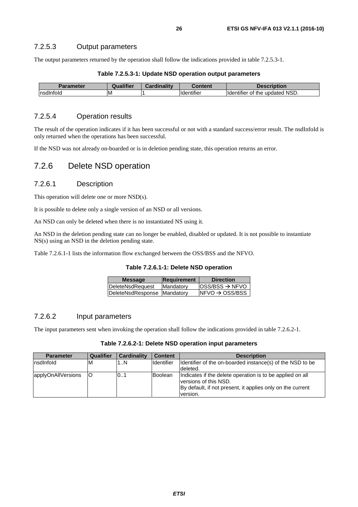<span id="page-25-0"></span>The output parameters returned by the operation shall follow the indications provided in table 7.2.5.3-1.

| Table 7.2.5.3-1: Update NSD operation output parameters |  |  |
|---------------------------------------------------------|--|--|
|---------------------------------------------------------|--|--|

| ele   | <b>Tifier</b><br>Ωı | $1 - 111$ | าtent               | ion                                            |
|-------|---------------------|-----------|---------------------|------------------------------------------------|
| lnsd™ | ΙM                  |           | $\cdots$<br>.<br>ше | ' NSD.<br>undated<br>ιαι<br>me<br>mer<br>6 H I |

#### 7.2.5.4 Operation results

The result of the operation indicates if it has been successful or not with a standard success/error result. The nsdInfoId is only returned when the operations has been successful.

If the NSD was not already on-boarded or is in deletion pending state, this operation returns an error.

### 7.2.6 Delete NSD operation

#### 7.2.6.1 Description

This operation will delete one or more NSD(s).

It is possible to delete only a single version of an NSD or all versions.

An NSD can only be deleted when there is no instantiated NS using it.

An NSD in the deletion pending state can no longer be enabled, disabled or updated. It is not possible to instantiate NS(s) using an NSD in the deletion pending state.

Table 7.2.6.1-1 lists the information flow exchanged between the OSS/BSS and the NFVO.

#### **Table 7.2.6.1-1: Delete NSD operation**

| <b>Requirement</b>          | <b>Direction</b>            |
|-----------------------------|-----------------------------|
| Mandatory                   | $ OSS/BSS \rightarrow NFVO$ |
| DeleteNsdResponse Mandatory | $NFVO \rightarrow OSS/BSS$  |
|                             |                             |

#### 7.2.6.2 Input parameters

The input parameters sent when invoking the operation shall follow the indications provided in table 7.2.6.2-1.

| Table 7.2.6.2-1: Delete NSD operation input parameters |  |  |
|--------------------------------------------------------|--|--|
|--------------------------------------------------------|--|--|

| <b>Parameter</b>   | Qualifier | <b>Cardinality</b> | <b>Content</b>    | <b>Description</b>                                                                                                                                           |
|--------------------|-----------|--------------------|-------------------|--------------------------------------------------------------------------------------------------------------------------------------------------------------|
| Insdinfold         | ΙM        | 1N                 | <b>Identifier</b> | Identifier of the on-boarded instance(s) of the NSD to be<br>deleted.                                                                                        |
| applyOnAllVersions | ΙO        | 101                | Boolean           | Indicates if the delete operation is to be applied on all<br>versions of this NSD.<br>By default, if not present, it applies only on the current<br>version. |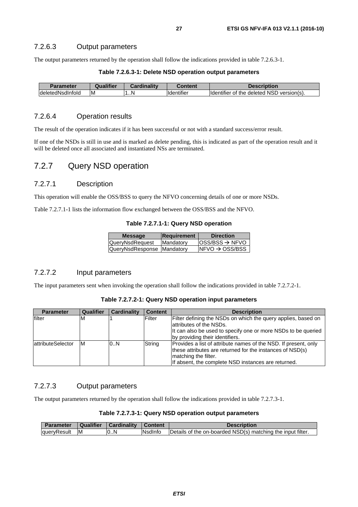#### <span id="page-26-0"></span>7.2.6.3 Output parameters

The output parameters returned by the operation shall follow the indications provided in table 7.2.6.3-1.

| Table 7.2.6.3-1: Delete NSD operation output parameters |  |  |
|---------------------------------------------------------|--|--|
|---------------------------------------------------------|--|--|

| Parameter                | Qualifier | <b>Cardinality</b> | Content                | Description                                                    |
|--------------------------|-----------|--------------------|------------------------|----------------------------------------------------------------|
| <b>IdeletedNsdInfold</b> | ΙM        | .N                 | .<br><b>Identifier</b> | deleted NSD<br><b>Identifier</b><br>the<br>version(s).<br>. of |

#### 7.2.6.4 Operation results

The result of the operation indicates if it has been successful or not with a standard success/error result.

If one of the NSDs is still in use and is marked as delete pending, this is indicated as part of the operation result and it will be deleted once all associated and instantiated NSs are terminated.

### 7.2.7 Query NSD operation

#### 7.2.7.1 Description

This operation will enable the OSS/BSS to query the NFVO concerning details of one or more NSDs.

Table 7.2.7.1-1 lists the information flow exchanged between the OSS/BSS and the NFVO.

#### **Table 7.2.7.1-1: Query NSD operation**

| <b>Message</b>             | Requirement      | <b>Direction</b>            |
|----------------------------|------------------|-----------------------------|
| QueryNsdRequest            | <b>Mandatory</b> | $ OSS/BSS \rightarrow NFVO$ |
| QueryNsdResponse Mandatory |                  | $NFVO \rightarrow OSS/BSS$  |
|                            |                  |                             |

#### 7.2.7.2 Input parameters

The input parameters sent when invoking the operation shall follow the indications provided in table 7.2.7.2-1.

#### **Table 7.2.7.2-1: Query NSD operation input parameters**

| <b>Parameter</b>          | Qualifier | <b>Cardinality</b> | <b>Content</b> | <b>Description</b>                                                                                                                                                                                          |
|---------------------------|-----------|--------------------|----------------|-------------------------------------------------------------------------------------------------------------------------------------------------------------------------------------------------------------|
| filter                    | ΙM        |                    | Filter         | Filter defining the NSDs on which the query applies, based on<br>lattributes of the NSDs.<br>It can also be used to specify one or more NSDs to be queried<br>by providing their identifiers.               |
| <b>lattributeSelector</b> | ΙM        | 0.N                | String         | Provides a list of attribute names of the NSD. If present, only<br>these attributes are returned for the instances of NSD(s)<br>matching the filter.<br>If absent, the complete NSD instances are returned. |

#### 7.2.7.3 Output parameters

The output parameters returned by the operation shall follow the indications provided in table 7.2.7.3-1.

| Table 7.2.7.3-1: Query NSD operation output parameters |  |  |
|--------------------------------------------------------|--|--|
|--------------------------------------------------------|--|--|

| <b>Parameter</b> |           | Qualifier   Cardinality | Content | <b>Description</b>                                          |
|------------------|-----------|-------------------------|---------|-------------------------------------------------------------|
| queryResult      | <b>IM</b> | 0N                      | Nsdlnfo | Details of the on-boarded NSD(s) matching the input filter. |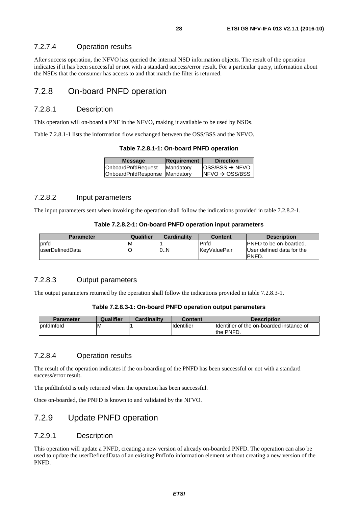#### <span id="page-27-0"></span>7.2.7.4 Operation results

After success operation, the NFVO has queried the internal NSD information objects. The result of the operation indicates if it has been successful or not with a standard success/error result. For a particular query, information about the NSDs that the consumer has access to and that match the filter is returned.

### 7.2.8 On-board PNFD operation

#### 7.2.8.1 Description

This operation will on-board a PNF in the NFVO, making it available to be used by NSDs.

Table 7.2.8.1-1 lists the information flow exchanged between the OSS/BSS and the NFVO.

**Table 7.2.8.1-1: On-board PNFD operation** 

| <b>Message</b>                | Requirement | <b>Direction</b>            |
|-------------------------------|-------------|-----------------------------|
| <b>OnboardPnfdRequest</b>     | Mandatory   | $ OSS/BSS \rightarrow NFVO$ |
| OnboardPnfdResponse Mandatory |             | $NFO \rightarrow OSS/ BSS$  |

#### 7.2.8.2 Input parameters

The input parameters sent when invoking the operation shall follow the indications provided in table 7.2.8.2-1.

#### **Table 7.2.8.2-1: On-board PNFD operation input parameters**

| <b>Parameter</b> | Qualifier | <b>Cardinality</b> | <b>Content</b>      | <b>Description</b>             |
|------------------|-----------|--------------------|---------------------|--------------------------------|
| pnfd             | ιM        |                    | Pnfd                | <b>IPNFD</b> to be on-boarded. |
| luserDefinedData |           | 10N                | <b>KevValuePair</b> | User defined data for the      |
|                  |           |                    |                     | <b>IPNFD.</b>                  |

#### 7.2.8.3 Output parameters

The output parameters returned by the operation shall follow the indications provided in table 7.2.8.3-1.

#### **Table 7.2.8.3-1: On-board PNFD operation output parameters**

| <b>Parameter</b>    | Qualifier | <b>Cardinality</b> | Content    | <b>Description</b>                        |
|---------------------|-----------|--------------------|------------|-------------------------------------------|
| <b>I</b> pnfdInfold | ΙM        |                    | Identifier | Ildentifier of the on-boarded instance of |
|                     |           |                    |            | the PNFD.                                 |

#### 7.2.8.4 Operation results

The result of the operation indicates if the on-boarding of the PNFD has been successful or not with a standard success/error result.

The pnfdInfoId is only returned when the operation has been successful.

Once on-boarded, the PNFD is known to and validated by the NFVO.

### 7.2.9 Update PNFD operation

#### 7.2.9.1 Description

This operation will update a PNFD, creating a new version of already on-boarded PNFD. The operation can also be used to update the userDefinedData of an existing PnfInfo information element without creating a new version of the PNFD.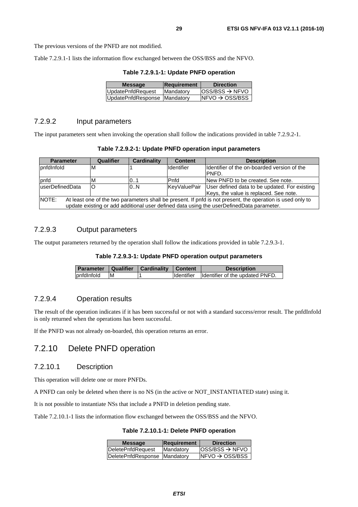<span id="page-28-0"></span>Table 7.2.9.1-1 lists the information flow exchanged between the OSS/BSS and the NFVO.

| Table 7.2.9.1-1: Update PNFD operation |  |  |  |
|----------------------------------------|--|--|--|
|----------------------------------------|--|--|--|

| <b>Message</b>               | <b>Requirement</b> | <b>Direction</b>            |
|------------------------------|--------------------|-----------------------------|
| <b>UpdatePnfdRequest</b>     | Mandatory          | $OSS/BSS \rightarrow NFVO$  |
| UpdatePnfdResponse Mandatory |                    | $INFVO \rightarrow OSS/BSS$ |
|                              |                    |                             |

#### 7.2.9.2 Input parameters

The input parameters sent when invoking the operation shall follow the indications provided in table 7.2.9.2-1.

**Table 7.2.9.2-1: Update PNFD operation input parameters** 

| <b>Parameter</b>                                                                                                                                                                                                        | Qualifier | <b>Cardinality</b> | <b>Content</b> | <b>Description</b>                            |
|-------------------------------------------------------------------------------------------------------------------------------------------------------------------------------------------------------------------------|-----------|--------------------|----------------|-----------------------------------------------|
| <b>I</b> pnfdInfold                                                                                                                                                                                                     | ΙM        |                    | Identifier     | Ildentifier of the on-boarded version of the  |
|                                                                                                                                                                                                                         |           |                    |                | IPNFD.                                        |
| <b>b</b> nfd                                                                                                                                                                                                            | ιM        | 01                 | Pnfd           | INew PNFD to be created. See note.            |
| luserDefinedData                                                                                                                                                                                                        | lO        | 0.N                | KeyValuePair   | User defined data to be updated. For existing |
|                                                                                                                                                                                                                         |           |                    |                | Keys, the value is replaced. See note.        |
| <b>INOTE:</b><br>At least one of the two parameters shall be present. If pnfd is not present, the operation is used only to<br>update existing or add additional user defined data using the userDefinedData parameter. |           |                    |                |                                               |

#### 7.2.9.3 Output parameters

The output parameters returned by the operation shall follow the indications provided in table 7.2.9.3-1.

#### **Table 7.2.9.3-1: Update PNFD operation output parameters**

|            |     | Parameter   Qualifier   Cardinality   Content | <b>Description</b>                         |
|------------|-----|-----------------------------------------------|--------------------------------------------|
| pnfdInfold | IM. |                                               | Identifier Identifier of the updated PNFD. |

#### 7.2.9.4 Operation results

The result of the operation indicates if it has been successful or not with a standard success/error result. The pnfdInfoId is only returned when the operations has been successful.

If the PNFD was not already on-boarded, this operation returns an error.

### 7.2.10 Delete PNFD operation

#### 7.2.10.1 Description

This operation will delete one or more PNFDs.

A PNFD can only be deleted when there is no NS (in the active or NOT\_INSTANTIATED state) using it.

It is not possible to instantiate NSs that include a PNFD in deletion pending state.

Table 7.2.10.1-1 lists the information flow exchanged between the OSS/BSS and the NFVO.

| Table 7.2.10.1-1: Delete PNFD operation |  |  |
|-----------------------------------------|--|--|
|-----------------------------------------|--|--|

| $ OSS/BSS \rightarrow NFVO$<br>DeletePnfdRequest<br>Mandatory |  |
|---------------------------------------------------------------|--|
|                                                               |  |
| $NFO \rightarrow OSS/ BSS$<br>DeletePnfdResponse   Mandatory  |  |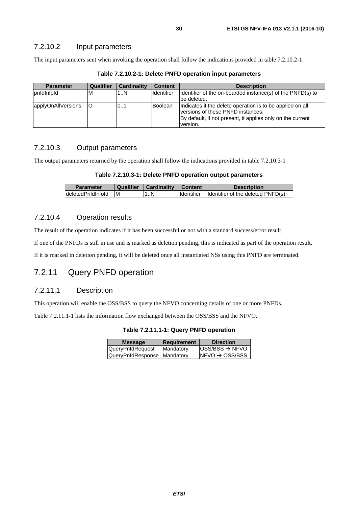#### <span id="page-29-0"></span>7.2.10.2 Input parameters

The input parameters sent when invoking the operation shall follow the indications provided in table 7.2.10.2-1.

| <b>Parameter</b>   | Qualifier | <b>Cardinality</b> | <b>Content</b>    | <b>Description</b>                                                                                                                                                       |
|--------------------|-----------|--------------------|-------------------|--------------------------------------------------------------------------------------------------------------------------------------------------------------------------|
| pnfdInfold         | M         | 1N                 | <b>Identifier</b> | Identifier of the on-boarded instance(s) of the PNFD(s) to                                                                                                               |
|                    |           |                    |                   | be deleted.                                                                                                                                                              |
| applyOnAllVersions | IO        | IO1                | <b>Boolean</b>    | Indicates if the delete operation is to be applied on all<br>versions of these PNFD instances.<br>By default, if not present, it applies only on the current<br>version. |

**Table 7.2.10.2-1: Delete PNFD operation input parameters** 

#### 7.2.10.3 Output parameters

The output parameters returned by the operation shall follow the indications provided in table 7.2.10.3-1

|  | Table 7.2.10.3-1: Delete PNFD operation output parameters |
|--|-----------------------------------------------------------|
|--|-----------------------------------------------------------|

| <b>Parameter</b>     | Qualifier | Cardinality   Content |                   | <b>Description</b>                 |
|----------------------|-----------|-----------------------|-------------------|------------------------------------|
| IdeletedPnfdInfoId M |           | . . N                 | <b>Identifier</b> | Identifier of the deleted PNFD(s). |

#### 7.2.10.4 Operation results

The result of the operation indicates if it has been successful or not with a standard success/error result.

If one of the PNFDs is still in use and is marked as deletion pending, this is indicated as part of the operation result.

If it is marked in deletion pending, it will be deleted once all instantiated NSs using this PNFD are terminated.

### 7.2.11 Query PNFD operation

#### 7.2.11.1 Description

This operation will enable the OSS/BSS to query the NFVO concerning details of one or more PNFDs.

Table 7.2.11.1-1 lists the information flow exchanged between the OSS/BSS and the NFVO.

**Table 7.2.11.1-1: Query PNFD operation** 

| <b>Message</b>              | <b>Requirement</b> | <b>Direction</b>            |
|-----------------------------|--------------------|-----------------------------|
| QueryPnfdRequest            | Mandatory          | $ OSS/BSS \rightarrow NFVO$ |
| QueryPnfdResponse Mandatory |                    | $NFVO \rightarrow OSS/BSS$  |
|                             |                    |                             |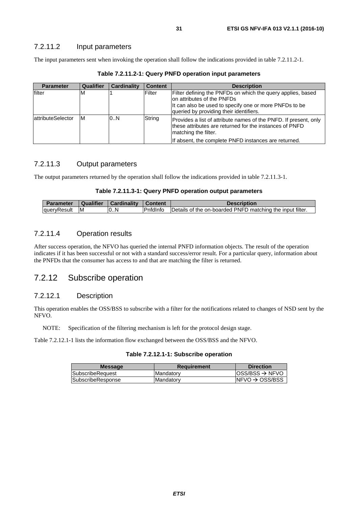<span id="page-30-0"></span>The input parameters sent when invoking the operation shall follow the indications provided in table 7.2.11.2-1.

| <b>Parameter</b>          | Qualifier | <b>Cardinality</b> | <b>Content</b> | <b>Description</b>                                                                                                                                                                              |
|---------------------------|-----------|--------------------|----------------|-------------------------------------------------------------------------------------------------------------------------------------------------------------------------------------------------|
| filter                    | M         |                    | Filter         | Filter defining the PNFDs on which the query applies, based<br>Ion attributes of the PNFDs<br>It can also be used to specify one or more PNFDs to be<br>queried by providing their identifiers. |
| <b>lattributeSelector</b> | Iм        | 0.N                | String         | Provides a list of attribute names of the PNFD. If present, only<br>these attributes are returned for the instances of PNFD<br>matching the filter.                                             |
|                           |           |                    |                | If absent, the complete PNFD instances are returned.                                                                                                                                            |

**Table 7.2.11.2-1: Query PNFD operation input parameters** 

#### 7.2.11.3 Output parameters

The output parameters returned by the operation shall follow the indications provided in table 7.2.11.3-1.

#### **Table 7.2.11.3-1: Query PNFD operation output parameters**

| <b>Parameter</b> | Qualifier | Cardinality   Content |                  | <b>Description</b>                                        |
|------------------|-----------|-----------------------|------------------|-----------------------------------------------------------|
| queryResult M    |           | 10N                   | <b>P</b> nfdInfo | Details of the on-boarded PNFD matching the input filter. |

#### 7.2.11.4 Operation results

After success operation, the NFVO has queried the internal PNFD information objects. The result of the operation indicates if it has been successful or not with a standard success/error result. For a particular query, information about the PNFDs that the consumer has access to and that are matching the filter is returned.

### 7.2.12 Subscribe operation

#### 7.2.12.1 Description

This operation enables the OSS/BSS to subscribe with a filter for the notifications related to changes of NSD sent by the NFVO.

NOTE: Specification of the filtering mechanism is left for the protocol design stage.

Table 7.2.12.1-1 lists the information flow exchanged between the OSS/BSS and the NFVO.

#### **Table 7.2.12.1-1: Subscribe operation**

| <b>Message</b>          | <b>Requirement</b> | <b>Direction</b>            |
|-------------------------|--------------------|-----------------------------|
| <b>SubscribeRequest</b> | <b>Mandatory</b>   | $ OSS/BSS \rightarrow NFVO$ |
| SubscribeResponse       | <b>Mandatory</b>   | $NFVO \rightarrow OSS/BSS$  |
|                         |                    |                             |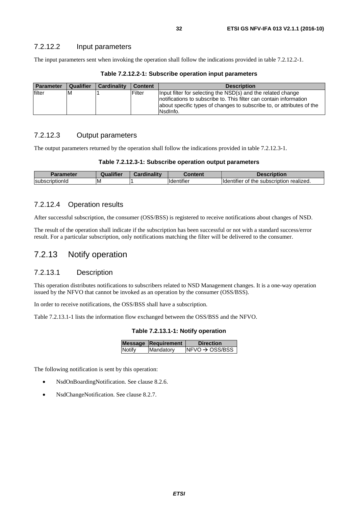<span id="page-31-0"></span>The input parameters sent when invoking the operation shall follow the indications provided in table 7.2.12.2-1.

| <b>Parameter</b> | Qualifier | <b>Cardinality</b> | <b>Content</b> | <b>Description</b>                                                                                                                                       |
|------------------|-----------|--------------------|----------------|----------------------------------------------------------------------------------------------------------------------------------------------------------|
| filter           | M         |                    | Filter         | Input filter for selecting the NSD(s) and the related change                                                                                             |
|                  |           |                    |                | Inotifications to subscribe to. This filter can contain information<br>about specific types of changes to subscribe to, or attributes of the<br>Nsdlnfo. |

**Table 7.2.12.2-1: Subscribe operation input parameters** 

#### 7.2.12.3 Output parameters

The output parameters returned by the operation shall follow the indications provided in table 7.2.12.3-1.

|                                        |                               | ription                                             |
|----------------------------------------|-------------------------------|-----------------------------------------------------|
| ΙM<br><b>Subscrip</b><br>.<br>πρτισητα | $\cdot$<br><b>I</b> dentifier | realized.<br>subscription<br>Οt<br>Hdentifier<br>me |

#### 7.2.12.4 Operation results

After successful subscription, the consumer (OSS/BSS) is registered to receive notifications about changes of NSD.

The result of the operation shall indicate if the subscription has been successful or not with a standard success/error result. For a particular subscription, only notifications matching the filter will be delivered to the consumer.

### 7.2.13 Notify operation

#### 7.2.13.1 Description

This operation distributes notifications to subscribers related to NSD Management changes. It is a one-way operation issued by the NFVO that cannot be invoked as an operation by the consumer (OSS/BSS).

In order to receive notifications, the OSS/BSS shall have a subscription.

Table 7.2.13.1-1 lists the information flow exchanged between the OSS/BSS and the NFVO.

|  |  |  |  | Table 7.2.13.1-1: Notify operation |
|--|--|--|--|------------------------------------|
|--|--|--|--|------------------------------------|

|               | <b>Message Requirement</b> | <b>Direction</b>            |
|---------------|----------------------------|-----------------------------|
| <b>Notify</b> | Mandatory                  | $INFVO \rightarrow OSS/BSS$ |
|               |                            |                             |

The following notification is sent by this operation:

- NsdOnBoardingNotification. See clause 8.2.6.
- NsdChangeNotification. See clause 8.2.7.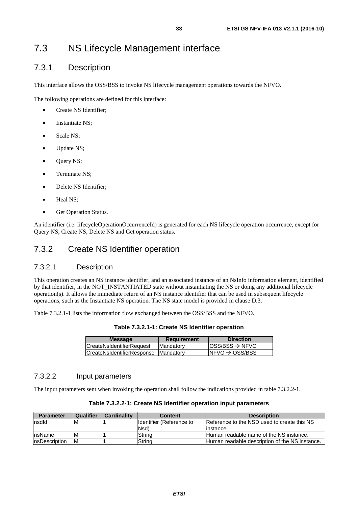# <span id="page-32-0"></span>7.3.1 Description

This interface allows the OSS/BSS to invoke NS lifecycle management operations towards the NFVO.

The following operations are defined for this interface:

- Create NS Identifier;
- Instantiate NS:
- Scale NS;
- Update NS;
- Query NS;
- Terminate NS;
- Delete NS Identifier;
- Heal NS:
- Get Operation Status.

An identifier (i.e. lifecycleOperationOccurrenceId) is generated for each NS lifecycle operation occurrence, except for Query NS, Create NS, Delete NS and Get operation status.

### 7.3.2 Create NS Identifier operation

#### 7.3.2.1 Description

This operation creates an NS instance identifier, and an associated instance of an NsInfo information element, identified by that identifier, in the NOT\_INSTANTIATED state without instantiating the NS or doing any additional lifecycle operation(s). It allows the immediate return of an NS instance identifier that can be used in subsequent lifecycle operations, such as the Instantiate NS operation. The NS state model is provided in clause D.3.

Table 7.3.2.1-1 lists the information flow exchanged between the OSS/BSS and the NFVO.

| Table 7.3.2.1-1: Create NS Identifier operation |  |  |  |
|-------------------------------------------------|--|--|--|
|-------------------------------------------------|--|--|--|

| $ OSS/BSS \rightarrow NFVO$ |
|-----------------------------|
| $INFVO \rightarrow OSS/BSS$ |
|                             |

#### 7.3.2.2 Input parameters

The input parameters sent when invoking the operation shall follow the indications provided in table 7.3.2.2-1.

| Table 7.3.2.2-1: Create NS Identifier operation input parameters |  |
|------------------------------------------------------------------|--|
|------------------------------------------------------------------|--|

| <b>Parameter</b>      | Qualifier | <b>Cardinality</b> | <b>Content</b>            | <b>Description</b>                             |
|-----------------------|-----------|--------------------|---------------------------|------------------------------------------------|
| Insdld                | ΙM        |                    | Ildentifier (Reference to | Reference to the NSD used to create this NS    |
|                       |           |                    | Nsd)                      | linstance.                                     |
| nsName                | ΙM        |                    | Strina                    | Human readable name of the NS instance.        |
| <b>InsDescription</b> | ΙM        |                    | String                    | Human readable description of the NS instance. |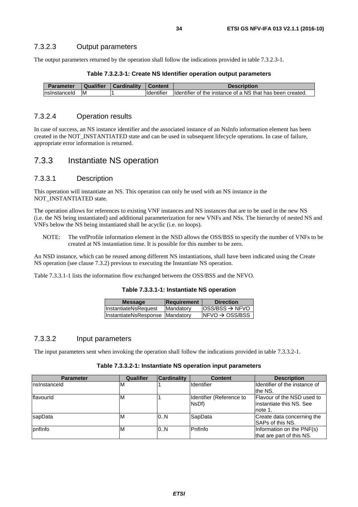<span id="page-33-0"></span>The output parameters returned by the operation shall follow the indications provided in table 7.3.2.3-1.

| <b>Parameter</b> | <b>Qualifier</b> | <b>Cardinality</b> | <b>Content</b>     | <b>Description</b>                                        |
|------------------|------------------|--------------------|--------------------|-----------------------------------------------------------|
| Insinstanceld    | ΙM               |                    | <b>I</b> dentifier | Identifier of the instance of a NS that has been created. |

#### 7.3.2.4 Operation results

In case of success, an NS instance identifier and the associated instance of an NsInfo information element has been created in the NOT\_INSTANTIATED state and can be used in subsequent lifecycle operations. In case of failure, appropriate error information is returned.

#### 7.3.3 Instantiate NS operation

#### 7.3.3.1 Description

This operation will instantiate an NS. This operation can only be used with an NS instance in the NOT\_INSTANTIATED state.

The operation allows for references to existing VNF instances and NS instances that are to be used in the new NS (i.e. the NS being instantiated) and additional parameterization for new VNFs and NSs. The hierarchy of nested NS and VNFs below the NS being instantiated shall be acyclic (i.e. no loops).

NOTE: The vnfProfile information element in the NSD allows the OSS/BSS to specify the number of VNFs to be created at NS instantiation time. It is possible for this number to be zero.

An NSD instance, which can be reused among different NS instantiations, shall have been indicated using the Create NS operation (see clause 7.3.2) previous to executing the Instantiate NS operation.

Table 7.3.3.1-1 lists the information flow exchanged between the OSS/BSS and the NFVO.

| Table 7.3.3.1-1: Instantiate NS operation |  |  |
|-------------------------------------------|--|--|
|-------------------------------------------|--|--|

| <b>Message</b>                  | <b>Requirement</b> | <b>Direction</b>                                       |
|---------------------------------|--------------------|--------------------------------------------------------|
| InstantiateNsRequest            | Mandatory          | $\textsf{loss}/\textsf{BSS} \rightarrow \textsf{NFVO}$ |
| InstantiateNsResponse Mandatory |                    | $NFVO \rightarrow OSS/BSS$                             |
|                                 |                    |                                                        |

#### 7.3.3.2 Input parameters

The input parameters sent when invoking the operation shall follow the indications provided in table 7.3.3.2-1.

#### **Table 7.3.3.2-1: Instantiate NS operation input parameters**

| <b>Parameter</b>  | Qualifier | <b>Cardinality</b> | <b>Content</b>                    | <b>Description</b>                                                 |
|-------------------|-----------|--------------------|-----------------------------------|--------------------------------------------------------------------|
| Insinstanceld     | M         |                    | <b>Identifier</b>                 | Ildentifier of the instance of<br>the NS.                          |
| <b>Iflavourid</b> | M         |                    | Identifier (Reference to<br>NsDf) | Flavour of the NSD used to<br>linstantiate this NS. See<br>note 1. |
| sapData           | М         | 0.N                | SapData                           | Create data concerning the<br><b>ISAPs of this NS.</b>             |
| <b>I</b> pnfInfo  | ιM        | 0.N                | Pnflnfo                           | Information on the PNF(s)<br>that are part of this NS.             |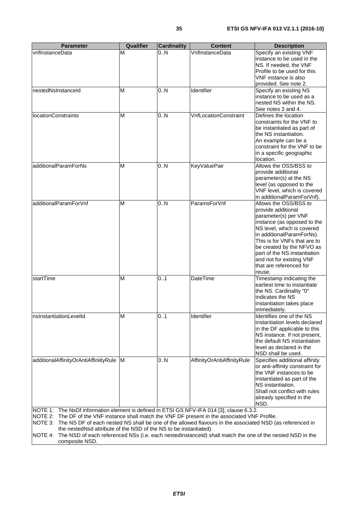| <b>Parameter</b>                                                                                 | <b>Qualifier</b> | <b>Cardinality</b> | <b>Content</b>                                                                                           | <b>Description</b>                                                                                       |
|--------------------------------------------------------------------------------------------------|------------------|--------------------|----------------------------------------------------------------------------------------------------------|----------------------------------------------------------------------------------------------------------|
| vnflnstanceData                                                                                  | M                | 0N                 | VnflnstanceData                                                                                          | Specify an existing VNF                                                                                  |
|                                                                                                  |                  |                    |                                                                                                          | instance to be used in the                                                                               |
|                                                                                                  |                  |                    |                                                                                                          | NS. If needed, the VNF                                                                                   |
|                                                                                                  |                  |                    |                                                                                                          | Profile to be used for this<br>VNF instance is also                                                      |
|                                                                                                  |                  |                    |                                                                                                          | provided. See note 2.                                                                                    |
| nestedNsInstanceId                                                                               | M                | 0.N                | Identifier                                                                                               | Specify an existing NS                                                                                   |
|                                                                                                  |                  |                    |                                                                                                          | instance to be used as a                                                                                 |
|                                                                                                  |                  |                    |                                                                                                          | nested NS within the NS.                                                                                 |
|                                                                                                  |                  |                    |                                                                                                          | See notes 3 and 4.                                                                                       |
| <b>locationConstraints</b>                                                                       | M                | 0N                 | <b>VnfLocationConstraint</b>                                                                             | Defines the location<br>constraints for the VNF to                                                       |
|                                                                                                  |                  |                    |                                                                                                          | be instantiated as part of                                                                               |
|                                                                                                  |                  |                    |                                                                                                          | the NS instantiation.                                                                                    |
|                                                                                                  |                  |                    |                                                                                                          | An example can be a                                                                                      |
|                                                                                                  |                  |                    |                                                                                                          | constraint for the VNF to be                                                                             |
|                                                                                                  |                  |                    |                                                                                                          | in a specific geographic                                                                                 |
| additionalParamForNs                                                                             | M                | 0.N                |                                                                                                          | location.<br>Allows the OSS/BSS to                                                                       |
|                                                                                                  |                  |                    | <b>KeyValuePair</b>                                                                                      | provide additional                                                                                       |
|                                                                                                  |                  |                    |                                                                                                          | parameter(s) at the NS                                                                                   |
|                                                                                                  |                  |                    |                                                                                                          | level (as opposed to the                                                                                 |
|                                                                                                  |                  |                    |                                                                                                          | VNF level, which is covered                                                                              |
|                                                                                                  |                  |                    |                                                                                                          | in additionalParamForVnf).                                                                               |
| additionalParamForVnf                                                                            | M                | 0.N                | ParamsForVnf                                                                                             | Allows the OSS/BSS to                                                                                    |
|                                                                                                  |                  |                    |                                                                                                          | provide additional<br>parameter(s) per VNF                                                               |
|                                                                                                  |                  |                    |                                                                                                          | instance (as opposed to the                                                                              |
|                                                                                                  |                  |                    |                                                                                                          | NS level, which is covered                                                                               |
|                                                                                                  |                  |                    |                                                                                                          | in additionalParamForNs).                                                                                |
|                                                                                                  |                  |                    |                                                                                                          | This is for VNFs that are to                                                                             |
|                                                                                                  |                  |                    |                                                                                                          | be created by the NFVO as<br>part of the NS instantiation                                                |
|                                                                                                  |                  |                    |                                                                                                          | and not for existing VNF                                                                                 |
|                                                                                                  |                  |                    |                                                                                                          | that are referenced for                                                                                  |
|                                                                                                  |                  |                    |                                                                                                          | reuse.                                                                                                   |
| startTime                                                                                        | M                | 0.1                | <b>DateTime</b>                                                                                          | Timestamp indicating the                                                                                 |
|                                                                                                  |                  |                    |                                                                                                          | earliest time to instantiate                                                                             |
|                                                                                                  |                  |                    |                                                                                                          | the NS. Cardinality "0"<br>indicates the NS                                                              |
|                                                                                                  |                  |                    |                                                                                                          | instantiation takes place                                                                                |
|                                                                                                  |                  |                    |                                                                                                          | immediately.                                                                                             |
| nsInstantiationLevelId                                                                           | M                | 0.1                | Identifier                                                                                               | Identifies one of the NS                                                                                 |
|                                                                                                  |                  |                    |                                                                                                          | instantiation levels declared                                                                            |
|                                                                                                  |                  |                    |                                                                                                          | in the DF applicable to this                                                                             |
|                                                                                                  |                  |                    |                                                                                                          | NS instance. If not present,<br>the default NS instantiation                                             |
|                                                                                                  |                  |                    |                                                                                                          | level as declared in the                                                                                 |
|                                                                                                  |                  |                    |                                                                                                          | NSD shall be used.                                                                                       |
| additionalAffinityOrAntiAffiniityRule                                                            | M                | 0N                 | AffinityOrAntiAffinityRule                                                                               | Specifies additional affinity                                                                            |
|                                                                                                  |                  |                    |                                                                                                          | or anti-affinity constraint for                                                                          |
|                                                                                                  |                  |                    |                                                                                                          | the VNF instances to be                                                                                  |
|                                                                                                  |                  |                    |                                                                                                          | instantiated as part of the<br>NS instantiation.                                                         |
|                                                                                                  |                  |                    |                                                                                                          | Shall not conflict with rules                                                                            |
|                                                                                                  |                  |                    |                                                                                                          | already specified in the                                                                                 |
|                                                                                                  |                  |                    |                                                                                                          | NSD.                                                                                                     |
| NOTE 1: The NsDf information element is defined in ETSI GS NFV-IFA 014 [3], clause 6.3.2.        |                  |                    |                                                                                                          |                                                                                                          |
| NOTE 2: The DF of the VNF instance shall match the VNF DF present in the associated VNF Profile. |                  |                    |                                                                                                          |                                                                                                          |
| NOTE 3:                                                                                          |                  |                    | The NS DF of each nested NS shall be one of the allowed flavours in the associated NSD (as referenced in |                                                                                                          |
| the nested Nsd attribute of the NSD of the NS to be instantiated).<br>NOTE 4:                    |                  |                    |                                                                                                          | The NSD of each referenced NSs (i.e. each nestedInstanceId) shall match the one of the nested NSD in the |
| composite NSD.                                                                                   |                  |                    |                                                                                                          |                                                                                                          |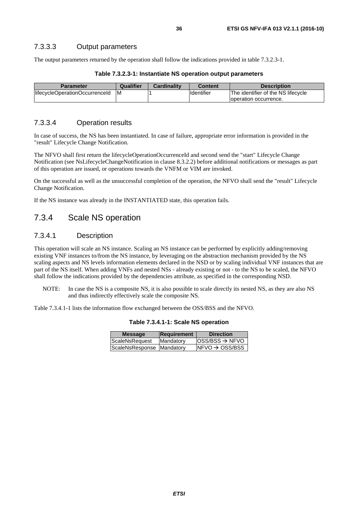<span id="page-35-0"></span>The output parameters returned by the operation shall follow the indications provided in table 7.3.2.3-1.

| Table 7.3.2.3-1: Instantiate NS operation output parameters |  |  |
|-------------------------------------------------------------|--|--|
|-------------------------------------------------------------|--|--|

| Parameter                      | Qualifier | <b>Cardinality</b> | Content    | <b>Description</b>                 |
|--------------------------------|-----------|--------------------|------------|------------------------------------|
| lifecycleOperationOccurrenceId | IM        |                    | Identifier | The identifier of the NS lifecycle |
|                                |           |                    |            | loperation occurrence.             |

#### 7.3.3.4 Operation results

In case of success, the NS has been instantiated. In case of failure, appropriate error information is provided in the "result" Lifecycle Change Notification.

The NFVO shall first return the lifecycleOperationOccurrenceId and second send the "start" Lifecycle Change Notification (see NsLifecycleChangeNotification in clause 8.3.2.2) before additional notifications or messages as part of this operation are issued, or operations towards the VNFM or VIM are invoked.

On the successful as well as the unsuccessful completion of the operation, the NFVO shall send the "result" Lifecycle Change Notification.

If the NS instance was already in the INSTANTIATED state, this operation fails.

### 7.3.4 Scale NS operation

#### 7.3.4.1 Description

This operation will scale an NS instance. Scaling an NS instance can be performed by explicitly adding/removing existing VNF instances to/from the NS instance, by leveraging on the abstraction mechanism provided by the NS scaling aspects and NS levels information elements declared in the NSD or by scaling individual VNF instances that are part of the NS itself. When adding VNFs and nested NSs - already existing or not - to the NS to be scaled, the NFVO shall follow the indications provided by the dependencies attribute, as specified in the corresponding NSD.

NOTE: In case the NS is a composite NS, it is also possible to scale directly its nested NS, as they are also NS and thus indirectly effectively scale the composite NS.

Table 7.3.4.1-1 lists the information flow exchanged between the OSS/BSS and the NFVO.

| <b>Message</b>            | <b>Requirement</b> | <b>Direction</b>             |
|---------------------------|--------------------|------------------------------|
| ScaleNsRequest            | Mandatory          | $loss/ BSS \rightarrow NFVO$ |
| ScaleNsResponse Mandatory |                    | $NFVO \rightarrow OSS/BSS$   |
|                           |                    |                              |

**Table 7.3.4.1-1: Scale NS operation**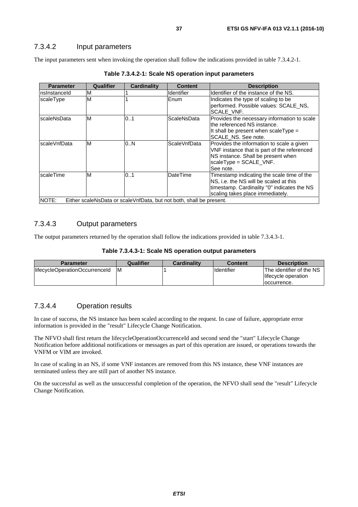## 7.3.4.2 Input parameters

The input parameters sent when invoking the operation shall follow the indications provided in table 7.3.4.2-1.

| Identifier of the instance of the NS.<br>Indicates the type of scaling to be<br>performed. Possible values: SCALE_NS,                                                                 |
|---------------------------------------------------------------------------------------------------------------------------------------------------------------------------------------|
|                                                                                                                                                                                       |
| SCALE VNF.                                                                                                                                                                            |
| Provides the necessary information to scale<br>the referenced NS instance.<br>It shall be present when scale $Type =$<br>SCALE NS. See note.                                          |
| ScaleVnfData<br>Provides the information to scale a given<br>VNF instance that is part of the referenced<br>NS instance. Shall be present when<br>scaleType = SCALE_VNF.<br>See note. |
| Timestamp indicating the scale time of the<br>NS, i.e. the NS will be scaled at this<br>timestamp. Cardinality "0" indicates the NS<br>scaling takes place immediately.               |
| Either scaleNsData or scaleVnfData, but not both, shall be present.                                                                                                                   |

**Table 7.3.4.2-1: Scale NS operation input parameters** 

## 7.3.4.3 Output parameters

The output parameters returned by the operation shall follow the indications provided in table 7.3.4.3-1.

| Table 7.3.4.3-1: Scale NS operation output parameters |  |  |
|-------------------------------------------------------|--|--|
|-------------------------------------------------------|--|--|

| <b>Parameter</b>               | Qualifier | <b>Cardinality</b> | <b>Content</b>    | <b>Description</b>                              |
|--------------------------------|-----------|--------------------|-------------------|-------------------------------------------------|
| lifecycleOperationOccurrenceId | ΙM        |                    | <b>Identifier</b> | The identifier of the NS<br>lifecycle operation |
|                                |           |                    |                   | Toccurrence.                                    |

## 7.3.4.4 Operation results

In case of success, the NS instance has been scaled according to the request. In case of failure, appropriate error information is provided in the "result" Lifecycle Change Notification.

The NFVO shall first return the lifecycleOperationOccurrenceId and second send the "start" Lifecycle Change Notification before additional notifications or messages as part of this operation are issued, or operations towards the VNFM or VIM are invoked.

In case of scaling in an NS, if some VNF instances are removed from this NS instance, these VNF instances are terminated unless they are still part of another NS instance.

On the successful as well as the unsuccessful completion of the operation, the NFVO shall send the "result" Lifecycle Change Notification.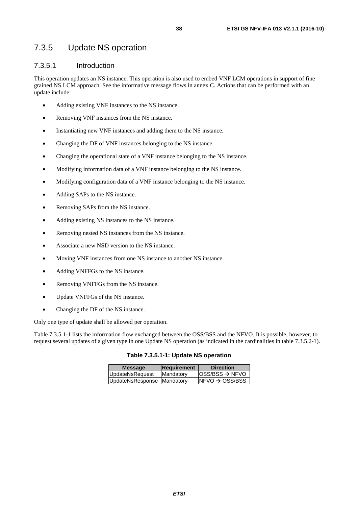# 7.3.5 Update NS operation

## 7.3.5.1 Introduction

This operation updates an NS instance. This operation is also used to embed VNF LCM operations in support of fine grained NS LCM approach. See the informative message flows in annex C. Actions that can be performed with an update include:

- Adding existing VNF instances to the NS instance.
- Removing VNF instances from the NS instance.
- Instantiating new VNF instances and adding them to the NS instance.
- Changing the DF of VNF instances belonging to the NS instance.
- Changing the operational state of a VNF instance belonging to the NS instance.
- Modifying information data of a VNF instance belonging to the NS instance.
- Modifying configuration data of a VNF instance belonging to the NS instance.
- Adding SAPs to the NS instance.
- Removing SAPs from the NS instance.
- Adding existing NS instances to the NS instance.
- Removing nested NS instances from the NS instance.
- Associate a new NSD version to the NS instance.
- Moving VNF instances from one NS instance to another NS instance.
- Adding VNFFGs to the NS instance.
- Removing VNFFGs from the NS instance.
- Update VNFFGs of the NS instance.
- Changing the DF of the NS instance.

Only one type of update shall be allowed per operation.

Table 7.3.5.1-1 lists the information flow exchanged between the OSS/BSS and the NFVO. It is possible, however, to request several updates of a given type in one Update NS operation (as indicated in the cardinalities in table 7.3.5.2-1).

|  |  |  |  |  | Table 7.3.5.1-1: Update NS operation |
|--|--|--|--|--|--------------------------------------|
|--|--|--|--|--|--------------------------------------|

| <b>Message</b>             | Requirement       | <b>Direction</b>                                       |
|----------------------------|-------------------|--------------------------------------------------------|
| UpdateNsRequest            | <b>IMandatory</b> | $\textsf{loss}/\textsf{BSS} \rightarrow \textsf{NFVO}$ |
| UpdateNsResponse Mandatory |                   | $NFVO \rightarrow OSS/BSS$                             |
|                            |                   |                                                        |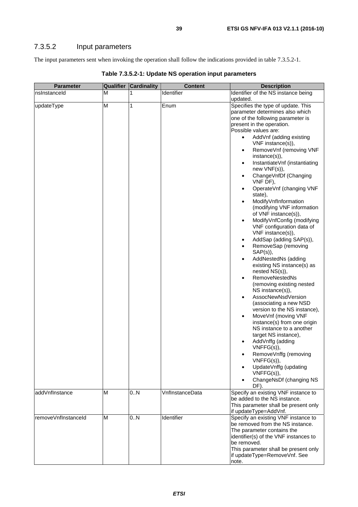The input parameters sent when invoking the operation shall follow the indications provided in table 7.3.5.2-1.

| <b>Parameter</b>    | <b>Qualifier</b> | <b>Cardinality</b> | <b>Content</b>  | <b>Description</b>                                                                                                                                                                                                                                                                                                                                                                                                                                                                                                                                                                                                                                                                                                                                                                                                                                                                                                                                                                                                                                                                      |
|---------------------|------------------|--------------------|-----------------|-----------------------------------------------------------------------------------------------------------------------------------------------------------------------------------------------------------------------------------------------------------------------------------------------------------------------------------------------------------------------------------------------------------------------------------------------------------------------------------------------------------------------------------------------------------------------------------------------------------------------------------------------------------------------------------------------------------------------------------------------------------------------------------------------------------------------------------------------------------------------------------------------------------------------------------------------------------------------------------------------------------------------------------------------------------------------------------------|
| nsInstanceId        | M                |                    | Identifier      | Identifier of the NS instance being                                                                                                                                                                                                                                                                                                                                                                                                                                                                                                                                                                                                                                                                                                                                                                                                                                                                                                                                                                                                                                                     |
|                     |                  |                    |                 | updated.                                                                                                                                                                                                                                                                                                                                                                                                                                                                                                                                                                                                                                                                                                                                                                                                                                                                                                                                                                                                                                                                                |
| updateType          | $\overline{M}$   | 1                  | Enum            | Specifies the type of update. This<br>parameter determines also which<br>one of the following parameter is<br>present in the operation.<br>Possible values are:<br>AddVnf (adding existing<br>$\bullet$<br>VNF instance(s)),<br>RemoveVnf (removing VNF<br>$\bullet$<br>instance(s)),<br>InstantiateVnf (instantiating<br>$\bullet$<br>new VNF(s)),<br>ChangeVnfDf (Changing<br>$\bullet$<br>VNF DF),<br>OperateVnf (changing VNF<br>$\bullet$<br>state),<br>ModifyVnfInformation<br>$\bullet$<br>(modifying VNF information<br>of VNF instance(s)),<br>ModifyVnfConfig (modifying<br>$\bullet$<br>VNF configuration data of<br>VNF instance(s)),<br>AddSap (adding SAP(s)),<br>$\bullet$<br>RemoveSap (removing<br>$\bullet$<br>$SAP(s)$ ),<br>AddNestedNs (adding<br>$\bullet$<br>existing NS instance(s) as<br>nested NS(s)),<br><b>RemoveNestedNs</b><br>$\bullet$<br>(removing existing nested<br>NS instance(s)),<br>AssocNewNsdVersion<br>$\bullet$<br>(associating a new NSD<br>version to the NS instance),<br>MoveVnf (moving VNF<br>$\bullet$<br>instance(s) from one origin |
|                     |                  |                    |                 | NS instance to a another<br>target NS instance),<br>AddVnffg (adding                                                                                                                                                                                                                                                                                                                                                                                                                                                                                                                                                                                                                                                                                                                                                                                                                                                                                                                                                                                                                    |
|                     |                  |                    |                 | VNFFG(s)),<br>RemoveVnffg (removing<br>$\bullet$<br>$VNFFG(s)$ ),<br>UpdateVnffg (updating<br>$VNFFG(s)$ ),<br>ChangeNsDf (changing NS<br>DF).                                                                                                                                                                                                                                                                                                                                                                                                                                                                                                                                                                                                                                                                                                                                                                                                                                                                                                                                          |
| addVnfInstance      | M                | 0N                 | VnflnstanceData | Specify an existing VNF instance to<br>be added to the NS instance.<br>This parameter shall be present only<br>if updateType=AddVnf.                                                                                                                                                                                                                                                                                                                                                                                                                                                                                                                                                                                                                                                                                                                                                                                                                                                                                                                                                    |
| removeVnflnstanceId | M                | 0.N                | Identifier      | Specify an existing VNF instance to<br>be removed from the NS instance.<br>The parameter contains the<br>identifier(s) of the VNF instances to<br>be removed.<br>This parameter shall be present only<br>if updateType=RemoveVnf. See<br>note.                                                                                                                                                                                                                                                                                                                                                                                                                                                                                                                                                                                                                                                                                                                                                                                                                                          |

**Table 7.3.5.2-1: Update NS operation input parameters**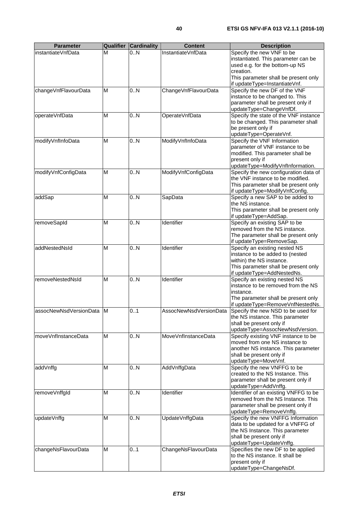| <b>Parameter</b>         | Qualifier | <b>Cardinality</b> | <b>Content</b>         | <b>Description</b>                                                        |
|--------------------------|-----------|--------------------|------------------------|---------------------------------------------------------------------------|
| instantiateVnfData       | М         | 0.N                | InstantiateVnfData     | Specify the new VNF to be                                                 |
|                          |           |                    |                        | instantiated. This parameter can be                                       |
|                          |           |                    |                        | used e.g. for the bottom-up NS<br>creation.                               |
|                          |           |                    |                        | This parameter shall be present only                                      |
|                          |           |                    |                        | if updateType=InstantiateVnf.                                             |
| changeVnfFlavourData     | M         | 0.N                | ChangeVnfFlavourData   | Specify the new DF of the VNF                                             |
|                          |           |                    |                        | instance to be changed to. This                                           |
|                          |           |                    |                        | parameter shall be present only if<br>updateType=ChangeVnfDf.             |
| operateVnfData           | M         | 0.N                | OperateVnfData         | Specify the state of the VNF instance                                     |
|                          |           |                    |                        | to be changed. This parameter shall                                       |
|                          |           |                    |                        | be present only if                                                        |
| modifyVnfInfoData        | M         | 0.N                | ModifyVnfInfoData      | updateType=OperateVnf.<br>Specify the VNF Information                     |
|                          |           |                    |                        | parameter of VNF instance to be                                           |
|                          |           |                    |                        | modified. This parameter shall be                                         |
|                          |           |                    |                        | present only if                                                           |
|                          |           |                    |                        | updateType=ModifyVnfInformation.                                          |
| modifyVnfConfigData      | M         | 0.N                | ModifyVnfConfigData    | Specify the new configuration data of<br>the VNF instance to be modified. |
|                          |           |                    |                        | This parameter shall be present only                                      |
|                          |           |                    |                        | if updateType=ModifyVnfConfig.                                            |
| addSap                   | M         | 0.N                | SapData                | Specify a new SAP to be added to                                          |
|                          |           |                    |                        | the NS instance.                                                          |
|                          |           |                    |                        | This parameter shall be present only<br>if updateType=AddSap.             |
| removeSapId              | M         | 0.N                | Identifier             | Specify an existing SAP to be                                             |
|                          |           |                    |                        | removed from the NS instance.                                             |
|                          |           |                    |                        | The parameter shall be present only                                       |
| addNestedNsId            | M         | 0.N                | Identifier             | if updateType=RemoveSap.                                                  |
|                          |           |                    |                        | Specify an existing nested NS<br>instance to be added to (nested          |
|                          |           |                    |                        | within) the NS instance.                                                  |
|                          |           |                    |                        | This parameter shall be present only                                      |
| removeNestedNsId         |           |                    | Identifier             | if updateType=AddNestedNs.                                                |
|                          | M         | 0.N                |                        | Specify an existing nested NS<br>instance to be removed from the NS       |
|                          |           |                    |                        | instance.                                                                 |
|                          |           |                    |                        | The parameter shall be present only                                       |
|                          |           |                    |                        | if updateType=RemoveVnfNestedNs.                                          |
| assocNewNsdVersionData M |           | 01                 | AssocNewNsdVersionData | Specify the new NSD to be used for<br>the NS instance. This parameter     |
|                          |           |                    |                        | shall be present only if                                                  |
|                          |           |                    |                        | updateType=AssocNewNsdVersion.                                            |
| moveVnflnstanceData      | M         | 0.N                | MoveVnfInstanceData    | Specify existing VNF instance to be                                       |
|                          |           |                    |                        | moved from one NS instance to                                             |
|                          |           |                    |                        | another NS instance. This parameter<br>shall be present only if           |
|                          |           |                    |                        | updateType=MoveVnf.                                                       |
| addVnffg                 | M         | 0N                 | AddVnffgData           | Specify the new VNFFG to be                                               |
|                          |           |                    |                        | created to the NS Instance. This                                          |
|                          |           |                    |                        | parameter shall be present only if                                        |
| removeVnffgld            | M         | 0.N                | Identifier             | updateType=AddVnffg.<br>Identifier of an existing VNFFG to be             |
|                          |           |                    |                        | removed from the NS Instance. This                                        |
|                          |           |                    |                        | parameter shall be present only if                                        |
|                          |           |                    |                        | updateType=RemoveVnffg.                                                   |
| updateVnffg              | M         | 0N                 | UpdateVnffgData        | Specify the new VNFFG Information                                         |
|                          |           |                    |                        | data to be updated for a VNFFG of<br>the NS Instance. This parameter      |
|                          |           |                    |                        | shall be present only if                                                  |
|                          |           |                    |                        | updateType=UpdateVnffg.                                                   |
| changeNsFlavourData      | M         | 0.1                | ChangeNsFlavourData    | Specifies the new DF to be applied                                        |
|                          |           |                    |                        | to the NS instance. It shall be<br>present only if                        |
|                          |           |                    |                        | updateType=ChangeNsDf.                                                    |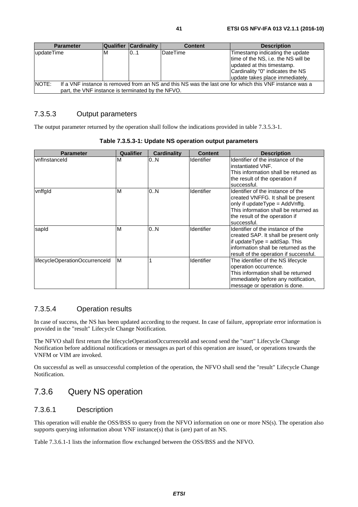| <b>Parameter</b>                                  |    | <b>Qualifier Cardinality</b> | <b>Content</b> | <b>Description</b>                                                                                                                                                          |
|---------------------------------------------------|----|------------------------------|----------------|-----------------------------------------------------------------------------------------------------------------------------------------------------------------------------|
| lupdateTime                                       | ιM | 101                          | DateTime       | Timestamp indicating the update<br>time of the NS, i.e. the NS will be<br>updated at this timestamp.<br>Cardinality "0" indicates the NS<br>update takes place immediately. |
| <b>NOTE:</b>                                      |    |                              |                | If a VNF instance is removed from an NS and this NS was the last one for which this VNF instance was a                                                                      |
| part, the VNF instance is terminated by the NFVO. |    |                              |                |                                                                                                                                                                             |

## 7.3.5.3 Output parameters

The output parameter returned by the operation shall follow the indications provided in table 7.3.5.3-1.

| <b>Parameter</b>               | Qualifier | <b>Cardinality</b> | <b>Content</b>    | <b>Description</b>                                                                                                                                                                                    |
|--------------------------------|-----------|--------------------|-------------------|-------------------------------------------------------------------------------------------------------------------------------------------------------------------------------------------------------|
| vnflnstanceld                  | M         | 0N                 | <b>Identifier</b> | Identifier of the instance of the<br>instantiated VNF.<br>This information shall be retuned as<br>the result of the operation if<br>successful.                                                       |
| vnffgld                        | M         | 0N                 | Identifier        | Identifier of the instance of the<br>created VNFFG. It shall be present<br>only if update Type = Add Vnffg.<br>This information shall be returned as<br>the result of the operation if<br>successful. |
| sapid                          | M         | 0.N                | Identifier        | Identifier of the instance of the<br>created SAP. It shall be present only<br>if update $Type = add$ Sap. This<br>information shall be returned as the<br>result of the operation if successful.      |
| lifecycleOperationOccurrenceId | M         |                    | <b>Identifier</b> | The identifier of the NS lifecycle<br>operation occurrence.<br>This information shall be returned<br>immediately before any notification,<br>message or operation is done.                            |

### **Table 7.3.5.3-1: Update NS operation output parameters**

## 7.3.5.4 Operation results

In case of success, the NS has been updated according to the request. In case of failure, appropriate error information is provided in the "result" Lifecycle Change Notification.

The NFVO shall first return the lifecycleOperationOccurrenceId and second send the "start" Lifecycle Change Notification before additional notifications or messages as part of this operation are issued, or operations towards the VNFM or VIM are invoked.

On successful as well as unsuccessful completion of the operation, the NFVO shall send the "result" Lifecycle Change Notification.

# 7.3.6 Query NS operation

## 7.3.6.1 Description

This operation will enable the OSS/BSS to query from the NFVO information on one or more NS(s). The operation also supports querying information about VNF instance(s) that is (are) part of an NS.

Table 7.3.6.1-1 lists the information flow exchanged between the OSS/BSS and the NFVO.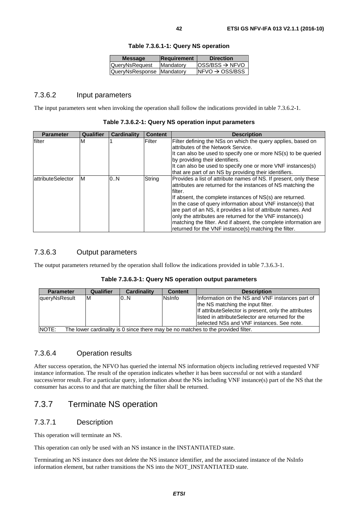| <b>Message</b>            | Requirement | <b>Direction</b>                                       |
|---------------------------|-------------|--------------------------------------------------------|
| QueryNsRequest            | Mandatory   | $\textsf{loss}/\textsf{BSS} \rightarrow \textsf{NFVO}$ |
| QueryNsResponse Mandatory |             | $NFVO \rightarrow OSS/BSS$                             |
|                           |             |                                                        |

#### **Table 7.3.6.1-1: Query NS operation**

## 7.3.6.2 Input parameters

The input parameters sent when invoking the operation shall follow the indications provided in table 7.3.6.2-1.

| <b>Parameter</b>   | Qualifier | <b>Cardinality</b> | <b>Content</b> | <b>Description</b>                                                                                                                                                                                                                                                                                                                                                                                                                                                                                                               |
|--------------------|-----------|--------------------|----------------|----------------------------------------------------------------------------------------------------------------------------------------------------------------------------------------------------------------------------------------------------------------------------------------------------------------------------------------------------------------------------------------------------------------------------------------------------------------------------------------------------------------------------------|
| filter             | M         |                    | Filter         | Filter defining the NSs on which the query applies, based on<br>lattributes of the Network Service.<br>It can also be used to specify one or more NS(s) to be queried<br>by providing their identifiers.<br>It can also be used to specify one or more VNF instances(s)<br>that are part of an NS by providing their identifiers.                                                                                                                                                                                                |
| lattributeSelector | M         | 0.N                | String         | Provides a list of attribute names of NS. If present, only these<br>attributes are returned for the instances of NS matching the<br>filter.<br>If absent, the complete instances of NS(s) are returned.<br>In the case of query information about VNF instance(s) that<br>are part of an NS, it provides a list of attribute names. And<br>only the attributes are returned for the VNF instance(s)<br>matching the filter. And if absent, the complete information are<br>returned for the VNF instance(s) matching the filter. |

### 7.3.6.3 Output parameters

The output parameters returned by the operation shall follow the indications provided in table 7.3.6.3-1.

| Table 7.3.6.3-1: Query NS operation output parameters |  |  |
|-------------------------------------------------------|--|--|
|-------------------------------------------------------|--|--|

| <b>Parameter</b>                                                                                  | Qualifier | Cardinality | <b>Content</b> | <b>Description</b>                                   |
|---------------------------------------------------------------------------------------------------|-----------|-------------|----------------|------------------------------------------------------|
| queryNsResult                                                                                     | ΙM        | 0.N         | Nsinfo         | Information on the NS and VNF instances part of      |
|                                                                                                   |           |             |                | the NS matching the input filter.                    |
|                                                                                                   |           |             |                | If attributeSelector is present, only the attributes |
|                                                                                                   |           |             |                | listed in attributeSelector are returned for the     |
|                                                                                                   |           |             |                | Iselected NSs and VNF instances. See note.           |
| <b>INOTE:</b><br>The lower cardinality is 0 since there may be no matches to the provided filter. |           |             |                |                                                      |

## 7.3.6.4 Operation results

After success operation, the NFVO has queried the internal NS information objects including retrieved requested VNF instance information. The result of the operation indicates whether it has been successful or not with a standard success/error result. For a particular query, information about the NSs including VNF instance(s) part of the NS that the consumer has access to and that are matching the filter shall be returned.

# 7.3.7 Terminate NS operation

## 7.3.7.1 Description

This operation will terminate an NS.

This operation can only be used with an NS instance in the INSTANTIATED state.

Terminating an NS instance does not delete the NS instance identifier, and the associated instance of the NsInfo information element, but rather transitions the NS into the NOT\_INSTANTIATED state.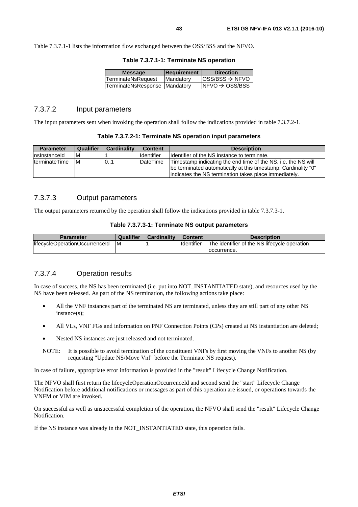Table 7.3.7.1-1 lists the information flow exchanged between the OSS/BSS and the NFVO.

| Table 7.3.7.1-1: Terminate NS operation |  |  |
|-----------------------------------------|--|--|
|-----------------------------------------|--|--|

| <b>Message</b>                | <b>Requirement</b> | <b>Direction</b>            |
|-------------------------------|--------------------|-----------------------------|
| TerminateNsRequest            | Mandatory          | $OSS/BSS \rightarrow NFVO$  |
| TerminateNsResponse Mandatory |                    | $INFVO \rightarrow OSS/BSS$ |
|                               |                    |                             |

### 7.3.7.2 Input parameters

The input parameters sent when invoking the operation shall follow the indications provided in table 7.3.7.2-1.

#### **Table 7.3.7.2-1: Terminate NS operation input parameters**

| <b>Parameter</b> | Qualifier | <b>Cardinality</b> | Content             | <b>Description</b>                                                                                                                                                                        |
|------------------|-----------|--------------------|---------------------|-------------------------------------------------------------------------------------------------------------------------------------------------------------------------------------------|
| Insinstanceld    | ΙM        |                    | <b>I</b> Identifier | Identifier of the NS instance to terminate.                                                                                                                                               |
| IterminateTime   | IМ        | 0.1                | DateTime            | Timestamp indicating the end time of the NS, i.e. the NS will<br>be terminated automatically at this timestamp. Cardinality "0"<br>lindicates the NS termination takes place immediately. |

### 7.3.7.3 Output parameters

The output parameters returned by the operation shall follow the indications provided in table 7.3.7.3-1.

#### **Table 7.3.7.3-1: Terminate NS output parameters**

| <b>Parameter</b>                | <b>Qualifier</b> | <b>Cardinality</b> | <b>Content</b> | <b>Description</b>                           |
|---------------------------------|------------------|--------------------|----------------|----------------------------------------------|
| llifecycleOperationOccurrenceId | ΙM               |                    | Identifier     | The identifier of the NS lifecycle operation |
|                                 |                  |                    |                | loccurrence.                                 |

## 7.3.7.4 Operation results

In case of success, the NS has been terminated (i.e. put into NOT\_INSTANTIATED state), and resources used by the NS have been released. As part of the NS termination, the following actions take place:

- All the VNF instances part of the terminated NS are terminated, unless they are still part of any other NS instance(s);
- All VLs, VNF FGs and information on PNF Connection Points (CPs) created at NS instantiation are deleted;
- Nested NS instances are just released and not terminated.
- NOTE: It is possible to avoid termination of the constituent VNFs by first moving the VNFs to another NS (by requesting "Update NS/Move Vnf" before the Terminate NS request).

In case of failure, appropriate error information is provided in the "result" Lifecycle Change Notification.

The NFVO shall first return the lifecycleOperationOccurrenceId and second send the "start" Lifecycle Change Notification before additional notifications or messages as part of this operation are issued, or operations towards the VNFM or VIM are invoked.

On successful as well as unsuccessful completion of the operation, the NFVO shall send the "result" Lifecycle Change Notification.

If the NS instance was already in the NOT\_INSTANTIATED state, this operation fails.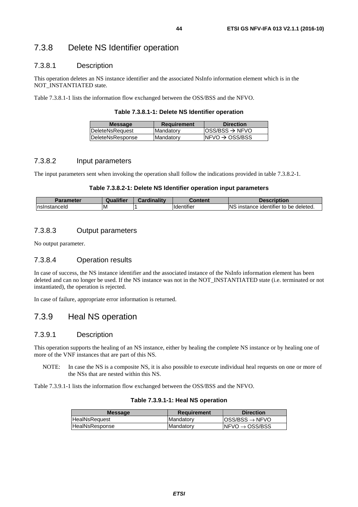# 7.3.8 Delete NS Identifier operation

### 7.3.8.1 Description

This operation deletes an NS instance identifier and the associated NsInfo information element which is in the NOT\_INSTANTIATED state.

Table 7.3.8.1-1 lists the information flow exchanged between the OSS/BSS and the NFVO.

**Table 7.3.8.1-1: Delete NS Identifier operation** 

| <b>Message</b>   | <b>Requirement</b> | <b>Direction</b>            |
|------------------|--------------------|-----------------------------|
| DeleteNsRequest  | Mandatory          | $ OSS/BSS \rightarrow NFVO$ |
| DeleteNsResponse | Mandatory          | $NFVO \rightarrow OSS/BSS$  |
|                  |                    |                             |

### 7.3.8.2 Input parameters

The input parameters sent when invoking the operation shall follow the indications provided in table 7.3.8.2-1.

### **Table 7.3.8.2-1: Delete NS Identifier operation input parameters**

| arameter      | <br>.<br>Juann | <b>BR</b><br>Cardinality | Content                       | cription                                                            |
|---------------|----------------|--------------------------|-------------------------------|---------------------------------------------------------------------|
| Insinstanceid | M              |                          | $\cdot$<br><b>Ildentifier</b> | <b>NS</b><br>.<br>deleted.<br>instance<br>. identifier∶<br>∵to be u |

## 7.3.8.3 Output parameters

No output parameter.

## 7.3.8.4 Operation results

In case of success, the NS instance identifier and the associated instance of the NsInfo information element has been deleted and can no longer be used. If the NS instance was not in the NOT\_INSTANTIATED state (i.e. terminated or not instantiated), the operation is rejected.

In case of failure, appropriate error information is returned.

# 7.3.9 Heal NS operation

## 7.3.9.1 Description

This operation supports the healing of an NS instance, either by healing the complete NS instance or by healing one of more of the VNF instances that are part of this NS.

NOTE: In case the NS is a composite NS, it is also possible to execute individual heal requests on one or more of the NSs that are nested within this NS.

Table 7.3.9.1-1 lists the information flow exchanged between the OSS/BSS and the NFVO.

| <b>Message</b>        | Requirement | <b>Direction</b>             |
|-----------------------|-------------|------------------------------|
| <b>HealNsRequest</b>  | Mandatory   | $IOSS/ BSS \rightarrow NFVO$ |
| <b>HealNsResponse</b> | Mandatory   | $INFVO \rightarrow OSS/BSS$  |

#### **Table 7.3.9.1-1: Heal NS operation**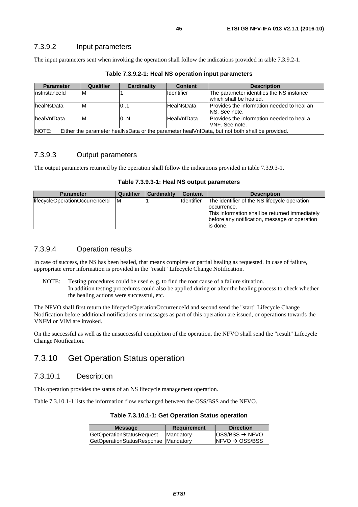### 7.3.9.2 Input parameters

The input parameters sent when invoking the operation shall follow the indications provided in table 7.3.9.2-1.

| <b>Parameter</b>                                                                                       | Qualifier | <b>Cardinality</b> | <b>Content</b>    | <b>Description</b>                                                  |  |
|--------------------------------------------------------------------------------------------------------|-----------|--------------------|-------------------|---------------------------------------------------------------------|--|
| Insinstanceld                                                                                          | ΙM        |                    | <b>Identifier</b> | The parameter identifies the NS instance<br>lwhich shall be healed. |  |
| <b>IhealNsData</b>                                                                                     | ΙM        | 0.1                | <b>HealNsData</b> | IProvides the information needed to heal an<br>NS. See note.        |  |
| <b>IhealVnfData</b>                                                                                    | M         | 0.N                | HealVnfData       | Provides the information needed to heal a<br>IVNF. See note.        |  |
| NOTE:<br>Either the parameter healNsData or the parameter healVnfData, but not both shall be provided. |           |                    |                   |                                                                     |  |

**Table 7.3.9.2-1: Heal NS operation input parameters** 

## 7.3.9.3 Output parameters

The output parameters returned by the operation shall follow the indications provided in table 7.3.9.3-1.

**Table 7.3.9.3-1: Heal NS output parameters** 

| <b>Parameter</b>               | Qualifier | <b>Cardinality</b> | <b>Content</b> | <b>Description</b>                                                                                              |
|--------------------------------|-----------|--------------------|----------------|-----------------------------------------------------------------------------------------------------------------|
| lifecycleOperationOccurrenceId | ΙM        |                    | Identifier     | The identifier of the NS lifecycle operation                                                                    |
|                                |           |                    |                | loccurrence.<br>This information shall be returned immediately<br>before any notification, message or operation |
|                                |           |                    |                | lis done.                                                                                                       |

## 7.3.9.4 Operation results

In case of success, the NS has been healed, that means complete or partial healing as requested. In case of failure, appropriate error information is provided in the "result" Lifecycle Change Notification.

NOTE: Testing procedures could be used e. g. to find the root cause of a failure situation. In addition testing procedures could also be applied during or after the healing process to check whether the healing actions were successful, etc.

The NFVO shall first return the lifecycleOperationOccurrenceId and second send the "start" Lifecycle Change Notification before additional notifications or messages as part of this operation are issued, or operations towards the VNFM or VIM are invoked.

On the successful as well as the unsuccessful completion of the operation, the NFVO shall send the "result" Lifecycle Change Notification.

# 7.3.10 Get Operation Status operation

## 7.3.10.1 Description

This operation provides the status of an NS lifecycle management operation.

Table 7.3.10.1-1 lists the information flow exchanged between the OSS/BSS and the NFVO.

|  |  | Table 7.3.10.1-1: Get Operation Status operation |
|--|--|--------------------------------------------------|
|--|--|--------------------------------------------------|

| <b>Message</b>                         | <b>Requirement</b> | <b>Direction</b>            |
|----------------------------------------|--------------------|-----------------------------|
| <b>GetOperationStatusRequest</b>       | <b>IMandatory</b>  | $ OSS/BSS \rightarrow NFVO$ |
| GetOperationStatusResponse   Mandatory |                    | $NFVO \rightarrow OSS/BSS$  |
|                                        |                    |                             |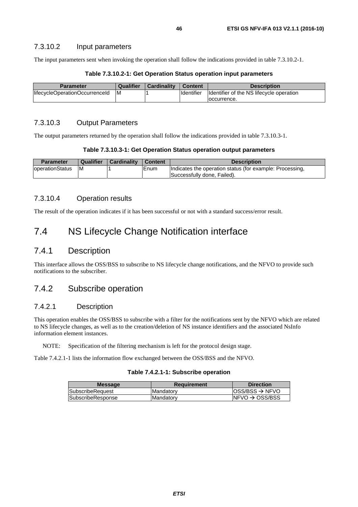### 7.3.10.2 Input parameters

The input parameters sent when invoking the operation shall follow the indications provided in table 7.3.10.2-1.

| Table 7.3.10.2-1: Get Operation Status operation input parameters |  |  |  |
|-------------------------------------------------------------------|--|--|--|
|-------------------------------------------------------------------|--|--|--|

| <b>Parameter</b>               | Qualifier | <b>Cardinality</b> | Content           | <b>Description</b>                       |
|--------------------------------|-----------|--------------------|-------------------|------------------------------------------|
| lifecycleOperationOccurrenceId | IM        |                    | <b>Identifier</b> | Identifier of the NS lifecycle operation |
|                                |           |                    |                   | loccurrence.                             |

### 7.3.10.3 Output Parameters

The output parameters returned by the operation shall follow the indications provided in table 7.3.10.3-1.

| Table 7.3.10.3-1: Get Operation Status operation output parameters |  |  |  |
|--------------------------------------------------------------------|--|--|--|
|--------------------------------------------------------------------|--|--|--|

| <b>Parameter</b>        | Qualifier | Cardinality | <b>Content</b> | <b>Description</b>                                                                      |
|-------------------------|-----------|-------------|----------------|-----------------------------------------------------------------------------------------|
| <b>loperationStatus</b> | ΙM        |             | Enum           | Indicates the operation status (for example: Processing,<br>Successfully done. Failed). |

### 7.3.10.4 Operation results

The result of the operation indicates if it has been successful or not with a standard success/error result.

# 7.4 NS Lifecycle Change Notification interface

# 7.4.1 Description

This interface allows the OSS/BSS to subscribe to NS lifecycle change notifications, and the NFVO to provide such notifications to the subscriber.

# 7.4.2 Subscribe operation

## 7.4.2.1 Description

This operation enables the OSS/BSS to subscribe with a filter for the notifications sent by the NFVO which are related to NS lifecycle changes, as well as to the creation/deletion of NS instance identifiers and the associated NsInfo information element instances.

NOTE: Specification of the filtering mechanism is left for the protocol design stage.

Table 7.4.2.1-1 lists the information flow exchanged between the OSS/BSS and the NFVO.

### **Table 7.4.2.1-1: Subscribe operation**

| <b>Message</b>          | Requirement       | <b>Direction</b>                                       |
|-------------------------|-------------------|--------------------------------------------------------|
| <b>SubscribeRequest</b> | <b>IMandatorv</b> | $\textsf{loss}/\textsf{BSS} \rightarrow \textsf{NFVO}$ |
| SubscribeResponse       | Mandatory         | $INFVO \rightarrow OSS/BSS$                            |
|                         |                   |                                                        |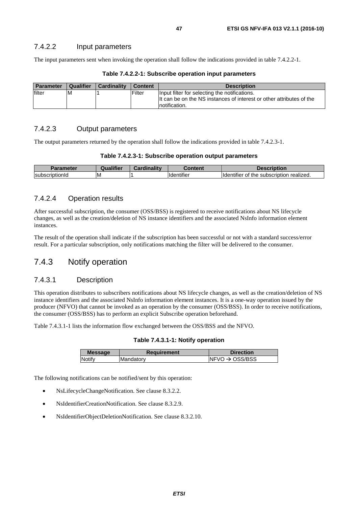### 7.4.2.2 Input parameters

The input parameters sent when invoking the operation shall follow the indications provided in table 7.4.2.2-1.

| <b>Parameter</b> | Qualifier | <b>Cardinality</b> | <b>Content</b> | <b>Description</b>                                                                                                                      |
|------------------|-----------|--------------------|----------------|-----------------------------------------------------------------------------------------------------------------------------------------|
| filter           | ΙM        |                    | Filter         | Input filter for selecting the notifications.<br>It can be on the NS instances of interest or other attributes of the<br>Inotification. |

### **Table 7.4.2.2-1: Subscribe operation input parameters**

## 7.4.2.3 Output parameters

The output parameters returned by the operation shall follow the indications provided in table 7.4.2.3-1.

|  |  | Table 7.4.2.3-1: Subscribe operation output parameters |
|--|--|--------------------------------------------------------|
|--|--|--------------------------------------------------------|

| <b>Parameter</b>                  | <b>Qualifier</b> | <b>Cardinality</b> | Content                       | Description                                               |
|-----------------------------------|------------------|--------------------|-------------------------------|-----------------------------------------------------------|
| <b>Subscrip</b><br>.<br>riptionia | ΙM               |                    | $\cdots$<br><b>Identifier</b> | subscription realized.<br>the<br><b>Ildentifier</b><br>0t |

### 7.4.2.4 Operation results

After successful subscription, the consumer (OSS/BSS) is registered to receive notifications about NS lifecycle changes, as well as the creation/deletion of NS instance identifiers and the associated NsInfo information element instances.

The result of the operation shall indicate if the subscription has been successful or not with a standard success/error result. For a particular subscription, only notifications matching the filter will be delivered to the consumer.

# 7.4.3 Notify operation

## 7.4.3.1 Description

This operation distributes to subscribers notifications about NS lifecycle changes, as well as the creation/deletion of NS instance identifiers and the associated NsInfo information element instances. It is a one-way operation issued by the producer (NFVO) that cannot be invoked as an operation by the consumer (OSS/BSS). In order to receive notifications, the consumer (OSS/BSS) has to perform an explicit Subscribe operation beforehand.

Table 7.4.3.1-1 lists the information flow exchanged between the OSS/BSS and the NFVO.

### **Table 7.4.3.1-1: Notify operation**

| <b>Message</b> | <b>Requirement</b> | <b>Direction</b>            |
|----------------|--------------------|-----------------------------|
| Notify         | Mandatory          | INFVO $\rightarrow$ OSS/BSS |
|                |                    |                             |

The following notifications can be notified/sent by this operation:

- NsLifecycleChangeNotification. See clause 8.3.2.2.
- NsIdentifierCreationNotification. See clause 8.3.2.9.
- NsIdentifierObjectDeletionNotification. See clause 8.3.2.10.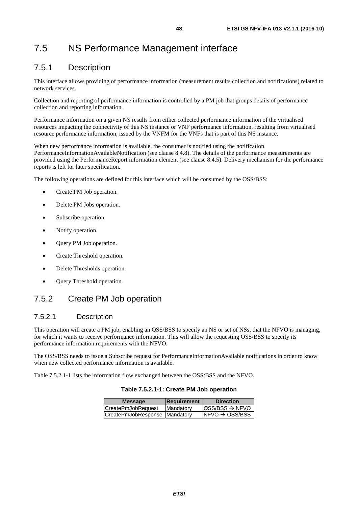# 7.5 NS Performance Management interface

# 7.5.1 Description

This interface allows providing of performance information (measurement results collection and notifications) related to network services.

Collection and reporting of performance information is controlled by a PM job that groups details of performance collection and reporting information.

Performance information on a given NS results from either collected performance information of the virtualised resources impacting the connectivity of this NS instance or VNF performance information, resulting from virtualised resource performance information, issued by the VNFM for the VNFs that is part of this NS instance.

When new performance information is available, the consumer is notified using the notification PerformanceInformationAvailableNotification (see clause 8.4.8). The details of the performance measurements are provided using the PerformanceReport information element (see clause 8.4.5). Delivery mechanism for the performance reports is left for later specification.

The following operations are defined for this interface which will be consumed by the OSS/BSS:

- Create PM Job operation.
- Delete PM Jobs operation.
- Subscribe operation.
- Notify operation.
- Query PM Job operation.
- Create Threshold operation.
- Delete Thresholds operation.
- Query Threshold operation.

# 7.5.2 Create PM Job operation

# 7.5.2.1 Description

This operation will create a PM job, enabling an OSS/BSS to specify an NS or set of NSs, that the NFVO is managing, for which it wants to receive performance information. This will allow the requesting OSS/BSS to specify its performance information requirements with the NFVO.

The OSS/BSS needs to issue a Subscribe request for PerformanceInformationAvailable notifications in order to know when new collected performance information is available.

Table 7.5.2.1-1 lists the information flow exchanged between the OSS/BSS and the NFVO.

### **Table 7.5.2.1-1: Create PM Job operation**

| <b>Message</b>                | Requirement       | <b>Direction</b>                                       |
|-------------------------------|-------------------|--------------------------------------------------------|
| <b>CreatePmJobRequest</b>     | <b>IMandatory</b> | $\textsf{loss}/\textsf{BSS} \rightarrow \textsf{NFVO}$ |
| CreatePmJobResponse Mandatory |                   | $NFVO \rightarrow OSS/BSS$                             |
|                               |                   |                                                        |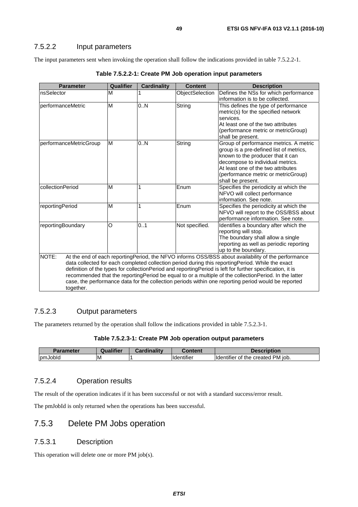## 7.5.2.2 Input parameters

The input parameters sent when invoking the operation shall follow the indications provided in table 7.5.2.2-1.

| <b>Parameter</b>       | Qualifier | <b>Cardinality</b> | <b>Content</b>  | <b>Description</b>                                                                                        |
|------------------------|-----------|--------------------|-----------------|-----------------------------------------------------------------------------------------------------------|
| nsSelector             | М         |                    | ObjectSelection | Defines the NSs for which performance                                                                     |
|                        |           |                    |                 | information is to be collected.                                                                           |
| performanceMetric      | M         | 0.N                | String          | This defines the type of performance                                                                      |
|                        |           |                    |                 | metric(s) for the specified network                                                                       |
|                        |           |                    |                 | services.                                                                                                 |
|                        |           |                    |                 | At least one of the two attributes                                                                        |
|                        |           |                    |                 | (performance metric or metricGroup)                                                                       |
|                        |           |                    |                 | shall be present.                                                                                         |
| performanceMetricGroup | M         | 0.N                | String          | Group of performance metrics. A metric<br>group is a pre-defined list of metrics,                         |
|                        |           |                    |                 | known to the producer that it can                                                                         |
|                        |           |                    |                 | decompose to individual metrics.                                                                          |
|                        |           |                    |                 | At least one of the two attributes                                                                        |
|                        |           |                    |                 | (performance metric or metricGroup)                                                                       |
|                        |           |                    |                 | shall be present.                                                                                         |
| collectionPeriod       | M         | 1                  | Enum            | Specifies the periodicity at which the                                                                    |
|                        |           |                    |                 | NFVO will collect performance                                                                             |
|                        |           |                    |                 | information. See note.                                                                                    |
| reportingPeriod        | M         | 1                  | Enum            | Specifies the periodicity at which the                                                                    |
|                        |           |                    |                 | NFVO will report to the OSS/BSS about                                                                     |
|                        |           |                    |                 | performance information. See note.                                                                        |
| reportingBoundary      | O         | 0.1                | Not specified.  | Identifies a boundary after which the                                                                     |
|                        |           |                    |                 | reporting will stop.<br>The boundary shall allow a single                                                 |
|                        |           |                    |                 | reporting as well as periodic reporting                                                                   |
|                        |           |                    |                 | up to the boundary.                                                                                       |
| NOTE:                  |           |                    |                 | At the end of each reportingPeriod, the NFVO informs OSS/BSS about availability of the performance        |
|                        |           |                    |                 | data collected for each completed collection period during this reportingPeriod. While the exact          |
|                        |           |                    |                 | definition of the types for collectionPeriod and reportingPeriod is left for further specification, it is |
|                        |           |                    |                 | recommended that the reportingPeriod be equal to or a multiple of the collectionPeriod. In the latter     |
|                        |           |                    |                 | case, the performance data for the collection periods within one reporting period would be reported       |
| together.              |           |                    |                 |                                                                                                           |

**Table 7.5.2.2-1: Create PM Job operation input parameters** 

## 7.5.2.3 Output parameters

The parameters returned by the operation shall follow the indications provided in table 7.5.2.3-1.

| <b>Parameter</b> | Qualifier | <b>Cardinality</b> | :ontent                        | <b>Description</b>                                  |
|------------------|-----------|--------------------|--------------------------------|-----------------------------------------------------|
| <b>IpmJobid</b>  | ΙM        |                    | $\cdots$<br><b>Ildentifier</b> | ' PM iob.<br>the created<br><b>Ildentifie</b><br>Οt |

# 7.5.2.4 Operation results

The result of the operation indicates if it has been successful or not with a standard success/error result.

The pmJobId is only returned when the operations has been successful.

# 7.5.3 Delete PM Jobs operation

### 7.5.3.1 Description

This operation will delete one or more PM job(s).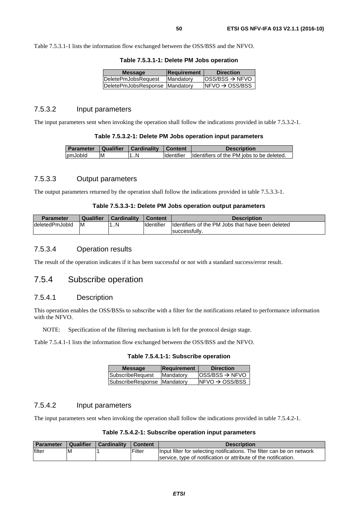Table 7.5.3.1-1 lists the information flow exchanged between the OSS/BSS and the NFVO.

| <b>Message</b>                   | <b>Requirement</b> | <b>Direction</b>             |
|----------------------------------|--------------------|------------------------------|
| DeletePmJobsRequest              | Mandatory          | $loss/ BSS \rightarrow NFVO$ |
| DeletePmJobsResponse   Mandatory |                    | $INFVO \rightarrow OSS/BSS$  |
|                                  |                    |                              |

### 7.5.3.2 Input parameters

The input parameters sent when invoking the operation shall follow the indications provided in table 7.5.3.2-1.

#### **Table 7.5.3.2-1: Delete PM Jobs operation input parameters**

| Parameter   Qualifier   Cardinality |    |    | Content | <b>Description</b>                                   |
|-------------------------------------|----|----|---------|------------------------------------------------------|
| pmJobld                             | ΙM | 1N |         | Identifier Identifiers of the PM jobs to be deleted. |

### 7.5.3.3 Output parameters

The output parameters returned by the operation shall follow the indications provided in table 7.5.3.3-1.

#### **Table 7.5.3.3-1: Delete PM Jobs operation output parameters**

| <b>Parameter</b> | Qualifier | <b>Cardinality</b> | <b>Content</b> | <b>Description</b>                                |
|------------------|-----------|--------------------|----------------|---------------------------------------------------|
| ldeletedPmJobId  | ΙM        | 1N                 | Identifier     | Identifiers of the PM Jobs that have been deleted |
|                  |           |                    |                | successfully.                                     |

## 7.5.3.4 Operation results

The result of the operation indicates if it has been successful or not with a standard success/error result.

## 7.5.4 Subscribe operation

### 7.5.4.1 Description

This operation enables the OSS/BSSs to subscribe with a filter for the notifications related to performance information with the NFVO.

NOTE: Specification of the filtering mechanism is left for the protocol design stage.

Table 7.5.4.1-1 lists the information flow exchanged between the OSS/BSS and the NFVO.

#### **Table 7.5.4.1-1: Subscribe operation**

| <b>Message</b>              | <b>Requirement</b> | <b>Direction</b>            |
|-----------------------------|--------------------|-----------------------------|
| SubscribeRequest            | Mandatory          | $ OSS/BSS \rightarrow NFVO$ |
| SubscribeResponse Mandatory |                    | $INFVO \rightarrow OSS/BSS$ |
|                             |                    |                             |

## 7.5.4.2 Input parameters

The input parameters sent when invoking the operation shall follow the indications provided in table 7.5.4.2-1.

### **Table 7.5.4.2-1: Subscribe operation input parameters**

| <b>Parameter</b> | Qualifier | Cardinality | Content | <b>Description</b>                                                     |
|------------------|-----------|-------------|---------|------------------------------------------------------------------------|
| filter           | ıΜ        |             | Filter  | Input filter for selecting notifications. The filter can be on network |
|                  |           |             |         | service, type of notification or attribute of the notification.        |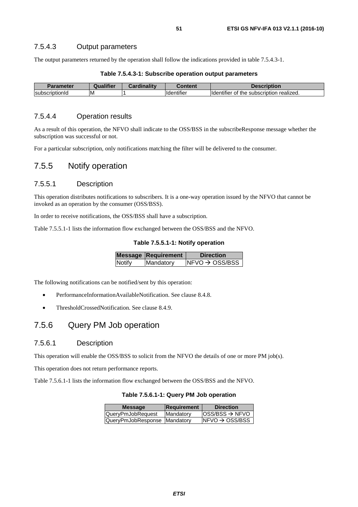The output parameters returned by the operation shall follow the indications provided in table 7.5.4.3-1.

| Parameter       | Qualifier | <b>Cardinality</b> | ;ontent                        | <b>Description</b>                                           |
|-----------------|-----------|--------------------|--------------------------------|--------------------------------------------------------------|
| IsubscriptionId | ιм        |                    | $\cdots$<br><b>Ildentifier</b> | <br><b>Identifier</b><br>of the<br>realized.<br>subscription |

### **Table 7.5.4.3-1: Subscribe operation output parameters**

### 7.5.4.4 Operation results

As a result of this operation, the NFVO shall indicate to the OSS/BSS in the subscribeResponse message whether the subscription was successful or not.

For a particular subscription, only notifications matching the filter will be delivered to the consumer.

# 7.5.5 Notify operation

## 7.5.5.1 Description

This operation distributes notifications to subscribers. It is a one-way operation issued by the NFVO that cannot be invoked as an operation by the consumer (OSS/BSS).

In order to receive notifications, the OSS/BSS shall have a subscription.

Table 7.5.5.1-1 lists the information flow exchanged between the OSS/BSS and the NFVO.

### **Table 7.5.5.1-1: Notify operation**

|        | <b>Message Requirement</b> | <b>Direction</b>            |
|--------|----------------------------|-----------------------------|
| Notify | Mandatory                  | $INFVO \rightarrow OSS/BSS$ |
|        |                            |                             |

The following notifications can be notified/sent by this operation:

- PerformanceInformationAvailableNotification. See clause 8.4.8.
- ThresholdCrossedNotification. See clause 8.4.9.

# 7.5.6 Query PM Job operation

### 7.5.6.1 Description

This operation will enable the OSS/BSS to solicit from the NFVO the details of one or more PM job(s).

This operation does not return performance reports.

Table 7.5.6.1-1 lists the information flow exchanged between the OSS/BSS and the NFVO.

**Table 7.5.6.1-1: Query PM Job operation** 

| <b>Message</b>               | Requirement | <b>Direction</b>            |
|------------------------------|-------------|-----------------------------|
| QueryPmJobRequest            | Mandatory   | $ OSS/BSS \rightarrow NFVO$ |
| QueryPmJobResponse Mandatory |             | $NFVO \rightarrow OSS/BSS$  |
|                              |             |                             |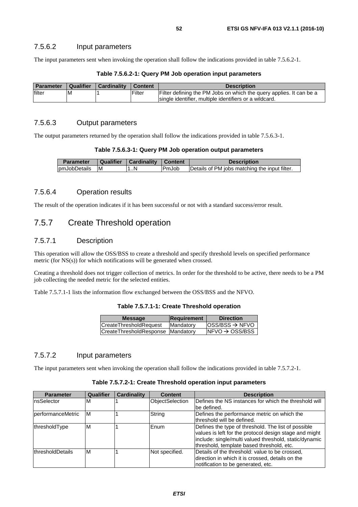The input parameters sent when invoking the operation shall follow the indications provided in table 7.5.6.2-1.

| <b>Parameter</b> | Qualifier | Cardinality | Content | <b>Description</b>                                                  |
|------------------|-----------|-------------|---------|---------------------------------------------------------------------|
| filter           | ΙM        |             | Filter  | Filter defining the PM Jobs on which the query applies. It can be a |
|                  |           |             |         | Isingle identifier, multiple identifiers or a wildcard.             |

### **Table 7.5.6.2-1: Query PM Job operation input parameters**

## 7.5.6.3 Output parameters

The output parameters returned by the operation shall follow the indications provided in table 7.5.6.3-1.

|  |  | Table 7.5.6.3-1: Query PM Job operation output parameters |
|--|--|-----------------------------------------------------------|
|--|--|-----------------------------------------------------------|

| <b>Parameter</b> | <b>Qualifier</b> | Cardinality | Content       | <b>Description</b>                            |
|------------------|------------------|-------------|---------------|-----------------------------------------------|
| pmJobDetails     | ΙM               | …N          | <b>IPmJob</b> | Details of PM jobs matching the input filter. |

## 7.5.6.4 Operation results

The result of the operation indicates if it has been successful or not with a standard success/error result.

# 7.5.7 Create Threshold operation

### 7.5.7.1 Description

This operation will allow the OSS/BSS to create a threshold and specify threshold levels on specified performance metric (for NS(s)) for which notifications will be generated when crossed.

Creating a threshold does not trigger collection of metrics. In order for the threshold to be active, there needs to be a PM job collecting the needed metric for the selected entities.

Table 7.5.7.1-1 lists the information flow exchanged between the OSS/BSS and the NFVO.

| Table 7.5.7.1-1: Create Threshold operation |  |
|---------------------------------------------|--|
|---------------------------------------------|--|

| $loss/ BSS \rightarrow NFVO$<br>CreateThresholdRequest<br>Mandatory | <b>Direction</b> |
|---------------------------------------------------------------------|------------------|
|                                                                     |                  |
| $NFVO \rightarrow OSS/BSS$<br>CreateThresholdResponse Mandatory     |                  |

# 7.5.7.2 Input parameters

The input parameters sent when invoking the operation shall follow the indications provided in table 7.5.7.2-1.

### **Table 7.5.7.2-1: Create Threshold operation input parameters**

| <b>Parameter</b>         | <b>Qualifier</b> | <b>Cardinality</b> | <b>Content</b>  | <b>Description</b>                                                                                                                                                                                                   |
|--------------------------|------------------|--------------------|-----------------|----------------------------------------------------------------------------------------------------------------------------------------------------------------------------------------------------------------------|
| InsSelector              | M                |                    | ObjectSelection | Defines the NS instances for which the threshold will<br>lbe defined.                                                                                                                                                |
| performanceMetric        | M                |                    | String          | Defines the performance metric on which the<br>Ithreshold will be defined.                                                                                                                                           |
| thresholdType            | M                |                    | Enum            | Defines the type of threshold. The list of possible<br>values is left for the protocol design stage and might<br>include: single/multi valued threshold, static/dynamic<br>threshold, template based threshold, etc. |
| <b>IthresholdDetails</b> | M                |                    | Not specified.  | Details of the threshold: value to be crossed,<br>direction in which it is crossed, details on the<br>notification to be generated, etc.                                                                             |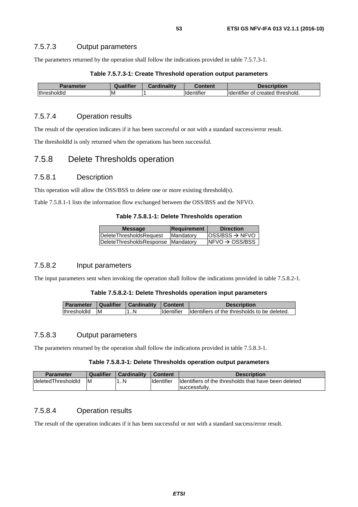### 7.5.7.3 Output parameters

The parameters returned by the operation shall follow the indications provided in table 7.5.7.3-1.

| Table 7.5.7.3-1: Create Threshold operation output parameters |
|---------------------------------------------------------------|
|---------------------------------------------------------------|

| neter<br>Darame | <b>Qualifier</b> | <b>Finality</b><br><b>RAPAL</b> | Content                        | iption                                           |
|-----------------|------------------|---------------------------------|--------------------------------|--------------------------------------------------|
| thres<br>molaic | ιM               |                                 | $\cdots$<br><b>Ildentifier</b> | ' threshold.<br>.<br>created<br>Hdentifier<br>ΟĪ |

## 7.5.7.4 Operation results

The result of the operation indicates if it has been successful or not with a standard success/error result.

The thresholdId is only returned when the operations has been successful.

# 7.5.8 Delete Thresholds operation

### 7.5.8.1 Description

This operation will allow the OSS/BSS to delete one or more existing threshold(s).

Table 7.5.8.1-1 lists the information flow exchanged between the OSS/BSS and the NFVO.

#### **Table 7.5.8.1-1: Delete Thresholds operation**

| <b>Message</b>                     | Requirement | <b>Direction</b>                                       |
|------------------------------------|-------------|--------------------------------------------------------|
| DeleteThresholdsRequest            | Mandatory   | $\textsf{loss}/\textsf{BSS} \rightarrow \textsf{NFVO}$ |
| DeleteThresholdsResponse Mandatory |             | $NFVO \rightarrow OSS/BSS$                             |
|                                    |             |                                                        |

### 7.5.8.2 Input parameters

The input parameters sent when invoking the operation shall follow the indications provided in table 7.5.8.2-1.

### **Table 7.5.8.2-1: Delete Thresholds operation input parameters**

|               | Parameter   Qualifier   Cardinality   Content |                    | <b>Description</b>                            |
|---------------|-----------------------------------------------|--------------------|-----------------------------------------------|
| thresholdld M | 1N                                            | <b>I</b> dentifier | Ildentifiers of the thresholds to be deleted. |

### 7.5.8.3 Output parameters

The parameters returned by the operation shall follow the indications provided in table 7.5.8.3-1.

### **Table 7.5.8.3-1: Delete Thresholds operation output parameters**

| <b>Parameter</b>   | Qualifier | <b>Cardinality</b> | <b>Content</b>     | <b>Description</b>                                   |
|--------------------|-----------|--------------------|--------------------|------------------------------------------------------|
| deletedThresholdId | ΙM        | N<br>              | <b>I</b> dentifier | Identifiers of the thresholds that have been deleted |
|                    |           |                    |                    | successfully.                                        |

## 7.5.8.4 Operation results

The result of the operation indicates if it has been successful or not with a standard success/error result.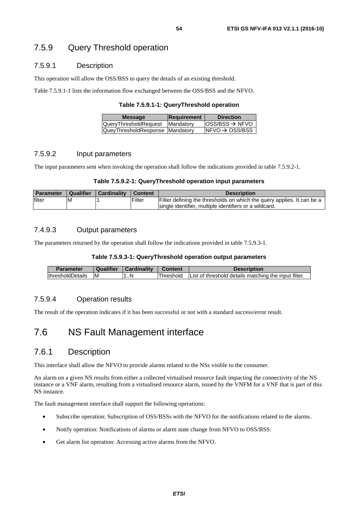# 7.5.9 Query Threshold operation

### 7.5.9.1 Description

This operation will allow the OSS/BSS to query the details of an existing threshold.

Table 7.5.9.1-1 lists the information flow exchanged between the OSS/BSS and the NFVO.

**Table 7.5.9.1-1: QueryThreshold operation** 

| <b>Message</b>                  | Requirement      | <b>Direction</b>            |
|---------------------------------|------------------|-----------------------------|
| <b>QueryThresholdRequest</b>    | <b>Mandatory</b> | $ OSS/BSS \rightarrow NFVO$ |
| QueyThresholdResponse Mandatory |                  | $INFVO \rightarrow OSS/BSS$ |
|                                 |                  |                             |

### 7.5.9.2 Input parameters

The input parameters sent when invoking the operation shall follow the indications provided in table 7.5.9.2-1.

### **Table 7.5.9.2-1: QueryThreshold operation input parameters**

| <b>Parameter</b> | Qualifier | <b>Cardinality</b> | I Content | <b>Description</b>                                                     |
|------------------|-----------|--------------------|-----------|------------------------------------------------------------------------|
| filter           | ΙM        |                    | Filter    | Filter defining the thresholds on which the query applies. It can be a |
|                  |           |                    |           | Isingle identifier, multiple identifiers or a wildcard.                |

### 7.4.9.3 Output parameters

The parameters returned by the operation shall follow the indications provided in table 7.5.9.3-1.

### **Table 7.5.9.3-1: QueryThreshold operation output parameters**

| Parameter                | Qualifier | Cardinality | <b>Content</b> | <b>Description</b>                                   |
|--------------------------|-----------|-------------|----------------|------------------------------------------------------|
| <b>IthresholdDetails</b> | ΙM        | . . N       | Threshold      | List of threshold details matching the input filter. |

### 7.5.9.4 Operation results

The result of the operation indicates if it has been successful or not with a standard success/error result.

# 7.6 NS Fault Management interface

# 7.6.1 Description

This interface shall allow the NFVO to provide alarms related to the NSs visible to the consumer.

An alarm on a given NS results from either a collected virtualised resource fault impacting the connectivity of the NS instance or a VNF alarm, resulting from a virtualised resource alarm, issued by the VNFM for a VNF that is part of this NS instance.

The fault management interface shall support the following operations:

- Subscribe operation: Subscription of OSS/BSSs with the NFVO for the notifications related to the alarms.
- Notify operation: Notifications of alarms or alarm state change from NFVO to OSS/BSS.
- Get alarm list operation: Accessing active alarms from the NFVO.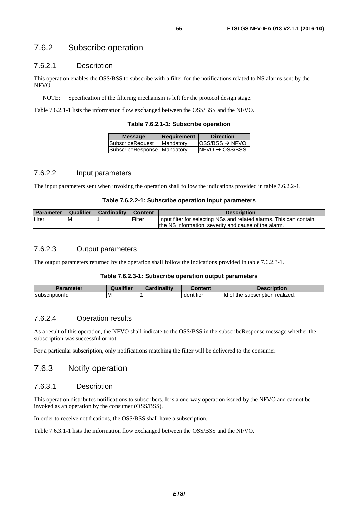# 7.6.2 Subscribe operation

### 7.6.2.1 Description

This operation enables the OSS/BSS to subscribe with a filter for the notifications related to NS alarms sent by the NFVO.

NOTE: Specification of the filtering mechanism is left for the protocol design stage.

Table 7.6.2.1-1 lists the information flow exchanged between the OSS/BSS and the NFVO.

| <b>Message</b>                | Requirement | <b>Direction</b>           |
|-------------------------------|-------------|----------------------------|
| <b>SubscribeRequest</b>       | Mandatory   | $OSS/BSS \rightarrow NFVO$ |
| SubscribeResponse   Mandatory |             | $NFVO \rightarrow OSS/BSS$ |
|                               |             |                            |

### 7.6.2.2 Input parameters

The input parameters sent when invoking the operation shall follow the indications provided in table 7.6.2.2-1.

### **Table 7.6.2.2-1: Subscribe operation input parameters**

| <b>Parameter</b> | Qualifier | <b>Cardinality</b> | <b>Content</b> | <b>Description</b>                                                  |
|------------------|-----------|--------------------|----------------|---------------------------------------------------------------------|
| filter           | ΙM        |                    | Filter         | Input filter for selecting NSs and related alarms. This can contain |
|                  |           |                    |                | the NS information, severity and cause of the alarm.                |

### 7.6.2.3 Output parameters

The output parameters returned by the operation shall follow the indications provided in table 7.6.2.3-1.

### **Table 7.6.2.3-1: Subscribe operation output parameters**

| Parameter                     | <b>Iunlifior</b> | .<br><br>`ordinol<br>. | $-$ ntani<br>∪ontent               | escription                                             |
|-------------------------------|------------------|------------------------|------------------------------------|--------------------------------------------------------|
| scriptionId<br><b>Isubscr</b> | ΙM               |                        | $\cdots$<br>.<br><b>Haentifie,</b> | lld<br>realized.<br>---<br>οt<br>the<br>. subscription |

### 7.6.2.4 Operation results

As a result of this operation, the NFVO shall indicate to the OSS/BSS in the subscribeResponse message whether the subscription was successful or not.

For a particular subscription, only notifications matching the filter will be delivered to the consumer.

# 7.6.3 Notify operation

### 7.6.3.1 Description

This operation distributes notifications to subscribers. It is a one-way operation issued by the NFVO and cannot be invoked as an operation by the consumer (OSS/BSS).

In order to receive notifications, the OSS/BSS shall have a subscription.

Table 7.6.3.1-1 lists the information flow exchanged between the OSS/BSS and the NFVO.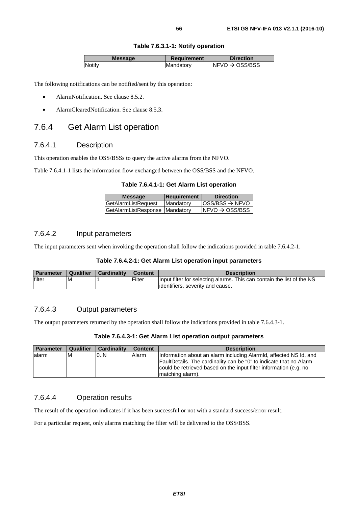### **Table 7.6.3.1-1: Notify operation**

| <b>Message</b> | Requirement       | <b>Direction</b>            |
|----------------|-------------------|-----------------------------|
| Notifv         | <b>IMandatorv</b> | INFVO $\rightarrow$ OSS/BSS |
|                |                   |                             |

The following notifications can be notified/sent by this operation:

- AlarmNotification. See clause 8.5.2.
- AlarmClearedNotification. See clause 8.5.3.

# 7.6.4 Get Alarm List operation

### 7.6.4.1 Description

This operation enables the OSS/BSSs to query the active alarms from the NFVO.

Table 7.6.4.1-1 lists the information flow exchanged between the OSS/BSS and the NFVO.

#### **Table 7.6.4.1-1: Get Alarm List operation**

| <b>Message</b>                 | Requirement | <b>Direction</b>            |
|--------------------------------|-------------|-----------------------------|
| GetAlarmListRequest            | Mandatory   | $OSS/BSS \rightarrow NFVO$  |
| GetAlarmListResponse Mandatory |             | $INFVO \rightarrow OSS/BSS$ |
|                                |             |                             |

## 7.6.4.2 Input parameters

The input parameters sent when invoking the operation shall follow the indications provided in table 7.6.4.2-1.

### **Table 7.6.4.2-1: Get Alarm List operation input parameters**

| <b>Parameter</b> | Qualifier | Cardinality | I Content     | <b>Description</b>                                                     |
|------------------|-----------|-------------|---------------|------------------------------------------------------------------------|
| filter           | <b>M</b>  |             | <b>Filter</b> | Input filter for selecting alarms. This can contain the list of the NS |
|                  |           |             |               | lidentifiers, severity and cause.                                      |

### 7.6.4.3 Output parameters

The output parameters returned by the operation shall follow the indications provided in table 7.6.4.3-1.

### **Table 7.6.4.3-1: Get Alarm List operation output parameters**

| <b>Parameter</b> | Qualifier | <b>Cardinality</b> | <b>Content</b> | <b>Description</b>                                                                                                                                                                                                                |
|------------------|-----------|--------------------|----------------|-----------------------------------------------------------------------------------------------------------------------------------------------------------------------------------------------------------------------------------|
| lalarm           | M         | 0.N                | Alarm          | Information about an alarm including Alarmid, affected NS Id, and<br>FaultDetails. The cardinality can be "0" to indicate that no Alarm<br>could be retrieved based on the input filter information (e.g. no<br>Imatching alarm). |

### 7.6.4.4 Operation results

The result of the operation indicates if it has been successful or not with a standard success/error result.

For a particular request, only alarms matching the filter will be delivered to the OSS/BSS.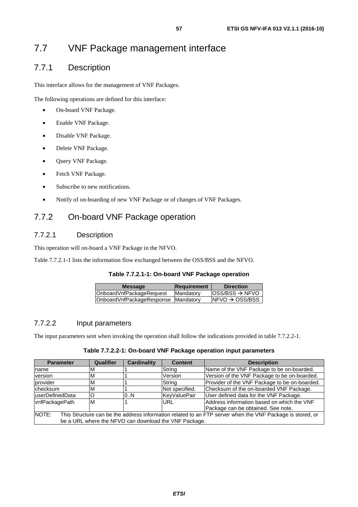# 7.7.1 Description

This interface allows for the management of VNF Packages.

The following operations are defined for this interface:

- On-board VNF Package.
- Enable VNF Package.
- Disable VNF Package.
- Delete VNF Package.
- Query VNF Package.
- Fetch VNF Package.
- Subscribe to new notifications.
- Notify of on-boarding of new VNF Package or of changes of VNF Packages.

# 7.7.2 On-board VNF Package operation

# 7.7.2.1 Description

This operation will on-board a VNF Package in the NFVO.

Table 7.7.2.1-1 lists the information flow exchanged between the OSS/BSS and the NFVO.

### **Table 7.7.2.1-1: On-board VNF Package operation**

| <b>Message</b>                      | Requirement | <b>Direction</b>             |
|-------------------------------------|-------------|------------------------------|
| OnboardVnfPackageRequest            | Mandatory   | $loss/ BSS \rightarrow NFVO$ |
| OnboardVnfPackageResponse Mandatory |             | $NFVO \rightarrow OSS/BSS$   |
|                                     |             |                              |

# 7.7.2.2 Input parameters

The input parameters sent when invoking the operation shall follow the indications provided in table 7.7.2.2-1.

### **Table 7.7.2.2-1: On-board VNF Package operation input parameters**

| <b>Parameter</b>                                                                                                    | Qualifier | <b>Cardinality</b> | <b>Content</b> | <b>Description</b>                            |  |
|---------------------------------------------------------------------------------------------------------------------|-----------|--------------------|----------------|-----------------------------------------------|--|
| Iname                                                                                                               | M         |                    | String         | Name of the VNF Package to be on-boarded.     |  |
| version                                                                                                             | м         |                    | Version        | Version of the VNF Package to be on-boarded.  |  |
| provider                                                                                                            | M         |                    | String         | Provider of the VNF Package to be on-boarded. |  |
| <b>checksum</b>                                                                                                     | M         |                    | Not specified. | Checksum of the on-boarded VNF Package.       |  |
| luserDefinedData                                                                                                    |           | 0.N                | KevValuePair   | User defined data for the VNF Package.        |  |
| vnfPackagePath                                                                                                      | M         |                    | URL            | Address information based on which the VNF    |  |
|                                                                                                                     |           |                    |                | Package can be obtained. See note.            |  |
| INOTE:<br>This Structure can be the address information related to an FTP server when the VNF Package is stored, or |           |                    |                |                                               |  |
| be a URL where the NFVO can download the VNF Package.                                                               |           |                    |                |                                               |  |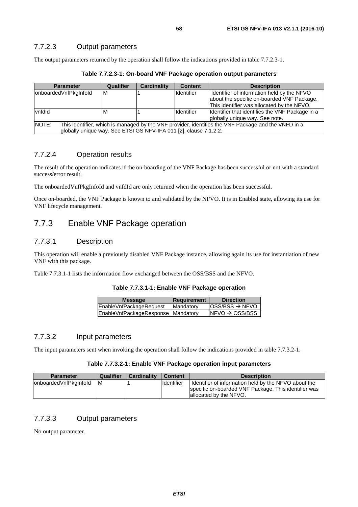The output parameters returned by the operation shall follow the indications provided in table 7.7.2.3-1.

| <b>Parameter</b>                                                                                             | Qualifier | Cardinality | <b>Content</b> | <b>Description</b>                              |  |
|--------------------------------------------------------------------------------------------------------------|-----------|-------------|----------------|-------------------------------------------------|--|
| onboardedVnfPkgInfold                                                                                        | ΙM        |             | Identifier     | Identifier of information held by the NFVO      |  |
|                                                                                                              |           |             |                | about the specific on-boarded VNF Package.      |  |
|                                                                                                              |           |             |                | This identifier was allocated by the NFVO.      |  |
| vnfdld                                                                                                       | M         |             | Identifier     | Identifier that identifies the VNF Package in a |  |
|                                                                                                              |           |             |                | globally unique way. See note.                  |  |
| NOTE:<br>This identifier, which is managed by the VNF provider, identifies the VNF Package and the VNFD in a |           |             |                |                                                 |  |
| globally unique way. See ETSI GS NFV-IFA 011 [2], clause 7.1.2.2.                                            |           |             |                |                                                 |  |

**Table 7.7.2.3-1: On-board VNF Package operation output parameters** 

# 7.7.2.4 Operation results

The result of the operation indicates if the on-boarding of the VNF Package has been successful or not with a standard success/error result.

The onboardedVnfPkgInfoId and vnfdId are only returned when the operation has been successful.

Once on-boarded, the VNF Package is known to and validated by the NFVO. It is in Enabled state, allowing its use for VNF lifecycle management.

# 7.7.3 Enable VNF Package operation

## 7.7.3.1 Description

This operation will enable a previously disabled VNF Package instance, allowing again its use for instantiation of new VNF with this package.

Table 7.7.3.1-1 lists the information flow exchanged between the OSS/BSS and the NFVO.

### **Table 7.7.3.1-1: Enable VNF Package operation**

| <b>Message</b>                     | <b>Requirement</b> | <b>Direction</b>            |
|------------------------------------|--------------------|-----------------------------|
| EnableVnfPackageRequest            | Mandatory          | $ OSS/BSS \rightarrow NFVO$ |
| EnableVnfPackageResponse Mandatory |                    | $NFO \rightarrow OSS/ BSS$  |

### 7.7.3.2 Input parameters

The input parameters sent when invoking the operation shall follow the indications provided in table 7.7.3.2-1.

### **Table 7.7.3.2-1: Enable VNF Package operation input parameters**

| <b>Parameter</b>       | <b>Qualifier</b> | <b>Cardinality</b> | <b>Content</b> | <b>Description</b>                                                                                           |
|------------------------|------------------|--------------------|----------------|--------------------------------------------------------------------------------------------------------------|
| lonboardedVnfPkgInfold | ΙM               |                    | Identifier     | Identifier of information held by the NFVO about the<br>specific on-boarded VNF Package. This identifier was |
|                        |                  |                    |                | allocated by the NFVO.                                                                                       |

## 7.7.3.3 Output parameters

No output parameter.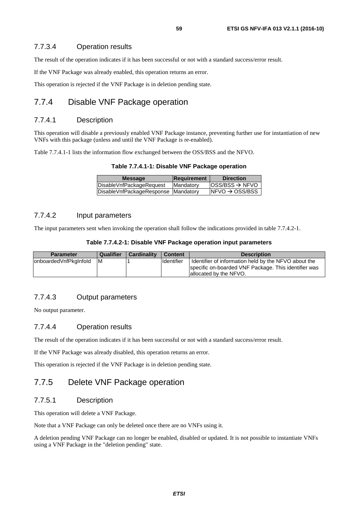### 7.7.3.4 Operation results

The result of the operation indicates if it has been successful or not with a standard success/error result.

If the VNF Package was already enabled, this operation returns an error.

This operation is rejected if the VNF Package is in deletion pending state.

# 7.7.4 Disable VNF Package operation

### 7.7.4.1 Description

This operation will disable a previously enabled VNF Package instance, preventing further use for instantiation of new VNFs with this package (unless and until the VNF Package is re-enabled).

Table 7.7.4.1-1 lists the information flow exchanged between the OSS/BSS and the NFVO.

| <b>Message</b>                      | Requirement       | <b>Direction</b>            |
|-------------------------------------|-------------------|-----------------------------|
| DisableVnfPackageRequest            | <b>IMandatory</b> | $ OSS/BSS \rightarrow NFVO$ |
| DisableVnfPackageResponse Mandatory |                   | $INFVO \rightarrow OSS/BSS$ |
|                                     |                   |                             |

### 7.7.4.2 Input parameters

The input parameters sent when invoking the operation shall follow the indications provided in table 7.7.4.2-1.

### **Table 7.7.4.2-1: Disable VNF Package operation input parameters**

| <b>Parameter</b>      | <b>Qualifier</b> | <b>Cardinality</b> | <b>Content</b>    | <b>Description</b>                                                                                                                     |
|-----------------------|------------------|--------------------|-------------------|----------------------------------------------------------------------------------------------------------------------------------------|
| onboardedVnfPkgInfold | <b>M</b>         |                    | <b>Identifier</b> | Identifier of information held by the NFVO about the<br>specific on-boarded VNF Package. This identifier was<br>allocated by the NFVO. |

### 7.7.4.3 Output parameters

No output parameter.

### 7.7.4.4 Operation results

The result of the operation indicates if it has been successful or not with a standard success/error result.

If the VNF Package was already disabled, this operation returns an error.

This operation is rejected if the VNF Package is in deletion pending state.

# 7.7.5 Delete VNF Package operation

## 7.7.5.1 Description

This operation will delete a VNF Package.

Note that a VNF Package can only be deleted once there are no VNFs using it.

A deletion pending VNF Package can no longer be enabled, disabled or updated. It is not possible to instantiate VNFs using a VNF Package in the "deletion pending" state.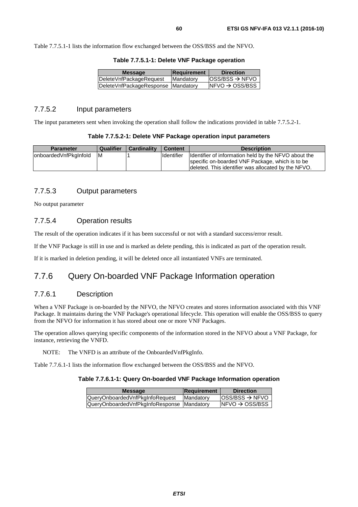Table 7.7.5.1-1 lists the information flow exchanged between the OSS/BSS and the NFVO.

|  |  |  |  |  | Table 7.7.5.1-1: Delete VNF Package operation |
|--|--|--|--|--|-----------------------------------------------|
|--|--|--|--|--|-----------------------------------------------|

| <b>Message</b>                     | Requirement | <b>Direction</b>            |
|------------------------------------|-------------|-----------------------------|
| DeleteVnfPackageRequest            | Mandatory   | $ OSS/BSS \rightarrow NFVO$ |
| DeleteVnfPackageResponse Mandatory |             | $NFVO \rightarrow OSS/BSS$  |
|                                    |             |                             |

### 7.7.5.2 Input parameters

The input parameters sent when invoking the operation shall follow the indications provided in table 7.7.5.2-1.

### **Table 7.7.5.2-1: Delete VNF Package operation input parameters**

| <b>Parameter</b>      | Qualifier | <b>Cardinality</b> | <b>Content</b>     | <b>Description</b>                                                                                     |
|-----------------------|-----------|--------------------|--------------------|--------------------------------------------------------------------------------------------------------|
| onboardedVnfPkgInfold | IM        |                    | <b>I</b> dentifier | Identifier of information held by the NFVO about the                                                   |
|                       |           |                    |                    | specific on-boarded VNF Package, which is to be<br>deleted. This identifier was allocated by the NFVO. |

### 7.7.5.3 Output parameters

No output parameter

## 7.7.5.4 Operation results

The result of the operation indicates if it has been successful or not with a standard success/error result.

If the VNF Package is still in use and is marked as delete pending, this is indicated as part of the operation result.

If it is marked in deletion pending, it will be deleted once all instantiated VNFs are terminated.

# 7.7.6 Query On-boarded VNF Package Information operation

### 7.7.6.1 Description

When a VNF Package is on-boarded by the NFVO, the NFVO creates and stores information associated with this VNF Package. It maintains during the VNF Package's operational lifecycle. This operation will enable the OSS/BSS to query from the NFVO for information it has stored about one or more VNF Packages.

The operation allows querying specific components of the information stored in the NFVO about a VNF Package, for instance, retrieving the VNFD.

NOTE: The VNFD is an attribute of the OnboardedVnfPkgInfo.

Table 7.7.6.1-1 lists the information flow exchanged between the OSS/BSS and the NFVO.

### **Table 7.7.6.1-1: Query On-boarded VNF Package Information operation**

| <b>Message</b>                             | Requirement | <b>Direction</b>             |
|--------------------------------------------|-------------|------------------------------|
| QueryOnboardedVnfPkgInfoRequest            | Mandatory   | $loss/ BSS \rightarrow NFVO$ |
| QueryOnboardedVnfPkgInfoResponse Mandatory |             | INFVO $\rightarrow$ OSS/BSS  |
|                                            |             |                              |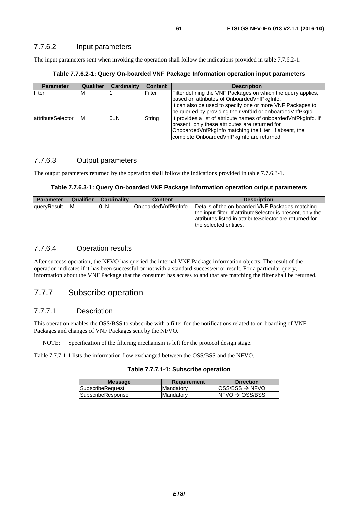The input parameters sent when invoking the operation shall follow the indications provided in table 7.7.6.2-1.

**Table 7.7.6.2-1: Query On-boarded VNF Package Information operation input parameters** 

| <b>Parameter</b>          | Qualifier | <b>Cardinality</b> | <b>Content</b> | <b>Description</b>                                                                                                                                                                                                                       |
|---------------------------|-----------|--------------------|----------------|------------------------------------------------------------------------------------------------------------------------------------------------------------------------------------------------------------------------------------------|
| filter                    | M         |                    | Filter         | Filter defining the VNF Packages on which the query applies,<br>based on attributes of OnboardedVnfPkgInfo.<br>It can also be used to specify one or more VNF Packages to<br>be queried by providing their vnfdld or onboarded VnfPkgld. |
| <b>lattributeSelector</b> | ΙM        | 0.N                | String         | It provides a list of attribute names of onboarded VnfPkgInfo. If<br>present, only these attributes are returned for<br>Onboarded VnfPkgInfo matching the filter. If absent, the<br>complete Onboarded Vnf Pkg Info are returned.        |

## 7.7.6.3 Output parameters

The output parameters returned by the operation shall follow the indications provided in table 7.7.6.3-1.

|  | Table 7.7.6.3-1: Query On-boarded VNF Package Information operation output parameters |  |  |  |
|--|---------------------------------------------------------------------------------------|--|--|--|
|--|---------------------------------------------------------------------------------------|--|--|--|

| <b>Parameter</b> | Qualifier | <b>Cardinality</b> | <b>Content</b>      | <b>Description</b>                                                                                                                                                                                   |
|------------------|-----------|--------------------|---------------------|------------------------------------------------------------------------------------------------------------------------------------------------------------------------------------------------------|
| queryResult      | ΙM        | 0N                 | OnboardedVnfPkgInfo | Details of the on-boarded VNF Packages matching<br>the input filter. If attribute Selector is present, only the<br>attributes listed in attributeSelector are returned for<br>the selected entities. |

## 7.7.6.4 Operation results

After success operation, the NFVO has queried the internal VNF Package information objects. The result of the operation indicates if it has been successful or not with a standard success/error result. For a particular query, information about the VNF Package that the consumer has access to and that are matching the filter shall be returned.

# 7.7.7 Subscribe operation

# 7.7.7.1 Description

This operation enables the OSS/BSS to subscribe with a filter for the notifications related to on-boarding of VNF Packages and changes of VNF Packages sent by the NFVO.

NOTE: Specification of the filtering mechanism is left for the protocol design stage.

Table 7.7.7.1-1 lists the information flow exchanged between the OSS/BSS and the NFVO.

### **Table 7.7.7.1-1: Subscribe operation**

| <b>Message</b>           | <b>Requirement</b> | <b>Direction</b>                                       |
|--------------------------|--------------------|--------------------------------------------------------|
| SubscribeRequest         | Mandatory          | $\textsf{loss}/\textsf{BSS} \rightarrow \textsf{NFVO}$ |
| <b>SubscribeResponse</b> | Mandatory          | $NFVO \rightarrow OSS/BSS$                             |
|                          |                    |                                                        |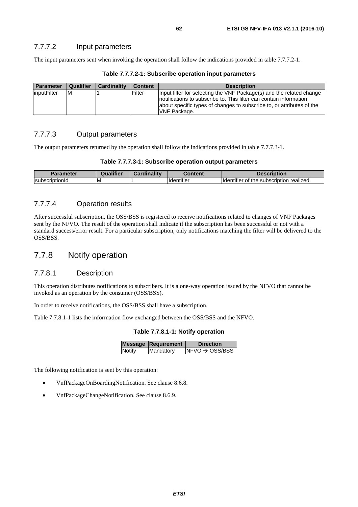## 7.7.7.2 Input parameters

The input parameters sent when invoking the operation shall follow the indications provided in table 7.7.7.2-1.

| Parameter                 | Qualifier | <b>Cardinality</b> | <b>Content</b> | <b>Description</b>                                                                                                                                                                                                                          |
|---------------------------|-----------|--------------------|----------------|---------------------------------------------------------------------------------------------------------------------------------------------------------------------------------------------------------------------------------------------|
| <i><b>InputFilter</b></i> | ΙM        |                    | Filter         | Input filter for selecting the VNF Package(s) and the related change<br>Inotifications to subscribe to. This filter can contain information<br>about specific types of changes to subscribe to, or attributes of the<br><b>VNF Package.</b> |

**Table 7.7.7.2-1: Subscribe operation input parameters** 

# 7.7.7.3 Output parameters

The output parameters returned by the operation shall follow the indications provided in table 7.7.7.3-1.

| Table 7.7.7.3-1: Subscribe operation output parameters |  |  |
|--------------------------------------------------------|--|--|
|--------------------------------------------------------|--|--|

| <b>Parameter</b>       | Qualifier | <b>Cardinality</b> | Content                        | <b>Description</b>                                          |
|------------------------|-----------|--------------------|--------------------------------|-------------------------------------------------------------|
| <b>IsubscriptionId</b> | ΙM        |                    | $\cdots$<br><b>Ildentifier</b> | realized.<br>subscription<br><b>Ildentifier</b><br>me<br>OI |

### 7.7.7.4 Operation results

After successful subscription, the OSS/BSS is registered to receive notifications related to changes of VNF Packages sent by the NFVO. The result of the operation shall indicate if the subscription has been successful or not with a standard success/error result. For a particular subscription, only notifications matching the filter will be delivered to the OSS/BSS.

# 7.7.8 Notify operation

### 7.7.8.1 Description

This operation distributes notifications to subscribers. It is a one-way operation issued by the NFVO that cannot be invoked as an operation by the consumer (OSS/BSS).

In order to receive notifications, the OSS/BSS shall have a subscription.

Table 7.7.8.1-1 lists the information flow exchanged between the OSS/BSS and the NFVO.

|  | Table 7.7.8.1-1: Notify operation |
|--|-----------------------------------|
|--|-----------------------------------|

|        | <b>Message Requirement</b> | <b>Direction</b>            |
|--------|----------------------------|-----------------------------|
| Notify | Mandatory                  | $INFVO \rightarrow OSS/BSS$ |
|        |                            |                             |

The following notification is sent by this operation:

- VnfPackageOnBoardingNotification. See clause 8.6.8.
- VnfPackageChangeNotification. See clause 8.6.9.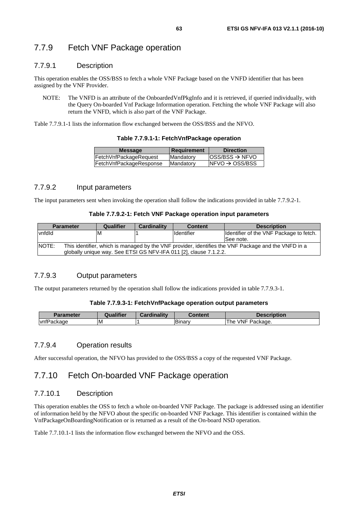### 7.7.9.1 Description

This operation enables the OSS/BSS to fetch a whole VNF Package based on the VNFD identifier that has been assigned by the VNF Provider.

NOTE: The VNFD is an attribute of the OnboardedVnfPkgInfo and it is retrieved, if queried individually, with the Query On-boarded Vnf Package Information operation. Fetching the whole VNF Package will also return the VNFD, which is also part of the VNF Package.

Table 7.7.9.1-1 lists the information flow exchanged between the OSS/BSS and the NFVO.

| <b>Message</b>          | Requirement | <b>Direction</b>            |
|-------------------------|-------------|-----------------------------|
| FetchVnfPackageRequest  | Mandatory   | $ OSS/BSS \rightarrow NFVO$ |
| FetchVnfPackageResponse | Mandatory   | INFVO $\rightarrow$ OSS/BSS |
|                         |             |                             |

### **Table 7.7.9.1-1: FetchVnfPackage operation**

### 7.7.9.2 Input parameters

The input parameters sent when invoking the operation shall follow the indications provided in table 7.7.9.2-1.

### **Table 7.7.9.2-1: Fetch VNF Package operation input parameters**

|                                                                                                              | <b>Parameter</b> | Qualifier | <b>Cardinality</b> | <b>Content</b>                                                    | <b>Description</b>                      |
|--------------------------------------------------------------------------------------------------------------|------------------|-----------|--------------------|-------------------------------------------------------------------|-----------------------------------------|
| vnfdld                                                                                                       |                  | ΙM        |                    | Identifier                                                        | Identifier of the VNF Package to fetch. |
|                                                                                                              |                  |           |                    |                                                                   | ISee note.                              |
| NOTE:<br>This identifier, which is managed by the VNF provider, identifies the VNF Package and the VNFD in a |                  |           |                    |                                                                   |                                         |
|                                                                                                              |                  |           |                    | globally unique way. See ETSI GS NFV-IFA 011 [2], clause 7.1.2.2. |                                         |

## 7.7.9.3 Output parameters

The output parameters returned by the operation shall follow the indications provided in table 7.7.9.3-1.

### **Table 7.7.9.3-1: FetchVnfPackage operation output parameters**

| ╌<br>Parameter                                     | <b>Jualifier</b> | <b>Cardinality</b> | Content      | <b>Description</b>                  |
|----------------------------------------------------|------------------|--------------------|--------------|-------------------------------------|
| $\overline{\phantom{a}}$<br>'ackage<br><b>Vntl</b> | ıм               |                    | <b>Binar</b> | <b>VNF</b><br>-<br>Package.<br>l he |

## 7.7.9.4 Operation results

After successful operation, the NFVO has provided to the OSS/BSS a copy of the requested VNF Package.

# 7.7.10 Fetch On-boarded VNF Package operation

### 7.7.10.1 Description

This operation enables the OSS to fetch a whole on-boarded VNF Package. The package is addressed using an identifier of information held by the NFVO about the specific on-boarded VNF Package. This identifier is contained within the VnfPackageOnBoardingNotification or is returned as a result of the On-board NSD operation.

Table 7.7.10.1-1 lists the information flow exchanged between the NFVO and the OSS.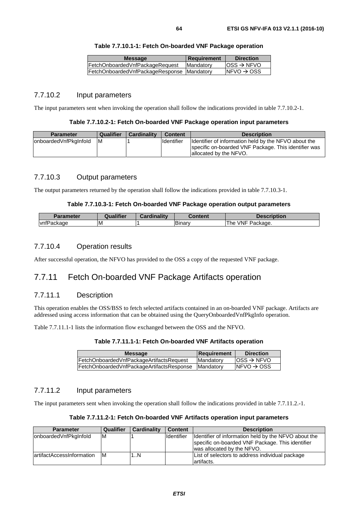| <b>Message</b>                             | Requirement | <b>Direction</b>        |
|--------------------------------------------|-------------|-------------------------|
| FetchOnboardedVnfPackageRequest            | Mandatory   | $ OSS \rightarrow NFVO$ |
| FetchOnboardedVnfPackageResponse Mandatory |             | $INFVO \rightarrow OSS$ |
|                                            |             |                         |

### 7.7.10.2 Input parameters

The input parameters sent when invoking the operation shall follow the indications provided in table 7.7.10.2-1.

### **Table 7.7.10.2-1: Fetch On-boarded VNF Package operation input parameters**

| <b>Parameter</b>      | Qualifier | <b>Cardinality</b> | <b>Content</b> | <b>Description</b>                                                                                                                      |
|-----------------------|-----------|--------------------|----------------|-----------------------------------------------------------------------------------------------------------------------------------------|
| onboardedVnfPkgInfold | IM        |                    | Identifier     | Ildentifier of information held by the NFVO about the<br>specific on-boarded VNF Package. This identifier was<br>allocated by the NFVO. |

### 7.7.10.3 Output parameters

The output parameters returned by the operation shall follow the indications provided in table 7.7.10.3-1.

### **Table 7.7.10.3-1: Fetch On-boarded VNF Package operation output parameters**

| Parameter  | Qualifier | <b>Cardinality</b><br>⊿dir | Content | <b>Description</b>                 |
|------------|-----------|----------------------------|---------|------------------------------------|
| vnfPackage | ΙM        |                            | IBinarv | <b>VNF</b><br>-<br>The<br>Package. |

### 7.7.10.4 Operation results

After successful operation, the NFVO has provided to the OSS a copy of the requested VNF package.

# 7.7.11 Fetch On-boarded VNF Package Artifacts operation

## 7.7.11.1 Description

This operation enables the OSS/BSS to fetch selected artifacts contained in an on-boarded VNF package. Artifacts are addressed using access information that can be obtained using the QueryOnboardedVnfPkgInfo operation.

Table 7.7.11.1-1 lists the information flow exchanged between the OSS and the NFVO.

| Table 7.7.11.1-1: Fetch On-boarded VNF Artifacts operation |  |  |
|------------------------------------------------------------|--|--|
|------------------------------------------------------------|--|--|

| <b>Message</b>                            | <b>Requirement</b> | <b>Direction</b>                         |
|-------------------------------------------|--------------------|------------------------------------------|
| FetchOnboardedVnfPackageArtifactsRequest  | <b>Mandatory</b>   | $\textsf{loss}\rightarrow \textsf{NFVO}$ |
| FetchOnboardedVnfPackageArtifactsResponse | <b>IMandatory</b>  | $INFVO \rightarrow OSS$                  |
|                                           |                    |                                          |

### 7.7.11.2 Input parameters

The input parameters sent when invoking the operation shall follow the indications provided in table 7.7.11.2.-1.

| Table 7.7.11.2-1: Fetch On-boarded VNF Artifacts operation input parameters |  |
|-----------------------------------------------------------------------------|--|
|-----------------------------------------------------------------------------|--|

| <b>Parameter</b>           | <b>Qualifier</b> | Cardinality | <b>Content</b>    | <b>Description</b>                                                                                                                     |
|----------------------------|------------------|-------------|-------------------|----------------------------------------------------------------------------------------------------------------------------------------|
| onboardedVnfPkgInfold      | ΙM               |             | <b>Identifier</b> | Identifier of information held by the NFVO about the<br>specific on-boarded VNF Package. This identifier<br>was allocated by the NFVO. |
| lartifactAccessInformation | ΙM               | 1N          |                   | List of selectors to address individual package<br>lartifacts.                                                                         |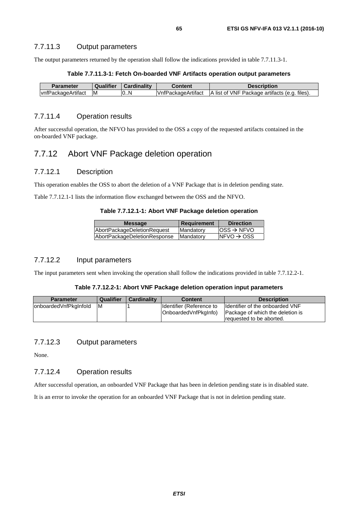The output parameters returned by the operation shall follow the indications provided in table 7.7.11.3-1.

### **Table 7.7.11.3-1: Fetch On-boarded VNF Artifacts operation output parameters**

| <b>Parameter</b>   | Qualifier | Cardinality | Content             | <b>Description</b>                            |
|--------------------|-----------|-------------|---------------------|-----------------------------------------------|
| vnfPackageArtifact | ΙM        | 10N         | lVnfPackageArtifact | A list of VNF Package artifacts (e.g. files). |

## 7.7.11.4 Operation results

After successful operation, the NFVO has provided to the OSS a copy of the requested artifacts contained in the on-boarded VNF package.

# 7.7.12 Abort VNF Package deletion operation

### 7.7.12.1 Description

This operation enables the OSS to abort the deletion of a VNF Package that is in deletion pending state.

Table 7.7.12.1-1 lists the information flow exchanged between the OSS and the NFVO.

### **Table 7.7.12.1-1: Abort VNF Package deletion operation**

| <b>Message</b>               | <b>Requirement</b> | <b>Direction</b>        |
|------------------------------|--------------------|-------------------------|
| AbortPackageDeletionRequest  | Mandatory          | $OSS \rightarrow NFVO$  |
| AbortPackageDeletionResponse | Mandatory          | $INFVO \rightarrow OSS$ |
|                              |                    |                         |

## 7.7.12.2 Input parameters

The input parameters sent when invoking the operation shall follow the indications provided in table 7.7.12.2-1.

### **Table 7.7.12.2-1: Abort VNF Package deletion operation input parameters**

| <b>Parameter</b>       | <b>Qualifier</b> | <b>Cardinality</b> | <b>Content</b>                                     | <b>Description</b>                                                                               |
|------------------------|------------------|--------------------|----------------------------------------------------|--------------------------------------------------------------------------------------------------|
| lonboardedVnfPkgInfold | ΙM               |                    | Ildentifier (Reference to<br> OnboardedVnfPkgInfo) | Ildentifier of the onboarded VNF<br>Package of which the deletion is<br>requested to be aborted. |
|                        |                  |                    |                                                    |                                                                                                  |

## 7.7.12.3 Output parameters

None.

## 7.7.12.4 Operation results

After successful operation, an onboarded VNF Package that has been in deletion pending state is in disabled state.

It is an error to invoke the operation for an onboarded VNF Package that is not in deletion pending state.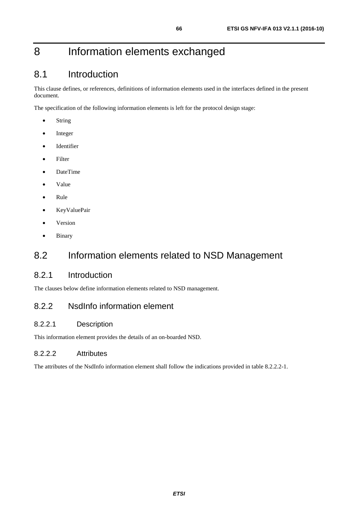# 8 Information elements exchanged

# 8.1 Introduction

This clause defines, or references, definitions of information elements used in the interfaces defined in the present document.

The specification of the following information elements is left for the protocol design stage:

- String
- Integer
- Identifier
- Filter
- DateTime
- Value
- Rule
- KeyValuePair
- Version
- Binary

# 8.2 Information elements related to NSD Management

# 8.2.1 Introduction

The clauses below define information elements related to NSD management.

# 8.2.2 NsdInfo information element

# 8.2.2.1 Description

This information element provides the details of an on-boarded NSD.

# 8.2.2.2 Attributes

The attributes of the NsdInfo information element shall follow the indications provided in table 8.2.2.2-1.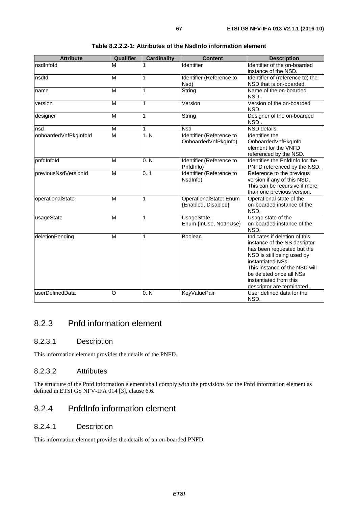| <b>Attribute</b>      | Qualifier               | <b>Cardinality</b> | <b>Content</b>                                   | <b>Description</b>                                                                                                                                                                                                                                                 |
|-----------------------|-------------------------|--------------------|--------------------------------------------------|--------------------------------------------------------------------------------------------------------------------------------------------------------------------------------------------------------------------------------------------------------------------|
| nsdInfold             | M                       |                    | Identifier                                       | Identifier of the on-boarded<br>instance of the NSD.                                                                                                                                                                                                               |
| nsdld                 | M                       | 1                  | Identifier (Reference to<br>Nsd)                 | Identifier of (reference to) the<br>NSD that is on-boarded.                                                                                                                                                                                                        |
| name                  | M                       | 1                  | String                                           | Name of the on-boarded<br>NSD.                                                                                                                                                                                                                                     |
| version               | M                       | 1                  | Version                                          | Version of the on-boarded<br>NSD.                                                                                                                                                                                                                                  |
| designer              | M                       | $\mathbf{1}$       | String                                           | Designer of the on-boarded<br>NSD.                                                                                                                                                                                                                                 |
| nsd                   | M                       | 1                  | <b>Nsd</b>                                       | NSD details.                                                                                                                                                                                                                                                       |
| onboardedVnfPkgInfold | M                       | 1.N                | Identifier (Reference to<br>OnboardedVnfPkgInfo) | Identifies the<br>OnboardedVnfPkgInfo<br>element for the VNFD<br>referenced by the NSD.                                                                                                                                                                            |
| pnfdlnfold            | $\overline{\mathsf{M}}$ | 0.N                | Identifier (Reference to<br>PnfdInfo)            | Identifies the PnfdInfo for the<br>PNFD referenced by the NSD.                                                                                                                                                                                                     |
| previousNsdVersionId  | M                       | 0.1                | Identifier (Reference to<br>NsdInfo)             | Reference to the previous<br>version if any of this NSD.<br>This can be recursive if more<br>than one previous version.                                                                                                                                            |
| operationalState      | M                       | 1                  | OperationalState: Enum<br>{Enabled, Disabled}    | Operational state of the<br>on-boarded instance of the<br>NSD.                                                                                                                                                                                                     |
| usageState            | M                       | 1                  | UsageState:<br>Enum {InUse, NotInUse}            | Usage state of the<br>on-boarded instance of the<br>NSD.                                                                                                                                                                                                           |
| deletionPending       | M                       | 1                  | Boolean                                          | Indicates if deletion of this<br>instance of the NS desriptor<br>has been requested but the<br>NSD is still being used by<br>instantiated NSs.<br>This instance of the NSD will<br>be deleted once all NSs<br>instantiated from this<br>descriptor are terminated. |
| userDefinedData       | $\overline{\circ}$      | 0.N                | <b>KeyValuePair</b>                              | User defined data for the<br>NSD.                                                                                                                                                                                                                                  |

### **Table 8.2.2.2-1: Attributes of the NsdInfo information element**

# 8.2.3 Pnfd information element

## 8.2.3.1 Description

This information element provides the details of the PNFD.

## 8.2.3.2 Attributes

The structure of the Pnfd information element shall comply with the provisions for the Pnfd information element as defined in ETSI GS NFV-IFA 014 [[3\]](#page-13-0), clause 6.6.

# 8.2.4 PnfdInfo information element

## 8.2.4.1 Description

This information element provides the details of an on-boarded PNFD.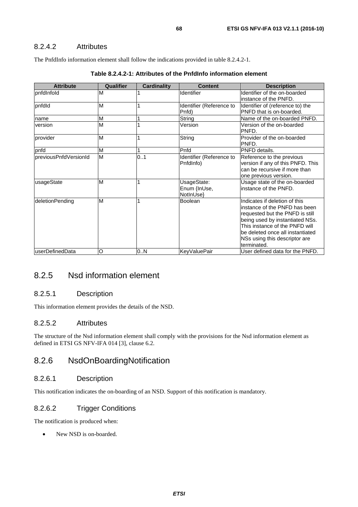## 8.2.4.2 Attributes

The PnfdInfo information element shall follow the indications provided in table 8.2.4.2-1.

| <b>Attribute</b>      | <b>Qualifier</b> | <b>Cardinality</b> | <b>Content</b>                           | <b>Description</b>                                                                                                                                                                                                                                          |
|-----------------------|------------------|--------------------|------------------------------------------|-------------------------------------------------------------------------------------------------------------------------------------------------------------------------------------------------------------------------------------------------------------|
| pnfdInfold            | M                |                    | Identifier                               | Identifier of the on-boarded<br>linstance of the PNFD.                                                                                                                                                                                                      |
| pnfdld                | M                |                    | Identifier (Reference to<br>Pnfd)        | Identifier of (reference to) the<br>PNFD that is on-boarded.                                                                                                                                                                                                |
| name                  | M                |                    | String                                   | Name of the on-boarded PNFD.                                                                                                                                                                                                                                |
| version               | M                |                    | Version                                  | Version of the on-boarded<br>PNFD.                                                                                                                                                                                                                          |
| provider              | M                |                    | String                                   | Provider of the on-boarded<br>PNFD.                                                                                                                                                                                                                         |
| pnfd                  | M                |                    | Pnfd                                     | PNFD details.                                                                                                                                                                                                                                               |
| previousPnfdVersionId | M                | 0.1                | Identifier (Reference to<br>PnfdInfo)    | Reference to the previous<br>version if any of this PNFD. This<br>can be recursive if more than<br>one previous version.                                                                                                                                    |
| usageState            | M                |                    | UsageState:<br>Enum {InUse,<br>NotInUse} | Usage state of the on-boarded<br>linstance of the PNFD.                                                                                                                                                                                                     |
| deletionPending       | M                |                    | Boolean                                  | Indicates if deletion of this<br>linstance of the PNFD has been<br>requested but the PNFD is still<br>being used by instantiated NSs.<br>This instance of the PNFD will<br>be deleted once all instantiated<br>NSs using this descriptor are<br>terminated. |
| userDefinedData       | O                | 0N                 | <b>KeyValuePair</b>                      | User defined data for the PNFD.                                                                                                                                                                                                                             |

| Table 8.2.4.2-1: Attributes of the PnfdInfo information element |  |  |
|-----------------------------------------------------------------|--|--|
|-----------------------------------------------------------------|--|--|

# 8.2.5 Nsd information element

## 8.2.5.1 Description

This information element provides the details of the NSD.

## 8.2.5.2 Attributes

The structure of the Nsd information element shall comply with the provisions for the Nsd information element as defined in ETSI GS NFV-IFA 014 [[3\]](#page-13-0), clause 6.2.

# 8.2.6 NsdOnBoardingNotification

### 8.2.6.1 Description

This notification indicates the on-boarding of an NSD. Support of this notification is mandatory.

## 8.2.6.2 Trigger Conditions

The notification is produced when:

New NSD is on-boarded.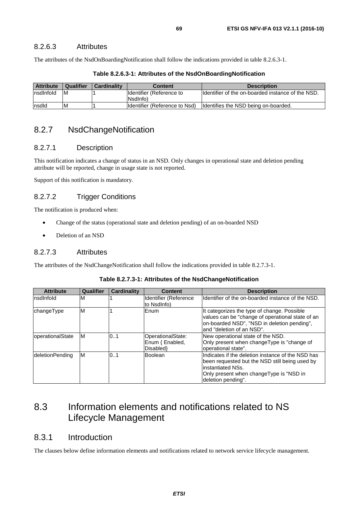### 8.2.6.3 Attributes

The attributes of the NsdOnBoardingNotification shall follow the indications provided in table 8.2.6.3-1.

| <b>Attribute</b> | Qualifier | <b>Cardinality</b> | <b>Content</b>                 | <b>Description</b>                                 |
|------------------|-----------|--------------------|--------------------------------|----------------------------------------------------|
| Insdinfold       | IM.       |                    | Identifier (Reference to       | Ildentifier of the on-boarded instance of the NSD. |
|                  |           |                    | (Nsdlnfo                       |                                                    |
| Insdld           | M         |                    | Ildentifier (Reference to Nsd) | Identifies the NSD being on-boarded.               |

### **Table 8.2.6.3-1: Attributes of the NsdOnBoardingNotification**

# 8.2.7 NsdChangeNotification

### 8.2.7.1 Description

This notification indicates a change of status in an NSD. Only changes in operational state and deletion pending attribute will be reported, change in usage state is not reported.

Support of this notification is mandatory.

## 8.2.7.2 Trigger Conditions

The notification is produced when:

- Change of the status (operational state and deletion pending) of an on-boarded NSD
- Deletion of an NSD

### 8.2.7.3 Attributes

The attributes of the NsdChangeNotification shall follow the indications provided in table 8.2.7.3-1.

| <b>Attribute</b> | Qualifier | <b>Cardinality</b> | <b>Content</b>                                   | <b>Description</b>                                                                                                                                                                          |
|------------------|-----------|--------------------|--------------------------------------------------|---------------------------------------------------------------------------------------------------------------------------------------------------------------------------------------------|
| Insdinfold       | M         |                    | Identifier (Reference<br>to NsdInfo)             | Ildentifier of the on-boarded instance of the NSD.                                                                                                                                          |
| changeType       | M         |                    | <b>Enum</b>                                      | It categorizes the type of change. Possible<br>values can be "change of operational state of an<br>on-boarded NSD", "NSD in deletion pending",<br>land "deletion of an NSD".                |
| operationalState | M         | 0.1                | OperationalState:<br>Enum { Enabled,<br>Disabled | New operational state of the NSD.<br>Only present when changeType is "change of<br>loperational state".                                                                                     |
| deletionPending  | IM        | 0.1                | Boolean                                          | IIndicates if the deletion instance of the NSD has<br>been requested but the NSD still being used by<br>linstantiated NSs.<br>Only present when changeType is "NSD in<br>deletion pending". |

#### **Table 8.2.7.3-1: Attributes of the NsdChangeNotification**

# 8.3 Information elements and notifications related to NS Lifecycle Management

# 8.3.1 Introduction

The clauses below define information elements and notifications related to network service lifecycle management.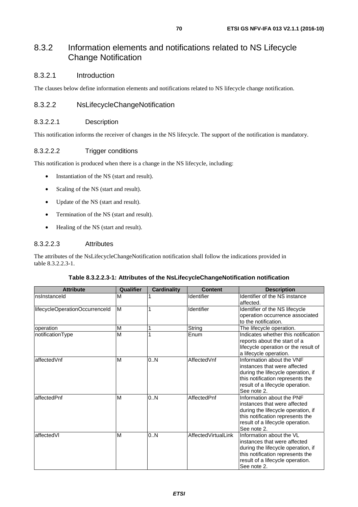# 8.3.2 Information elements and notifications related to NS Lifecycle Change Notification

## 8.3.2.1 Introduction

The clauses below define information elements and notifications related to NS lifecycle change notification.

### 8.3.2.2 NsLifecycleChangeNotification

### 8.3.2.2.1 Description

This notification informs the receiver of changes in the NS lifecycle. The support of the notification is mandatory.

### 8.3.2.2.2 Trigger conditions

This notification is produced when there is a change in the NS lifecycle, including:

- Instantiation of the NS (start and result).
- Scaling of the NS (start and result).
- Update of the NS (start and result).
- Termination of the NS (start and result).
- Healing of the NS (start and result).

### 8.3.2.2.3 Attributes

The attributes of the NsLifecycleChangeNotification notification shall follow the indications provided in table 8.3.2.2.3-1.

### **Table 8.3.2.2.3-1: Attributes of the NsLifecycleChangeNotification notification**

| <b>Attribute</b>               | Qualifier | <b>Cardinality</b> | <b>Content</b>      | <b>Description</b>                                                                                                                                                                     |
|--------------------------------|-----------|--------------------|---------------------|----------------------------------------------------------------------------------------------------------------------------------------------------------------------------------------|
| nsinstanceld                   | M         |                    | Identifier          | Identifier of the NS instance<br>affected.                                                                                                                                             |
| lifecycleOperationOccurrenceId | M         |                    | Identifier          | Identifier of the NS lifecycle<br>operation occurrence associated<br>to the notification.                                                                                              |
| operation                      | M         |                    | String              | The lifecycle operation.                                                                                                                                                               |
| notificationType               | M         |                    | Enum                | Indicates whether this notification<br>reports about the start of a<br>lifecycle operation or the result of<br>a lifecycle operation.                                                  |
| affectedVnf                    | M         | 0N                 | AffectedVnf         | Information about the VNF<br>instances that were affected<br>during the lifecycle operation, if<br>this notification represents the<br>result of a lifecycle operation.<br>See note 2. |
| affectedPnf                    | M         | 0N                 | AffectedPnf         | Information about the PNF<br>instances that were affected<br>during the lifecycle operation, if<br>this notification represents the<br>result of a lifecycle operation.<br>See note 2. |
| affectedVI                     | M         | 0.N                | AffectedVirtualLink | Information about the VL<br>instances that were affected<br>during the lifecycle operation, if<br>this notification represents the<br>result of a lifecycle operation.<br>See note 2.  |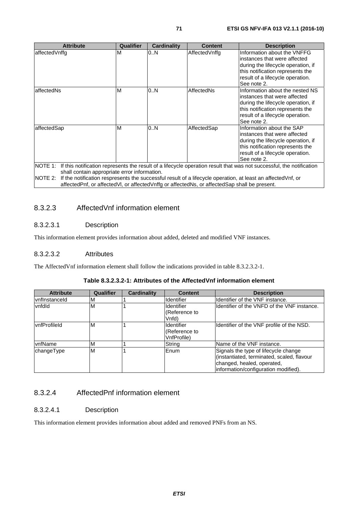| <b>Attribute</b>                                                                                                                                                                                                                  | <b>Qualifier</b> | <b>Cardinality</b> | <b>Content</b> | <b>Description</b>                                                                                                                                                                            |  |
|-----------------------------------------------------------------------------------------------------------------------------------------------------------------------------------------------------------------------------------|------------------|--------------------|----------------|-----------------------------------------------------------------------------------------------------------------------------------------------------------------------------------------------|--|
| affectedVnffg                                                                                                                                                                                                                     | М                | 0N                 | AffectedVnffg  | Information about the VNFFG<br>linstances that were affected<br>during the lifecycle operation, if<br>this notification represents the<br>result of a lifecycle operation.<br>See note 2.     |  |
| affectedNs                                                                                                                                                                                                                        | M                | 0N                 | AffectedNs     | Information about the nested NS<br>linstances that were affected<br>during the lifecycle operation, if<br>this notification represents the<br>result of a lifecycle operation.<br>See note 2. |  |
| 0.N<br>AffectedSap<br>Information about the SAP<br>affectedSap<br>M<br>linstances that were affected<br>during the lifecycle operation, if<br>this notification represents the<br>result of a lifecycle operation.<br>See note 2. |                  |                    |                |                                                                                                                                                                                               |  |
| NOTE 1: If this notification represents the result of a lifecycle operation result that was not successful, the notification<br>shall contain appropriate error information.                                                      |                  |                    |                |                                                                                                                                                                                               |  |

NOTE 2: If the notification respresents the successful result of a lifecycle operation, at least an affectedVnf, or affectedPnf, or affectedVl, or affectedVnffg or affectedNs, or affectedSap shall be present.

# 8.3.2.3 AffectedVnf information element

### 8.3.2.3.1 Description

This information element provides information about added, deleted and modified VNF instances.

### 8.3.2.3.2 Attributes

The AffectedVnf information element shall follow the indications provided in table 8.3.2.3.2-1.

|  |  |  | Table 8.3.2.3.2-1: Attributes of the AffectedVnf information element |
|--|--|--|----------------------------------------------------------------------|
|--|--|--|----------------------------------------------------------------------|

| <b>Attribute</b>     | <b>Qualifier</b> | Cardinality | <b>Content</b>                             | <b>Description</b>                                                                                                                                       |
|----------------------|------------------|-------------|--------------------------------------------|----------------------------------------------------------------------------------------------------------------------------------------------------------|
| <b>vnflnstanceld</b> | 'M               |             | <b>Identifier</b>                          | Identifier of the VNF instance.                                                                                                                          |
| vnfdld               | M                |             | Identifier<br>(Reference to<br>Vnfd)       | Identifier of the VNFD of the VNF instance.                                                                                                              |
| <b>IvnfProfileId</b> | M                |             | Identifier<br>(Reference to<br>VnfProfile) | Identifier of the VNF profile of the NSD.                                                                                                                |
| <b>IvnfName</b>      | M                |             | String                                     | Name of the VNF instance.                                                                                                                                |
| changeType           | M                |             | Enum                                       | Signals the type of lifecycle change<br>(instantiated, terminated, scaled, flavour<br>changed, healed, operated,<br>information/configuration modified). |

# 8.3.2.4 AffectedPnf information element

### 8.3.2.4.1 Description

This information element provides information about added and removed PNFs from an NS.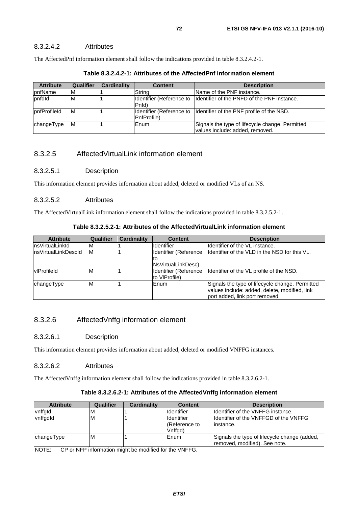The AffectedPnf information element shall follow the indications provided in table 8.3.2.4.2-1.

| <b>Attribute</b> | <b>Qualifier</b> | Cardinality | <b>Content</b>                                   | <b>Description</b>                                                                 |
|------------------|------------------|-------------|--------------------------------------------------|------------------------------------------------------------------------------------|
| <b>pnfName</b>   | ١M               |             | String                                           | Name of the PNF instance.                                                          |
| pnfdld           | ΙM               |             | Identifier (Reference to<br>Pnfd)                | Ildentifier of the PNFD of the PNF instance.                                       |
| IpnfProfileId    | ΙM               |             | Identifier (Reference to<br><b>IPnfProfile</b> ) | Identifier of the PNF profile of the NSD.                                          |
| changeType       | ΙM               |             | Enum                                             | Signals the type of lifecycle change. Permitted<br>values include: added, removed. |

**Table 8.3.2.4.2-1: Attributes of the AffectedPnf information element** 

# 8.3.2.5 AffectedVirtualLink information element

### 8.3.2.5.1 Description

This information element provides information about added, deleted or modified VLs of an NS.

### 8.3.2.5.2 Attributes

The AffectedVirtualLink information element shall follow the indications provided in table 8.3.2.5.2-1.

### **Table 8.3.2.5.2-1: Attributes of the AffectedVirtualLink information element**

| <b>Attribute</b>     | Qualifier | <b>Cardinality</b> | <b>Content</b>             | <b>Description</b>                              |
|----------------------|-----------|--------------------|----------------------------|-------------------------------------------------|
| InsVirtualLinkId     | ΙM        |                    | <b>Identifier</b>          | Ildentifier of the VL instance.                 |
| InsVirtualLinkDescId | ΙM        |                    | Identifier (Reference      | Ildentifier of the VLD in the NSD for this VL.  |
|                      |           |                    | ιю                         |                                                 |
|                      |           |                    | <b>INsVirtualLinkDesc)</b> |                                                 |
| vlProfileId          | Iм        |                    | Identifier (Reference      | Identifier of the VL profile of the NSD.        |
|                      |           |                    | to VIProfile)              |                                                 |
| changeType           | ΙM        |                    | <b>IEnum</b>               | Signals the type of lifecycle change. Permitted |
|                      |           |                    |                            | values include: added, delete, modified, link   |
|                      |           |                    |                            | port added, link port removed.                  |

## 8.3.2.6 AffectedVnffg information element

### 8.3.2.6.1 Description

This information element provides information about added, deleted or modified VNFFG instances.

### 8.3.2.6.2 Attributes

The AffectedVnffg information element shall follow the indications provided in table 8.3.2.6.2-1.

### **Table 8.3.2.6.2-1: Attributes of the AffectedVnffg information element**

| <b>Attribute</b>                                                 | <b>Qualifier</b> | Cardinality | <b>Content</b>    | <b>Description</b>                           |  |
|------------------------------------------------------------------|------------------|-------------|-------------------|----------------------------------------------|--|
| vnffgld                                                          | ıм               |             | Identifier        | Identifier of the VNFFG instance.            |  |
| vnffgdld                                                         | ΙM               |             | <b>Identifier</b> | Ildentifier of the VNFFGD of the VNFFG       |  |
|                                                                  |                  |             | (Reference to     | instance.                                    |  |
|                                                                  |                  |             | Vnffgd)           |                                              |  |
| changeType                                                       | M                |             | Enum              | Signals the type of lifecycle change (added, |  |
|                                                                  |                  |             |                   | removed, modified). See note.                |  |
| INOTE:<br>CP or NFP information might be modified for the VNFFG. |                  |             |                   |                                              |  |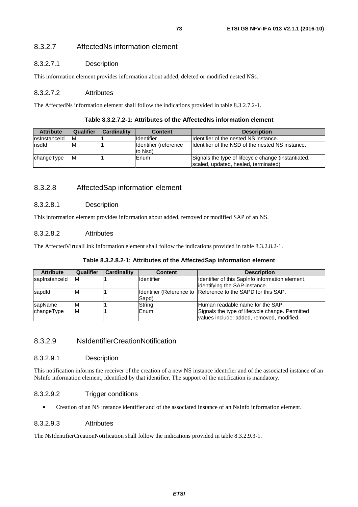### 8.3.2.7.1 Description

This information element provides information about added, deleted or modified nested NSs.

#### 8.3.2.7.2 Attributes

The AffectedNs information element shall follow the indications provided in table 8.3.2.7.2-1.

#### **Table 8.3.2.7.2-1: Attributes of the AffectedNs information element**

| <b>Attribute</b> | Qualifier | <b>Cardinality</b> | <b>Content</b>                   | <b>Description</b>                                                                           |
|------------------|-----------|--------------------|----------------------------------|----------------------------------------------------------------------------------------------|
| Insinstanceld    | ΙM        |                    | <b>Identifier</b>                | Ildentifier of the nested NS instance.                                                       |
| nsdld            | ıм        |                    | Identifier (reference<br>to Nsd) | Identifier of the NSD of the nested NS instance.                                             |
| changeType       | IM.       |                    | Enum                             | Signals the type of lifecycle change (instantiated,<br>scaled, updated, healed, terminated). |

### 8.3.2.8 AffectedSap information element

#### 8.3.2.8.1 Description

This information element provides information about added, removed or modified SAP of an NS.

#### 8.3.2.8.2 Attributes

The AffectedVirtualLink information element shall follow the indications provided in table 8.3.2.8.2-1.

| <b>Attribute</b> | <b>Qualifier</b> | Cardinality | <b>Content</b> | <b>Description</b>                                           |
|------------------|------------------|-------------|----------------|--------------------------------------------------------------|
| sapInstanceId    | ΙM               |             | Ildentifier    | Ildentifier of this SapInfo information element,             |
|                  |                  |             |                | lidentifying the SAP instance.                               |
| sapdid           | M                |             |                | Identifier (Reference to Reference to the SAPD for this SAP. |
|                  |                  |             | Sapd)          |                                                              |
| sapName          | M                |             | String         | Human readable name for the SAP.                             |
| changeType       | ΙM               |             | <b>Enum</b>    | Signals the type of lifecycle change. Permitted              |
|                  |                  |             |                | values include: added, removed, modified.                    |

### 8.3.2.9 NsIdentifierCreationNotification

#### 8.3.2.9.1 Description

This notification informs the receiver of the creation of a new NS instance identifier and of the associated instance of an NsInfo information element, identified by that identifier. The support of the notification is mandatory.

### 8.3.2.9.2 Trigger conditions

• Creation of an NS instance identifier and of the associated instance of an NsInfo information element.

#### 8.3.2.9.3 Attributes

The NsIdentifierCreationNotification shall follow the indications provided in table 8.3.2.9.3-1.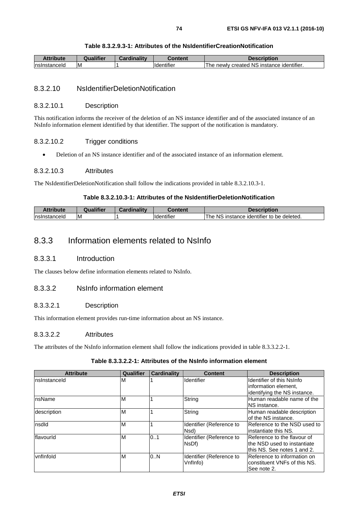| Attribute     | <b>Qualifier</b> | Cardinalitv | Content                        | Description                               |
|---------------|------------------|-------------|--------------------------------|-------------------------------------------|
| Insinstanceid | ıм               |             | $\cdots$<br><b>I</b> dentifier | The newly created NS instance identifier. |

#### 8.3.2.10 NsIdentifierDeletionNotification

#### 8.3.2.10.1 Description

This notification informs the receiver of the deletion of an NS instance identifier and of the associated instance of an NsInfo information element identified by that identifier. The support of the notification is mandatory.

#### 8.3.2.10.2 Trigger conditions

• Deletion of an NS instance identifier and of the associated instance of an information element.

#### 8.3.2.10.3 Attributes

The NsIdentifierDeletionNotification shall follow the indications provided in table 8.3.2.10.3-1.

#### **Table 8.3.2.10.3-1: Attributes of the NsIdentifierDeletionNotification**

| Attribute     | ualifier! | <b>Cardinality</b> | Content                        | Description                                                      |
|---------------|-----------|--------------------|--------------------------------|------------------------------------------------------------------|
| Insinstanceid | IM.       |                    | $\cdots$<br><b>Ildentifier</b> | .<br><b>NS</b><br>be deleted.<br>i instance identifier to<br>'he |

## 8.3.3 Information elements related to NsInfo

#### 8.3.3.1 Introduction

The clauses below define information elements related to NsInfo.

### 8.3.3.2 NsInfo information element

#### 8.3.3.2.1 Description

This information element provides run-time information about an NS instance.

#### 8.3.3.2.2 Attributes

The attributes of the NsInfo information element shall follow the indications provided in table 8.3.3.2.2-1.

### **Table 8.3.3.2.2-1: Attributes of the NsInfo information element**

| <b>Attribute</b> | Qualifier | <b>Cardinality</b> | <b>Content</b>           | <b>Description</b>           |
|------------------|-----------|--------------------|--------------------------|------------------------------|
| Insinstanceld    | ΙM        |                    | Identifier               | Identifier of this NsInfo    |
|                  |           |                    |                          | information element.         |
|                  |           |                    |                          | identifying the NS instance. |
| InsName          | M         |                    | String                   | Human readable name of the   |
|                  |           |                    |                          | INS instance.                |
| description      | M         |                    | String                   | Human readable description   |
|                  |           |                    |                          | of the NS instance.          |
| nsdld            | M         |                    | Identifier (Reference to | Reference to the NSD used to |
|                  |           |                    | Nsd)                     | linstantiate this NS.        |
| <b>flavourid</b> | M         | 0.1                | Identifier (Reference to | IReference to the flavour of |
|                  |           |                    | NsDf)                    | Ithe NSD used to instantiate |
|                  |           |                    |                          | lthis NS. See notes 1 and 2. |
| vnflnfold        | M         | 0N                 | Identifier (Reference to | Reference to information on  |
|                  |           |                    | Vnflnfo)                 | constituent VNFs of this NS. |
|                  |           |                    |                          | See note 2.                  |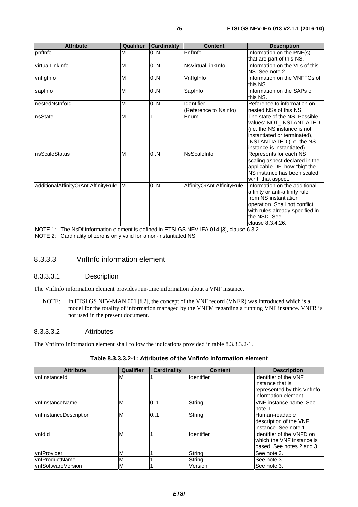| Qualifier | <b>Cardinality</b>                             | <b>Content</b>             | <b>Description</b>                                                                                                                                                                          |
|-----------|------------------------------------------------|----------------------------|---------------------------------------------------------------------------------------------------------------------------------------------------------------------------------------------|
| M         | 0.N                                            | Pnflnfo                    | Information on the PNF(s)                                                                                                                                                                   |
|           |                                                |                            | that are part of this NS.                                                                                                                                                                   |
|           |                                                |                            | Information on the VLs of this<br>NS. See note 2.                                                                                                                                           |
| M         | 0N                                             | VnffgInfo                  | Information on the VNFFGs of<br>this NS.                                                                                                                                                    |
| M         | 0N                                             | SapInfo                    | Information on the SAPs of<br>this NS.                                                                                                                                                      |
| M         | 0N                                             | Identifier                 | Reference to information on                                                                                                                                                                 |
|           |                                                | (Reference to NsInfo)      | nested NSs of this NS.                                                                                                                                                                      |
|           | 1                                              | Enum                       | The state of the NS. Possible<br>values: NOT_INSTANTIATED<br>(i.e. the NS instance is not<br>instantiated or terminated),<br><b>INSTANTIATED (i.e. the NS</b><br>instance is instantiated). |
| M         | 0.N                                            | <b>NsScaleInfo</b>         | Represents for each NS<br>scaling aspect declared in the<br>applicable DF, how "big" the<br>NS instance has been scaled<br>w.r.t. that aspect.                                              |
| M         | 0.N                                            | AffinityOrAntiAffinityRule | Information on the additional<br>affinity or anti-affinity rule<br>from NS instantiation<br>operation. Shall not conflict<br>with rules already specified in<br>the NSD. See                |
|           | M<br>M<br>additionalAffinityOrAntiAffinityRule | 0.N                        | NsVirtualLinkInfo                                                                                                                                                                           |

### 8.3.3.3 VnfInfo information element

#### 8.3.3.3.1 Description

The VnfInfo information element provides run-time information about a VNF instance.

NOTE: In ETSI GS NFV-MAN 001 [\[i.2](#page-13-0)], the concept of the VNF record (VNFR) was introduced which is a model for the totality of information managed by the VNFM regarding a running VNF instance. VNFR is not used in the present document.

#### 8.3.3.3.2 Attributes

The VnfInfo information element shall follow the indications provided in table 8.3.3.3.2-1.

#### **Table 8.3.3.3.2-1: Attributes of the VnfInfo information element**

| <b>Attribute</b>              | Qualifier | <b>Cardinality</b> | <b>Content</b> | <b>Description</b>           |
|-------------------------------|-----------|--------------------|----------------|------------------------------|
| vnflnstanceld                 | M         |                    | Identifier     | <b>Identifier of the VNF</b> |
|                               |           |                    |                | instance that is             |
|                               |           |                    |                | represented by this Vnflnfo  |
|                               |           |                    |                | information element.         |
| <b>IvnfInstanceName</b>       | M         | 0.1                | String         | VNF instance name. See       |
|                               |           |                    |                | note 1.                      |
| <b>vnflnstanceDescription</b> | M         | 0.1                | String         | Human-readable               |
|                               |           |                    |                | description of the VNF       |
|                               |           |                    |                | linstance. See note 1.       |
| vnfdld                        | M         |                    | Identifier     | Identifier of the VNFD on    |
|                               |           |                    |                | which the VNF instance is    |
|                               |           |                    |                | based. See notes 2 and 3.    |
| vnfProvider                   | M         |                    | String         | See note 3.                  |
| <b>IvnfProductName</b>        | M         |                    | String         | See note 3.                  |
| IvnfSoftwareVersion           | M         |                    | Version        | See note 3.                  |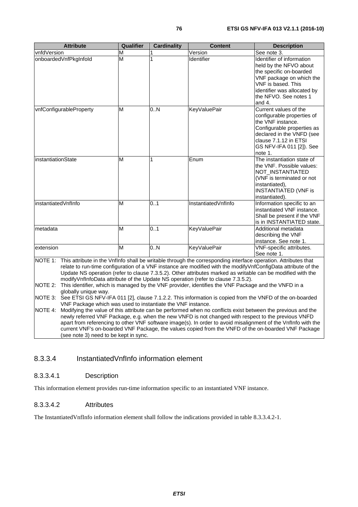| <b>Attribute</b>                                                                                                                  | <b>Qualifier</b> | <b>Cardinality</b> | <b>Content</b>                                                                                                                                                                                                                                                                                          | <b>Description</b>                                                                                                                                                                                   |
|-----------------------------------------------------------------------------------------------------------------------------------|------------------|--------------------|---------------------------------------------------------------------------------------------------------------------------------------------------------------------------------------------------------------------------------------------------------------------------------------------------------|------------------------------------------------------------------------------------------------------------------------------------------------------------------------------------------------------|
| vnfdVersion                                                                                                                       | M                |                    | Version                                                                                                                                                                                                                                                                                                 | See note 3.                                                                                                                                                                                          |
| onboardedVnfPkgInfold                                                                                                             | M                | 1                  | Identifier                                                                                                                                                                                                                                                                                              | Identifier of information<br>held by the NFVO about<br>the specific on-boarded<br>VNF package on which the<br>VNF is based. This<br>identifier was allocated by<br>the NFVO. See notes 1<br>and $4.$ |
| vnfConfigurableProperty                                                                                                           | M                | 0.N                | <b>KeyValuePair</b>                                                                                                                                                                                                                                                                                     | Current values of the<br>configurable properties of<br>the VNF instance.<br>Configurable properties as<br>declared in the VNFD (see<br>clause 7.1.12 in ETSI<br>GS NFV-IFA 011 [2]). See<br>note 1.  |
| instantiationState                                                                                                                | M                | 1                  | Enum                                                                                                                                                                                                                                                                                                    | The instantiation state of<br>the VNF. Possible values:<br>NOT INSTANTIATED<br>(VNF is terminated or not<br>instantiated),<br><b>INSTANTIATED (VNF is</b><br>instantiated).                          |
| linstantiatedVnfInfo                                                                                                              | M                | 0.1                | InstantiatedVnfInfo                                                                                                                                                                                                                                                                                     | Information specific to an<br>instantiated VNF instance.<br>Shall be present if the VNF<br>is in INSTANTIATED state.                                                                                 |
| metadata                                                                                                                          | M                | 0.1                | <b>KeyValuePair</b>                                                                                                                                                                                                                                                                                     | Additional metadata<br>describing the VNF<br>instance. See note 1.                                                                                                                                   |
| extension                                                                                                                         | M                | 0.N                | <b>KeyValuePair</b>                                                                                                                                                                                                                                                                                     | VNF-specific attributes.<br>See note 1.                                                                                                                                                              |
| NOTE 1: This attribute in the VnfInfo shall be writable through the corresponding interface operation. Attributes that<br>NOTE 2: |                  |                    | Update NS operation (refer to clause 7.3.5.2). Other attributes marked as writable can be modified with the<br>modifyVnfInfoData attribute of the Update NS operation (refer to clause 7.3.5.2).<br>This identifier, which is managed by the VNF provider, identifies the VNF Package and the VNFD in a | relate to run-time configuration of a VNF instance are modified with the modifyVnfConfigData attribute of the                                                                                        |

globally unique way. NOTE 3: See ETSI GS NFV-IFA 011 [\[2](#page-13-0)], clause 7.1.2.2. This information is copied from the VNFD of the on-boarded VNF Package which was used to instantiate the VNF instance.

NOTE 4: Modifying the value of this attribute can be performed when no conflicts exist between the previous and the newly referred VNF Package, e.g. when the new VNFD is not changed with respect to the previous VNFD apart from referencing to other VNF software image(s). In order to avoid misalignment of the VnfInfo with the current VNF's on-boarded VNF Package, the values copied from the VNFD of the on-boarded VNF Package (see note 3) need to be kept in sync.

## 8.3.3.4 InstantiatedVnfInfo information element

### 8.3.3.4.1 Description

This information element provides run-time information specific to an instantiated VNF instance.

### 8.3.3.4.2 Attributes

The InstantiatedVnfInfo information element shall follow the indications provided in table 8.3.3.4.2-1.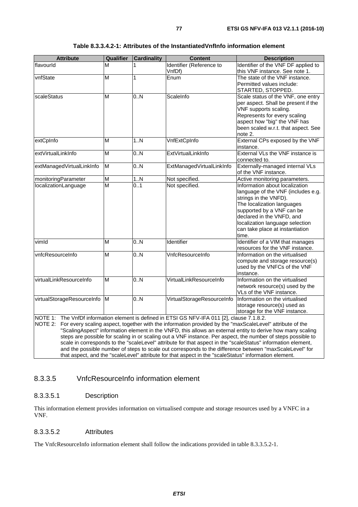| <b>Attribute</b>             | Qualifier | <b>Cardinality</b> | <b>Content</b>                                                                               | <b>Description</b>                                                                                                                                                                                                                                                   |
|------------------------------|-----------|--------------------|----------------------------------------------------------------------------------------------|----------------------------------------------------------------------------------------------------------------------------------------------------------------------------------------------------------------------------------------------------------------------|
| flavourld                    | М         | 1                  | Identifier (Reference to<br>VnfDf)                                                           | Identifier of the VNF DF applied to<br>this VNF instance. See note 1.                                                                                                                                                                                                |
| vnfState                     | M         | 1                  | Enum                                                                                         | The state of the VNF instance.<br>Permitted values include:<br>STARTED, STOPPED.                                                                                                                                                                                     |
| scaleStatus                  | M         | $\overline{0.N}$   | ScaleInfo                                                                                    | Scale status of the VNF, one entry<br>per aspect. Shall be present if the<br>VNF supports scaling.<br>Represents for every scaling<br>aspect how "big" the VNF has<br>been scaled w.r.t. that aspect. See<br>note 2.                                                 |
| extCpInfo                    | M         | 1. N               | VnfExtCpInfo                                                                                 | External CPs exposed by the VNF<br>instance.                                                                                                                                                                                                                         |
| extVirtualLinkInfo           | M         | 0.N                | ExtVirtualLinkInfo                                                                           | External VLs the VNF instance is<br>connected to.                                                                                                                                                                                                                    |
| extManagedVirtualLinkInfo    | M         | $\overline{0.N}$   | ExtManagedVirtualLinkInfo                                                                    | Externally-managed internal VLs<br>of the VNF instance.                                                                                                                                                                                                              |
| monitoringParameter          | M         | 1N                 | Not specified.                                                                               | Active monitoring parameters.                                                                                                                                                                                                                                        |
| localizationLanguage         | M         | 0.1                | Not specified.                                                                               | Information about localization<br>language of the VNF (includes e.g.<br>strings in the VNFD).<br>The localization languages<br>supported by a VNF can be<br>declared in the VNFD, and<br>localization language selection<br>can take place at instantiation<br>time. |
| vimld                        | M         | 0.N                | Identifier                                                                                   | Identifier of a VIM that manages<br>resources for the VNF instance.                                                                                                                                                                                                  |
| vnfcResourceInfo             | M         | 0.N                | VnfcResourceInfo                                                                             | Information on the virtualised<br>compute and storage resource(s)<br>used by the VNFCs of the VNF<br>instance.                                                                                                                                                       |
| virtualLinkResourceInfo      | M         | $\overline{0.N}$   | VirtualLinkResourceInfo                                                                      | Information on the virtualised<br>network resource(s) used by the<br>VLs of the VNF instance.                                                                                                                                                                        |
| virtualStorageResourceInfo M |           | 0.N                | VirtualStorageResourceInfo                                                                   | Information on the virtualised<br>storage resource(s) used as<br>storage for the VNF instance.                                                                                                                                                                       |
|                              |           |                    | NOTE 1: The VnfDf information element is defined in ETSI GS NFV-IFA 011 [2], clause 7.1.8.2. | NOTE 2: For every scaling aspect, together with the information provided by the "maxScaleLevel" attribute of the<br>$"General non-constant" information element in the VNET, this allows an optimal entity to derive how many scaling.$                              |

#### **Table 8.3.3.4.2-1: Attributes of the InstantiatedVnfInfo information element**

ScalingAspect" information element in the VNFD, this allows an external entity to derive how many scaling steps are possible for scaling in or scaling out a VNF instance. Per aspect, the number of steps possible to scale in corresponds to the "scaleLevel" attribute for that aspect in the "scaleStatus" information element, and the possible number of steps to scale out corresponds to the difference between "maxScaleLevel" for that aspect, and the "scaleLevel" attribute for that aspect in the "scaleStatus" information element.

#### 8.3.3.5 VnfcResourceInfo information element

#### 8.3.3.5.1 Description

This information element provides information on virtualised compute and storage resources used by a VNFC in a VNF.

#### 8.3.3.5.2 Attributes

The VnfcResourceInfo information element shall follow the indications provided in table 8.3.3.5.2-1.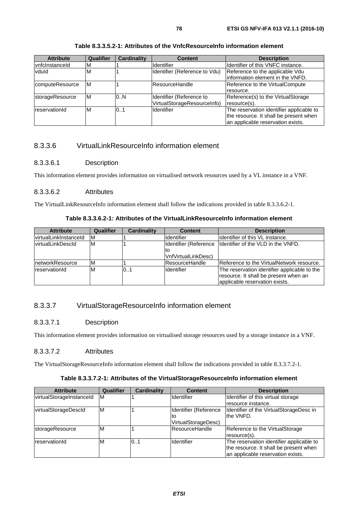| <b>Attribute</b> | <b>Qualifier</b> | <b>Cardinality</b> | <b>Content</b>                | <b>Description</b>                       |
|------------------|------------------|--------------------|-------------------------------|------------------------------------------|
| vnfclnstanceld   | M                |                    | <b>Identifier</b>             | Ildentifier of this VNFC instance.       |
| vduld            | ΙM               |                    | Identifier (Reference to Vdu) | Reference to the applicable Vdu          |
|                  |                  |                    |                               | information element in the VNFD.         |
| computeResource  | ΙM               |                    | ResourceHandle                | Reference to the VirtualCompute          |
|                  |                  |                    |                               | resource.                                |
| storageResource  | M                | 0.N                | Identifier (Reference to      | Reference(s) to the VirtualStorage       |
|                  |                  |                    | VirtualStorageResourceInfo)   | resource(s).                             |
| reservationId    | M                | 0.1                | Identifier                    | The reservation identifier applicable to |
|                  |                  |                    |                               | the resource. It shall be present when   |
|                  |                  |                    |                               | an applicable reservation exists.        |

#### **Table 8.3.3.5.2-1: Attributes of the VnfcResourceInfo information element**

## 8.3.3.6 VirtualLinkResourceInfo information element

#### 8.3.3.6.1 Description

This information element provides information on virtualised network resources used by a VL instance in a VNF.

#### 8.3.3.6.2 Attributes

The VirtualLinkResourceInfo information element shall follow the indications provided in table 8.3.3.6.2-1.

| <b>Attribute</b>          | Qualifier | <b>Cardinality</b> | <b>Content</b>        | <b>Description</b>                                         |
|---------------------------|-----------|--------------------|-----------------------|------------------------------------------------------------|
| lvirtualLinkInstanceId    | IM.       |                    | Identifier            | Identifier of this VL instance.                            |
| <u>lvirtualLinkDescId</u> | ΙM        |                    |                       | Identifier (Reference   Identifier of the VLD in the VNFD. |
|                           |           |                    | lto                   |                                                            |
|                           |           |                    | VnfVirtualLinkDesc)   |                                                            |
| InetworkResource          | M         |                    | <b>ResourceHandle</b> | Reference to the VirtualNetwork resource.                  |
| reservationId             | M         | 0.1                | Identifier            | The reservation identifier applicable to the               |
|                           |           |                    |                       | resource. It shall be present when an                      |
|                           |           |                    |                       | applicable reservation exists.                             |

### 8.3.3.7 VirtualStorageResourceInfo information element

### 8.3.3.7.1 Description

This information element provides information on virtualised storage resources used by a storage instance in a VNF.

#### 8.3.3.7.2 Attributes

The VirtualStorageResourceInfo information element shall follow the indications provided in table 8.3.3.7.2-1.

#### **Table 8.3.3.7.2-1: Attributes of the VirtualStorageResourceInfo information element**

| <b>Attribute</b>         | Qualifier | <b>Cardinality</b> | <b>Content</b>        | <b>Description</b>                       |
|--------------------------|-----------|--------------------|-----------------------|------------------------------------------|
| virtualStorageInstanceId | M         |                    | Ildentifier           | Identifier of this virtual storage       |
|                          |           |                    |                       | resource instance.                       |
| virtualStorageDescld     | ΙM        |                    | Identifier (Reference | Identifier of the VirtualStorageDesc in  |
|                          |           |                    | lto                   | the VNFD.                                |
|                          |           |                    | VirtualStorageDesc)   |                                          |
| storageResource          | M         |                    | <b>ResourceHandle</b> | Reference to the VirtualStorage          |
|                          |           |                    |                       | resource(s).                             |
| reservationId            | ιM        | 0.1                | <b>Identifier</b>     | The reservation identifier applicable to |
|                          |           |                    |                       | the resource. It shall be present when   |
|                          |           |                    |                       | an applicable reservation exists.        |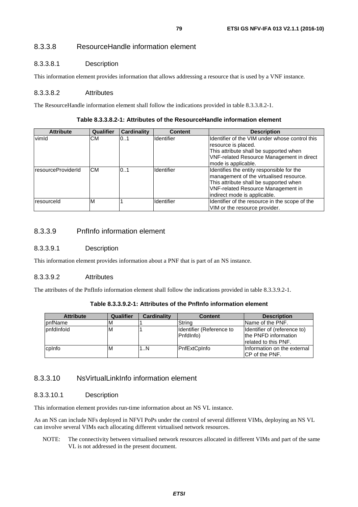### 8.3.3.8 ResourceHandle information element

#### 8.3.3.8.1 Description

This information element provides information that allows addressing a resource that is used by a VNF instance.

#### 8.3.3.8.2 Attributes

The ResourceHandle information element shall follow the indications provided in table 8.3.3.8.2-1.

#### **Table 8.3.3.8.2-1: Attributes of the ResourceHandle information element**

| <b>Attribute</b>   | Qualifier | <b>Cardinality</b> | <b>Content</b>    | <b>Description</b>                                                                                                                                                                                          |
|--------------------|-----------|--------------------|-------------------|-------------------------------------------------------------------------------------------------------------------------------------------------------------------------------------------------------------|
| vimld              | CM.       | 01                 | Identifier        | Identifier of the VIM under whose control this<br>resource is placed.<br>This attribute shall be supported when<br><b>VNF-related Resource Management in direct</b><br>mode is applicable.                  |
| resourceProviderId | CМ        | 0.1                | Identifier        | Identifies the entity responsible for the<br>management of the virtualised resource.<br>This attribute shall be supported when<br><b>VNF-related Resource Management in</b><br>indirect mode is applicable. |
| resourceld         | ΙM        |                    | <b>Identifier</b> | Identifier of the resource in the scope of the<br>VIM or the resource provider.                                                                                                                             |

## 8.3.3.9 PnfInfo information element

#### 8.3.3.9.1 Description

This information element provides information about a PNF that is part of an NS instance.

#### 8.3.3.9.2 Attributes

The attributes of the PnfInfo information element shall follow the indications provided in table 8.3.3.9.2-1.

#### **Table 8.3.3.9.2-1: Attributes of the PnfInfo information element**

| <b>Attribute</b> | Qualifier | <b>Cardinality</b> | <b>Content</b>                        | <b>Description</b>                                                            |
|------------------|-----------|--------------------|---------------------------------------|-------------------------------------------------------------------------------|
| <b>IpnfName</b>  | ιM        |                    | Strina                                | Name of the PNF.                                                              |
| pnfdlnfold       | ΙM        |                    | Identifier (Reference to<br>Pnfdlnfo) | Identifier of (reference to)<br>the PNFD information<br>Irelated to this PNF. |
| cplnfo           | M         | 1N                 | PnfExtCpInfo                          | Information on the external<br>ICP of the PNF.                                |

#### 8.3.3.10 NsVirtualLinkInfo information element

#### 8.3.3.10.1 Description

This information element provides run-time information about an NS VL instance.

As an NS can include NFs deployed in NFVI PoPs under the control of several different VIMs, deploying an NS VL can involve several VIMs each allocating different virtualised network resources.

NOTE: The connectivity between virtualised network resources allocated in different VIMs and part of the same VL is not addressed in the present document.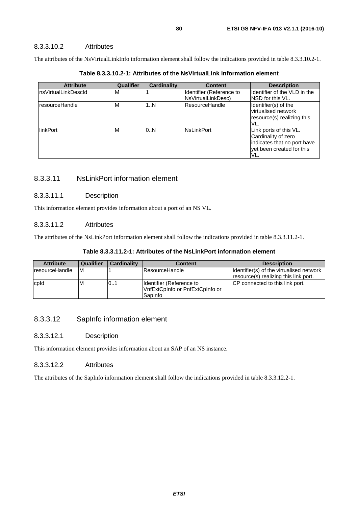#### 8.3.3.10.2 Attributes

The attributes of the NsVirtualLinkInfo information element shall follow the indications provided in table 8.3.3.10.2-1.

| <b>Attribute</b>     | Qualifier | Cardinality | <b>Content</b>                                 | <b>Description</b>                                                                                               |
|----------------------|-----------|-------------|------------------------------------------------|------------------------------------------------------------------------------------------------------------------|
| InsVirtualLinkDescId | M         |             | Identifier (Reference to<br>NsVirtualLinkDesc) | Identifier of the VLD in the<br>INSD for this VL.                                                                |
| resourceHandle       | ıΜ        | 1N          | <b>ResourceHandle</b>                          | Identifier(s) of the<br>virtualised network<br>resource(s) realizing this<br>VL.                                 |
| linkPort             | ıΜ        | 0.N         | <b>NsLinkPort</b>                              | Link ports of this VL.<br>Cardinality of zero<br>indicates that no port have<br>vet been created for this<br>VL. |

**Table 8.3.3.10.2-1: Attributes of the NsVirtualLink information element** 

## 8.3.3.11 NsLinkPort information element

#### 8.3.3.11.1 Description

This information element provides information about a port of an NS VL.

#### 8.3.3.11.2 Attributes

The attributes of the NsLinkPort information element shall follow the indications provided in table 8.3.3.11.2-1.

| <b>Attribute</b> | <b>Qualifier</b> | <b>Cardinality</b> | <b>Content</b>                                                          | <b>Description</b>                                                                |
|------------------|------------------|--------------------|-------------------------------------------------------------------------|-----------------------------------------------------------------------------------|
| IresourceHandle  | ΙM               |                    | <b>IResourceHandle</b>                                                  | Identifier(s) of the virtualised network<br>resource(s) realizing this link port. |
| cpld             | ΙM               | 01                 | Identifier (Reference to<br>VnfExtCpInfo or PnfExtCpInfo or<br>lSapInfo | <b>ICP</b> connected to this link port.                                           |

### 8.3.3.12 SapInfo information element

#### 8.3.3.12.1 Description

This information element provides information about an SAP of an NS instance.

#### 8.3.3.12.2 Attributes

The attributes of the SapInfo information element shall follow the indications provided in table 8.3.3.12.2-1.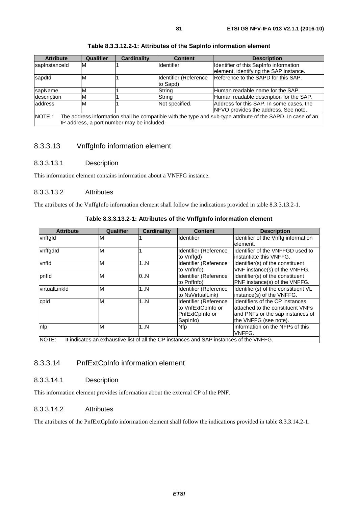| <b>Attribute</b>                                                                                                     | Qualifier | <b>Cardinality</b>                         | <b>Content</b>        | <b>Description</b>                       |  |  |
|----------------------------------------------------------------------------------------------------------------------|-----------|--------------------------------------------|-----------------------|------------------------------------------|--|--|
| sapInstanceId                                                                                                        | ΙM        |                                            | <b>Identifier</b>     | Identifier of this SapInfo information   |  |  |
|                                                                                                                      |           |                                            |                       | element, identifying the SAP instance.   |  |  |
| sapdid                                                                                                               | M         |                                            | Identifier (Reference | Reference to the SAPD for this SAP.      |  |  |
|                                                                                                                      |           |                                            | to Sapd)              |                                          |  |  |
| sapName                                                                                                              | ١M        |                                            | String                | Human readable name for the SAP.         |  |  |
| description                                                                                                          | M         |                                            | Strina                | Human readable description for the SAP.  |  |  |
| address                                                                                                              | M         |                                            | Not specified.        | Address for this SAP. In some cases, the |  |  |
|                                                                                                                      |           |                                            |                       | NFVO provides the address. See note.     |  |  |
| NOTE:<br>The address information shall be compatible with the type and sub-type attribute of the SAPD. In case of an |           |                                            |                       |                                          |  |  |
|                                                                                                                      |           | IP address, a port number may be included. |                       |                                          |  |  |

#### **Table 8.3.3.12.2-1: Attributes of the SapInfo information element**

#### 8.3.3.13 VnffgInfo information element

#### 8.3.3.13.1 Description

This information element contains information about a VNFFG instance.

#### 8.3.3.13.2 Attributes

The attributes of the VnffgInfo information element shall follow the indications provided in table 8.3.3.13.2-1.

| Table 8.3.3.13.2-1: Attributes of the Vnffglnfo information element |  |  |
|---------------------------------------------------------------------|--|--|
|---------------------------------------------------------------------|--|--|

| <b>Attribute</b>     | Qualifier | <b>Cardinality</b> | <b>Content</b>                                                                          | <b>Description</b>                                                                                                                |
|----------------------|-----------|--------------------|-----------------------------------------------------------------------------------------|-----------------------------------------------------------------------------------------------------------------------------------|
| vnffgld              | M         |                    | <b>Identifier</b>                                                                       | Identifier of the Vnffg information<br>lelement.                                                                                  |
| vnffgdld             | M         |                    | Identifier (Reference<br>to Vnffgd)                                                     | Identifier of the VNFFGD used to<br>instantiate this VNFFG.                                                                       |
| vnfld                | M         | 1N                 | Identifier (Reference<br>to Vnflnfo)                                                    | Identifier(s) of the constituent<br>VNF instance(s) of the VNFFG.                                                                 |
| pnfld                | M         | 0N                 | Identifier (Reference<br>to Pnflnfo)                                                    | Identifier(s) of the constituent<br>PNF instance(s) of the VNFFG.                                                                 |
| <b>virtualLinkld</b> | M         | 1N                 | Identifier (Reference<br>to NsVirtualLink)                                              | Identifier(s) of the constituent VL<br>instance(s) of the VNFFG.                                                                  |
| cpld                 | M         | 1N                 | Identifier (Reference<br>to VnfExtCpInfo or<br>PnfExtCpInfo or<br>SapInfo)              | Identifiers of the CP instances<br>lattached to the constituent VNFs<br>and PNFs or the sap instances of<br>the VNFFG (see note). |
| nfp                  | M         | 1N                 | <b>Nfp</b>                                                                              | Information on the NFPs of this<br>VNFFG.                                                                                         |
| NOTE:                |           |                    | It indicates an exhaustive list of all the CP instances and SAP instances of the VNFFG. |                                                                                                                                   |

### 8.3.3.14 PnfExtCpInfo information element

#### 8.3.3.14.1 Description

This information element provides information about the external CP of the PNF.

#### 8.3.3.14.2 Attributes

The attributes of the PnfExtCpInfo information element shall follow the indications provided in table 8.3.3.14.2-1.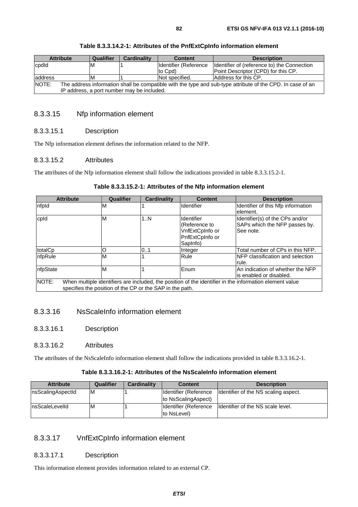#### **Table 8.3.3.14.2-1: Attributes of the PnfExtCpInfo information element**

### 8.3.3.15 Nfp information element

#### 8.3.3.15.1 Description

The Nfp information element defines the information related to the NFP.

#### 8.3.3.15.2 Attributes

The attributes of the Nfp information element shall follow the indications provided in table 8.3.3.15.2-1.

#### **Table 8.3.3.15.2-1: Attributes of the Nfp information element**

| <b>Attribute</b>                                                                                                                                                             | Qualifier | <b>Cardinality</b> | <b>Content</b>                                                                       | <b>Description</b>                                                            |
|------------------------------------------------------------------------------------------------------------------------------------------------------------------------------|-----------|--------------------|--------------------------------------------------------------------------------------|-------------------------------------------------------------------------------|
| nfpld                                                                                                                                                                        | М         |                    | Identifier                                                                           | Identifier of this Nfp information<br>element.                                |
| cpld                                                                                                                                                                         | M         | 1N                 | <b>Identifier</b><br>(Reference to<br>VnfExtCpInfo or<br>PnfExtCpInfo or<br>SapInfo) | Identifier(s) of the CPs and/or<br>SAPs which the NFP passes by.<br>See note. |
| totalCp                                                                                                                                                                      | O         | 0.1                | Integer                                                                              | Total number of CPs in this NFP.                                              |
| nfpRule                                                                                                                                                                      | M         |                    | Rule                                                                                 | NFP classification and selection<br>rule.                                     |
| nfpState                                                                                                                                                                     | M         |                    | Enum                                                                                 | An indication of whether the NFP<br>is enabled or disabled.                   |
| NOTE:<br>When multiple identifiers are included, the position of the identifier in the information element value<br>specifies the position of the CP or the SAP in the path. |           |                    |                                                                                      |                                                                               |

#### 8.3.3.16 NsScaleInfo information element

8.3.3.16.1 Description

#### 8.3.3.16.2 Attributes

The attributes of the NsScaleInfo information element shall follow the indications provided in table 8.3.3.16.2-1.

#### **Table 8.3.3.16.2-1: Attributes of the NsScaleInfo information element**

| <b>Attribute</b>  | Qualifier | Cardinality | <b>Content</b>        | <b>Description</b>                   |
|-------------------|-----------|-------------|-----------------------|--------------------------------------|
| nsScalingAspectId | ΙM        |             | Identifier (Reference | Identifier of the NS scaling aspect. |
|                   |           |             | to NsScalingAspect)   |                                      |
| InsScaleLevelId   | ΙM        |             | Identifier (Reference | Identifier of the NS scale level.    |
|                   |           |             | to NsLevel)           |                                      |

### 8.3.3.17 VnfExtCpInfo information element

#### 8.3.3.17.1 Description

This information element provides information related to an external CP.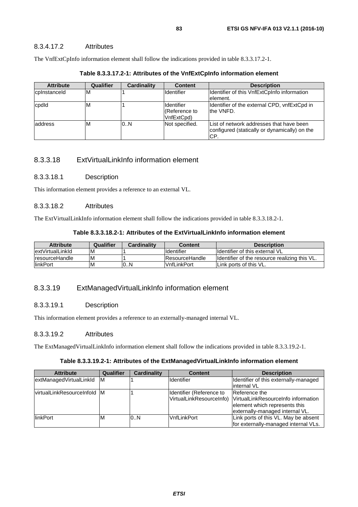The VnfExtCpInfo information element shall follow the indications provided in table 8.3.3.17.2-1.

| <b>Attribute</b> | Qualifier | Cardinality | <b>Content</b>                                   | <b>Description</b>                                                                                |
|------------------|-----------|-------------|--------------------------------------------------|---------------------------------------------------------------------------------------------------|
| cplnstanceld     | IМ        |             | <b>Identifier</b>                                | Identifier of this VnfExtCpInfo information<br>lelement.                                          |
| cpdld            | M         |             | <b>Identifier</b><br>(Reference to<br>VnfExtCpd) | Identifier of the external CPD, vnfExtCpd in<br>the VNFD.                                         |
| address          | ΙM        | 0.N         | Not specified.                                   | List of network addresses that have been<br>configured (statically or dynamically) on the<br>ICP. |

**Table 8.3.3.17.2-1: Attributes of the VnfExtCpInfo information element** 

## 8.3.3.18 ExtVirtualLinkInfo information element

#### 8.3.3.18.1 Description

This information element provides a reference to an external VL.

#### 8.3.3.18.2 Attributes

The ExtVirtualLinkInfo information element shall follow the indications provided in table 8.3.3.18.2-1.

| <b>Attribute</b>       | Qualifier | <b>Cardinality</b> | <b>Content</b>         | <b>Description</b>                             |
|------------------------|-----------|--------------------|------------------------|------------------------------------------------|
| lextVirtualLinkId      | M         |                    | <b>I</b> dentifier     | <b>Ildentifier of this external VL</b>         |
| <b>IresourceHandle</b> | M         |                    | <b>IResourceHandle</b> | Ildentifier of the resource realizing this VL. |
| linkPort               | M         | 0N                 | lVnfLinkPort           | Link ports of this VL.                         |

### 8.3.3.19 ExtManagedVirtualLinkInfo information element

### 8.3.3.19.1 Description

This information element provides a reference to an externally-managed internal VL.

#### 8.3.3.19.2 Attributes

The ExtManagedVirtualLinkInfo information element shall follow the indications provided in table 8.3.3.19.2-1.

### **Table 8.3.3.19.2-1: Attributes of the ExtManagedVirtualLinkInfo information element**

| <b>Attribute</b>                   | Qualifier | <b>Cardinality</b> | <b>Content</b>            | <b>Description</b>                    |
|------------------------------------|-----------|--------------------|---------------------------|---------------------------------------|
| extManagedVirtualLinkId            | ΙM        |                    | <b>Identifier</b>         | Identifier of this externally-managed |
|                                    |           |                    |                           | linternal VL                          |
| <b>VirtualLinkResourceInfold M</b> |           |                    | Ildentifier (Reference to | Reference the                         |
|                                    |           |                    | VirtualLinkResourceInfo)  | VirtualLinkResourceInfo information   |
|                                    |           |                    |                           | element which represents this         |
|                                    |           |                    |                           | externally-managed internal VL.       |
| <b>IlinkPort</b>                   | M         | 0.N                | lVnfLinkPort              | Link ports of this VL. May be absent  |
|                                    |           |                    |                           | for externally-managed internal VLs.  |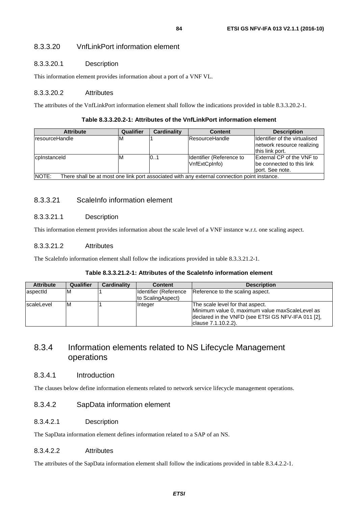### 8.3.3.20 VnfLinkPort information element

#### 8.3.3.20.1 Description

This information element provides information about a port of a VNF VL.

#### 8.3.3.20.2 Attributes

The attributes of the VnfLinkPort information element shall follow the indications provided in table 8.3.3.20.2-1.

#### **Table 8.3.3.20.2-1: Attributes of the VnfLinkPort information element**

| <b>Attribute</b>                                                                                      | Qualifier | <b>Cardinality</b> | <b>Content</b>                            | <b>Description</b>                                                                     |  |  |
|-------------------------------------------------------------------------------------------------------|-----------|--------------------|-------------------------------------------|----------------------------------------------------------------------------------------|--|--|
| <b>IresourceHandle</b>                                                                                | ıм        |                    | <b>IResourceHandle</b>                    | <b>I</b> dentifier of the virtualised<br>network resource realizing<br>this link port. |  |  |
| cpinstanceld                                                                                          | ΙM        | 10.7               | Identifier (Reference to<br>VnfExtCpInfo) | <b>External CP of the VNF to</b><br>be connected to this link<br>port. See note.       |  |  |
| NOTE:<br>There shall be at most one link port associated with any external connection point instance. |           |                    |                                           |                                                                                        |  |  |

### 8.3.3.21 ScaleInfo information element

### 8.3.3.21.1 Description

This information element provides information about the scale level of a VNF instance w.r.t. one scaling aspect.

#### 8.3.3.21.2 Attributes

The ScaleInfo information element shall follow the indications provided in table 8.3.3.21.2-1.

#### **Table 8.3.3.21.2-1: Attributes of the ScaleInfo information element**

| <b>Attribute</b> | Qualifier | Cardinality | <b>Content</b>                             | <b>Description</b>                                                                                                                                                |
|------------------|-----------|-------------|--------------------------------------------|-------------------------------------------------------------------------------------------------------------------------------------------------------------------|
| aspectid         | ΙM        |             | Identifier (Reference<br>to ScalingAspect) | Reference to the scaling aspect.                                                                                                                                  |
| scaleLevel       | ΙM        |             | <b>Integer</b>                             | The scale level for that aspect.<br>Minimum value 0, maximum value maxScaleLevel as<br>declared in the VNFD (see ETSI GS NFV-IFA 011 [2],<br>lclause 7.1.10.2.2). |

## 8.3.4 Information elements related to NS Lifecycle Management operations

#### 8.3.4.1 Introduction

The clauses below define information elements related to network service lifecycle management operations.

### 8.3.4.2 SapData information element

#### 8.3.4.2.1 Description

The SapData information element defines information related to a SAP of an NS.

#### 8.3.4.2.2 Attributes

The attributes of the SapData information element shall follow the indications provided in table 8.3.4.2.2-1.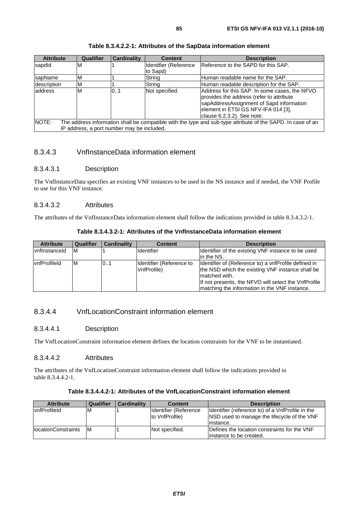| <b>Attribute</b>                                                                                                     | Qualifier                  | <b>Cardinality</b> | <b>Content</b>        | <b>Description</b>                            |  |  |  |
|----------------------------------------------------------------------------------------------------------------------|----------------------------|--------------------|-----------------------|-----------------------------------------------|--|--|--|
| sapdid                                                                                                               | ΙM                         |                    | Identifier (Reference | Reference to the SAPD for this SAP.           |  |  |  |
|                                                                                                                      |                            |                    | to Sapd)              |                                               |  |  |  |
| sapName                                                                                                              | M                          |                    | String                | Human readable name for the SAP.              |  |  |  |
| description                                                                                                          | M                          |                    | String                | Human readable description for the SAP.       |  |  |  |
| address                                                                                                              | M                          | 0.1                | Not specified.        | Address for this SAP. In some cases, the NFVO |  |  |  |
|                                                                                                                      |                            |                    |                       | provides the address (refer to attribute      |  |  |  |
|                                                                                                                      |                            |                    |                       | sapAddressAssignment of Sapd information      |  |  |  |
|                                                                                                                      |                            |                    |                       | element in ETSI GS NFV-IFA 014 [3],           |  |  |  |
|                                                                                                                      | clause 6.2.3.2). See note. |                    |                       |                                               |  |  |  |
| NOTE:<br>The address information shall be compatible with the type and sub-type attribute of the SAPD. In case of an |                            |                    |                       |                                               |  |  |  |
| IP address, a port number may be included.                                                                           |                            |                    |                       |                                               |  |  |  |

#### **Table 8.3.4.2.2-1: Attributes of the SapData information element**

## 8.3.4.3 VnfInstanceData information element

#### 8.3.4.3.1 Description

The VnfInstanceData specifies an existing VNF instances to be used in the NS instance and if needed, the VNF Profile to use for this VNF instance.

#### 8.3.4.3.2 Attributes

The attributes of the VnfInstanceData information element shall follow the indications provided in table 8.3.4.3.2-1.

| <b>Attribute</b>    | Qualifier | Cardinality | <b>Content</b>                          | <b>Description</b>                                                                                                                                                                                                                 |
|---------------------|-----------|-------------|-----------------------------------------|------------------------------------------------------------------------------------------------------------------------------------------------------------------------------------------------------------------------------------|
| vnflnstanceld       | ΙM        |             | <b>Identifier</b>                       | Identifier of the existing VNF instance to be used<br>lin the NS.                                                                                                                                                                  |
| <b>vnfProfileId</b> | ΙM        | 0.1         | Identifier (Reference to<br>VnfProfile) | Identifier of (Reference to) a vnfProfile defined in<br>the NSD which the existing VNF instance shall be<br>matched with.<br>If not presents, the NFVO will select the VnfProfile<br>matching the information in the VNF instance. |

**Table 8.3.4.3.2-1: Attributes of the VnfInstanceData information element** 

## 8.3.4.4 VnfLocationConstraint information element

#### 8.3.4.4.1 Description

The VnfLocationConstraint information element defines the location constraints for the VNF to be instantiated.

#### 8.3.4.4.2 Attributes

The attributes of the VnfLocationConstraint information element shall follow the indications provided in table 8.3.4.4.2-1.

#### **Table 8.3.4.4.2-1: Attributes of the VnfLocationConstraint information element**

| <b>Attribute</b>            | Qualifier | <b>Cardinality</b> | <b>Content</b>         | <b>Description</b>                                 |
|-----------------------------|-----------|--------------------|------------------------|----------------------------------------------------|
| vnfProfileId                | M         |                    | Identifier (Reference) | Identifier (reference to) of a VnfProfile in the   |
|                             |           |                    | Ito VnfProfile)        | <b>NSD</b> used to manage the lifecycle of the VNF |
|                             |           |                    |                        | instance.                                          |
| <b>IlocationConstraints</b> | IM.       |                    | <b>Not specified.</b>  | Defines the location constraints for the VNF       |
|                             |           |                    |                        | linstance to be created.                           |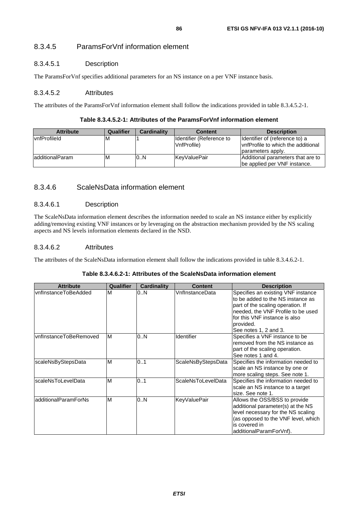### 8.3.4.5 ParamsForVnf information element

#### 8.3.4.5.1 Description

The ParamsForVnf specifies additional parameters for an NS instance on a per VNF instance basis.

#### 8.3.4.5.2 Attributes

The attributes of the ParamsForVnf information element shall follow the indications provided in table 8.3.4.5.2-1.

#### **Table 8.3.4.5.2-1: Attributes of the ParamsForVnf information element**

| <b>Attribute</b>        | Qualifier | <b>Cardinality</b> | <b>Content</b>           | <b>Description</b>                  |
|-------------------------|-----------|--------------------|--------------------------|-------------------------------------|
| vnfProfileId            | M         |                    | Identifier (Reference to | Identifier of (reference to) a      |
|                         |           |                    | VnfProfile)              | IvnfProfile to which the additional |
|                         |           |                    |                          | parameters apply.                   |
| <b>ladditionalParam</b> | M         | 0.N                | KevValuePair             | Additional parameters that are to   |
|                         |           |                    |                          | be applied per VNF instance.        |

#### 8.3.4.6 ScaleNsData information element

#### 8.3.4.6.1 Description

The ScaleNsData information element describes the information needed to scale an NS instance either by explicitly adding/removing existing VNF instances or by leveraging on the abstraction mechanism provided by the NS scaling aspects and NS levels information elements declared in the NSD.

#### 8.3.4.6.2 Attributes

The attributes of the ScaleNsData information element shall follow the indications provided in table 8.3.4.6.2-1.

#### **Table 8.3.4.6.2-1: Attributes of the ScaleNsData information element**

| <b>Attribute</b>        | Qualifier | <b>Cardinality</b> | <b>Content</b>            | <b>Description</b>                                                                                                                                                                                                        |
|-------------------------|-----------|--------------------|---------------------------|---------------------------------------------------------------------------------------------------------------------------------------------------------------------------------------------------------------------------|
| lvnflnstanceToBeAdded   | M         | 0.N                | VnflnstanceData           | Specifies an existing VNF instance<br>to be added to the NS instance as<br>part of the scaling operation. If<br>needed, the VNF Profile to be used<br>for this VNF instance is also<br>provided.<br>See notes 1, 2 and 3. |
| IvnfInstanceToBeRemoved | M         | 0.N                | Identifier                | Specifies a VNF instance to be<br>removed from the NS instance as<br>part of the scaling operation.<br>See notes 1 and 4.                                                                                                 |
| scaleNsByStepsData      | M         | 0.1                | ScaleNsByStepsData        | Specifies the information needed to<br>scale an NS instance by one or<br>more scaling steps. See note 1.                                                                                                                  |
| scaleNsToLevelData      | M         | 0.1                | <b>ScaleNsToLevelData</b> | Specifies the information needed to<br>scale an NS instance to a target<br>size. See note 1.                                                                                                                              |
| additionalParamForNs    | M         | 0N                 | <b>KeyValuePair</b>       | Allows the OSS/BSS to provide<br>additional parameter(s) at the NS<br>level necessary for the NS scaling<br>(as opposed to the VNF level, which<br>is covered in<br>additionalParamForVnf).                               |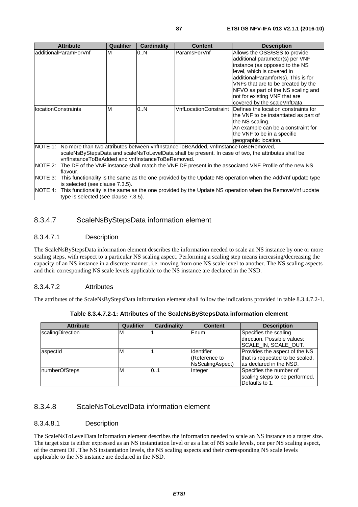| <b>Attribute</b>                                                                                                                                                                                                                                                                                                                                                                                                                                                                           | Qualifier | <b>Cardinality</b> | <b>Content</b> | <b>Description</b>                                          |  |
|--------------------------------------------------------------------------------------------------------------------------------------------------------------------------------------------------------------------------------------------------------------------------------------------------------------------------------------------------------------------------------------------------------------------------------------------------------------------------------------------|-----------|--------------------|----------------|-------------------------------------------------------------|--|
| ladditionalParamForVnf                                                                                                                                                                                                                                                                                                                                                                                                                                                                     | M         | 0.N                | ParamsForVnf   | Allows the OSS/BSS to provide                               |  |
|                                                                                                                                                                                                                                                                                                                                                                                                                                                                                            |           |                    |                | additional parameter(s) per VNF                             |  |
|                                                                                                                                                                                                                                                                                                                                                                                                                                                                                            |           |                    |                | instance (as opposed to the NS                              |  |
|                                                                                                                                                                                                                                                                                                                                                                                                                                                                                            |           |                    |                | level, which is covered in                                  |  |
|                                                                                                                                                                                                                                                                                                                                                                                                                                                                                            |           |                    |                | additionalParamforNs). This is for                          |  |
|                                                                                                                                                                                                                                                                                                                                                                                                                                                                                            |           |                    |                | VNFs that are to be created by the                          |  |
|                                                                                                                                                                                                                                                                                                                                                                                                                                                                                            |           |                    |                | NFVO as part of the NS scaling and                          |  |
|                                                                                                                                                                                                                                                                                                                                                                                                                                                                                            |           |                    |                | not for existing VNF that are                               |  |
|                                                                                                                                                                                                                                                                                                                                                                                                                                                                                            |           |                    |                | covered by the scaleVnfData.                                |  |
| llocationConstraints                                                                                                                                                                                                                                                                                                                                                                                                                                                                       | M         | 0.N                |                | VnfLocationConstraint  Defines the location constraints for |  |
|                                                                                                                                                                                                                                                                                                                                                                                                                                                                                            |           |                    |                | the VNF to be instantiated as part of                       |  |
|                                                                                                                                                                                                                                                                                                                                                                                                                                                                                            |           |                    |                | the NS scaling.                                             |  |
|                                                                                                                                                                                                                                                                                                                                                                                                                                                                                            |           |                    |                | An example can be a constraint for                          |  |
|                                                                                                                                                                                                                                                                                                                                                                                                                                                                                            |           |                    |                | the VNF to be in a specific                                 |  |
|                                                                                                                                                                                                                                                                                                                                                                                                                                                                                            |           |                    |                | geographic location.                                        |  |
| NOTE 1: No more than two attributes between vnflnstanceToBeAdded, vnflnstanceToBeRemoved,                                                                                                                                                                                                                                                                                                                                                                                                  |           |                    |                |                                                             |  |
| scaleNsByStepsData and scaleNsToLevelData shall be present. In case of two, the attributes shall be                                                                                                                                                                                                                                                                                                                                                                                        |           |                    |                |                                                             |  |
| vnflnstanceToBeAdded and vnflnstanceToBeRemoved.                                                                                                                                                                                                                                                                                                                                                                                                                                           |           |                    |                |                                                             |  |
| $\blacksquare$ $\blacksquare$ $\blacksquare$ $\blacksquare$ $\blacksquare$ $\blacksquare$ $\blacksquare$ $\blacksquare$ $\blacksquare$ $\blacksquare$ $\blacksquare$ $\blacksquare$ $\blacksquare$ $\blacksquare$ $\blacksquare$ $\blacksquare$ $\blacksquare$ $\blacksquare$ $\blacksquare$ $\blacksquare$ $\blacksquare$ $\blacksquare$ $\blacksquare$ $\blacksquare$ $\blacksquare$ $\blacksquare$ $\blacksquare$ $\blacksquare$ $\blacksquare$ $\blacksquare$ $\blacksquare$ $\blacks$ |           |                    |                |                                                             |  |

NOTE 2: The DF of the VNF instance shall match the VNF DF present in the associated VNF Profile of the new NS flavour.

NOTE 3: This functionality is the same as the one provided by the Update NS operation when the AddVnf update type is selected (see clause 7.3.5).

NOTE 4: This functionality is the same as the one provided by the Update NS operation when the RemoveVnf update type is selected (see clause 7.3.5).

## 8.3.4.7 ScaleNsByStepsData information element

### 8.3.4.7.1 Description

The ScaleNsByStepsData information element describes the information needed to scale an NS instance by one or more scaling steps, with respect to a particular NS scaling aspect. Performing a scaling step means increasing/decreasing the capacity of an NS instance in a discrete manner, i.e. moving from one NS scale level to another. The NS scaling aspects and their corresponding NS scale levels applicable to the NS instance are declared in the NSD.

### 8.3.4.7.2 Attributes

The attributes of the ScaleNsByStepsData information element shall follow the indications provided in table 8.3.4.7.2-1.

| <b>Attribute</b> | Qualifier | <b>Cardinality</b> | <b>Content</b>    | <b>Description</b>              |
|------------------|-----------|--------------------|-------------------|---------------------------------|
| scalingDirection | M         |                    | Enum              | Specifies the scaling           |
|                  |           |                    |                   | direction. Possible values:     |
|                  |           |                    |                   | ISCALE IN SCALE OUT.            |
| aspectid         | M         |                    | <b>Identifier</b> | Provides the aspect of the NS   |
|                  |           |                    | Reference to      | that is requested to be scaled, |
|                  |           |                    | NsScalingAspect)  | las declared in the NSD.        |
| numberOfSteps    | M         | 0.1                | Integer           | Specifies the number of         |
|                  |           |                    |                   | scaling steps to be performed.  |
|                  |           |                    |                   | <b>Defaults to 1.</b>           |

**Table 8.3.4.7.2-1: Attributes of the ScaleNsByStepsData information element** 

## 8.3.4.8 ScaleNsToLevelData information element

#### 8.3.4.8.1 Description

The ScaleNsToLevelData information element describes the information needed to scale an NS instance to a target size. The target size is either expressed as an NS instantiation level or as a list of NS scale levels, one per NS scaling aspect, of the current DF. The NS instantiation levels, the NS scaling aspects and their corresponding NS scale levels applicable to the NS instance are declared in the NSD.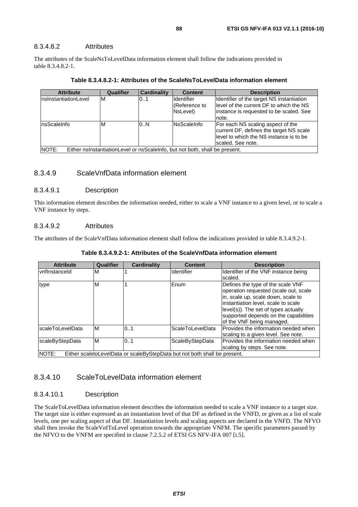#### 8.3.4.8.2 Attributes

The attributes of the ScaleNsToLevelData information element shall follow the indications provided in table 8.3.4.8.2-1.

| <b>Attribute</b>      | Qualifier | <b>Cardinality</b> | <b>Content</b>                                                             | <b>Description</b>                                                                                                                           |
|-----------------------|-----------|--------------------|----------------------------------------------------------------------------|----------------------------------------------------------------------------------------------------------------------------------------------|
| InsInstantiationLevel | M         | 0.1                | Identifier<br>(Reference to                                                | Identifier of the target NS instantiation<br>llevel of the current DF to which the NS                                                        |
|                       |           |                    | NsLevel)                                                                   | linstance is requested to be scaled. See                                                                                                     |
|                       |           |                    |                                                                            | note.                                                                                                                                        |
| nsScaleInfo           | м         | 0.N                | <b>NsScaleInfo</b>                                                         | For each NS scaling aspect of the<br>current DF, defines the target NS scale<br>level to which the NS instance is to be<br>scaled. See note. |
| $M$ $\cap$ TE $\cdot$ |           |                    | Either nelnetantiationl evel or neScale late but not both shall be present |                                                                                                                                              |

NOTE: Either nsInstantiationLevel or nsScaleInfo, but not both, shall be present.

#### 8.3.4.9 ScaleVnfData information element

#### 8.3.4.9.1 Description

This information element describes the information needed, either to scale a VNF instance to a given level, or to scale a VNF instance by steps.

#### 8.3.4.9.2 Attributes

The attributes of the ScaleVnfData information element shall follow the indications provided in table 8.3.4.9.2-1.

| <b>Attribute</b>     | Qualifier | <b>Cardinality</b> | <b>Content</b>                                                            | <b>Description</b>                    |
|----------------------|-----------|--------------------|---------------------------------------------------------------------------|---------------------------------------|
| <b>vnflnstanceld</b> | M         |                    | <b>Identifier</b>                                                         | Identifier of the VNF instance being  |
|                      |           |                    |                                                                           | scaled.                               |
| type                 | M         |                    | Enum                                                                      | Defines the type of the scale VNF     |
|                      |           |                    |                                                                           | operation requested (scale out, scale |
|                      |           |                    |                                                                           | in, scale up, scale down, scale to    |
|                      |           |                    |                                                                           | instantiation level, scale to scale   |
|                      |           |                    |                                                                           | level(s)). The set of types actually  |
|                      |           |                    |                                                                           | supported depends on the capabilities |
|                      |           |                    |                                                                           | of the VNF being managed.             |
| scaleToLevelData     | ΙM        | 01                 | <b>ScaleToLevelData</b>                                                   | Provides the information needed when  |
|                      |           |                    |                                                                           | scaling to a given level. See note.   |
| scaleByStepData      | M         | 0.1                | ScaleByStepData                                                           | Provides the information needed when  |
|                      |           |                    |                                                                           | scaling by steps. See note.           |
| NOTE:                |           |                    | Either scaletoLevelData or scaleByStepData but not both shall be present. |                                       |

**Table 8.3.4.9.2-1: Attributes of the ScaleVnfData information element** 

### 8.3.4.10 ScaleToLevelData information element

#### 8.3.4.10.1 Description

The ScaleToLevelData information element describes the information needed to scale a VNF instance to a target size. The target size is either expressed as an instantiation level of that DF as defined in the VNFD, or given as a list of scale levels, one per scaling aspect of that DF. Instantiation levels and scaling aspects are declared in the VNFD. The NFVO shall then invoke the ScaleVnfToLevel operation towards the appropriate VNFM. The specific parameters passed by the NFVO to the VNFM are specified in clause 7.2.5.2 of ETSI GS NFV-IFA 007 [[i.5](#page-13-0)].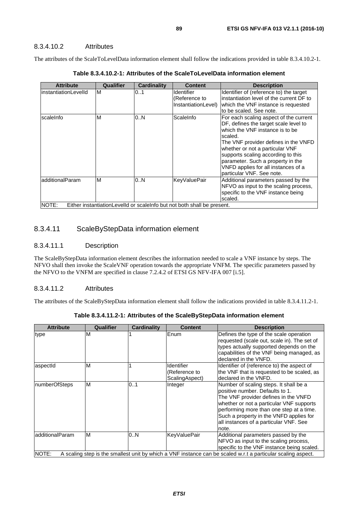### 8.3.4.10.2 Attributes

The attributes of the ScaleToLevelData information element shall follow the indications provided in table 8.3.4.10.2-1.

| <b>Attribute</b>         | Qualifier | <b>Cardinality</b> | <b>Content</b>                                                                                 | <b>Description</b>                                                                                                                                                                                                                                                                                                                                      |
|--------------------------|-----------|--------------------|------------------------------------------------------------------------------------------------|---------------------------------------------------------------------------------------------------------------------------------------------------------------------------------------------------------------------------------------------------------------------------------------------------------------------------------------------------------|
| instantiationLevelId     | M         | 0.1                | Identifier<br>(Reference to<br>InstantiationLevel)                                             | Identifier of (reference to) the target<br>instantiation level of the current DF to<br>which the VNF instance is requested<br>to be scaled. See note.                                                                                                                                                                                                   |
| <b>scale Info</b>        | M         | 0.N                | ScaleInfo                                                                                      | For each scaling aspect of the current<br>DF, defines the target scale level to<br>which the VNF instance is to be<br>scaled.<br>The VNF provider defines in the VNFD<br>whether or not a particular VNF<br>supports scaling according to this<br>parameter. Such a property in the<br>VNFD applies for all instances of a<br>particular VNF. See note. |
| additionalParam<br>NOTE: | M         | 0.N                | <b>KeyValuePair</b><br>Either instantiationLevelId or scaleInfo but not both shall be present. | Additional parameters passed by the<br>NFVO as input to the scaling process,<br>specific to the VNF instance being<br>scaled.                                                                                                                                                                                                                           |

**Table 8.3.4.10.2-1: Attributes of the ScaleToLevelData information element** 

### 8.3.4.11 ScaleByStepData information element

#### 8.3.4.11.1 Description

The ScaleByStepData information element describes the information needed to scale a VNF instance by steps. The NFVO shall then invoke the ScaleVNF operation towards the appropriate VNFM. The specific parameters passed by the NFVO to the VNFM are specified in clause 7.2.4.2 of ETSI GS NFV-IFA 007 [[i.5](#page-13-0)].

#### 8.3.4.11.2 Attributes

The attributes of the ScaleByStepData information element shall follow the indications provided in table 8.3.4.11.2-1.

**Table 8.3.4.11.2-1: Attributes of the ScaleByStepData information element** 

| <b>Attribute</b> | Qualifier | Cardinality | <b>Content</b>                                | <b>Description</b>                                                                                                                                                                                                                                                                                      |
|------------------|-----------|-------------|-----------------------------------------------|---------------------------------------------------------------------------------------------------------------------------------------------------------------------------------------------------------------------------------------------------------------------------------------------------------|
| type             | М         |             | Enum                                          | Defines the type of the scale operation<br>requested (scale out, scale in). The set of<br>types actually supported depends on the<br>capabilities of the VNF being managed, as<br>declared in the VNFD.                                                                                                 |
| aspectid         | M         |             | Identifier<br>(Reference to<br>ScalingAspect) | Identifier of (reference to) the aspect of<br>the VNF that is requested to be scaled, as<br>declared in the VNFD.                                                                                                                                                                                       |
| numberOfSteps    | M         | 0.1         | Integer                                       | Number of scaling steps. It shall be a<br>positive number. Defaults to 1.<br>The VNF provider defines in the VNFD<br>whether or not a particular VNF supports<br>performing more than one step at a time.<br>Such a property in the VNFD applies for<br>all instances of a particular VNF. See<br>note. |
| additionalParam  | M         | 0N          | <b>KeyValuePair</b>                           | Additional parameters passed by the<br>NFVO as input to the scaling process,<br>specific to the VNF instance being scaled.                                                                                                                                                                              |
| NOTE:            |           |             |                                               | A scaling step is the smallest unit by which a VNF instance can be scaled w.r.t a particular scaling aspect.                                                                                                                                                                                            |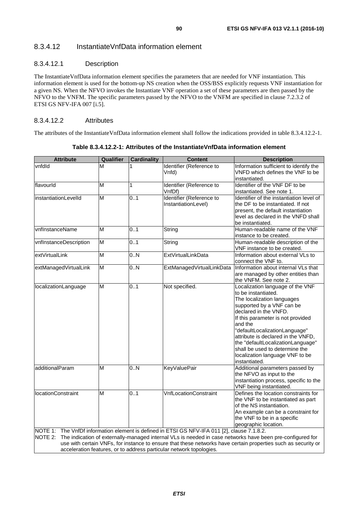## 8.3.4.12 InstantiateVnfData information element

### 8.3.4.12.1 Description

The InstantiateVnfData information element specifies the parameters that are needed for VNF instantiation. This information element is used for the bottom-up NS creation when the OSS/BSS explicitly requests VNF instantiation for a given NS. When the NFVO invokes the Instantiate VNF operation a set of these parameters are then passed by the NFVO to the VNFM. The specific parameters passed by the NFVO to the VNFM are specified in clause 7.2.3.2 of ETSI GS NFV-IFA 007 [\[i.5\]](#page-13-0).

#### 8.3.4.12.2 Attributes

The attributes of the InstantiateVnfData information element shall follow the indications provided in table 8.3.4.12.2-1.

| <b>Attribute</b>            | Qualifier      | <b>Cardinality</b> | <b>Content</b>                                                                                                                                                      | <b>Description</b>                                                                                                                                                                                                                                                                                                                                                                            |
|-----------------------------|----------------|--------------------|---------------------------------------------------------------------------------------------------------------------------------------------------------------------|-----------------------------------------------------------------------------------------------------------------------------------------------------------------------------------------------------------------------------------------------------------------------------------------------------------------------------------------------------------------------------------------------|
| vnfdld                      | М              |                    | Identifier (Reference to<br>Vnfd)                                                                                                                                   | Information sufficient to identify the<br>VNFD which defines the VNF to be<br>instantiated.                                                                                                                                                                                                                                                                                                   |
| flavourld                   | M              | 1                  | Identifier (Reference to<br>VnfDf)                                                                                                                                  | Identifier of the VNF DF to be<br>instantiated. See note 1.                                                                                                                                                                                                                                                                                                                                   |
| <i>instantiationLevelld</i> | M              | 0.1                | Identifier (Reference to<br>InstantiationLevel)                                                                                                                     | Identifier of the instantiation level of<br>the DF to be instantiated. If not<br>present, the default instantiation<br>level as declared in the VNFD shall<br>be instantiated.                                                                                                                                                                                                                |
| vnflnstanceName             | M              | 0.1                | String                                                                                                                                                              | Human-readable name of the VNF<br>instance to be created.                                                                                                                                                                                                                                                                                                                                     |
| vnflnstanceDescription      | M              | 0.1                | String                                                                                                                                                              | Human-readable description of the<br>VNF instance to be created.                                                                                                                                                                                                                                                                                                                              |
| extVirtualLink              | M              | 0.N                | <b>ExtVirtualLinkData</b>                                                                                                                                           | Information about external VLs to<br>connect the VNF to.                                                                                                                                                                                                                                                                                                                                      |
| extManagedVirtualLink       | $\overline{M}$ | 0.N                | ExtManagedVirtualLinkData                                                                                                                                           | Information about internal VLs that<br>are managed by other entities than<br>the VNFM. See note 2.                                                                                                                                                                                                                                                                                            |
| localizationLanguage        | M              | 0.1                | Not specified.                                                                                                                                                      | Localization language of the VNF<br>to be instantiated.<br>The localization languages<br>supported by a VNF can be<br>declared in the VNFD.<br>If this parameter is not provided<br>and the<br>"defaultLocalizationLanguage"<br>attribute is declared in the VNFD,<br>the "defaultLocalizationLanguage"<br>shall be used to determine the<br>localization language VNF to be<br>instantiated. |
| additionalParam             | M              | 0.N                | <b>KeyValuePair</b>                                                                                                                                                 | Additional parameters passed by<br>the NFVO as input to the<br>instantiation process, specific to the<br>VNF being instantiated.                                                                                                                                                                                                                                                              |
| <b>locationConstraint</b>   | M              | 0.1                | <b>VnfLocationConstraint</b>                                                                                                                                        | Defines the location constraints for<br>the VNF to be instantiated as part<br>of the NS instantiation.<br>An example can be a constraint for<br>the VNF to be in a specific<br>geographic location.                                                                                                                                                                                           |
| NOTE 2:                     |                |                    | NOTE 1: The VnfDf information element is defined in ETSI GS NFV-IFA 011 [2], clause 7.1.8.2.<br>acceleration features, or to address particular network topologies. | The indication of externally-managed internal VLs is needed in case networks have been pre-configured for<br>use with certain VNFs, for instance to ensure that these networks have certain properties such as security or                                                                                                                                                                    |

**Table 8.3.4.12.2-1: Attributes of the InstantiateVnfData information element**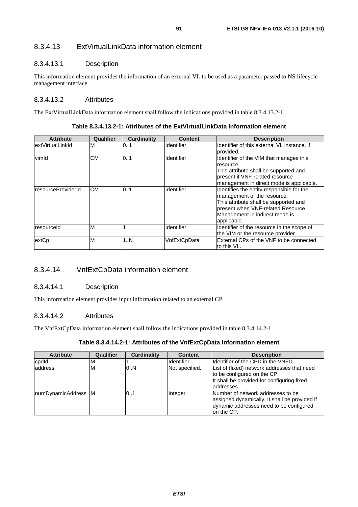## 8.3.4.13 ExtVirtualLinkData information element

#### 8.3.4.13.1 Description

This information element provides the information of an external VL to be used as a parameter passed to NS lifecycle management interface.

#### 8.3.4.13.2 Attributes

The ExtVirtualLinkData information element shall follow the indications provided in table 8.3.4.13.2-1.

| <b>Attribute</b>   | <b>Qualifier</b> | <b>Cardinality</b> | <b>Content</b>    | <b>Description</b>                                                                                                                                                                                       |
|--------------------|------------------|--------------------|-------------------|----------------------------------------------------------------------------------------------------------------------------------------------------------------------------------------------------------|
| extVirtualLinkId   | M                | 0.1                | Identifier        | Identifier of this external VL instance, if<br>provided.                                                                                                                                                 |
| vimld              | CМ               | 0.1                | <b>Identifier</b> | Identifier of the VIM that manages this<br>resource.<br>This attribute shall be supported and<br>present if VNF-related resource<br>management in direct mode is applicable.                             |
| resourceProviderId | <b>CM</b>        | 0.1                | Identifier        | Identifies the entity responsible for the<br>management of the resource.<br>This attribute shall be supported and<br>Ipresent when VNF-related Resource<br>Management in indirect mode is<br>applicable. |
| resourceld         | M                |                    | Identifier        | Identifier of the resource in the scope of<br>the VIM or the resource provider.                                                                                                                          |
| extCp              | M                | 1N                 | VnfExtCpData      | External CPs of the VNF to be connected<br>to this VL.                                                                                                                                                   |

**Table 8.3.4.13.2-1: Attributes of the ExtVirtualLinkData information element** 

## 8.3.4.14 VnfExtCpData information element

#### 8.3.4.14.1 Description

This information element provides input information related to an external CP.

#### 8.3.4.14.2 Attributes

The VnfExtCpData information element shall follow the indications provided in table 8.3.4.14.2-1.

#### **Table 8.3.4.14.2-1: Attributes of the VnfExtCpData information element**

| <b>Attribute</b>     | Qualifier | Cardinality | <b>Content</b>    | <b>Description</b>                                                                                                                          |
|----------------------|-----------|-------------|-------------------|---------------------------------------------------------------------------------------------------------------------------------------------|
| cpdld                | ıм        |             | <b>Identifier</b> | Ildentifier of the CPD in the VNFD.                                                                                                         |
| address              | ΙM        | 0.N         | Not specified.    | List of (fixed) network addresses that need<br>to be configured on the CP.<br>It shall be provided for configuring fixed<br>addresses.      |
| InumDynamicAddress M |           | 0.1         | Integer           | Number of network addresses to be<br>assigned dynamically. It shall be provided if<br>dynamic addresses need to be configured<br>on the CP. |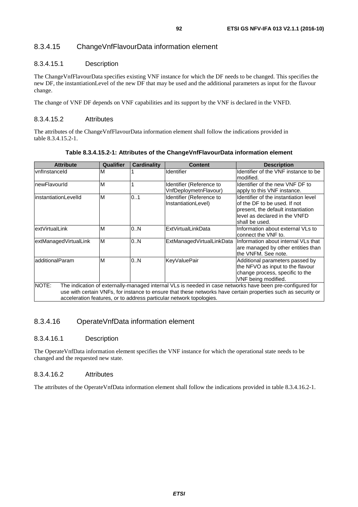## 8.3.4.15 ChangeVnfFlavourData information element

### 8.3.4.15.1 Description

The ChangeVnfFlavourData specifies existing VNF instance for which the DF needs to be changed. This specifies the new DF, the instantiationLevel of the new DF that may be used and the additional parameters as input for the flavour change.

The change of VNF DF depends on VNF capabilities and its support by the VNF is declared in the VNFD.

#### 8.3.4.15.2 Attributes

The attributes of the ChangeVnfFlavourData information element shall follow the indications provided in table 8.3.4.15.2-1.

| <b>Attribute</b>            | Qualifier                                                                                                 | <b>Cardinality</b> | <b>Content</b>                                    | <b>Description</b>                                                                                                                                             |  |  |  |  |  |
|-----------------------------|-----------------------------------------------------------------------------------------------------------|--------------------|---------------------------------------------------|----------------------------------------------------------------------------------------------------------------------------------------------------------------|--|--|--|--|--|
| vnflnstanceld               | M                                                                                                         |                    | <b>Identifier</b>                                 | Identifier of the VNF instance to be<br>lmodified.                                                                                                             |  |  |  |  |  |
| newFlavourId                | M                                                                                                         |                    | Identifier (Reference to<br>VnfDeploymetnFlavour) | Identifier of the new VNF DF to<br>apply to this VNF instance.                                                                                                 |  |  |  |  |  |
| <b>instantiationLevelId</b> | M                                                                                                         | 0.1                | Identifier (Reference to<br>InstantiationLevel)   | Identifier of the instantiation level<br>of the DF to be used. If not<br>present, the default instantiation<br>level as declared in the VNFD<br>shall be used. |  |  |  |  |  |
| extVirtualLink              | M                                                                                                         | 0N                 | ExtVirtualLinkData                                | Information about external VLs to<br>connect the VNF to.                                                                                                       |  |  |  |  |  |
| extManagedVirtualLink       | M                                                                                                         | 0N                 | ExtManagedVirtualLinkData                         | Information about internal VLs that<br>are managed by other entities than<br>the VNFM. See note.                                                               |  |  |  |  |  |
| additionalParam             | M                                                                                                         | 0N                 | <b>KeyValuePair</b>                               | Additional parameters passed by<br>the NFVO as input to the flavour<br>change process, specific to the<br>VNF being modified.                                  |  |  |  |  |  |
| NOTE:                       | The indication of externally-managed internal VLs is needed in case networks have been pre-configured for |                    |                                                   |                                                                                                                                                                |  |  |  |  |  |
|                             |                                                                                                           |                    |                                                   | use with certain VNFs, for instance to ensure that these networks have certain properties such as security or                                                  |  |  |  |  |  |
|                             |                                                                                                           |                    |                                                   | acceleration features, or to address particular network topologies.                                                                                            |  |  |  |  |  |

**Table 8.3.4.15.2-1: Attributes of the ChangeVnfFlavourData information element** 

## 8.3.4.16 OperateVnfData information element

#### 8.3.4.16.1 Description

The OperateVnfData information element specifies the VNF instance for which the operational state needs to be changed and the requested new state.

#### 8.3.4.16.2 Attributes

The attributes of the OperateVnfData information element shall follow the indications provided in table 8.3.4.16.2-1.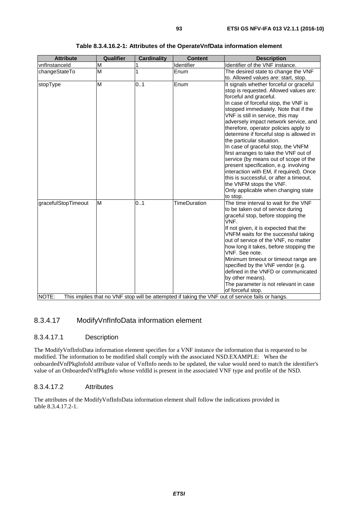| <b>Attribute</b>             | Qualifier | <b>Cardinality</b> | <b>Content</b>      | <b>Description</b>                                                                                                                                                                                                                                                                                                                                                                                                                                                                                                                                                                                                                                                                                                                |
|------------------------------|-----------|--------------------|---------------------|-----------------------------------------------------------------------------------------------------------------------------------------------------------------------------------------------------------------------------------------------------------------------------------------------------------------------------------------------------------------------------------------------------------------------------------------------------------------------------------------------------------------------------------------------------------------------------------------------------------------------------------------------------------------------------------------------------------------------------------|
| vnflnstanceld                | M         |                    | Identifier          | Identifier of the VNF instance.                                                                                                                                                                                                                                                                                                                                                                                                                                                                                                                                                                                                                                                                                                   |
| changeStateTo                | M         | 1                  | Enum                | The desired state to change the VNF                                                                                                                                                                                                                                                                                                                                                                                                                                                                                                                                                                                                                                                                                               |
|                              |           |                    |                     | to. Allowed values are: start, stop.                                                                                                                                                                                                                                                                                                                                                                                                                                                                                                                                                                                                                                                                                              |
| stopType                     | M         | 0.1                | Enum                | It signals whether forceful or graceful<br>stop is requested. Allowed values are:<br>forceful and graceful.<br>In case of forceful stop, the VNF is<br>stopped immediately. Note that if the<br>VNF is still in service, this may<br>adversely impact network service, and<br>therefore, operator policies apply to<br>determine if forceful stop is allowed in<br>the particular situation.<br>In case of graceful stop, the VNFM<br>first arranges to take the VNF out of<br>service (by means out of scope of the<br>present specification, e.g. involving<br>interaction with EM, if required). Once<br>this is successful, or after a timeout,<br>the VNFM stops the VNF.<br>Only applicable when changing state<br>to stop. |
| gracefulStopTimeout<br>NOTE: | M         | 0.1                | <b>TimeDuration</b> | The time interval to wait for the VNF<br>to be taken out of service during<br>graceful stop, before stopping the<br>VNF.<br>If not given, it is expected that the<br>VNFM waits for the successful taking<br>out of service of the VNF, no matter<br>how long it takes, before stopping the<br>VNF. See note.<br>Minimum timeout or timeout range are<br>specified by the VNF vendor (e.g.<br>defined in the VNFD or communicated<br>by other means).<br>The parameter is not relevant in case<br>of forceful stop.<br>This implies that no VNF stop will be attempted if taking the VNF out of service fails or hangs.                                                                                                           |

|  |  |  | Table 8.3.4.16.2-1: Attributes of the OperateVnfData information element |
|--|--|--|--------------------------------------------------------------------------|
|--|--|--|--------------------------------------------------------------------------|

## 8.3.4.17 ModifyVnfInfoData information element

### 8.3.4.17.1 Description

The ModifyVnfInfoData information element specifies for a VNF instance the information that is requested to be modified. The information to be modified shall comply with the associated NSD.EXAMPLE: When the onboardedVnfPkgInfoId attribute value of VnfInfo needs to be updated, the value would need to match the identifier's value of an OnboardedVnfPkgInfo whose vnfdId is present in the associated VNF type and profile of the NSD.

#### 8.3.4.17.2 Attributes

The attributes of the ModifyVnfInfoData information element shall follow the indications provided in table 8.3.4.17.2-1.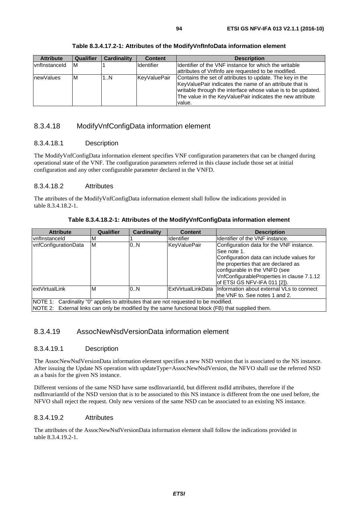| <b>Attribute</b> | Qualifier | <b>Cardinality</b> | <b>Content</b>      | <b>Description</b>                                                                                                                                                                                                                                         |
|------------------|-----------|--------------------|---------------------|------------------------------------------------------------------------------------------------------------------------------------------------------------------------------------------------------------------------------------------------------------|
| vnflnstanceld    | ΙM        |                    | <b>Identifier</b>   | Ildentifier of the VNF instance for which the writable<br>attributes of Vnflnfo are requested to be modified.                                                                                                                                              |
| <b>newValues</b> | ΙM        | 1N                 | <b>KeyValuePair</b> | Contains the set of attributes to update. The key in the<br>KeyValuePair indicates the name of an attribute that is<br>writable through the interface whose value is to be updated.<br>The value in the KeyValuePair indicates the new attribute<br>value. |

**Table 8.3.4.17.2-1: Attributes of the ModifyVnfInfoData information element** 

## 8.3.4.18 ModifyVnfConfigData information element

### 8.3.4.18.1 Description

The ModifyVnfConfigData information element specifies VNF configuration parameters that can be changed during operational state of the VNF. The configuration parameters referred in this clause include those set at initial configuration and any other configurable parameter declared in the VNFD.

#### 8.3.4.18.2 Attributes

The attributes of the ModifyVnfConfigData information element shall follow the indications provided in table 8.3.4.18.2-1.

**Table 8.3.4.18.2-1: Attributes of the ModifyVnfConfigData information element** 

| <b>Attribute</b>                                                                                                                                                                          | Qualifier | Cardinality | <b>Content</b>    | <b>Description</b>                                                                                                                                              |
|-------------------------------------------------------------------------------------------------------------------------------------------------------------------------------------------|-----------|-------------|-------------------|-----------------------------------------------------------------------------------------------------------------------------------------------------------------|
| IvnfInstanceId                                                                                                                                                                            | M         |             | <b>Identifier</b> | Identifier of the VNF instance.                                                                                                                                 |
| vnfConfigurationData                                                                                                                                                                      | ΙM        | 0.N         | KeyValuePair      | Configuration data for the VNF instance.<br>See note 1.                                                                                                         |
|                                                                                                                                                                                           |           |             |                   | Configuration data can include values for<br>the properties that are declared as<br>configurable in the VNFD (see<br>VnfConfigurableProperties in clause 7.1.12 |
|                                                                                                                                                                                           |           |             |                   | of ETSI GS NFV-IFA 011 [2]).                                                                                                                                    |
| lextVirtualLink                                                                                                                                                                           | ۱M        | 0.N         |                   | ExtVirtualLinkData IInformation about external VLs to connect<br>lthe VNF to. See notes 1 and 2.                                                                |
| NOTE 1: Cardinality "0" applies to attributes that are not requested to be modified.<br>NOTE 2: External links can only be modified by the same functional block (FB) that supplied them. |           |             |                   |                                                                                                                                                                 |

### 8.3.4.19 AssocNewNsdVersionData information element

#### 8.3.4.19.1 Description

The AssocNewNsdVersionData information element specifies a new NSD version that is associated to the NS instance. After issuing the Update NS operation with updateType=AssocNewNsdVersion, the NFVO shall use the referred NSD as a basis for the given NS instance.

Different versions of the same NSD have same nsdInvariantId, but different nsdId attributes, therefore if the nsdInvariantId of the NSD version that is to be associated to this NS instance is different from the one used before, the NFVO shall reject the request. Only new versions of the same NSD can be associated to an existing NS instance.

#### 8.3.4.19.2 Attributes

The attributes of the AssocNewNsdVersionData information element shall follow the indications provided in table 8.3.4.19.2-1.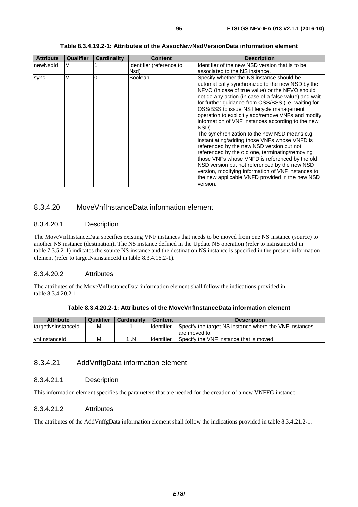| <b>Attribute</b> | <b>Qualifier</b> | <b>Cardinality</b> | Content                          | <b>Description</b>                                                                                                                                                                                                                                                                                                                                                                                                                                                                                                                                                                                                                                                                                                                                                                                                                                         |
|------------------|------------------|--------------------|----------------------------------|------------------------------------------------------------------------------------------------------------------------------------------------------------------------------------------------------------------------------------------------------------------------------------------------------------------------------------------------------------------------------------------------------------------------------------------------------------------------------------------------------------------------------------------------------------------------------------------------------------------------------------------------------------------------------------------------------------------------------------------------------------------------------------------------------------------------------------------------------------|
| InewNsdId        | M                |                    | Identifier (reference to<br>Nsd) | Identifier of the new NSD version that is to be<br>associated to the NS instance.                                                                                                                                                                                                                                                                                                                                                                                                                                                                                                                                                                                                                                                                                                                                                                          |
| sync             | M                | 01                 | <b>Boolean</b>                   | Specify whether the NS instance should be<br>automatically synchronized to the new NSD by the<br>NFVO (in case of true value) or the NFVO should<br>not do any action (in case of a false value) and wait<br>for further guidance from OSS/BSS (i.e. waiting for<br>OSS/BSS to issue NS lifecycle management<br>operation to explicitly add/remove VNFs and modify<br>information of VNF instances according to the new<br>NSD).<br>The synchronization to the new NSD means e.g.<br>instantiating/adding those VNFs whose VNFD is<br>referenced by the new NSD version but not<br>referenced by the old one, terminating/removing<br>those VNFs whose VNFD is referenced by the old<br>NSD version but not referenced by the new NSD<br>version, modifying information of VNF instances to<br>the new applicable VNFD provided in the new NSD<br>version. |

### **Table 8.3.4.19.2-1: Attributes of the AssocNewNsdVersionData information element**

## 8.3.4.20 MoveVnfInstanceData information element

#### 8.3.4.20.1 Description

The MoveVnfInstanceData specifies existing VNF instances that needs to be moved from one NS instance (source) to another NS instance (destination). The NS instance defined in the Update NS operation (refer to nsInstanceId in table 7.3.5.2-1) indicates the source NS instance and the destination NS instance is specified in the present information element (refer to targetNsInstanceId in table 8.3.4.16.2-1).

#### 8.3.4.20.2 Attributes

The attributes of the MoveVnfInstanceData information element shall follow the indications provided in table 8.3.4.20.2-1.

|  |  |  |  | Table 8.3.4.20.2-1: Attributes of the MoveVnfInstanceData information element_ |
|--|--|--|--|--------------------------------------------------------------------------------|
|--|--|--|--|--------------------------------------------------------------------------------|

| <b>Attribute</b>      | Qualifier | Cardinality | <b>Content</b>     | <b>Description</b>                                     |
|-----------------------|-----------|-------------|--------------------|--------------------------------------------------------|
| targetNsInstanceId    | м         |             | <b>Ildentifier</b> | Specify the target NS instance where the VNF instances |
|                       |           |             |                    | lare moved to.                                         |
| <i>Ivnflnstanceld</i> | М         | . N         | <b>Identifier</b>  | Specify the VNF instance that is moved.                |

### 8.3.4.21 AddVnffgData information element

#### 8.3.4.21.1 Description

This information element specifies the parameters that are needed for the creation of a new VNFFG instance.

#### 8.3.4.21.2 Attributes

The attributes of the AddVnffgData information element shall follow the indications provided in table 8.3.4.21.2-1.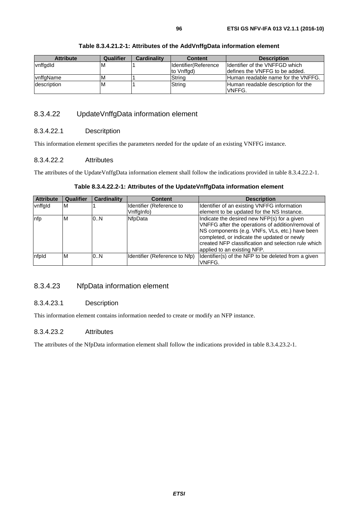#### **Table 8.3.4.21.2-1: Attributes of the AddVnffgData information element**

### 8.3.4.22 UpdateVnffgData information element

#### 8.3.4.22.1 Descritption

This information element specifies the parameters needed for the update of an existing VNFFG instance.

#### 8.3.4.22.2 Attributes

The attributes of the UpdateVnffgData information element shall follow the indications provided in table 8.3.4.22.2-1.

#### **Table 8.3.4.22.2-1: Attributes of the UpdateVnffgData information element**

| <b>Attribute</b> | Qualifier | <b>Cardinality</b> | <b>Content</b>                | <b>Description</b>                                  |
|------------------|-----------|--------------------|-------------------------------|-----------------------------------------------------|
| vnffgld          | M         |                    | Identifier (Reference to      | Identifier of an existing VNFFG information         |
|                  |           |                    | Vnffglnfo)                    | element to be updated for the NS Instance.          |
| nfp              | M         | 0.N                | NfpData                       | Indicate the desired new NFP(s) for a given         |
|                  |           |                    |                               | VNFFG after the operations of addition/removal of   |
|                  |           |                    |                               | NS components (e.g. VNFs, VLs, etc.) have been      |
|                  |           |                    |                               | completed, or indicate the updated or newly         |
|                  |           |                    |                               | created NFP classification and selection rule which |
|                  |           |                    |                               | applied to an existing NFP.                         |
| nfpld            | M         | 0.N                | Identifier (Reference to Nfp) | Identifier(s) of the NFP to be deleted from a given |
|                  |           |                    |                               | VNFFG.                                              |

### 8.3.4.23 NfpData information element

#### 8.3.4.23.1 Description

This information element contains information needed to create or modify an NFP instance.

#### 8.3.4.23.2 Attributes

The attributes of the NfpData information element shall follow the indications provided in table 8.3.4.23.2-1.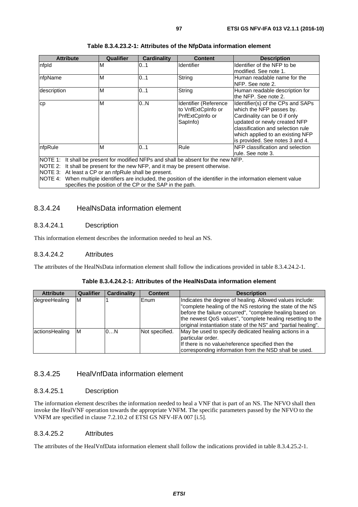| <b>Attribute</b>                                                                                                                                                                        | Qualifier | <b>Cardinality</b> | <b>Content</b>                                                             | <b>Description</b>                                                                                                                                                                                                                         |
|-----------------------------------------------------------------------------------------------------------------------------------------------------------------------------------------|-----------|--------------------|----------------------------------------------------------------------------|--------------------------------------------------------------------------------------------------------------------------------------------------------------------------------------------------------------------------------------------|
| nfpld                                                                                                                                                                                   | M         | 0.1                | Identifier                                                                 | Identifier of the NFP to be<br>modified. See note 1.                                                                                                                                                                                       |
| nfpName                                                                                                                                                                                 | M         | 101                | String                                                                     | Human readable name for the<br>NFP. See note 2.                                                                                                                                                                                            |
| description                                                                                                                                                                             | M         | 0.1                | String                                                                     | Human readable description for<br>lthe NFP. See note 2.                                                                                                                                                                                    |
| СD                                                                                                                                                                                      | M         | 0.N                | Identifier (Reference<br>to VnfExtCpInfo or<br>PnfExtCpInfo or<br>SapInfo) | Identifier(s) of the CPs and SAPs<br>which the NFP passes by.<br>Cardinality can be 0 if only<br>updated or newly created NFP<br>classification and selection rule<br>which applied to an existing NFP<br>lis provided. See notes 3 and 4. |
| nfpRule                                                                                                                                                                                 | M         | 101                | Rule                                                                       | <b>INFP</b> classification and selection<br>rule. See note 3.                                                                                                                                                                              |
| NOTE 1: It shall be present for modified NFPs and shall be absent for the new NFP.<br>$M$ $\cap$ $F$ $\cap$ $\cdot$ It shall he present for the new NFP and it may he present otherwise |           |                    |                                                                            |                                                                                                                                                                                                                                            |

#### **Table 8.3.4.23.2-1: Attributes of the NfpData information element**

the new NFP, and it may be present otherwise.

NOTE 3: At least a CP or an nfpRule shall be present.

NOTE 4: When multiple identifiers are included, the position of the identifier in the information element value specifies the position of the CP or the SAP in the path.

### 8.3.4.24 HealNsData information element

#### 8.3.4.24.1 Description

This information element describes the information needed to heal an NS.

#### 8.3.4.24.2 Attributes

The attributes of the HealNsData information element shall follow the indications provided in table 8.3.4.24.2-1.

#### **Table 8.3.4.24.2-1: Attributes of the HealNsData information element**

| <b>Attribute</b> | <b>Qualifier</b> | <b>Cardinality</b> | <b>Content</b> | <b>Description</b>                                                                                                                                                                |
|------------------|------------------|--------------------|----------------|-----------------------------------------------------------------------------------------------------------------------------------------------------------------------------------|
| degreeHealing    | IM               |                    | Enum           | Indicates the degree of healing. Allowed values include:<br>"complete healing of the NS restoring the state of the NS<br>before the failure occurred", "complete healing based on |
|                  |                  |                    |                | the newest QoS values", "complete healing resetting to the<br>loriginal instantiation state of the NS" and "partial healing".                                                     |
| actionsHealing   | <b>M</b>         | 0N                 | Not specified. | May be used to specify dedicated healing actions in a<br>particular order.<br>If there is no value/reference specified then the                                                   |
|                  |                  |                    |                | corresponding information from the NSD shall be used.                                                                                                                             |

### 8.3.4.25 HealVnfData information element

#### 8.3.4.25.1 Description

The information element describes the information needed to heal a VNF that is part of an NS. The NFVO shall then invoke the HealVNF operation towards the appropriate VNFM. The specific parameters passed by the NFVO to the VNFM are specified in clause 7.2.10.2 of ETSI GS NFV-IFA 007 [\[i.5\]](#page-13-0).

#### 8.3.4.25.2 Attributes

The attributes of the HealVnfData information element shall follow the indications provided in table 8.3.4.25.2-1.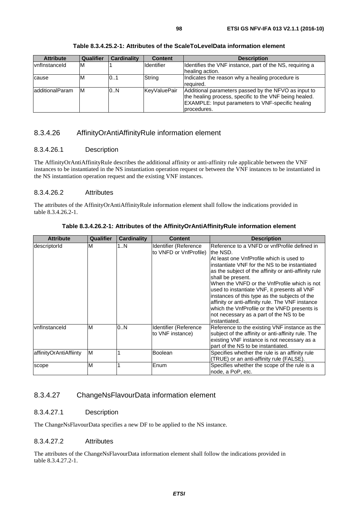| <b>Attribute</b> | Qualifier | <b>Cardinality</b> | <b>Content</b> | <b>Description</b>                                                                                                                                                                 |
|------------------|-----------|--------------------|----------------|------------------------------------------------------------------------------------------------------------------------------------------------------------------------------------|
| vnflnstanceld    | ΙM        |                    | Identifier     | Identifies the VNF instance, part of the NS, requiring a<br>healing action.                                                                                                        |
| cause            | M         | 101                | String         | Indicates the reason why a healing procedure is<br>required.                                                                                                                       |
| additionalParam  | lМ        | 0.N                | KeyValuePair   | Additional parameters passed by the NFVO as input to<br>the healing process, specific to the VNF being healed.<br>EXAMPLE: Input parameters to VNF-specific healing<br>procedures. |

**Table 8.3.4.25.2-1: Attributes of the ScaleToLevelData information element** 

## 8.3.4.26 AffinityOrAntiAffinityRule information element

#### 8.3.4.26.1 Description

The AffinityOrAntiAffinityRule describes the additional affinity or anti-affinity rule applicable between the VNF instances to be instantiated in the NS instantiation operation request or between the VNF instances to be instantiated in the NS instantiation operation request and the existing VNF instances.

#### 8.3.4.26.2 Attributes

The attributes of the AffinityOrAntiAffinityRule information element shall follow the indications provided in table 8.3.4.26.2-1.

| <b>Attribute</b>       | Qualifier | Cardinality | <b>Content</b>                                  | <b>Description</b>                                                                                                                                                                                                                                                                                                                                                                                                                                                                                                                                   |
|------------------------|-----------|-------------|-------------------------------------------------|------------------------------------------------------------------------------------------------------------------------------------------------------------------------------------------------------------------------------------------------------------------------------------------------------------------------------------------------------------------------------------------------------------------------------------------------------------------------------------------------------------------------------------------------------|
| descriptorId           | M         | 1N          | Identifier (Reference<br>to VNFD or VnfProfile) | Reference to a VNFD or vnfProfile defined in<br>Ithe NSD.<br>At least one VnfProfile which is used to<br>instantiate VNF for the NS to be instantiated<br>as the subject of the affinity or anti-affinity rule<br>shall be present.<br>When the VNFD or the VnfProfile which is not<br>used to instantiate VNF, it presents all VNF<br>instances of this type as the subjects of the<br>affinity or anti-affinity rule. The VNF instance<br>which the VnfProfile or the VNFD presents is<br>not necessary as a part of the NS to be<br>instantiated. |
| vnflnstanceld          | M         | 0.N         | Identifier (Reference<br>to VNF instance)       | Reference to the existing VNF instance as the<br>subject of the affinity or anti-affinity rule. The<br>existing VNF instance is not necessary as a<br>part of the NS to be instantiated.                                                                                                                                                                                                                                                                                                                                                             |
| affinityOrAntiAffiinty | M         |             | <b>Boolean</b>                                  | Specifies whether the rule is an affinity rule<br>(TRUE) or an anti-affinity rule (FALSE).                                                                                                                                                                                                                                                                                                                                                                                                                                                           |
| scope                  | M         |             | Enum                                            | Specifies whether the scope of the rule is a<br>node, a PoP, etc.                                                                                                                                                                                                                                                                                                                                                                                                                                                                                    |

**Table 8.3.4.26.2-1: Attributes of the AffinityOrAntiAffinityRule information element** 

## 8.3.4.27 ChangeNsFlavourData information element

#### 8.3.4.27.1 Description

The ChangeNsFlavourData specifies a new DF to be applied to the NS instance.

#### 8.3.4.27.2 Attributes

The attributes of the ChangeNsFlavourData information element shall follow the indications provided in table 8.3.4.27.2-1.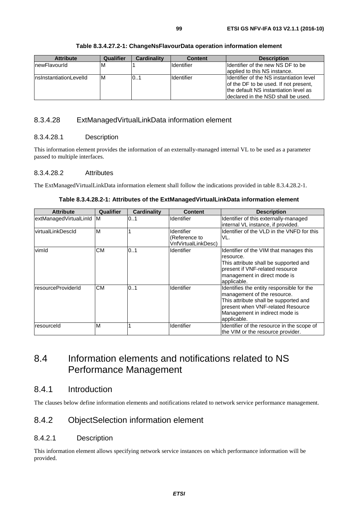| <b>Attribute</b>        | Qualifier | <b>Cardinality</b> | <b>Content</b>    | <b>Description</b>                                                                                                                                                 |
|-------------------------|-----------|--------------------|-------------------|--------------------------------------------------------------------------------------------------------------------------------------------------------------------|
| InewFlavourId           | ıм        |                    | <b>Identifier</b> | Ildentifier of the new NS DF to be<br>applied to this NS instance.                                                                                                 |
| InsinstantiationLevelId | IM        | IO1                | <b>Identifier</b> | Ildentifier of the NS instantiation level<br>of the DF to be used. If not present,<br>the default NS instantiation level as<br>Ideclared in the NSD shall be used. |

#### **Table 8.3.4.27.2-1: ChangeNsFlavourData operation information element**

## 8.3.4.28 ExtManagedVirtualLinkData information element

#### 8.3.4.28.1 Description

This information element provides the information of an externally-managed internal VL to be used as a parameter passed to multiple interfaces.

#### 8.3.4.28.2 Attributes

The ExtManagedVirtualLinkData information element shall follow the indications provided in table 8.3.4.28.2-1.

| Table 8.3.4.28.2-1: Attributes of the ExtManagedVirtualLinkData information element |
|-------------------------------------------------------------------------------------|
|                                                                                     |

| <b>Attribute</b>         | Qualifier | Cardinality | Content                              | <b>Description</b>                                                          |
|--------------------------|-----------|-------------|--------------------------------------|-----------------------------------------------------------------------------|
| extManagedVirtualLinId M |           | 0.1         | <b>Identifier</b>                    | Identifier of this externally-managed<br>internal VL instance, if provided. |
| virtualLinkDescld        | ΙM        |             | Identifier                           | Identifier of the VLD in the VNFD for this                                  |
|                          |           |             | (Reference to<br>VnfVirtualLinkDesc) | VL.                                                                         |
| vimld                    | <b>CM</b> | 0.1         | Identifier                           | Identifier of the VIM that manages this<br>resource.                        |
|                          |           |             |                                      | This attribute shall be supported and                                       |
|                          |           |             |                                      | present if VNF-related resource                                             |
|                          |           |             |                                      | management in direct mode is                                                |
|                          |           |             |                                      | applicable.                                                                 |
| resourceProviderId       | <b>CM</b> | 0.1         | <b>Identifier</b>                    | Identifies the entity responsible for the                                   |
|                          |           |             |                                      | management of the resource.                                                 |
|                          |           |             |                                      | This attribute shall be supported and                                       |
|                          |           |             |                                      | present when VNF-related Resource                                           |
|                          |           |             |                                      | Management in indirect mode is                                              |
|                          |           |             |                                      | applicable.                                                                 |
| resourceld               | M         |             | <b>Identifier</b>                    | Identifier of the resource in the scope of                                  |
|                          |           |             |                                      | the VIM or the resource provider.                                           |

# 8.4 Information elements and notifications related to NS Performance Management

## 8.4.1 Introduction

The clauses below define information elements and notifications related to network service performance management.

## 8.4.2 ObjectSelection information element

### 8.4.2.1 Description

This information element allows specifying network service instances on which performance information will be provided.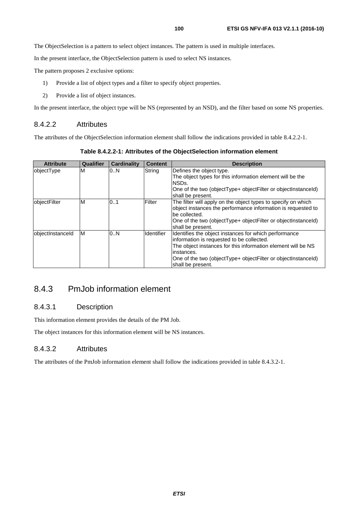The ObjectSelection is a pattern to select object instances. The pattern is used in multiple interfaces.

In the present interface, the ObjectSelection pattern is used to select NS instances.

The pattern proposes 2 exclusive options:

- 1) Provide a list of object types and a filter to specify object properties.
- 2) Provide a list of object instances.

In the present interface, the object type will be NS (represented by an NSD), and the filter based on some NS properties.

#### 8.4.2.2 Attributes

The attributes of the ObjectSelection information element shall follow the indications provided in table 8.4.2.2-1.

**Table 8.4.2.2-1: Attributes of the ObjectSelection information element** 

| <b>Attribute</b> | Qualifier | <b>Cardinality</b> | <b>Content</b>    | <b>Description</b>                                                                                                                                                                                                                                                     |
|------------------|-----------|--------------------|-------------------|------------------------------------------------------------------------------------------------------------------------------------------------------------------------------------------------------------------------------------------------------------------------|
| objectType       | M         | 0N                 | String            | Defines the object type.<br>The object types for this information element will be the<br>NSDs.<br>One of the two (objectType+ objectFilter or objectInstanceId)<br>shall be present.                                                                                   |
| objectFilter     | M         | 0.1                | Filter            | The filter will apply on the object types to specify on which<br>object instances the performance information is requested to<br>be collected.<br>One of the two (objectType+ objectFilter or objectInstanceId)<br>shall be present.                                   |
| objectInstanceId | ΙM        | 0.N                | <b>Identifier</b> | Identifies the object instances for which performance<br>information is requested to be collected.<br>The object instances for this information element will be NS<br>instances.<br>One of the two (objectType+ objectFilter or objectInstanceId)<br>shall be present. |

## 8.4.3 PmJob information element

## 8.4.3.1 Description

This information element provides the details of the PM Job.

The object instances for this information element will be NS instances.

#### 8.4.3.2 Attributes

The attributes of the PmJob information element shall follow the indications provided in table 8.4.3.2-1.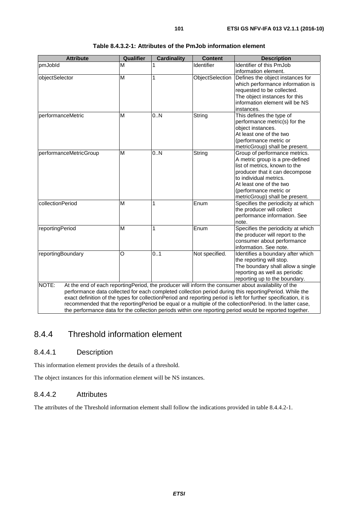| <b>Attribute</b>       | <b>Qualifier</b> | <b>Cardinality</b> | <b>Content</b>  | <b>Description</b>                                                                                                                                                                                                                                                                                                                                                                                                                            |
|------------------------|------------------|--------------------|-----------------|-----------------------------------------------------------------------------------------------------------------------------------------------------------------------------------------------------------------------------------------------------------------------------------------------------------------------------------------------------------------------------------------------------------------------------------------------|
| pmJobld                | M                |                    | Identifier      | Identifier of this PmJob                                                                                                                                                                                                                                                                                                                                                                                                                      |
|                        |                  |                    |                 | information element.                                                                                                                                                                                                                                                                                                                                                                                                                          |
| objectSelector         | M                | 1                  | ObjectSelection | Defines the object instances for<br>which performance information is<br>requested to be collected.<br>The object instances for this<br>information element will be NS<br>instances.                                                                                                                                                                                                                                                           |
| performanceMetric      | M                | 0N                 | String          | This defines the type of<br>performance metric(s) for the<br>object instances.<br>At least one of the two<br>(performance metric or<br>metricGroup) shall be present.                                                                                                                                                                                                                                                                         |
| performanceMetricGroup | M                | 0.N                | String          | Group of performance metrics.<br>A metric group is a pre-defined<br>list of metrics, known to the<br>producer that it can decompose<br>to individual metrics.<br>At least one of the two<br>(performance metric or<br>metricGroup) shall be present.                                                                                                                                                                                          |
| collectionPeriod       | M                | 1                  | Enum            | Specifies the periodicity at which<br>the producer will collect<br>performance information. See<br>note.                                                                                                                                                                                                                                                                                                                                      |
| reportingPeriod        | M                | 1                  | Enum            | Specifies the periodicity at which<br>the producer will report to the<br>consumer about performance<br>information. See note.                                                                                                                                                                                                                                                                                                                 |
| reportingBoundary      | O                | 0.1                | Not specified.  | Identifies a boundary after which<br>the reporting will stop.<br>The boundary shall allow a single<br>reporting as well as periodic<br>reporting up to the boundary.                                                                                                                                                                                                                                                                          |
| NOTE:                  |                  |                    |                 | At the end of each reportingPeriod, the producer will inform the consumer about availability of the<br>performance data collected for each completed collection period during this reportingPeriod. While the<br>exact definition of the types for collectionPeriod and reporting period is left for further specification, it is<br>recommended that the reportingPeriod be equal or a multiple of the collectionPeriod. In the latter case, |

the performance data for the collection periods within one reporting period would be reported together.

#### **Table 8.4.3.2-1: Attributes of the PmJob information element**

# 8.4.4 Threshold information element

### 8.4.4.1 Description

This information element provides the details of a threshold.

The object instances for this information element will be NS instances.

## 8.4.4.2 Attributes

The attributes of the Threshold information element shall follow the indications provided in table 8.4.4.2-1.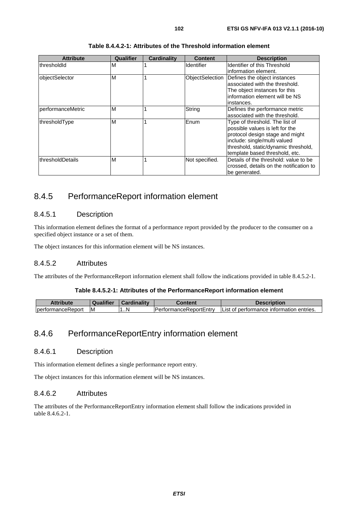| <b>Attribute</b>  | Qualifier | Cardinality | <b>Content</b>  | <b>Description</b>                                                                                                                                                                                             |
|-------------------|-----------|-------------|-----------------|----------------------------------------------------------------------------------------------------------------------------------------------------------------------------------------------------------------|
| thresholdId       | М         |             | Identifier      | Identifier of this Threshold<br>information element.                                                                                                                                                           |
| objectSelector    | M         |             | ObjectSelection | Defines the object instances<br>associated with the threshold.<br>The object instances for this<br>information element will be NS<br>instances.                                                                |
| performanceMetric | M         |             | String          | Defines the performance metric<br>associated with the threshold.                                                                                                                                               |
| thresholdType     | M         |             | Enum            | Type of threshold. The list of<br>possible values is left for the<br>protocol design stage and might<br>include: single/multi valued<br>threshold, static/dynamic threshold,<br>template based threshold, etc. |
| thresholdDetails  | M         |             | Not specified.  | Details of the threshold: value to be<br>crossed, details on the notification to<br>be generated.                                                                                                              |

#### **Table 8.4.4.2-1: Attributes of the Threshold information element**

## 8.4.5 PerformanceReport information element

### 8.4.5.1 Description

This information element defines the format of a performance report provided by the producer to the consumer on a specified object instance or a set of them.

The object instances for this information element will be NS instances.

#### 8.4.5.2 Attributes

The attributes of the PerformanceReport information element shall follow the indications provided in table 8.4.5.2-1.

#### **Table 8.4.5.2-1: Attributes of the PerformanceReport information element**

| Attribute                   | <b>Qualifier</b> | <b>Cardinality</b> | Content                        | <b>Description</b>                        |
|-----------------------------|------------------|--------------------|--------------------------------|-------------------------------------------|
| <b>I</b> bertormance Report | ΙM               | 1N<br>-4           | <b>IPerformanceReportEntry</b> | IList of performance information entries. |

## 8.4.6 PerformanceReportEntry information element

#### 8.4.6.1 Description

This information element defines a single performance report entry.

The object instances for this information element will be NS instances.

### 8.4.6.2 Attributes

The attributes of the PerformanceReportEntry information element shall follow the indications provided in table 8.4.6.2-1.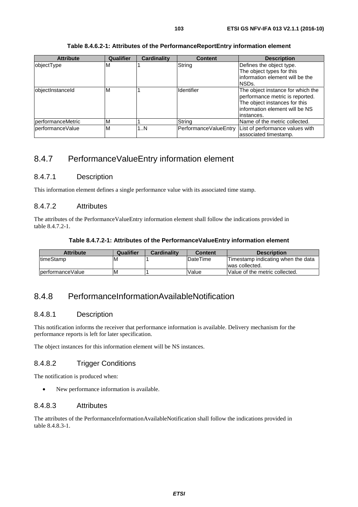|  |  | Table 8.4.6.2-1: Attributes of the PerformanceReportEntry information element |
|--|--|-------------------------------------------------------------------------------|
|--|--|-------------------------------------------------------------------------------|

| <b>Attribute</b>  | Qualifier | Cardinality | <b>Content</b>        | <b>Description</b>                                                                                                                                     |
|-------------------|-----------|-------------|-----------------------|--------------------------------------------------------------------------------------------------------------------------------------------------------|
| objectType        | м         |             | String                | Defines the object type.<br>The object types for this<br>information element will be the<br>NSDs.                                                      |
| objectInstanceId  | М         |             | <b>Identifier</b>     | The object instance for which the<br>performance metric is reported.<br>The object instances for this<br>information element will be NS<br>linstances. |
| performanceMetric | м         |             | String                | Name of the metric collected.                                                                                                                          |
| performanceValue  | М         | 1N          | PerformanceValueEntry | List of performance values with<br>associated timestamp.                                                                                               |

## 8.4.7 PerformanceValueEntry information element

#### 8.4.7.1 Description

This information element defines a single performance value with its associated time stamp.

### 8.4.7.2 Attributes

The attributes of the PerformanceValueEntry information element shall follow the indications provided in table 8.4.7.2-1.

#### **Table 8.4.7.2-1: Attributes of the PerformanceValueEntry information element**

| <b>Attribute</b> | Qualifier | Cardinality | <b>Content</b>  | <b>Description</b>                 |
|------------------|-----------|-------------|-----------------|------------------------------------|
| ItimeStamp       | ΙM        |             | <b>DateTime</b> | Timestamp indicating when the data |
|                  |           |             |                 | was collected.                     |
| performanceValue | ΙM        |             | Value           | Value of the metric collected.     |

## 8.4.8 PerformanceInformationAvailableNotification

#### 8.4.8.1 Description

This notification informs the receiver that performance information is available. Delivery mechanism for the performance reports is left for later specification.

The object instances for this information element will be NS instances.

### 8.4.8.2 Trigger Conditions

The notification is produced when:

• New performance information is available.

#### 8.4.8.3 Attributes

The attributes of the PerformanceInformationAvailableNotification shall follow the indications provided in table 8.4.8.3-1.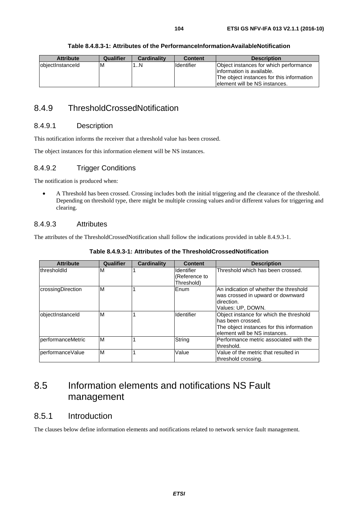|  | Table 8.4.8.3-1: Attributes of the PerformanceInformationAvailableNotification |
|--|--------------------------------------------------------------------------------|
|--|--------------------------------------------------------------------------------|

| <b>Attribute</b>  | Qualifier | <b>Cardinality</b> | <b>Content</b>    | <b>Description</b>                                                                                                                                  |
|-------------------|-----------|--------------------|-------------------|-----------------------------------------------------------------------------------------------------------------------------------------------------|
| lobiectInstanceId | ΙM        | $\ldots$ N         | <b>Identifier</b> | Object instances for which performance<br>linformation is available.<br>The object instances for this information<br>lelement will be NS instances. |

## 8.4.9 ThresholdCrossedNotification

### 8.4.9.1 Description

This notification informs the receiver that a threshold value has been crossed.

The object instances for this information element will be NS instances.

### 8.4.9.2 Trigger Conditions

The notification is produced when:

• A Threshold has been crossed. Crossing includes both the initial triggering and the clearance of the threshold. Depending on threshold type, there might be multiple crossing values and/or different values for triggering and clearing.

#### 8.4.9.3 Attributes

The attributes of the ThresholdCrossedNotification shall follow the indications provided in table 8.4.9.3-1.

| <b>Attribute</b>  | Qualifier | <b>Cardinality</b> | <b>Content</b>                            | <b>Description</b>                                                                                                                          |
|-------------------|-----------|--------------------|-------------------------------------------|---------------------------------------------------------------------------------------------------------------------------------------------|
| thresholdId       | M         |                    | Identifier<br>(Reference to<br>Threshold) | Threshold which has been crossed.                                                                                                           |
| crossingDirection | M         |                    | Enum                                      | lAn indication of whether the threshold<br>was crossed in upward or downward<br>Idirection.<br>Values: UP, DOWN.                            |
| objectInstanceId  | M         |                    | Identifier                                | Object instance for which the threshold<br>has been crossed.<br>The object instances for this information<br>lelement will be NS instances. |
| performanceMetric | lм        |                    | String                                    | Performance metric associated with the<br>threshold.                                                                                        |
| lperformanceValue | M         |                    | Value                                     | Value of the metric that resulted in<br>threshold crossing.                                                                                 |

**Table 8.4.9.3-1: Attributes of the ThresholdCrossedNotification** 

# 8.5 Information elements and notifications NS Fault management

## 8.5.1 Introduction

The clauses below define information elements and notifications related to network service fault management.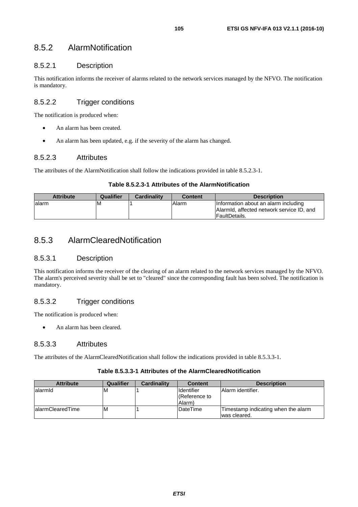## 8.5.2 AlarmNotification

## 8.5.2.1 Description

This notification informs the receiver of alarms related to the network services managed by the NFVO. The notification is mandatory.

## 8.5.2.2 Trigger conditions

The notification is produced when:

- An alarm has been created.
- An alarm has been updated, e.g. if the severity of the alarm has changed.

### 8.5.2.3 Attributes

The attributes of the AlarmNotification shall follow the indications provided in table 8.5.2.3-1.

#### **Table 8.5.2.3-1 Attributes of the AlarmNotification**

| <b>Attribute</b> | Qualifier | <b>Cardinality</b> | <b>Content</b> | <b>Description</b>                                                                                  |
|------------------|-----------|--------------------|----------------|-----------------------------------------------------------------------------------------------------|
| lalarm           | ΙM        |                    | Alarm          | Information about an alarm including<br>Alarmid, affected network service ID, and<br>lFaultDetails. |

## 8.5.3 AlarmClearedNotification

### 8.5.3.1 Description

This notification informs the receiver of the clearing of an alarm related to the network services managed by the NFVO. The alarm's perceived severity shall be set to "cleared" since the corresponding fault has been solved. The notification is mandatory.

## 8.5.3.2 Trigger conditions

The notification is produced when:

• An alarm has been cleared.

### 8.5.3.3 Attributes

The attributes of the AlarmClearedNotification shall follow the indications provided in table 8.5.3.3-1.

#### **Table 8.5.3.3-1 Attributes of the AlarmClearedNotification**

| <b>Attribute</b>  | <b>Qualifier</b> | <b>Cardinality</b> | <b>Content</b>     | <b>Description</b>                  |
|-------------------|------------------|--------------------|--------------------|-------------------------------------|
| lalarmid          | M                |                    | <b>I</b> dentifier | Alarm identifier.                   |
|                   |                  |                    | (Reference to      |                                     |
|                   |                  |                    | (Alarm             |                                     |
| lalarmClearedTime | M                |                    | DateTime           | Timestamp indicating when the alarm |
|                   |                  |                    |                    | was cleared.                        |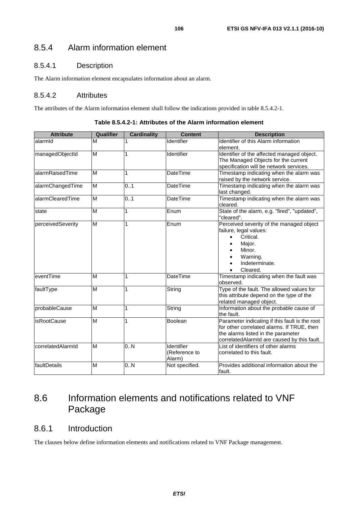## 8.5.4 Alarm information element

## 8.5.4.1 Description

The Alarm information element encapsulates information about an alarm.

## 8.5.4.2 Attributes

The attributes of the Alarm information element shall follow the indications provided in table 8.5.4.2-1.

| <b>Attribute</b>  | Qualifier      | <b>Cardinality</b> | <b>Content</b>                        | <b>Description</b>                                                                                                                                                                |
|-------------------|----------------|--------------------|---------------------------------------|-----------------------------------------------------------------------------------------------------------------------------------------------------------------------------------|
| alarmid           | M              |                    | Identifier                            | Identifier of this Alarm information<br>element.                                                                                                                                  |
| managedObjectId   | M              |                    | Identifier                            | Identifier of the affected managed object.<br>The Managed Objects for the current<br>specification will be network services.                                                      |
| alarmRaisedTime   | M              | 1                  | <b>DateTime</b>                       | Timestamp indicating when the alarm was<br>raised by the network service.                                                                                                         |
| alarmChangedTime  | M              | 0.1                | <b>DateTime</b>                       | Timestamp indicating when the alarm was<br>last changed.                                                                                                                          |
| alarmClearedTime  | $\overline{M}$ | 0.1                | <b>DateTime</b>                       | Timestamp indicating when the alarm was<br>cleared.                                                                                                                               |
| state             | M              | 1                  | Enum                                  | State of the alarm, e.g. "fired", "updated",<br>"cleared".                                                                                                                        |
| perceivedSeverity | M              | 1                  | Enum                                  | Perceived severity of the managed object<br>failure, legal values:<br>Critical.<br>Major.<br>Minor.<br>Warning.<br>Indeterminate.<br>Cleared.                                     |
| eventTime         | M              | 1                  | <b>DateTime</b>                       | Timestamp indicating when the fault was<br>observed.                                                                                                                              |
| faultType         | M              | 1                  | String                                | Type of the fault. The allowed values for<br>this attribute depend on the type of the<br>related managed object.                                                                  |
| probableCause     | M              | 1                  | String                                | Information about the probable cause of<br>the fault.                                                                                                                             |
| lisRootCause      | M              | 1                  | Boolean                               | Parameter indicating if this fault is the root<br>for other correlated alarms. If TRUE, then<br>the alarms listed in the parameter<br>correlatedAlarmId are caused by this fault. |
| correlatedAlarmId | M              | 0.N                | Identifier<br>(Reference to<br>Alarm) | List of identifiers of other alarms<br>correlated to this fault.                                                                                                                  |
| faultDetails      | M              | 0.N                | Not specified.                        | Provides additional information about the<br>fault.                                                                                                                               |

**Table 8.5.4.2-1: Attributes of the Alarm information element** 

# 8.6 Information elements and notifications related to VNF Package

## 8.6.1 Introduction

The clauses below define information elements and notifications related to VNF Package management.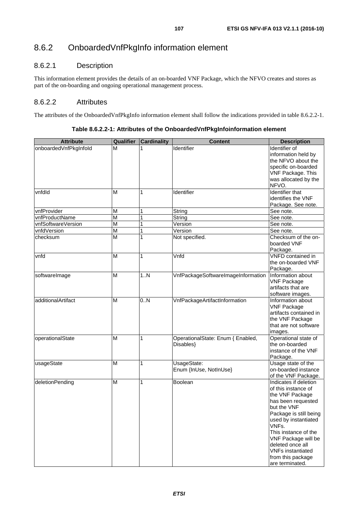# 8.6.2 OnboardedVnfPkgInfo information element

## 8.6.2.1 Description

This information element provides the details of an on-boarded VNF Package, which the NFVO creates and stores as part of the on-boarding and ongoing operational management process.

## 8.6.2.2 Attributes

The attributes of the OnboardedVnfPkgInfo information element shall follow the indications provided in table 8.6.2.2-1.

| <b>Attribute</b>      | Qualifier      | <b>Cardinality</b> | <b>Content</b>                                 | <b>Description</b>                                                                                                                                                                                                                                                                                     |
|-----------------------|----------------|--------------------|------------------------------------------------|--------------------------------------------------------------------------------------------------------------------------------------------------------------------------------------------------------------------------------------------------------------------------------------------------------|
| onboardedVnfPkgInfold | M              |                    | Identifier                                     | Identifier of<br>information held by<br>the NFVO about the                                                                                                                                                                                                                                             |
|                       |                |                    |                                                | specific on-boarded<br>VNF Package. This                                                                                                                                                                                                                                                               |
|                       |                |                    |                                                | was allocated by the<br>NFVO.                                                                                                                                                                                                                                                                          |
| vnfdld                | M              | 1                  | Identifier                                     | <b>Identifier that</b><br>identifies the VNF<br>Package. See note.                                                                                                                                                                                                                                     |
| vnfProvider           | M              |                    | String                                         | See note.                                                                                                                                                                                                                                                                                              |
| vnfProductName        | M              | 1                  | String                                         | See note.                                                                                                                                                                                                                                                                                              |
| vnfSoftwareVersion    | M              |                    | Version                                        | See note.                                                                                                                                                                                                                                                                                              |
| vnfdVersion           | M              | 1                  | Version                                        | See note.                                                                                                                                                                                                                                                                                              |
| checksum              | $\overline{M}$ | 1                  | Not specified.                                 | Checksum of the on-<br>boarded VNF<br>Package.                                                                                                                                                                                                                                                         |
| vnfd                  | M              | 1                  | Vnfd                                           | <b>VNFD</b> contained in<br>the on-boarded VNF<br>Package.                                                                                                                                                                                                                                             |
| softwareImage         | M              | 1N                 | VnfPackageSoftwareImageInformation             | Information about<br><b>VNF Package</b><br>artifacts that are<br>software images.                                                                                                                                                                                                                      |
| additionalArtifact    | M              | 0.N                | VnfPackageArtifactInformation                  | Information about<br><b>VNF Package</b><br>artifacts contained in<br>the VNF Package<br>that are not software<br>images.                                                                                                                                                                               |
| operationalState      | M              | 1                  | OperationalState: Enum { Enabled,<br>Disables} | Operational state of<br>the on-boarded<br>instance of the VNF<br>Package.                                                                                                                                                                                                                              |
| usageState            | M              | 1                  | UsageState:<br>Enum {InUse, NotInUse}          | Usage state of the<br>on-boarded instance<br>of the VNF Package.                                                                                                                                                                                                                                       |
| deletionPending       | M              | 1                  | Boolean                                        | Indicates if deletion<br>of this instance of<br>the VNF Package<br>has been requested<br>but the VNF<br>Package is still being<br>used by instantiated<br>VNFs.<br>This instance of the<br>VNF Package will be<br>deleted once all<br><b>VNFs instantiated</b><br>from this package<br>are terminated. |

**Table 8.6.2.2-1: Attributes of the OnboardedVnfPkgInfoinformation element**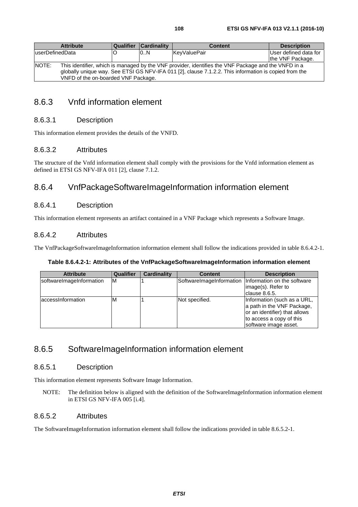| <b>Attribute</b>                                                                                             | <b>Qualifier</b> | <b>Cardinality</b> | <b>Content</b>      | <b>Description</b>    |  |
|--------------------------------------------------------------------------------------------------------------|------------------|--------------------|---------------------|-----------------------|--|
| luserDefinedData                                                                                             |                  | 0.N                | <b>KevValuePair</b> | User defined data for |  |
|                                                                                                              |                  |                    |                     | the VNF Package.      |  |
| NOTE:<br>This identifier, which is managed by the VNF provider, identifies the VNF Package and the VNFD in a |                  |                    |                     |                       |  |
| globally unique way. See ETSI GS NFV-IFA 011 [2], clause 7.1.2.2. This information is copied from the        |                  |                    |                     |                       |  |
| VNFD of the on-boarded VNF Package.                                                                          |                  |                    |                     |                       |  |

## 8.6.3 Vnfd information element

#### 8.6.3.1 Description

This information element provides the details of the VNFD.

#### 8.6.3.2 Attributes

The structure of the Vnfd information element shall comply with the provisions for the Vnfd information element as defined in ETSI GS NFV-IFA 011 [[2\]](#page-13-0), clause 7.1.2.

## 8.6.4 VnfPackageSoftwareImageInformation information element

#### 8.6.4.1 Description

This information element represents an artifact contained in a VNF Package which represents a Software Image.

#### 8.6.4.2 Attributes

The VnfPackageSoftwareImageInformation information element shall follow the indications provided in table 8.6.4.2-1.

#### **Table 8.6.4.2-1: Attributes of the VnfPackageSoftwareImageInformation information element**

| <b>Attribute</b>         | Qualifier | <b>Cardinality</b> | <b>Content</b> | <b>Description</b>                                                                                                                              |
|--------------------------|-----------|--------------------|----------------|-------------------------------------------------------------------------------------------------------------------------------------------------|
| softwareImageInformation | IМ        |                    |                | SoftwareImageInformation   Information on the software<br>image(s). Refer to<br>clause 8.6.5.                                                   |
| accessinformation        | ΙM        |                    | Not specified. | Information (such as a URL,<br>a path in the VNF Package,<br>or an identifier) that allows<br>to access a copy of this<br>software image asset. |

## 8.6.5 SoftwareImageInformation information element

#### 8.6.5.1 Description

This information element represents Software Image Information.

NOTE: The definition below is aligned with the definition of the SoftwareImageInformation information element in ETSI GS NFV-IFA 005 [\[i.4\]](#page-13-0).

### 8.6.5.2 Attributes

The SoftwareImageInformation information element shall follow the indications provided in table 8.6.5.2-1.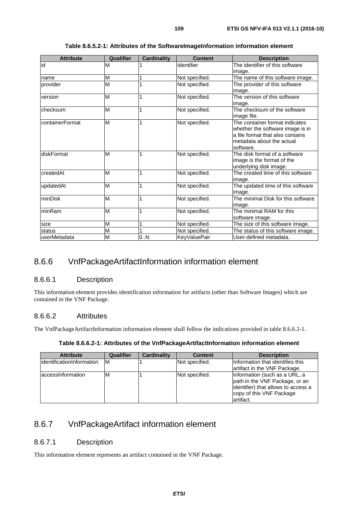| <b>Attribute</b> | Qualifier | <b>Cardinality</b> | <b>Content</b> | <b>Description</b>                                                                                                                               |
|------------------|-----------|--------------------|----------------|--------------------------------------------------------------------------------------------------------------------------------------------------|
| id               | M         |                    | Identifier     | The identifier of this software<br>image.                                                                                                        |
| name             | M         |                    | Not specified. | The name of this software image.                                                                                                                 |
| provider         | M         |                    | Not specified. | The provider of this software<br>image.                                                                                                          |
| version          | M         |                    | Not specified. | The version of this software<br>image.                                                                                                           |
| checksum         | M         | 1                  | Not specified. | The checksum of the software<br>limage file.                                                                                                     |
| containerFormat  | M         | 1                  | Not specified. | The container format indicates<br>whether the software image is in<br>a file format that also contains<br>metadata about the actual<br>software. |
| diskFormat       | M         | 1                  | Not specified. | The disk format of a software<br>image is the format of the<br>underlying disk image.                                                            |
| createdAt        | M         |                    | Not specified. | The created time of this software<br>image.                                                                                                      |
| updatedAt        | M         |                    | Not specified. | The updated time of this software<br>image.                                                                                                      |
| minDisk          | M         |                    | Not specified. | The minimal Disk for this software<br>image.                                                                                                     |
| minRam           | M         |                    | Not specified. | The minimal RAM for this<br>software image.                                                                                                      |
| size             | M         |                    | Not specified. | The size of this software image.                                                                                                                 |
| status           | M         |                    | Not specified. | The status of this software image.                                                                                                               |
| userMetadata     | M         | 0.N                | KeyValuePair   | User-defined metadata.                                                                                                                           |

#### **Table 8.6.5.2-1: Attributes of the SoftwareImageInformation information element**

### 8.6.6 VnfPackageArtifactInformation information element

#### 8.6.6.1 Description

This information element provides identification information for artifacts (other than Software Images) which are contained in the VNF Package.

#### 8.6.6.2 Attributes

The VnfPackageArtifactInformation information element shall follow the indications provided in table 8.6.6.2-1.

| Table 8.6.6.2-1: Attributes of the VnfPackageArtifactInformation information element |  |
|--------------------------------------------------------------------------------------|--|
|--------------------------------------------------------------------------------------|--|

| <b>Attribute</b>           | Qualifier | Cardinality | <b>Content</b> | <b>Description</b>                                                                                                                               |
|----------------------------|-----------|-------------|----------------|--------------------------------------------------------------------------------------------------------------------------------------------------|
| lidentificationInformation | IM.       |             | Not specified. | Information that identifies this<br>artifact in the VNF Package.                                                                                 |
| laccessInformation         | M         |             | Not specified. | Information (such as a URL, a<br>path in the VNF Package, or an<br>identifier) that allows to access a<br>copy of this VNF Package<br>lartifact. |

### 8.6.7 VnfPackageArtifact information element

#### 8.6.7.1 Description

This information element represents an artifact contained in the VNF Package.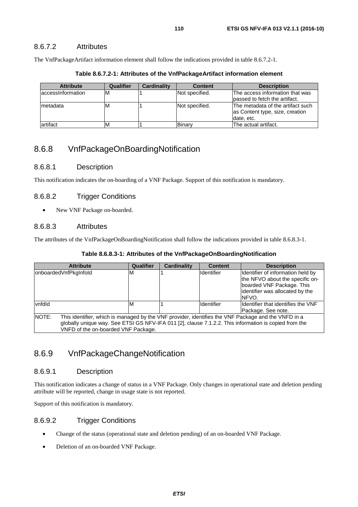#### 8.6.7.2 Attributes

The VnfPackageArtifact information element shall follow the indications provided in table 8.6.7.2-1.

| Table 8.6.7.2-1: Attributes of the VnfPackageArtifact information element |
|---------------------------------------------------------------------------|
|                                                                           |

| <b>Attribute</b>   | Qualifier | <b>Cardinality</b> | <b>Content</b> | <b>Description</b>                                                                 |
|--------------------|-----------|--------------------|----------------|------------------------------------------------------------------------------------|
| laccessinformation | ıΜ        |                    | Not specified. | The access information that was<br>lpassed to fetch the artifact.                  |
| Imetadata          | ıΜ        |                    | Not specified. | The metadata of the artifact such<br>as Content type, size, creation<br>date, etc. |
| artifact           | ιM        |                    | Binarv         | The actual artifact.                                                               |

#### 8.6.8 VnfPackageOnBoardingNotification

#### 8.6.8.1 Description

This notification indicates the on-boarding of a VNF Package. Support of this notification is mandatory.

#### 8.6.8.2 Trigger Conditions

• New VNF Package on-boarded.

#### 8.6.8.3 Attributes

The attributes of the VnfPackageOnBoardingNotification shall follow the indications provided in table 8.6.8.3-1.

| Table 8.6.8.3-1: Attributes of the VnfPackageOnBoardingNotification |  |  |  |  |  |
|---------------------------------------------------------------------|--|--|--|--|--|
|---------------------------------------------------------------------|--|--|--|--|--|

| <b>Attribute</b>                                                                                             | Qualifier | <b>Cardinality</b> | <b>Content</b>    | <b>Description</b>                  |  |
|--------------------------------------------------------------------------------------------------------------|-----------|--------------------|-------------------|-------------------------------------|--|
| onboardedVnfPkgInfold                                                                                        | M         |                    | <b>Identifier</b> | Identifier of information held by   |  |
|                                                                                                              |           |                    |                   | the NFVO about the specific on-     |  |
|                                                                                                              |           |                    |                   | boarded VNF Package. This           |  |
|                                                                                                              |           |                    |                   | identifier was allocated by the     |  |
|                                                                                                              |           |                    |                   | NFVO.                               |  |
| vnfdld                                                                                                       | M         |                    | <b>Identifier</b> | Ildentifier that identifies the VNF |  |
|                                                                                                              |           |                    |                   | Package. See note.                  |  |
| NOTE:<br>This identifier, which is managed by the VNF provider, identifies the VNF Package and the VNFD in a |           |                    |                   |                                     |  |
| globally unique way. See ETSI GS NFV-IFA 011 [2], clause 7.1.2.2. This information is copied from the        |           |                    |                   |                                     |  |
| VNFD of the on-boarded VNF Package.                                                                          |           |                    |                   |                                     |  |

#### 8.6.9 VnfPackageChangeNotification

#### 8.6.9.1 Description

This notification indicates a change of status in a VNF Package. Only changes in operational state and deletion pending attribute will be reported, change in usage state is not reported.

Support of this notification is mandatory.

#### 8.6.9.2 Trigger Conditions

- Change of the status (operational state and deletion pending) of an on-boarded VNF Package.
- Deletion of an on-boarded VNF Package.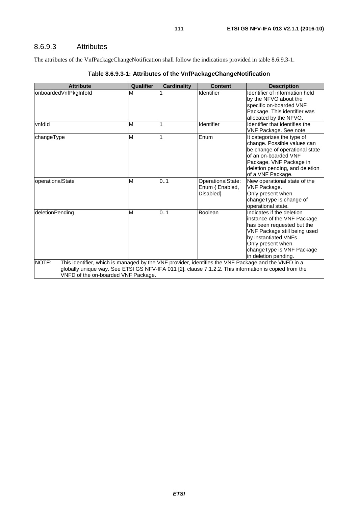#### 8.6.9.3 Attributes

The attributes of the VnfPackageChangeNotification shall follow the indications provided in table 8.6.9.3-1.

| <b>Attribute</b>                    | Qualifier                                                                                                                                                                                                    | <b>Cardinality</b> | <b>Content</b>    | <b>Description</b>                                    |  |  |
|-------------------------------------|--------------------------------------------------------------------------------------------------------------------------------------------------------------------------------------------------------------|--------------------|-------------------|-------------------------------------------------------|--|--|
| onboardedVnfPkgInfold               | М                                                                                                                                                                                                            |                    | Identifier        | Identifier of information held                        |  |  |
|                                     |                                                                                                                                                                                                              |                    |                   | by the NFVO about the                                 |  |  |
|                                     |                                                                                                                                                                                                              |                    |                   | specific on-boarded VNF                               |  |  |
|                                     |                                                                                                                                                                                                              |                    |                   | Package. This identifier was                          |  |  |
|                                     |                                                                                                                                                                                                              |                    |                   | allocated by the NFVO.                                |  |  |
| vnfdld                              | M                                                                                                                                                                                                            |                    | Identifier        | Identifier that identifies the                        |  |  |
|                                     |                                                                                                                                                                                                              |                    |                   | VNF Package. See note.                                |  |  |
| changeType                          | M                                                                                                                                                                                                            |                    | Enum              | It categorizes the type of                            |  |  |
|                                     |                                                                                                                                                                                                              |                    |                   | change. Possible values can                           |  |  |
|                                     |                                                                                                                                                                                                              |                    |                   | be change of operational state                        |  |  |
|                                     |                                                                                                                                                                                                              |                    |                   | of an on-boarded VNF                                  |  |  |
|                                     |                                                                                                                                                                                                              |                    |                   | Package, VNF Package in                               |  |  |
|                                     |                                                                                                                                                                                                              |                    |                   | deletion pending, and deletion                        |  |  |
|                                     |                                                                                                                                                                                                              |                    |                   | of a VNF Package.                                     |  |  |
| operationalState                    | м                                                                                                                                                                                                            | 0.1                | OperationalState: | New operational state of the                          |  |  |
|                                     |                                                                                                                                                                                                              |                    | Enum { Enabled,   | VNF Package.                                          |  |  |
|                                     |                                                                                                                                                                                                              |                    | Disabled }        | Only present when                                     |  |  |
|                                     |                                                                                                                                                                                                              |                    |                   | changeType is change of                               |  |  |
|                                     |                                                                                                                                                                                                              |                    |                   | operational state.                                    |  |  |
| deletionPending                     | M                                                                                                                                                                                                            | 0.1                | Boolean           | Indicates if the deletion                             |  |  |
|                                     |                                                                                                                                                                                                              |                    |                   | instance of the VNF Package                           |  |  |
|                                     |                                                                                                                                                                                                              |                    |                   | has been requested but the                            |  |  |
|                                     |                                                                                                                                                                                                              |                    |                   | VNF Package still being used<br>by instantiated VNFs. |  |  |
|                                     |                                                                                                                                                                                                              |                    |                   | Only present when                                     |  |  |
|                                     |                                                                                                                                                                                                              |                    |                   | changeType is VNF Package                             |  |  |
|                                     |                                                                                                                                                                                                              |                    |                   | in deletion pending.                                  |  |  |
| NOTE:                               |                                                                                                                                                                                                              |                    |                   |                                                       |  |  |
|                                     | This identifier, which is managed by the VNF provider, identifies the VNF Package and the VNFD in a<br>globally unique way. See ETSI GS NFV-IFA 011 [2], clause 7.1.2.2. This information is copied from the |                    |                   |                                                       |  |  |
| VNFD of the on-boarded VNF Package. |                                                                                                                                                                                                              |                    |                   |                                                       |  |  |
|                                     |                                                                                                                                                                                                              |                    |                   |                                                       |  |  |

#### **Table 8.6.9.3-1: Attributes of the VnfPackageChangeNotification**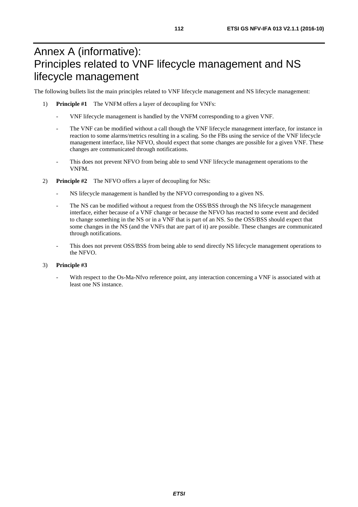## Annex A (informative): Principles related to VNF lifecycle management and NS lifecycle management

The following bullets list the main principles related to VNF lifecycle management and NS lifecycle management:

- 1) **Principle #1** The VNFM offers a layer of decoupling for VNFs:
	- VNF lifecycle management is handled by the VNFM corresponding to a given VNF.
	- The VNF can be modified without a call though the VNF lifecycle management interface, for instance in reaction to some alarms/metrics resulting in a scaling. So the FBs using the service of the VNF lifecycle management interface, like NFVO, should expect that some changes are possible for a given VNF. These changes are communicated through notifications.
	- This does not prevent NFVO from being able to send VNF lifecycle management operations to the VNFM.
- 2) **Principle #2** The NFVO offers a layer of decoupling for NSs:
	- NS lifecycle management is handled by the NFVO corresponding to a given NS.
	- The NS can be modified without a request from the OSS/BSS through the NS lifecycle management interface, either because of a VNF change or because the NFVO has reacted to some event and decided to change something in the NS or in a VNF that is part of an NS. So the OSS/BSS should expect that some changes in the NS (and the VNFs that are part of it) are possible. These changes are communicated through notifications.
	- This does not prevent OSS/BSS from being able to send directly NS lifecycle management operations to the NFVO.

#### 3) **Principle #3**

With respect to the Os-Ma-Nfvo reference point, any interaction concerning a VNF is associated with at least one NS instance.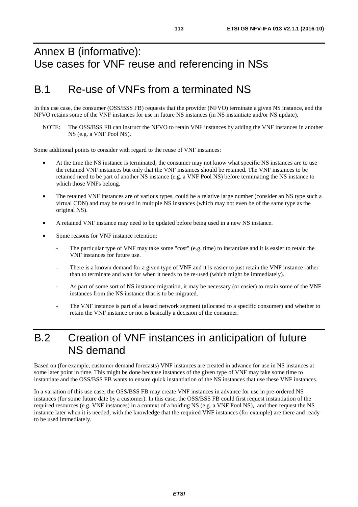## Annex B (informative): Use cases for VNF reuse and referencing in NSs

## B.1 Re-use of VNFs from a terminated NS

In this use case, the consumer (OSS/BSS FB) requests that the provider (NFVO) terminate a given NS instance, and the NFVO retains some of the VNF instances for use in future NS instances (in NS instantiate and/or NS update).

NOTE: The OSS/BSS FB can instruct the NFVO to retain VNF instances by adding the VNF instances in another NS (e.g. a VNF Pool NS).

Some additional points to consider with regard to the reuse of VNF instances:

- At the time the NS instance is terminated, the consumer may not know what specific NS instances are to use the retained VNF instances but only that the VNF instances should be retained. The VNF instances to be retained need to be part of another NS instance (e.g. a VNF Pool NS) before terminating the NS instance to which those VNFs belong.
- The retained VNF instances are of various types, could be a relative large number (consider an NS type such a virtual CDN) and may be reused in multiple NS instances (which may not even be of the same type as the original NS).
- A retained VNF instance may need to be updated before being used in a new NS instance.
- Some reasons for VNF instance retention:
	- The particular type of VNF may take some "cost" (e.g. time) to instantiate and it is easier to retain the VNF instances for future use.
	- There is a known demand for a given type of VNF and it is easier to just retain the VNF instance rather than to terminate and wait for when it needs to be re-used (which might be immediately).
	- As part of some sort of NS instance migration, it may be necessary (or easier) to retain some of the VNF instances from the NS instance that is to be migrated.
	- The VNF instance is part of a leased network segment (allocated to a specific consumer) and whether to retain the VNF instance or not is basically a decision of the consumer.

### B.2 Creation of VNF instances in anticipation of future NS demand

Based on (for example, customer demand forecasts) VNF instances are created in advance for use in NS instances at some later point in time. This might be done because instances of the given type of VNF may take some time to instantiate and the OSS/BSS FB wants to ensure quick instantiation of the NS instances that use these VNF instances.

In a variation of this use case, the OSS/BSS FB may create VNF instances in advance for use in pre-ordered NS instances (for some future date by a customer). In this case, the OSS/BSS FB could first request instantiation of the required resources (e.g. VNF instances) in a context of a holding NS (e.g. a VNF Pool NS),, and then request the NS instance later when it is needed, with the knowledge that the required VNF instances (for example) are there and ready to be used immediately.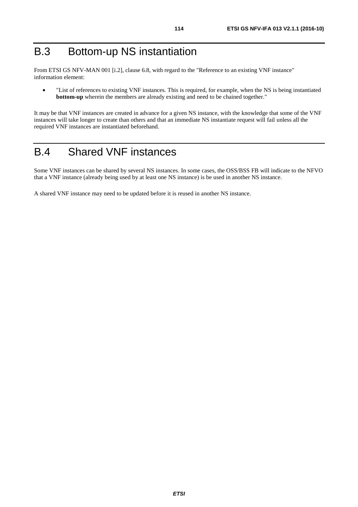From ETSI GS NFV-MAN 001 [[i.2\]](#page-13-0), clause 6.8, with regard to the "Reference to an existing VNF instance" information element:

• "List of references to existing VNF instances. This is required, for example, when the NS is being instantiated **bottom-up** wherein the members are already existing and need to be chained together."

It may be that VNF instances are created in advance for a given NS instance, with the knowledge that some of the VNF instances will take longer to create than others and that an immediate NS instantiate request will fail unless all the required VNF instances are instantiated beforehand.

## B.4 Shared VNF instances

Some VNF instances can be shared by several NS instances. In some cases, the OSS/BSS FB will indicate to the NFVO that a VNF instance (already being used by at least one NS instance) is be used in another NS instance.

A shared VNF instance may need to be updated before it is reused in another NS instance.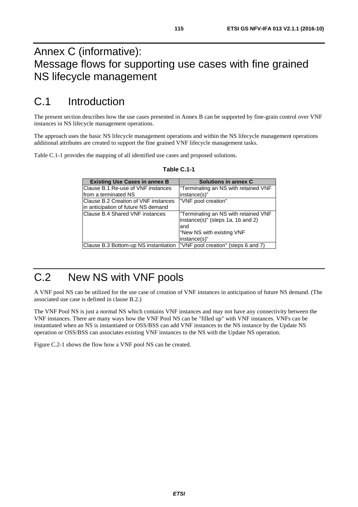## Annex C (informative): Message flows for supporting use cases with fine grained NS lifecycle management

## C.1 Introduction

The present section describes how the use cases presented in Annex B can be supported by fine-grain control over VNF instances in NS lifecycle management operations.

The approach uses the basic NS lifecycle management operations and within the NS lifecycle management operations additional attributes are created to support the fine grained VNF lifecycle management tasks.

Table C.1-1 provides the mapping of all identified use cases and proposed solutions.

| <b>Existing Use Cases in annex B</b>                                       | Solutions in annex C                 |
|----------------------------------------------------------------------------|--------------------------------------|
| Clause B.1 Re-use of VNF instances                                         | "Terminating an NS with retained VNF |
| from a terminated NS                                                       | instance(s)"                         |
| Clause B.2 Creation of VNF instances                                       | "VNF pool creation"                  |
| in anticipation of future NS demand                                        |                                      |
| Clause B.4 Shared VNF instances                                            | Terminating an NS with retained VNF  |
|                                                                            | instance(s)" (steps 1a, 1b and 2)    |
|                                                                            | land                                 |
|                                                                            | "New NS with existing VNF            |
|                                                                            | instance(s)"                         |
| Clause B.3 Bottom-up NS instantiation  "VNF pool creation" (steps 6 and 7) |                                      |

#### **Table C.1-1**

# C.2 New NS with VNF pools

A VNF pool NS can be utilized for the use case of creation of VNF instances in anticipation of future NS demand. (The associated use case is defined in clause B.2.)

The VNF Pool NS is just a normal NS which contains VNF instances and may not have any connectivity between the VNF instances. There are many ways how the VNF Pool NS can be "filled up" with VNF instances. VNFs can be instantiated when an NS is instantiated or OSS/BSS can add VNF instances to the NS instance by the Update NS operation or OSS/BSS can associates existing VNF instances to the NS with the Update NS operation.

Figure C.2-1 shows the flow how a VNF pool NS can be created.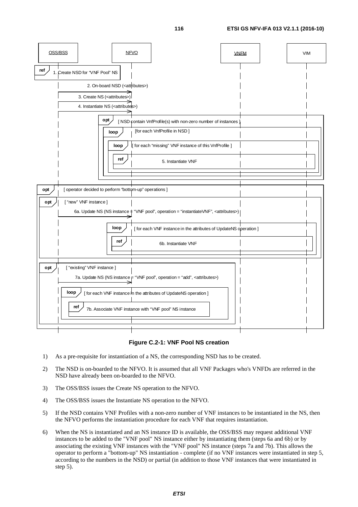**opt**  $\overline{\smash{\big)}\,}$  [ operator decided to perform "bottom-up" operations ] **opt**  $\left\{\n \begin{array}{c}\n \text{NSD} \\
\text{contain VnfProfile(s) with non-zero number of instances}\n \end{array}\n\right\}$ OSS/BSS NFVO VNFM **ref** 1. Create NSD for "VNF Pool" NS 4. Instantiate NS (<attributes>) **loop** | [for each VnfProfile in NSD] **opt**  $\sqrt{ }$  [ "new" VNF instance ] 6a. Update NS (NS instance  $\pm$  "VNF pool", operation = "instantiateVNF", <attributes>) 2. On-board NSD (<attributes>) **loop**  $\int$  | for each "missing" VNF instance of this VnfProfile ] **ref**  $\begin{matrix} \end{matrix}$  **ref**  $\begin{matrix} \end{matrix}$  **f**  $\begin{matrix} 5 \end{matrix}$ . Instantiate VNF VIM **loop**  $\frac{1}{\sqrt{2}}$  [ for each VNF instance in the attributes of UpdateNS operation ] **ref**  $\begin{matrix} \end{matrix}$  6b. Instantiate VNF **opt**  $\left| \right|$  [ "existing" VNF instance ] 7a. Update NS (NS instance  $_F$  "VNF pool", operation = "add", <attributes>) **loop**  $\bigvee$  [ for each VNF instance in the attributes of UpdateNS operation ] **ref** 7b. Associate VNF instance with "VNF pool" NS instance 3. Create NS (<attributes>)

#### **Figure C.2-1: VNF Pool NS creation**

- 1) As a pre-requisite for instantiation of a NS, the corresponding NSD has to be created.
- 2) The NSD is on-boarded to the NFVO. It is assumed that all VNF Packages who's VNFDs are referred in the NSD have already been on-boarded to the NFVO.
- 3) The OSS/BSS issues the Create NS operation to the NFVO.
- 4) The OSS/BSS issues the Instantiate NS operation to the NFVO.
- 5) If the NSD contains VNF Profiles with a non-zero number of VNF instances to be instantiated in the NS, then the NFVO performs the instantiation procedure for each VNF that requires instantiation.
- 6) When the NS is instantiated and an NS instance ID is available, the OSS/BSS may request additional VNF instances to be added to the "VNF pool" NS instance either by instantiating them (steps 6a and 6b) or by associating the existing VNF instances with the "VNF pool" NS instance (steps 7a and 7b). This allows the operator to perform a "bottom-up" NS instantiation - complete (if no VNF instances were instantiated in step 5, according to the numbers in the NSD) or partial (in addition to those VNF instances that were instantiated in step 5).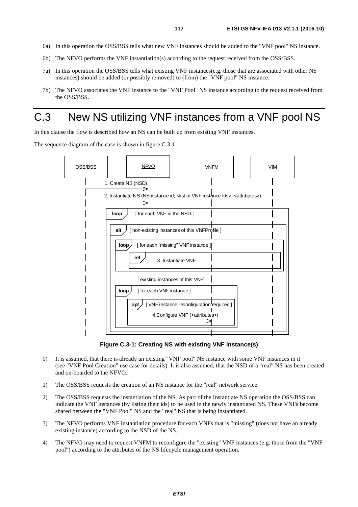- 6a) In this operation the OSS/BSS tells what new VNF instances should be added to the "VNF pool" NS instance.
- 6b) The NFVO performs the VNF instantiation(s) according to the request received from the OSS/BSS.
- 7a) In this operation the OSS/BSS tells what existing VNF instances(e.g. those that are associated with other NS instances) should be added (or possibly removed) to (from) the "VNF pool" NS instance.
- 7b) The NFVO associates the VNF instance to the "VNF Pool" NS instance according to the request received from the OSS/BSS.

## C.3 New NS utilizing VNF instances from a VNF pool NS

In this clause the flow is described how an NS can be built up from existing VNF instances.

The sequence diagram of the case is shown in figure C.3-1.



**Figure C.3-1: Creating NS with existing VNF instance(s)** 

- 0) It is assumed, that there is already an existing "VNF pool" NS instance with some VNF instances in it (see "VNF Pool Creation" use case for details). It is also assumed, that the NSD of a "real" NS has been created and on-boarded to the NFVO.
- 1) The OSS/BSS requests the creation of an NS instance for the "real" network service.
- 2) The OSS/BSS requests the instantiation of the NS. As part of the Instantiate NS operation the OSS/BSS can indicate the VNF instances (by listing their ids) to be used in the newly instantiated NS. These VNFs become shared between the "VNF Pool" NS and the "real" NS that is being instantiated.
- 3) The NFVO performs VNF instantiation procedure for each VNFs that is "missing" (does not have an already existing instance) according to the NSD of the NS.
- 4) The NFVO may need to request VNFM to reconfigure the "existing" VNF instances (e.g. those from the "VNF pool") according to the attributes of the NS lifecycle management operation.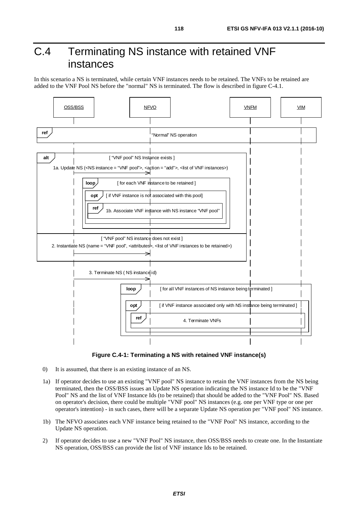## C.4 Terminating NS instance with retained VNF instances

In this scenario a NS is terminated, while certain VNF instances needs to be retained. The VNFs to be retained are added to the VNF Pool NS before the "normal" NS is terminated. The flow is described in figure C-4.1.



**Figure C.4-1: Terminating a NS with retained VNF instance(s)** 

- 0) It is assumed, that there is an existing instance of an NS.
- 1a) If operator decides to use an existing "VNF pool" NS instance to retain the VNF instances from the NS being terminated, then the OSS/BSS issues an Update NS operation indicating the NS instance Id to be the "VNF Pool" NS and the list of VNF Instance Ids (to be retained) that should be added to the "VNF Pool" NS. Based on operator's decision, there could be multiple "VNF pool" NS instances (e.g. one per VNF type or one per operator's intention) - in such cases, there will be a separate Update NS operation per "VNF pool" NS instance.
- 1b) The NFVO associates each VNF instance being retained to the "VNF Pool" NS instance, according to the Update NS operation.
- 2) If operator decides to use a new "VNF Pool" NS instance, then OSS/BSS needs to create one. In the Instantiate NS operation, OSS/BSS can provide the list of VNF instance Ids to be retained.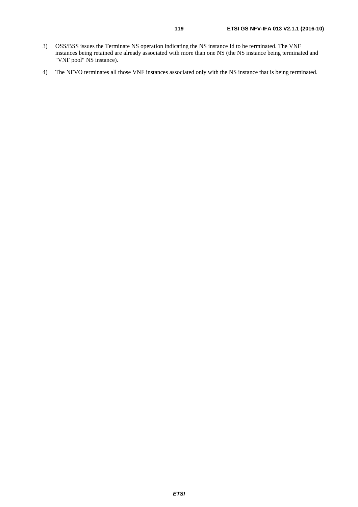- 3) OSS/BSS issues the Terminate NS operation indicating the NS instance Id to be terminated. The VNF instances being retained are already associated with more than one NS (the NS instance being terminated and "VNF pool" NS instance).
- 4) The NFVO terminates all those VNF instances associated only with the NS instance that is being terminated.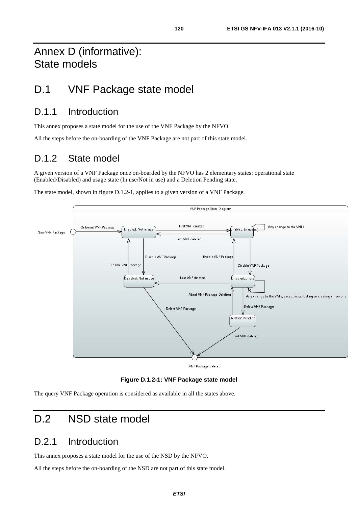### D.1 VNF Package state model

### D.1.1 Introduction

This annex proposes a state model for the use of the VNF Package by the NFVO.

All the steps before the on-boarding of the VNF Package are not part of this state model.

### D.1.2 State model

A given version of a VNF Package once on-boarded by the NFVO has 2 elementary states: operational state (Enabled/Disabled) and usage state (In use/Not in use) and a Deletion Pending state.

The state model, shown in figure D.1.2-1, applies to a given version of a VNF Package.



**Figure D.1.2-1: VNF Package state model** 

The query VNF Package operation is considered as available in all the states above.

### D.2 NSD state model

### D.2.1 Introduction

This annex proposes a state model for the use of the NSD by the NFVO.

All the steps before the on-boarding of the NSD are not part of this state model.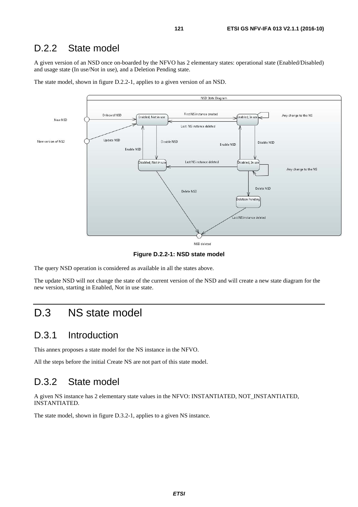### D.2.2 State model

A given version of an NSD once on-boarded by the NFVO has 2 elementary states: operational state (Enabled/Disabled) and usage state (In use/Not in use), and a Deletion Pending state.



The state model, shown in figure D.2.2-1, applies to a given version of an NSD.

**Figure D.2.2-1: NSD state model** 

The query NSD operation is considered as available in all the states above.

The update NSD will not change the state of the current version of the NSD and will create a new state diagram for the new version, starting in Enabled, Not in use state.

### D.3 NS state model

### D.3.1 Introduction

This annex proposes a state model for the NS instance in the NFVO.

All the steps before the initial Create NS are not part of this state model.

### D.3.2 State model

A given NS instance has 2 elementary state values in the NFVO: INSTANTIATED, NOT\_INSTANTIATED, INSTANTIATED.

The state model, shown in figure D.3.2-1, applies to a given NS instance.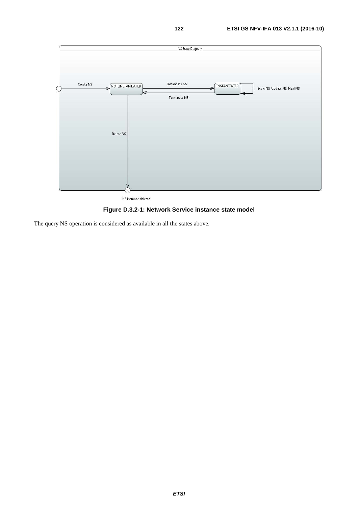

NS instance deleted

#### **Figure D.3.2-1: Network Service instance state model**

The query NS operation is considered as available in all the states above.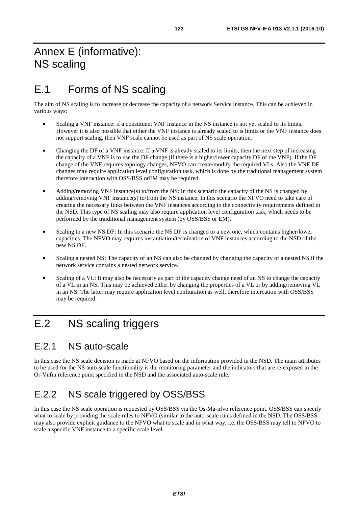## Annex E (informative): NS scaling

## E.1 Forms of NS scaling

The aim of NS scaling is to increase or decrease the capacity of a network Service instance. This can be achieved in various ways:

- Scaling a VNF instance: if a constituent VNF instance in the NS instance is not yet scaled to its limits. However it is also possible that either the VNF instance is already scaled to is limits or the VNF instance does not support scaling, then VNF scale cannot be used as part of NS scale operation.
- Changing the DF of a VNF instance. If a VNF is already scaled to its limits, then the next step of increasing the capacity of a VNF is to use the DF change (if there is a higher/lower capacity DF of the VNF). If the DF change of the VNF requires topology changes, NFVO can create/modify the required VLs. Also the VNF DF changes may require application level configuration task, which is done by the traditional management system therefore interaction with OSS/BSS orEM may be required.
- Adding/removing VNF instance(s) to/from the NS: In this scenario the capacity of the NS is changed by adding/removing VNF instance(s) to/from the NS instance. In this scenario the NFVO need to take care of creating the necessary links between the VNF instances according to the connectivity requirements defined in the NSD. This type of NS scaling may also require application level configuration task, which needs to be performed by the traiditional management system (by OSS/BSS or EM).
- Scaling to a new NS DF: In this scenario the NS DF is changed to a new one, which contains higher/lower capacities. The NFVO may requires instantiation/termination of VNF instances according to the NSD of the new NS DF.
- Scaling a nested NS: The capacity of an NS can also be changed by changing the capacity of a nested NS if the network service contains a nested network service.
- Scaling of a VL: It may also be necessary as part of the capacity change need of an NS to change the capacity of a VL in an NS. This may be achieved either by changing the properties of a VL or by adding/removing VL in an NS. The latter may require application level confiuration as well, therefore intercation with OSS/BSS may be required.

## E.2 NS scaling triggers

### E.2.1 NS auto-scale

In this case the NS scale decision is made at NFVO based on the information provided in the NSD. The main attributes to be used for the NS auto-scale functionality is the monitoring parameter and the indicators that are re-exposed in the Or-Vnfm reference point specified in the NSD and the associated auto-scale rule.

## E.2.2 NS scale triggered by OSS/BSS

In this case the NS scale operation is requested by OSS/BSS via the Os-Ma-nfvo reference point. OSS/BSS can specify what to scale by providing the scale rules to NFVO (similar to the auto-scale rules defined in the NSD. The OSS/BSS may also provide explicit guidance to the NFVO what to scale and in what way, i.e. the OSS/BSS may tell to NFVO to scale a specific VNF instance to a specific scale level.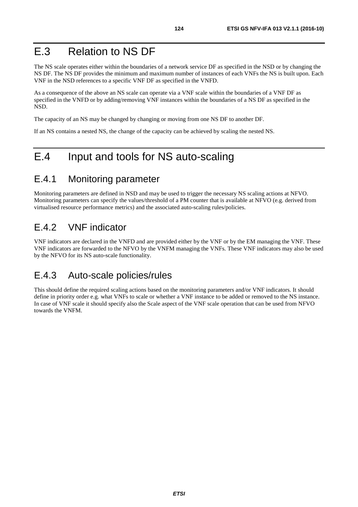The NS scale operates either within the boundaries of a network service DF as specified in the NSD or by changing the NS DF. The NS DF provides the minimum and maximum number of instances of each VNFs the NS is built upon. Each VNF in the NSD references to a specific VNF DF as specified in the VNFD.

As a consequence of the above an NS scale can operate via a VNF scale within the boundaries of a VNF DF as specified in the VNFD or by adding/removing VNF instances within the boundaries of a NS DF as specified in the NSD.

The capacity of an NS may be changed by changing or moving from one NS DF to another DF.

If an NS contains a nested NS, the change of the capacity can be achieved by scaling the nested NS.

## E.4 Input and tools for NS auto-scaling

### E.4.1 Monitoring parameter

Monitoring parameters are defined in NSD and may be used to trigger the necessary NS scaling actions at NFVO. Monitoring parameters can specify the values/threshold of a PM counter that is available at NFVO (e.g. derived from virtualised resource performance metrics) and the associated auto-scaling rules/policies.

### E.4.2 VNF indicator

VNF indicators are declared in the VNFD and are provided either by the VNF or by the EM managing the VNF. These VNF indicators are forwarded to the NFVO by the VNFM managing the VNFs. These VNF indicators may also be used by the NFVO for its NS auto-scale functionality.

### E.4.3 Auto-scale policies/rules

This should define the required scaling actions based on the monitoring parameters and/or VNF indicators. It should define in priority order e.g. what VNFs to scale or whether a VNF instance to be added or removed to the NS instance. In case of VNF scale it should specify also the Scale aspect of the VNF scale operation that can be used from NFVO towards the VNFM.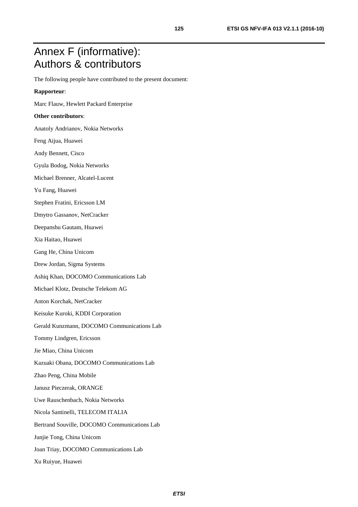## Annex F (informative): Authors & contributors

The following people have contributed to the present document*:* 

#### **Rapporteur**:

Marc Flauw, Hewlett Packard Enterprise

#### **Other contributors**:

- Anatoly Andrianov, Nokia Networks
- Feng Aijua, Huawei
- Andy Bennett, Cisco
- Gyula Bodog, Nokia Networks
- Michael Brenner, Alcatel-Lucent
- Yu Fang, Huawei
- Stephen Fratini, Ericsson LM
- Dmytro Gassanov, NetCracker
- Deepanshu Gautam, Huawei
- Xia Haitao, Huawei
- Gang He, China Unicom
- Drew Jordan, Sigma Systems
- Ashiq Khan, DOCOMO Communications Lab
- Michael Klotz, Deutsche Telekom AG
- Anton Korchak, NetCracker
- Keisuke Kuroki, KDDI Corporation
- Gerald Kunzmann, DOCOMO Communications Lab
- Tommy Lindgren, Ericsson
- Jie Miao, China Unicom
- Kazuaki Obana, DOCOMO Communications Lab
- Zhao Peng, China Mobile
- Janusz Pieczerak, ORANGE
- Uwe Rauschenbach, Nokia Networks
- Nicola Santinelli, TELECOM ITALIA
- Bertrand Souville, DOCOMO Communications Lab
- Junjie Tong, China Unicom
- Joan Triay, DOCOMO Communications Lab
- Xu Ruiyue, Huawei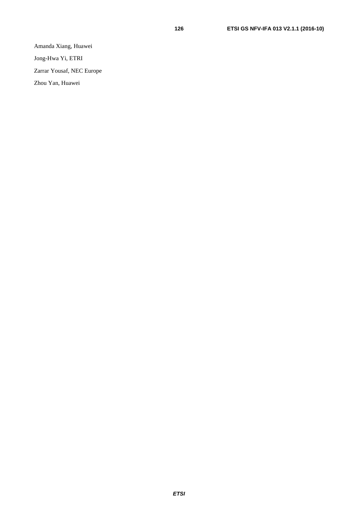Amanda Xiang, Huawei

Jong-Hwa Yi, ETRI

Zarrar Yousaf, NEC Europe

Zhou Yan, Huawei